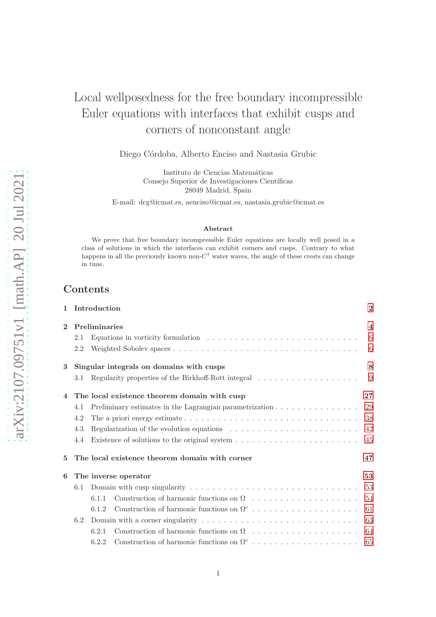# Local wellposedness for the free boundary incompressible Euler equations with interfaces that exhibit cusps and corners of nonconstant angle

Diego Córdoba, Alberto Enciso and Nastasia Grubic

Instituto de Ciencias Matemáticas Consejo Superior de Investigaciones Científicas 28049 Madrid, Spain

E-mail: dcg@icmat.es, aenciso@icmat.es, nastasia.grubic@icmat.es

#### Abstract

We prove that free boundary incompressible Euler equations are locally well posed in a class of solutions in which the interfaces can exhibit corners and cusps. Contrary to what happens in all the previously known non- $C^1$  water waves, the angle of these crests can change in time.

## Contents

| $\mathbf{1}$   |                                              | Introduction |                                                                                                              | $\bf{2}$ |  |
|----------------|----------------------------------------------|--------------|--------------------------------------------------------------------------------------------------------------|----------|--|
| $\mathbf{2}$   | Preliminaries                                |              |                                                                                                              |          |  |
|                | 2.1                                          |              | Equations in vorticity formulation $\ldots \ldots \ldots \ldots \ldots \ldots \ldots \ldots \ldots$          | 6        |  |
|                | 2.2                                          |              |                                                                                                              | 6        |  |
| 3              |                                              |              | Singular integrals on domains with cusps                                                                     | 8        |  |
|                | 3.1                                          |              | Regularity properties of the Birkhoff-Rott integral $\ldots \ldots \ldots \ldots \ldots \ldots$              | 9        |  |
| $\overline{4}$ | The local existence theorem domain with cusp |              |                                                                                                              |          |  |
|                | 4.1                                          |              | Preliminary estimates in the Lagrangian parametrization                                                      | $29\,$   |  |
|                | 4.2                                          |              | The a priori energy estimate $\dots \dots \dots \dots \dots \dots \dots \dots \dots \dots \dots \dots \dots$ | 38       |  |
|                | 4.3                                          |              | Regularization of the evolution equations $\ldots \ldots \ldots \ldots \ldots \ldots \ldots$                 | 42       |  |
|                | 4.4                                          |              |                                                                                                              | 45       |  |
| 5              |                                              |              | The local existence theorem domain with corner                                                               | 47       |  |
| 6              | The inverse operator                         |              |                                                                                                              |          |  |
|                | 6.1                                          |              |                                                                                                              |          |  |
|                |                                              | 6.1.1        |                                                                                                              | 54       |  |
|                |                                              | 6.1.2        | Construction of harmonic functions on $\Omega^c$                                                             | 61       |  |
|                | 6.2                                          | 63           |                                                                                                              |          |  |
|                |                                              | 6.2.1        |                                                                                                              | 64       |  |
|                |                                              | 6.2.2        |                                                                                                              | 65       |  |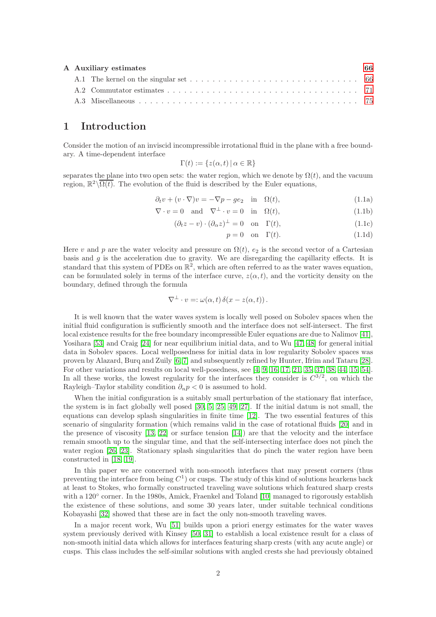| A Auxiliary estimates | 66 |
|-----------------------|----|
|                       |    |
|                       |    |
|                       |    |

## <span id="page-1-0"></span>1 Introduction

Consider the motion of an inviscid incompressible irrotational fluid in the plane with a free boundary. A time-dependent interface

$$
\Gamma(t) := \{ z(\alpha, t) \, | \, \alpha \in \mathbb{R} \}
$$

separates the plane into two open sets: the water region, which we denote by  $\Omega(t)$ , and the vacuum region,  $\mathbb{R}^2 \setminus \overline{\Omega(t)}$ . The evolution of the fluid is described by the Euler equations,

$$
\partial_t v + (v \cdot \nabla)v = -\nabla p - ge_2 \quad \text{in} \quad \Omega(t), \tag{1.1a}
$$

$$
\nabla \cdot v = 0 \quad \text{and} \quad \nabla^{\perp} \cdot v = 0 \quad \text{in} \quad \Omega(t), \tag{1.1b}
$$

$$
(\partial_t z - v) \cdot (\partial_\alpha z)^\perp = 0 \quad \text{on} \quad \Gamma(t), \tag{1.1c}
$$

<span id="page-1-1"></span>
$$
p = 0 \quad \text{on} \quad \Gamma(t). \tag{1.1d}
$$

Here v and p are the water velocity and pressure on  $\Omega(t)$ ,  $e_2$  is the second vector of a Cartesian basis and  $g$  is the acceleration due to gravity. We are disregarding the capillarity effects. It is standard that this system of PDEs on  $\mathbb{R}^2$ , which are often referred to as the water waves equation, can be formulated solely in terms of the interface curve,  $z(\alpha, t)$ , and the vorticity density on the boundary, defined through the formula

$$
\nabla^{\perp} \cdot v =: \omega(\alpha, t) \, \delta(x - z(\alpha, t)) \, .
$$

It is well known that the water waves system is locally well posed on Sobolev spaces when the initial fluid configuration is sufficiently smooth and the interface does not self-intersect. The first local existence results for the free boundary incompressible Euler equations are due to Nalimov [\[41\]](#page-79-0), Yosihara [\[53\]](#page-79-1) and Craig [\[24\]](#page-78-0) for near equilibrium initial data, and to Wu [\[47,](#page-79-2) [48\]](#page-79-3) for general initial data in Sobolev spaces. Local wellposedness for initial data in low regularity Sobolev spaces was proven by Alazard, Burq and Zuily [\[6,](#page-77-0) [7\]](#page-77-1) and subsequently refined by Hunter, Ifrim and Tataru [\[28\]](#page-78-1). For other variations and results on local well-posedness, see [\[4,](#page-77-2) [9,](#page-77-3) [16,](#page-78-2) [17,](#page-78-3) [21,](#page-78-4) [35,](#page-79-4) [37,](#page-79-5) [38,](#page-79-6) [44,](#page-79-7) [15,](#page-78-5) [54\]](#page-79-8). In all these works, the lowest regularity for the interfaces they consider is  $C^{3/2}$ , on which the Rayleigh–Taylor stability condition  $\partial_n p < 0$  is assumed to hold.

When the initial configuration is a suitably small perturbation of the stationary flat interface, the system is in fact globally well posed [\[30,](#page-78-6) [5,](#page-77-4) [25,](#page-78-7) [49,](#page-79-9) [27\]](#page-78-8). If the initial datum is not small, the equations can develop splash singularities in finite time [\[12\]](#page-78-9). The two essential features of this scenario of singularity formation (which remains valid in the case of rotational fluids [\[20\]](#page-78-10) and in the presence of viscosity  $[13, 22]$  $[13, 22]$  or surface tension  $[14]$  are that the velocity and the interface remain smooth up to the singular time, and that the self-intersecting interface does not pinch the water region [\[26,](#page-78-14) [23\]](#page-78-15). Stationary splash singularities that do pinch the water region have been constructed in [\[18,](#page-78-16) [19\]](#page-78-17).

In this paper we are concerned with non-smooth interfaces that may present corners (thus preventing the interface from being  $C<sup>1</sup>$  or cusps. The study of this kind of solutions hearkens back at least to Stokes, who formally constructed traveling wave solutions which featured sharp crests with a 120<sup>°</sup> corner. In the 1980s, Amick, Fraenkel and Toland [\[10\]](#page-77-5) managed to rigorously establish the existence of these solutions, and some 30 years later, under suitable technical conditions Kobayashi [\[32\]](#page-79-10) showed that these are in fact the only non-smooth traveling waves.

In a major recent work, Wu [\[51\]](#page-79-11) builds upon a priori energy estimates for the water waves system previously derived with Kinsey [\[50,](#page-79-12) [31\]](#page-78-18) to establish a local existence result for a class of non-smooth initial data which allows for interfaces featuring sharp crests (with any acute angle) or cusps. This class includes the self-similar solutions with angled crests she had previously obtained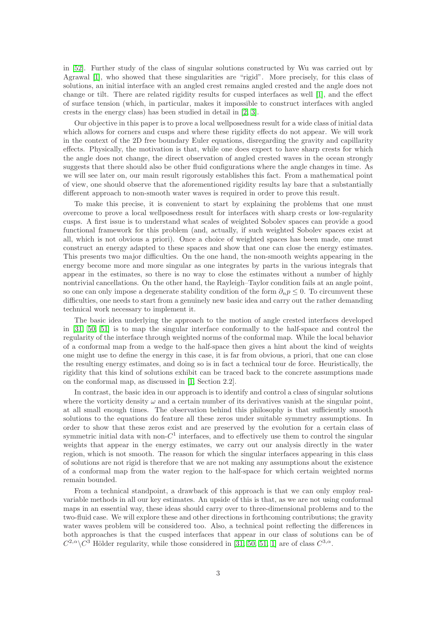in [\[52\]](#page-79-13). Further study of the class of singular solutions constructed by Wu was carried out by Agrawal [\[1\]](#page-77-6), who showed that these singularities are "rigid". More precisely, for this class of solutions, an initial interface with an angled crest remains angled crested and the angle does not change or tilt. There are related rigidity results for cusped interfaces as well [\[1\]](#page-77-6), and the effect of surface tension (which, in particular, makes it impossible to construct interfaces with angled crests in the energy class) has been studied in detail in [\[2,](#page-77-7) [3\]](#page-77-8).

Our objective in this paper is to prove a local wellposedness result for a wide class of initial data which allows for corners and cusps and where these rigidity effects do not appear. We will work in the context of the 2D free boundary Euler equations, disregarding the gravity and capillarity effects. Physically, the motivation is that, while one does expect to have sharp crests for which the angle does not change, the direct observation of angled crested waves in the ocean strongly suggests that there should also be other fluid configurations where the angle changes in time. As we will see later on, our main result rigorously establishes this fact. From a mathematical point of view, one should observe that the aforementioned rigidity results lay bare that a substantially different approach to non-smooth water waves is required in order to prove this result.

To make this precise, it is convenient to start by explaining the problems that one must overcome to prove a local wellposedness result for interfaces with sharp crests or low-regularity cusps. A first issue is to understand what scales of weighted Sobolev spaces can provide a good functional framework for this problem (and, actually, if such weighted Sobolev spaces exist at all, which is not obvious a priori). Once a choice of weighted spaces has been made, one must construct an energy adapted to these spaces and show that one can close the energy estimates. This presents two major difficulties. On the one hand, the non-smooth weights appearing in the energy become more and more singular as one integrates by parts in the various integrals that appear in the estimates, so there is no way to close the estimates without a number of highly nontrivial cancellations. On the other hand, the Rayleigh–Taylor condition fails at an angle point, so one can only impose a degenerate stability condition of the form  $\partial_n p \leq 0$ . To circumvent these difficulties, one needs to start from a genuinely new basic idea and carry out the rather demanding technical work necessary to implement it.

The basic idea underlying the approach to the motion of angle crested interfaces developed in [\[31,](#page-78-18) [50,](#page-79-12) [51\]](#page-79-11) is to map the singular interface conformally to the half-space and control the regularity of the interface through weighted norms of the conformal map. While the local behavior of a conformal map from a wedge to the half-space then gives a hint about the kind of weights one might use to define the energy in this case, it is far from obvious, a priori, that one can close the resulting energy estimates, and doing so is in fact a technical tour de force. Heuristically, the rigidity that this kind of solutions exhibit can be traced back to the concrete assumptions made on the conformal map, as discussed in [\[1,](#page-77-6) Section 2.2].

In contrast, the basic idea in our approach is to identify and control a class of singular solutions where the vorticity density  $\omega$  and a certain number of its derivatives vanish at the singular point, at all small enough times. The observation behind this philosophy is that sufficiently smooth solutions to the equations do feature all these zeros under suitable symmetry assumptions. In order to show that these zeros exist and are preserved by the evolution for a certain class of symmetric initial data with non- $C<sup>1</sup>$  interfaces, and to effectively use them to control the singular weights that appear in the energy estimates, we carry out our analysis directly in the water region, which is not smooth. The reason for which the singular interfaces appearing in this class of solutions are not rigid is therefore that we are not making any assumptions about the existence of a conformal map from the water region to the half-space for which certain weighted norms remain bounded.

From a technical standpoint, a drawback of this approach is that we can only employ realvariable methods in all our key estimates. An upside of this is that, as we are not using conformal maps in an essential way, these ideas should carry over to three-dimensional problems and to the two-fluid case. We will explore these and other directions in forthcoming contributions; the gravity water waves problem will be considered too. Also, a technical point reflecting the differences in both approaches is that the cusped interfaces that appear in our class of solutions can be of  $C^{2,\alpha}\backslash C^3$  Hölder regularity, while those considered in [\[31,](#page-78-18) [50,](#page-79-12) [51,](#page-79-11) [1\]](#page-77-6) are of class  $C^{3,\alpha}$ .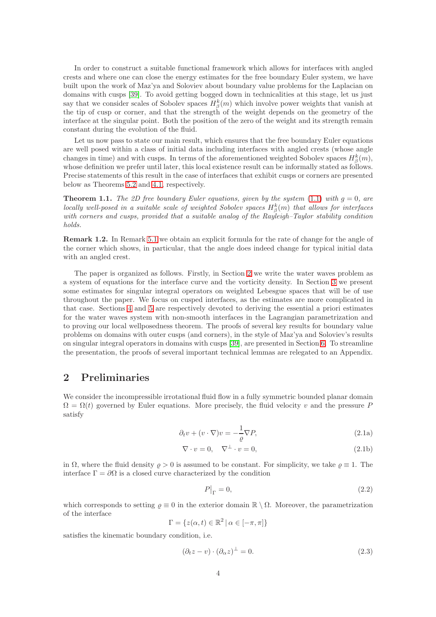In order to construct a suitable functional framework which allows for interfaces with angled crests and where one can close the energy estimates for the free boundary Euler system, we have built upon the work of Maz'ya and Soloviev about boundary value problems for the Laplacian on domains with cusps [\[39\]](#page-79-14). To avoid getting bogged down in technicalities at this stage, let us just say that we consider scales of Sobolev spaces  $H^k_\beta(m)$  which involve power weights that vanish at the tip of cusp or corner, and that the strength of the weight depends on the geometry of the interface at the singular point. Both the position of the zero of the weight and its strength remain constant during the evolution of the fluid.

Let us now pass to state our main result, which ensures that the free boundary Euler equations are well posed within a class of initial data including interfaces with angled crests (whose angle changes in time) and with cusps. In terms of the aforementioned weighted Sobolev spaces  $H^k_\beta(m)$ , whose definition we prefer until later, this local existence result can be informally stated as follows. Precise statements of this result in the case of interfaces that exhibit cusps or corners are presented below as Theorems [5.2](#page-47-0) and [4.1,](#page-27-0) respectively.

<span id="page-3-4"></span>**Theorem 1.1.** The 2D free boundary Euler equations, given by the system [\(1.1\)](#page-1-1) with  $g = 0$ , are locally well-posed in a suitable scale of weighted Sobolev spaces  $H^k_\beta(m)$  that allows for interfaces with corners and cusps, provided that a suitable analog of the Rayleigh–Taylor stability condition holds.

Remark 1.2. In Remark [5.1](#page-46-1) we obtain an explicit formula for the rate of change for the angle of the corner which shows, in particular, that the angle does indeed change for typical initial data with an angled crest.

The paper is organized as follows. Firstly, in Section [2](#page-3-0) we write the water waves problem as a system of equations for the interface curve and the vorticity density. In Section [3](#page-7-0) we present some estimates for singular integral operators on weighted Lebesgue spaces that will be of use throughout the paper. We focus on cusped interfaces, as the estimates are more complicated in that case. Sections [4](#page-26-0) and [5](#page-46-0) are respectively devoted to deriving the essential a priori estimates for the water waves system with non-smooth interfaces in the Lagrangian parametrization and to proving our local wellposedness theorem. The proofs of several key results for boundary value problems on domains with outer cusps (and corners), in the style of Maz'ya and Soloviev's results on singular integral operators in domains with cusps [\[39\]](#page-79-14), are presented in Section [6.](#page-52-0) To streamline the presentation, the proofs of several important technical lemmas are relegated to an Appendix.

## <span id="page-3-0"></span>2 Preliminaries

We consider the incompressible irrotational fluid flow in a fully symmetric bounded planar domain  $\Omega = \Omega(t)$  governed by Euler equations. More precisely, the fluid velocity v and the pressure P satisfy

$$
\partial_t v + (v \cdot \nabla)v = -\frac{1}{\varrho} \nabla P,\tag{2.1a}
$$

$$
\nabla \cdot v = 0, \quad \nabla^{\perp} \cdot v = 0,
$$
\n(2.1b)

in  $\Omega$ , where the fluid density  $\rho > 0$  is assumed to be constant. For simplicity, we take  $\rho \equiv 1$ . The interface  $\Gamma = \partial \Omega$  is a closed curve characterized by the condition

<span id="page-3-3"></span><span id="page-3-1"></span>
$$
P\big|_{\Gamma} = 0,\tag{2.2}
$$

which corresponds to setting  $\varrho \equiv 0$  in the exterior domain  $\mathbb{R} \setminus \Omega$ . Moreover, the parametrization of the interface

$$
\Gamma = \{ z(\alpha, t) \in \mathbb{R}^2 \, | \, \alpha \in [-\pi, \pi] \}
$$

satisfies the kinematic boundary condition, i.e.

<span id="page-3-2"></span>
$$
(\partial_t z - v) \cdot (\partial_\alpha z)^\perp = 0. \tag{2.3}
$$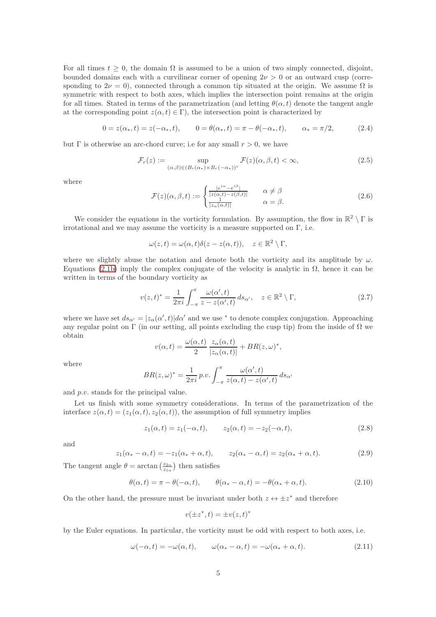For all times  $t \geq 0$ , the domain  $\Omega$  is assumed to be a union of two simply connected, disjoint, bounded domains each with a curvilinear corner of opening  $2\nu > 0$  or an outward cusp (corresponding to  $2\nu = 0$ ), connected through a common tip situated at the origin. We assume  $\Omega$  is symmetric with respect to both axes, which implies the intersection point remains at the origin for all times. Stated in terms of the parametrization (and letting  $\theta(\alpha, t)$  denote the tangent angle at the corresponding point  $z(\alpha, t) \in \Gamma$ , the intersection point is characterized by

$$
0 = z(\alpha_*, t) = z(-\alpha_*, t), \qquad 0 = \theta(\alpha_*, t) = \pi - \theta(-\alpha_*, t), \qquad \alpha_* = \pi/2,
$$
 (2.4)

but  $\Gamma$  is otherwise an arc-chord curve; i.e for any small  $r > 0$ , we have

<span id="page-4-0"></span>
$$
\mathcal{F}_r(z) := \sup_{(\alpha,\beta)\in (B_r(\alpha_*)\times B_r(-\alpha_*))^c} \mathcal{F}(z)(\alpha,\beta,t) < \infty,\tag{2.5}
$$

where

$$
\mathcal{F}(z)(\alpha,\beta,t) := \begin{cases} \frac{|e^{i\alpha} - e^{i\beta}|}{|z(\alpha,t) - z(\beta,t)|} & \alpha \neq \beta\\ \frac{1}{|z_{\alpha}(\alpha,t)|} & \alpha = \beta. \end{cases}
$$
\n(2.6)

We consider the equations in the vorticity formulation. By assumption, the flow in  $\mathbb{R}^2 \setminus \Gamma$  is irrotational and we may assume the vorticity is a measure supported on  $\Gamma$ , i.e.

$$
\omega(z,t) = \omega(\alpha, t)\delta(z - z(\alpha, t)), \quad z \in \mathbb{R}^2 \setminus \Gamma,
$$

where we slightly abuse the notation and denote both the vorticity and its amplitude by  $\omega$ . Equations [\(2.1b\)](#page-3-1) imply the complex conjugate of the velocity is analytic in  $\Omega$ , hence it can be written in terms of the boundary vorticity as

$$
v(z,t)^* = \frac{1}{2\pi i} \int_{-\pi}^{\pi} \frac{\omega(\alpha',t)}{z - z(\alpha',t)} ds_{\alpha'}, \quad z \in \mathbb{R}^2 \setminus \Gamma,
$$
 (2.7)

where we have set  $ds_{\alpha'} = |z_{\alpha}(\alpha', t)| d\alpha'$  and we use \* to denote complex conjugation. Approaching any regular point on Γ (in our setting, all points excluding the cusp tip) from the inside of  $\Omega$  we obtain

$$
v(\alpha, t) = \frac{\omega(\alpha, t)}{2} \frac{z_{\alpha}(\alpha, t)}{|z_{\alpha}(\alpha, t)|} + BR(z, \omega)^{*},
$$

where

$$
BR(z,\omega)^* = \frac{1}{2\pi i} p.v. \int_{-\pi}^{\pi} \frac{\omega(\alpha',t)}{z(\alpha,t) - z(\alpha',t)} ds_{\alpha'}
$$

and p.v. stands for the principal value.

Let us finish with some symmetry considerations. In terms of the parametrization of the interface  $z(\alpha, t) = (z_1(\alpha, t), z_2(\alpha, t))$ , the assumption of full symmetry implies

<span id="page-4-2"></span>
$$
z_1(\alpha, t) = z_1(-\alpha, t), \qquad z_2(\alpha, t) = -z_2(-\alpha, t), \tag{2.8}
$$

and

<span id="page-4-3"></span>
$$
z_1(\alpha_* - \alpha, t) = -z_1(\alpha_* + \alpha, t), \qquad z_2(\alpha_* - \alpha, t) = z_2(\alpha_* + \alpha, t). \tag{2.9}
$$

The tangent angle  $\theta = \arctan\left(\frac{z_{2\alpha}}{z_{1\alpha}}\right)$  then satisfies

<span id="page-4-1"></span>
$$
\theta(\alpha, t) = \pi - \theta(-\alpha, t), \qquad \theta(\alpha_* - \alpha, t) = -\theta(\alpha_* + \alpha, t). \tag{2.10}
$$

∗

On the other hand, the pressure must be invariant under both  $z \leftrightarrow \pm z^*$  and therefore

$$
v(\pm z^*,t) = \pm v(z,t)
$$

by the Euler equations. In particular, the vorticity must be odd with respect to both axes, i.e.

$$
\omega(-\alpha, t) = -\omega(\alpha, t), \qquad \omega(\alpha_* - \alpha, t) = -\omega(\alpha_* + \alpha, t). \tag{2.11}
$$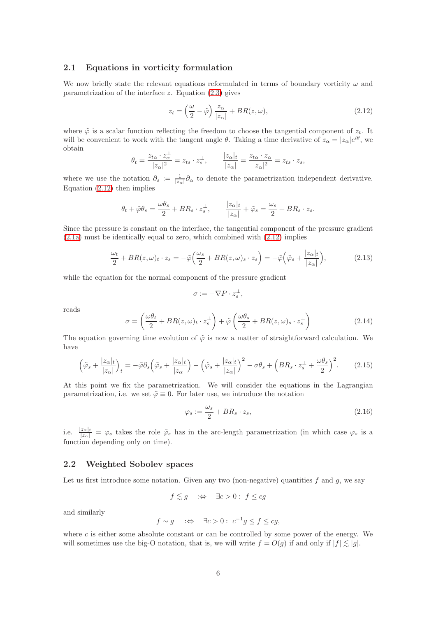### <span id="page-5-0"></span>2.1 Equations in vorticity formulation

We now briefly state the relevant equations reformulated in terms of boundary vorticity  $\omega$  and parametrization of the interface  $z$ . Equation  $(2.3)$  gives

<span id="page-5-2"></span>
$$
z_t = \left(\frac{\omega}{2} - \tilde{\varphi}\right) \frac{z_\alpha}{|z_\alpha|} + BR(z, \omega),\tag{2.12}
$$

where  $\tilde{\varphi}$  is a scalar function reflecting the freedom to choose the tangential component of  $z_t$ . It will be convenient to work with the tangent angle  $\theta$ . Taking a time derivative of  $z_{\alpha} = |z_{\alpha}|e^{i\theta}$ , we obtain

$$
\theta_t = \frac{z_{t\alpha} \cdot z_{\alpha}^{\perp}}{|z_{\alpha}|^2} = z_{ts} \cdot z_s^{\perp}, \qquad \frac{|z_{\alpha}|_t}{|z_{\alpha}|} = \frac{z_{t\alpha} \cdot z_{\alpha}}{|z_{\alpha}|^2} = z_{ts} \cdot z_s,
$$

where we use the notation  $\partial_s := \frac{1}{|z_\alpha|} \partial_\alpha$  to denote the parametrization independent derivative. Equation [\(2.12\)](#page-5-2) then implies

$$
\theta_t + \tilde{\varphi}\theta_s = \frac{\omega\theta_s}{2} + BR_s \cdot z_s^{\perp}, \qquad \frac{|z_{\alpha}|_t}{|z_{\alpha}|} + \tilde{\varphi}_s = \frac{\omega_s}{2} + BR_s \cdot z_s.
$$

Since the pressure is constant on the interface, the tangential component of the pressure gradient [\(2.1a\)](#page-3-3) must be identically equal to zero, which combined with [\(2.12\)](#page-5-2) implies

<span id="page-5-4"></span>
$$
\frac{\omega_t}{2} + BR(z, \omega)_t \cdot z_s = -\tilde{\varphi}\left(\frac{\omega_s}{2} + BR(z, \omega)_s \cdot z_s\right) = -\tilde{\varphi}\left(\tilde{\varphi}_s + \frac{|z_\alpha|_t}{|z_\alpha|}\right),\tag{2.13}
$$

while the equation for the normal component of the pressure gradient

$$
\sigma := -\nabla P \cdot z_s^{\perp},
$$

reads

<span id="page-5-3"></span>
$$
\sigma = \left(\frac{\omega\theta_t}{2} + BR(z,\omega)_t \cdot z_s^{\perp}\right) + \tilde{\varphi}\left(\frac{\omega\theta_s}{2} + BR(z,\omega)_s \cdot z_s^{\perp}\right)
$$
(2.14)

The equation governing time evolution of  $\tilde{\varphi}$  is now a matter of straightforward calculation. We have

$$
\left(\tilde{\varphi}_s + \frac{|z_{\alpha}|_t}{|z_{\alpha}|}\right)_t = -\tilde{\varphi}\partial_s\left(\tilde{\varphi}_s + \frac{|z_{\alpha}|_t}{|z_{\alpha}|}\right) - \left(\tilde{\varphi}_s + \frac{|z_{\alpha}|_t}{|z_{\alpha}|}\right)^2 - \sigma\theta_s + \left(BR_s \cdot z_s^{\perp} + \frac{\omega\theta_s}{2}\right)^2. \tag{2.15}
$$

At this point we fix the parametrization. We will consider the equations in the Lagrangian parametrization, i.e. we set  $\tilde{\varphi} \equiv 0$ . For later use, we introduce the notation

$$
\varphi_s := \frac{\omega_s}{2} + BR_s \cdot z_s,\tag{2.16}
$$

i.e.  $\frac{|z_{\alpha}|_t}{|z_{\alpha}|} = \varphi_s$  takes the role  $\tilde{\varphi}_s$  has in the arc-length parametrization (in which case  $\varphi_s$  is a function depending only on time).

## <span id="page-5-1"></span>2.2 Weighted Sobolev spaces

Let us first introduce some notation. Given any two (non-negative) quantities  $f$  and  $g$ , we say

$$
f \lesssim g \quad :\Leftrightarrow \quad \exists c > 0 : f \le cg
$$

and similarly

$$
f \sim g
$$
  $\Rightarrow \exists c > 0 : c^{-1}g \le f \le cg,$ 

where c is either some absolute constant or can be controlled by some power of the energy. We will sometimes use the big-O notation, that is, we will write  $f = O(g)$  if and only if  $|f| \leq |g|$ .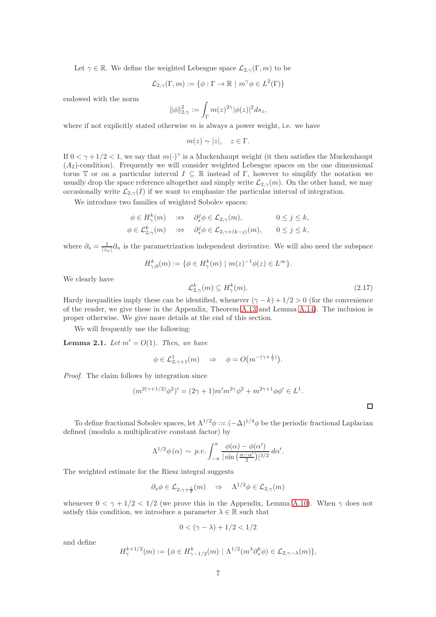Let  $\gamma \in \mathbb{R}$ . We define the weighted Lebesgue space  $\mathcal{L}_{2,\gamma}(\Gamma,m)$  to be

$$
\mathcal{L}_{2,\gamma}(\Gamma,m):=\{\phi:\Gamma\to\mathbb{R}\ |\ m^\gamma\phi\in L^2(\Gamma)\}
$$

endowed with the norm

$$
\|\phi\|_{2,\gamma}^2:=\int_\Gamma m(z)^{2\gamma}|\phi(z)|^2ds_z,
$$

where if not explicitly stated otherwise  $m$  is always a power weight, i.e. we have

 $m(z) \sim |z|, \quad z \in \Gamma.$ 

If  $0 < \gamma + 1/2 < 1$ , we say that  $m(\cdot)^\gamma$  is a Muckenhaupt weight (it then satisfies the Muckenhaupt  $(A<sub>2</sub>)$ -condition). Frequently we will consider weighted Lebesgue spaces on the one dimensional torus T or on a particular interval  $I \subseteq \mathbb{R}$  instead of Γ, however to simplify the notation we usually drop the space reference altogether and simply write  $\mathcal{L}_{2,\gamma}(m)$ . On the other hand, we may occasionally write  $\mathcal{L}_{2,\gamma}(I)$  if we want to emphasize the particular interval of integration.

We introduce two families of weighted Sobolev spaces:

$$
\begin{aligned}\n\phi \in H^k_\gamma(m) &\quad & :\Leftrightarrow \quad \partial_s^j \phi \in \mathcal{L}_{2,\gamma}(m), \quad 0 \le j \le k, \\
\phi \in \mathcal{L}_{2,\gamma}^k(m) &\quad & :\Leftrightarrow \quad \partial_s^j \phi \in \mathcal{L}_{2,\gamma+(k-j)}(m), \quad 0 \le j \le k,\n\end{aligned}
$$

where  $\partial_s = \frac{1}{|z_\alpha|} \partial_\alpha$  is the parametrization independent derivative. We will also need the subspace

$$
H_{\gamma,0}^k(m) := \{ \phi \in H_{\gamma}^k(m) \mid m(z)^{-1} \phi(z) \in L^{\infty} \}.
$$

We clearly have

<span id="page-6-0"></span>
$$
\mathcal{L}_{2,\gamma}^{k}(m) \subseteq H_{\gamma}^{k}(m). \tag{2.17}
$$

Hardy inequalities imply these can be identified, whenever  $(\gamma - k) + 1/2 > 0$  (for the convenience of the reader, we give these in the Appendix, Theorem [A.13](#page-74-1) and Lemma [A.14\)](#page-74-2). The inclusion is proper otherwise. We give more details at the end of this section.

We will frequently use the following:

<span id="page-6-1"></span>**Lemma 2.1.** Let  $m' = O(1)$ . Then, we have

$$
\phi \in \mathcal{L}_{2,\gamma+1}^1(m) \quad \Rightarrow \quad \phi = O\big(m^{-(\gamma + \frac{1}{2})}\big).
$$

Proof. The claim follows by integration since

$$
(m^{2(\gamma+1/2)}\phi^2)' = (2\gamma+1)m'm^{2\gamma}\phi^2 + m^{2\gamma+1}\phi\phi' \in L^1.
$$

To define fractional Sobolev spaces, let  $\Lambda^{1/2}\phi := (-\Delta)^{1/4}\phi$  be the periodic fractional Laplacian defined (modulo a multiplicative constant factor) by

$$
\Lambda^{1/2}\phi\left(\alpha\right) \,\sim\, p.v.\int_{-\pi}^\pi \frac{\phi(\alpha)-\phi(\alpha')}{|\sin\left(\frac{\alpha-\alpha'}{2}\right)|^{3/2}}\,d\alpha'.
$$

The weighted estimate for the Riesz integral suggests

$$
\partial_s \phi \in \mathcal{L}_{2,\gamma+\frac{1}{2}}(m) \quad \Rightarrow \quad \Lambda^{1/2} \phi \in \mathcal{L}_{2,\gamma}(m)
$$

whenever  $0 < \gamma + 1/2 < 1/2$  (we prove this in the Appendix, Lemma [A.10\)](#page-72-0). When  $\gamma$  does not satisfy this condition, we introduce a parameter  $\lambda \in \mathbb{R}$  such that

$$
0<(\gamma-\lambda)+1/2<1/2
$$

and define

$$
H^{k+1/2}_{\gamma}(m) := \{ \phi \in H^k_{\gamma-1/2}(m) \mid \Lambda^{1/2}(m^{\lambda} \partial_s^k \phi) \in \mathcal{L}_{2,\gamma-\lambda}(m) \},
$$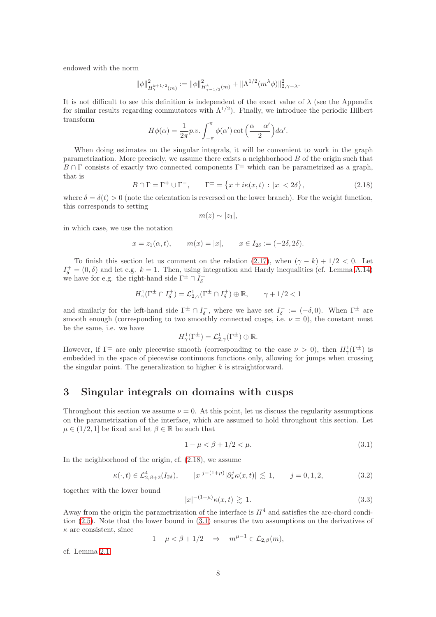endowed with the norm

$$
\|\phi\|^2_{H^{k+1/2}_\gamma(m)}:=\|\phi\|^2_{H^k_{\gamma-1/2}(m)}+\|\Lambda^{1/2}(m^\lambda\phi)\|^2_{2,\gamma-\lambda}.
$$

It is not difficult to see this definition is independent of the exact value of  $\lambda$  (see the Appendix for similar results regarding commutators with  $\Lambda^{1/2}$ ). Finally, we introduce the periodic Hilbert transform

$$
H\phi(\alpha) = \frac{1}{2\pi}p.v. \int_{-\pi}^{\pi} \phi(\alpha') \cot\left(\frac{\alpha - \alpha'}{2}\right) d\alpha'.
$$

When doing estimates on the singular integrals, it will be convenient to work in the graph parametrization. More precisely, we assume there exists a neighborhood B of the origin such that  $B \cap \Gamma$  consists of exactly two connected components  $\Gamma^{\pm}$  which can be parametrized as a graph, that is

<span id="page-7-1"></span>
$$
B \cap \Gamma = \Gamma^+ \cup \Gamma^-, \qquad \Gamma^{\pm} = \{ x \pm i\kappa(x, t) : |x| < 2\delta \},\tag{2.18}
$$

where  $\delta = \delta(t) > 0$  (note the orientation is reversed on the lower branch). For the weight function, this corresponds to setting

$$
m(z) \sim |z_1|,
$$

in which case, we use the notation

$$
x = z_1(\alpha, t),
$$
  $m(x) = |x|,$   $x \in I_{2\delta} := (-2\delta, 2\delta).$ 

To finish this section let us comment on the relation [\(2.17\)](#page-6-0), when  $(\gamma - k) + 1/2 < 0$ . Let  $I_{\delta}^{+} = (0, \delta)$  and let e.g.  $k = 1$ . Then, using integration and Hardy inequalities (cf. Lemma [A.14\)](#page-74-2) we have for e.g. the right-hand side  $\Gamma^{\pm} \cap I_{\delta}^{+}$ 

$$
H^1_\gamma(\Gamma^\pm\cap I_\delta^+)=\mathcal{L}_{2,\gamma}^1(\Gamma^\pm\cap I_\delta^+)\oplus \mathbb{R},\qquad \gamma+1/2<1
$$

and similarly for the left-hand side  $\Gamma^{\pm} \cap I_{\delta}^-$ , where we have set  $I_{\delta}^- := (-\delta, 0)$ . When  $\Gamma^{\pm}$  are smooth enough (corresponding to two smoothly connected cusps, i.e.  $\nu = 0$ ), the constant must be the same, i.e. we have

$$
H^1_\gamma(\Gamma^\pm) = \mathcal{L}^1_{2,\gamma}(\Gamma^\pm) \oplus \mathbb{R}.
$$

However, if  $\Gamma^{\pm}$  are only piecewise smooth (corresponding to the case  $\nu > 0$ ), then  $H_{\gamma}^{1}(\Gamma^{\pm})$  is embedded in the space of piecewise continuous functions only, allowing for jumps when crossing the singular point. The generalization to higher  $k$  is straightforward.

## <span id="page-7-0"></span>3 Singular integrals on domains with cusps

Throughout this section we assume  $\nu = 0$ . At this point, let us discuss the regularity assumptions on the parametrization of the interface, which are assumed to hold throughout this section. Let  $\mu \in (1/2, 1]$  be fixed and let  $\beta \in \mathbb{R}$  be such that

<span id="page-7-2"></span>
$$
1 - \mu < \beta + 1/2 < \mu. \tag{3.1}
$$

In the neighborhood of the origin, cf. [\(2.18\)](#page-7-1), we assume

$$
\kappa(\cdot, t) \in \mathcal{L}_{2,\beta+2}^4(I_{2\delta}), \qquad |x|^{j-(1+\mu)} |\partial_x^j \kappa(x, t)| \lesssim 1, \qquad j = 0, 1, 2,
$$
\n(3.2)

together with the lower bound

$$
|x|^{-(1+\mu)}\kappa(x,t) \gtrsim 1. \tag{3.3}
$$

Away from the origin the parametrization of the interface is  $H<sup>4</sup>$  and satisfies the arc-chord condition [\(2.5\)](#page-4-0). Note that the lower bound in [\(3.1\)](#page-7-2) ensures the two assumptions on the derivatives of  $\kappa$  are consistent, since

$$
1 - \mu < \beta + 1/2 \quad \Rightarrow \quad m^{\mu - 1} \in \mathcal{L}_{2,\beta}(m),
$$

cf. Lemma [2.1.](#page-6-1)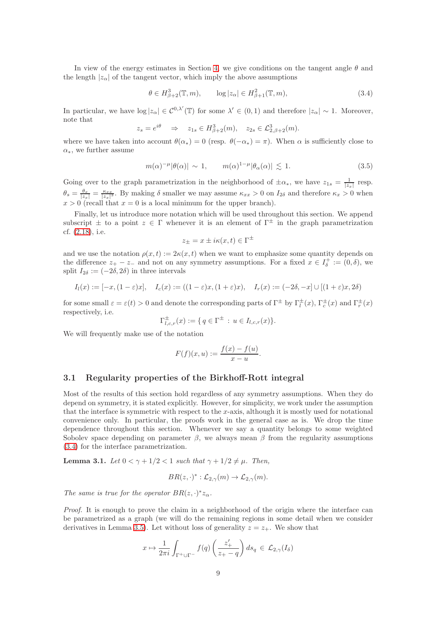In view of the energy estimates in Section [4,](#page-26-0) we give conditions on the tangent angle  $\theta$  and the length  $|z_\alpha|$  of the tangent vector, which imply the above assumptions

<span id="page-8-1"></span>
$$
\theta \in H^3_{\beta+2}(\mathbb{T}, m), \qquad \log|z_\alpha| \in H^2_{\beta+1}(\mathbb{T}, m), \tag{3.4}
$$

In particular, we have  $\log |z_\alpha| \in C^{0,\lambda'}(\mathbb{T})$  for some  $\lambda' \in (0,1)$  and therefore  $|z_\alpha| \sim 1$ . Moreover, note that

$$
z_s = e^{i\theta} \Rightarrow z_{1s} \in H^3_{\beta+2}(m), \quad z_{2s} \in \mathcal{L}^3_{2,\beta+2}(m).
$$

where we have taken into account  $\theta(\alpha_*) = 0$  (resp.  $\theta(-\alpha_*) = \pi$ ). When  $\alpha$  is sufficiently close to  $\alpha_{*}$ , we further assume

$$
m(\alpha)^{-\mu}|\theta(\alpha)| \sim 1, \qquad m(\alpha)^{1-\mu}|\theta_{\alpha}(\alpha)| \lesssim 1. \tag{3.5}
$$

Going over to the graph parametrization in the neighborhood of  $\pm \alpha_*$ , we have  $z_{1s} = \frac{1}{|z_x|}$  resp.  $\theta_s = \frac{\theta_x}{|z_x|} = \frac{\kappa_{xx}}{|z_x|^3}$ . By making  $\delta$  smaller we may assume  $\kappa_{xx} > 0$  on  $I_{2\delta}$  and therefore  $\kappa_x > 0$  when  $x > 0$  (recall that  $x = 0$  is a local minimum for the upper branch).

Finally, let us introduce more notation which will be used throughout this section. We append subscript  $\pm$  to a point  $z \in \Gamma$  whenever it is an element of  $\Gamma^{\pm}$  in the graph parametrization cf. [\(2.18\)](#page-7-1), i.e.

$$
z_{\pm} = x \pm i\kappa(x, t) \in \Gamma^{\pm}
$$

and we use the notation  $\rho(x, t) := 2\kappa(x, t)$  when we want to emphasize some quantity depends on the difference  $z_+ - z_-$  and not on any symmetry assumptions. For a fixed  $x \in I_{\delta}^+ := (0, \delta)$ , we split  $I_{2\delta} := (-2\delta, 2\delta)$  in three intervals

$$
I_l(x) := [-x, (1-\varepsilon)x], \quad I_c(x) := ((1-\varepsilon)x, (1+\varepsilon)x), \quad I_r(x) := (-2\delta, -x] \cup [(1+\varepsilon)x, 2\delta)
$$

for some small  $\varepsilon = \varepsilon(t) > 0$  and denote the corresponding parts of  $\Gamma^{\pm}$  by  $\Gamma^{\pm}_{l}(x)$ ,  $\Gamma^{\pm}_{c}(x)$  and  $\Gamma^{\pm}_{r}(x)$ respectively, i.e.

$$
\Gamma_{l,c,r}^{\pm}(x) := \{ q \in \Gamma^{\pm} : u \in I_{l,c,r}(x) \}.
$$

We will frequently make use of the notation

$$
F(f)(x,u) := \frac{f(x) - f(u)}{x - u}.
$$

#### <span id="page-8-0"></span>3.1 Regularity properties of the Birkhoff-Rott integral

Most of the results of this section hold regardless of any symmetry assumptions. When they do depend on symmetry, it is stated explicitly. However, for simplicity, we work under the assumption that the interface is symmetric with respect to the  $x$ -axis, although it is mostly used for notational convenience only. In particular, the proofs work in the general case as is. We drop the time dependence throughout this section. Whenever we say a quantity belongs to some weighted Sobolev space depending on parameter  $\beta$ , we always mean  $\beta$  from the regularity assumptions [\(3.4\)](#page-8-1) for the interface parametrization.

<span id="page-8-2"></span>**Lemma 3.1.** Let  $0 < \gamma + 1/2 < 1$  such that  $\gamma + 1/2 \neq \mu$ . Then,

$$
BR(z,\cdot)^{*}:\mathcal{L}_{2,\gamma}(m)\to \mathcal{L}_{2,\gamma}(m).
$$

The same is true for the operator  $BR(z, \cdot)^* z_{\alpha}$ .

Proof. It is enough to prove the claim in a neighborhood of the origin where the interface can be parametrized as a graph (we will do the remaining regions in some detail when we consider derivatives in Lemma [3.5\)](#page-12-0). Let without loss of generality  $z = z_+$ . We show that

$$
x \mapsto \frac{1}{2\pi i} \int_{\Gamma^+ \cup \Gamma^-} f(q) \left( \frac{z'_+}{z_+ - q} \right) ds_q \in \mathcal{L}_{2,\gamma}(I_\delta)
$$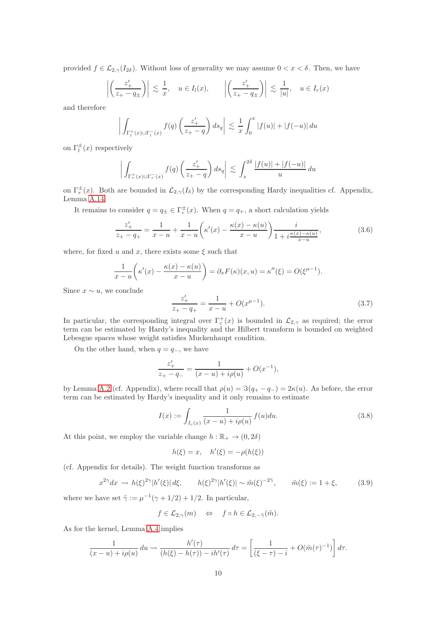provided  $f \in \mathcal{L}_{2,\gamma}(I_{2\delta})$ . Without loss of generality we may assume  $0 < x < \delta$ . Then, we have

$$
\left| \left( \frac{z'_+}{z_+ - q_\pm} \right) \right| \lesssim \frac{1}{x}, \quad u \in I_l(x), \qquad \left| \left( \frac{z'_+}{z_+ - q_\pm} \right) \right| \lesssim \frac{1}{|u|}, \quad u \in I_r(x)
$$

and therefore

$$
\left| \int_{\Gamma_l^+(x)\cup\Gamma_l^-(x)} f(q) \left( \frac{z'_+}{z_+-q} \right) ds_q \right| \lesssim \frac{1}{x} \int_0^x |f(u)| + |f(-u)| du
$$

on  $\Gamma_l^{\pm}(x)$  respectively

$$
\left| \int_{\Gamma_r^+(x)\cup\Gamma_r^-(x)} f(q) \left( \frac{z'_+}{z_+-q} \right) ds_q \right| \lesssim \int_x^{2\delta} \frac{|f(u)| + |f(-u)|}{u} du
$$

on  $\Gamma_r^{\pm}(x)$ . Both are bounded in  $\mathcal{L}_{2,\gamma}(I_{\delta})$  by the corresponding Hardy inequalities cf. Appendix, Lemma [A.14.](#page-74-2)

It remains to consider  $q = q_{\pm} \in \Gamma_c^{\pm}(x)$ . When  $q = q_+$ , a short calculation yields

<span id="page-9-0"></span>
$$
\frac{z'_{+}}{z_{+} - q_{+}} = \frac{1}{x - u} + \frac{1}{x - u} \left( \kappa'(x) - \frac{\kappa(x) - \kappa(u)}{x - u} \right) \frac{i}{1 + i \frac{\kappa(x) - \kappa(u)}{x - u}},
$$
(3.6)

where, for fixed u and x, there exists some  $\xi$  such that

$$
\frac{1}{x-u}\left(\kappa'(x)-\frac{\kappa(x)-\kappa(u)}{x-u}\right)=\partial_xF(\kappa)(x,u)=\kappa''(\xi)=O(\xi^{\mu-1}).
$$

Since  $x \sim u$ , we conclude

$$
\frac{z'_+}{z_+ - q_+} = \frac{1}{x - u} + O(x^{\mu - 1}).\tag{3.7}
$$

In particular, the corresponding integral over  $\Gamma_c^+(x)$  is bounded in  $\mathcal{L}_{2,\gamma}$  as required; the error term can be estimated by Hardy's inequality and the Hilbert transform is bounded on weighted Lebesgue spaces whose weight satisfies Muckenhaupt condition.

On the other hand, when  $q = q_-,$  we have

$$
\frac{z'_+}{z_+ - q_-} = \frac{1}{(x - u) + i\rho(u)} + O(x^{-1}),
$$

by Lemma [A.2](#page-66-0) (cf. Appendix), where recall that  $\rho(u) = \Im(q_+ - q_-) = 2\kappa(u)$ . As before, the error term can be estimated by Hardy's inequality and it only remains to estimate

$$
I(x) := \int_{I_c(x)} \frac{1}{(x - u) + i\rho(u)} f(u) du.
$$
 (3.8)

At this point, we employ the variable change  $h : \mathbb{R}_+ \to (0, 2\delta)$ 

$$
h(\xi) = x, \quad h'(\xi) = -\rho(h(\xi))
$$

(cf. Appendix for details). The weight function transforms as

$$
x^{2\gamma}dx \rightsquigarrow h(\xi)^{2\gamma}|h'(\xi)|d\xi, \qquad h(\xi)^{2\gamma}|h'(\xi)| \sim \tilde{m}(\xi)^{-2\tilde{\gamma}}, \qquad \tilde{m}(\xi) := 1 + \xi,\tag{3.9}
$$

where we have set  $\tilde{\gamma} := \mu^{-1}(\gamma + 1/2) + 1/2$ . In particular,

$$
f \in \mathcal{L}_{2,\gamma}(m) \iff f \circ h \in \mathcal{L}_{2,-\tilde{\gamma}}(\tilde{m}).
$$

As for the kernel, Lemma [A.4](#page-68-0) implies

$$
\frac{1}{(x-u)+i\rho(u)} du \rightsquigarrow \frac{h'(\tau)}{(h(\xi)-h(\tau))-ih'(\tau)} d\tau = \left[\frac{1}{(\xi-\tau)-i}+O(\tilde{m}(\tau)^{-1})\right] d\tau.
$$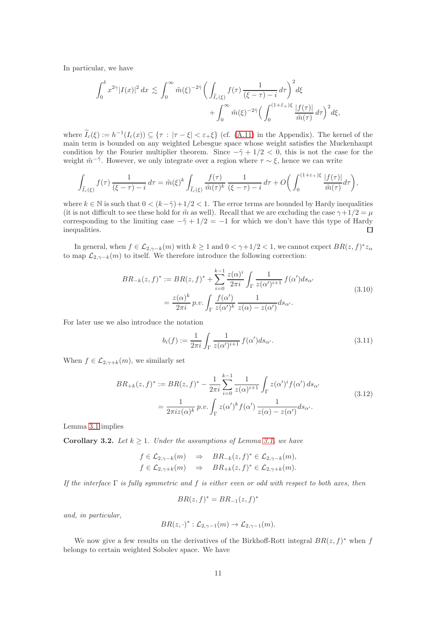In particular, we have

$$
\int_0^{\delta} x^{2\gamma} |I(x)|^2 dx \lesssim \int_0^{\infty} \tilde{m}(\xi)^{-2\tilde{\gamma}} \bigg( \int_{\tilde{I}_c(\xi)} f(\tau) \frac{1}{(\xi - \tau) - i} d\tau \bigg)^2 d\xi + \int_0^{\infty} \tilde{m}(\xi)^{-2\tilde{\gamma}} \bigg( \int_0^{(1 + \tilde{\varepsilon} + \varepsilon)} \frac{|f(\tau)|}{\tilde{m}(\tau)} d\tau \bigg)^2 d\xi,
$$

where  $I_c(\xi) := h^{-1}(I_c(x)) \subseteq {\tau : |\tau - \xi| < \varepsilon_+\xi}$  (cf. [\(A.11\)](#page-68-1) in the Appendix). The kernel of the main term is bounded on any weighted Lebesgue space whose weight satisfies the Muckenhaupt condition by the Fourier multiplier theorem. Since  $-\tilde{\gamma} + 1/2 < 0$ , this is not the case for the weight  $\tilde{m}$ <sup>- $\tilde{\gamma}$ </sup>. However, we only integrate over a region where  $\tau \sim \xi$ , hence we can write

$$
\int_{\widetilde{I}_c(\xi)} f(\tau) \frac{1}{(\xi - \tau) - i} d\tau = \widetilde{m}(\xi)^k \int_{\widetilde{I}_c(\xi)} \frac{f(\tau)}{\widetilde{m}(\tau)^k} \frac{1}{(\xi - \tau) - i} d\tau + O\left(\int_0^{(1+\varepsilon+\xi)} \frac{|f(\tau)|}{\widetilde{m}(\tau)} d\tau\right),
$$

where  $k \in \mathbb{N}$  is such that  $0 < (k-\tilde{\gamma})+1/2 < 1$ . The error terms are bounded by Hardy inequalities (it is not difficult to see these hold for  $\tilde{m}$  as well). Recall that we are excluding the case  $\gamma + 1/2 = \mu$ corresponding to the limiting case  $-\tilde{\gamma} + 1/2 = -1$  for which we don't have this type of Hardy inequalities. inequalities.

In general, when  $f \in \mathcal{L}_{2,\gamma-k}(m)$  with  $k \geq 1$  and  $0 < \gamma+1/2 < 1$ , we cannot expect  $BR(z, f)^* z_{\alpha}$ to map  $\mathcal{L}_{2,\gamma-k}(m)$  to itself. We therefore introduce the following correction:

$$
BR_{-k}(z,f)^{*} := BR(z,f)^{*} + \sum_{i=0}^{k-1} \frac{z(\alpha)^{i}}{2\pi i} \int_{\Gamma} \frac{1}{z(\alpha')^{i+1}} f(\alpha') ds_{\alpha'}
$$
  

$$
= \frac{z(\alpha)^{k}}{2\pi i} p.v. \int_{\Gamma} \frac{f(\alpha')}{z(\alpha')^{k}} \frac{1}{z(\alpha) - z(\alpha')} ds_{\alpha'}.
$$
 (3.10)

For later use we also introduce the notation

<span id="page-10-2"></span>
$$
b_i(f) := \frac{1}{2\pi i} \int_{\Gamma} \frac{1}{z(\alpha')^{i+1}} f(\alpha') ds_{\alpha'}.
$$
 (3.11)

When  $f \in \mathcal{L}_{2,\gamma+k}(m)$ , we similarly set

<span id="page-10-1"></span>
$$
BR_{+k}(z,f)^{*} := BR(z,f)^{*} - \frac{1}{2\pi i} \sum_{i=0}^{k-1} \frac{1}{z(\alpha)^{i+1}} \int_{\Gamma} z(\alpha')^{i} f(\alpha') ds_{\alpha'}
$$
  
= 
$$
\frac{1}{2\pi i z(\alpha)^{k}} p.v. \int_{\Gamma} z(\alpha')^{k} f(\alpha') \frac{1}{z(\alpha) - z(\alpha')} ds_{\alpha'}.
$$
 (3.12)

Lemma [3.1](#page-8-2) implies

<span id="page-10-0"></span>**Corollary 3.2.** Let  $k \geq 1$ . Under the assumptions of Lemma [3.1,](#page-8-2) we have

$$
f \in \mathcal{L}_{2,\gamma-k}(m) \Rightarrow BR_{-k}(z,f)^* \in \mathcal{L}_{2,\gamma-k}(m),
$$
  

$$
f \in \mathcal{L}_{2,\gamma+k}(m) \Rightarrow BR_{+k}(z,f)^* \in \mathcal{L}_{2,\gamma+k}(m).
$$

If the interface  $\Gamma$  is fully symmetric and f is either even or odd with respect to both axes, then

$$
BR(z, f)^* = BR_{-1}(z, f)^*
$$

and, in particular,

$$
BR(z, \cdot)^{*}: \mathcal{L}_{2, \gamma-1}(m) \to \mathcal{L}_{2, \gamma-1}(m).
$$

We now give a few results on the derivatives of the Birkhoff-Rott integral  $BR(z, f)^*$  when f belongs to certain weighted Sobolev space. We have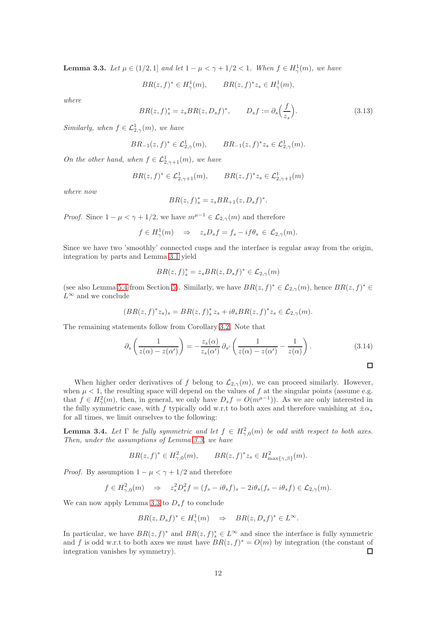<span id="page-11-0"></span>**Lemma 3.3.** Let  $\mu \in (1/2, 1]$  and let  $1 - \mu < \gamma + 1/2 < 1$ . When  $f \in H_{\gamma}(m)$ , we have

$$
BR(z, f)^* \in H^1_\gamma(m), \qquad BR(z, f)^* z_s \in H^1_\gamma(m),
$$

where

$$
BR(z, f)_s^* = z_s BR(z, D_s f)^*, \qquad D_s f := \partial_s \left(\frac{f}{z_s}\right). \tag{3.13}
$$

Similarly, when  $f \in \mathcal{L}^1_{2,\gamma}(m)$ , we have

$$
BR_{-1}(z,f)^{*} \in \mathcal{L}_{2,\gamma}^{1}(m), \qquad BR_{-1}(z,f)^{*}z_{s} \in \mathcal{L}_{2,\gamma}^{1}(m).
$$

On the other hand, when  $f \in \mathcal{L}^1_{2,\gamma+1}(m)$ , we have

$$
BR(z, f)^* \in L^1_{2, \gamma+1}(m)
$$
,  $BR(z, f)^* z_s \in L^1_{2, \gamma+1}(m)$ 

where now

$$
BR(z, f)_s^* = z_s BR_{+1}(z, D_s f)^*.
$$

*Proof.* Since  $1 - \mu < \gamma + 1/2$ , we have  $m^{\mu-1} \in \mathcal{L}_{2,\gamma}(m)$  and therefore

$$
f \in H^1_\gamma(m) \Rightarrow z_s D_s f = f_s - i f \theta_s \in \mathcal{L}_{2,\gamma}(m).
$$

Since we have two 'smoothly' connected cusps and the interface is regular away from the origin, integration by parts and Lemma [3.1](#page-8-2) yield

$$
BR(z, f)_s^* = z_s BR(z, D_s f)^* \in \mathcal{L}_{2, \gamma}(m)
$$

(see also Lemma [5.4](#page-48-0) from Section [5\)](#page-46-0). Similarly, we have  $BR(z, f)^* \in \mathcal{L}_{2,\gamma}(m)$ , hence  $BR(z, f)^* \in$  $L^{\infty}$  and we conclude

$$
(BR(z,f)^*z_s)_s=BR(z,f)_s^*z_s+i\theta_sBR(z,f)^*z_s\in\mathcal{L}_{2,\gamma}(m).
$$

The remaining statements follow from Corollary [3.2.](#page-10-0) Note that

$$
\partial_s \left( \frac{1}{z(\alpha) - z(\alpha')} \right) = -\frac{z_s(\alpha)}{z_s(\alpha')} \partial_{s'} \left( \frac{1}{z(\alpha) - z(\alpha')} - \frac{1}{z(\alpha)} \right). \tag{3.14}
$$

When higher order derivatives of f belong to  $\mathcal{L}_{2,\gamma}(m)$ , we can proceed similarly. However, when  $\mu$  < 1, the resulting space will depend on the values of f at the singular points (assume e.g. that  $f \in H^2_\gamma(m)$ , then, in general, we only have  $D_s f = O(m^{\mu-1})$ . As we are only interested in the fully symmetric case, with f typically odd w.r.t to both axes and therefore vanishing at  $\pm \alpha_*$ for all times, we limit ourselves to the following:

<span id="page-11-1"></span>**Lemma 3.4.** Let  $\Gamma$  be fully symmetric and let  $f \in H^2_{\gamma,0}(m)$  be odd with respect to both axes. Then, under the assumptions of Lemma [3.3,](#page-11-0) we have

$$
BR(z, f)^* \in H^2_{\gamma,0}(m), \qquad BR(z, f)^* z_s \in H^2_{\text{max}\{\gamma,\beta\}}(m).
$$

*Proof.* By assumption  $1 - \mu < \gamma + 1/2$  and therefore

$$
f \in H^2_{\gamma,0}(m) \Rightarrow z_s^2 D_s^2 f = (f_s - i\theta_s f)_s - 2i\theta_s (f_s - i\theta_s f) \in \mathcal{L}_{2,\gamma}(m).
$$

We can now apply Lemma [3.3](#page-11-0) to  $D_s f$  to conclude

$$
BR(z, D_s f)^* \in H^1_\gamma(m) \quad \Rightarrow \quad BR(z, D_s f)^* \in L^\infty.
$$

In particular, we have  $BR(z, f)^*$  and  $BR(z, f)^*_{s} \in L^{\infty}$  and since the interface is fully symmetric and f is odd w.r.t to both axes we must have  $BR(z, f)^* = O(m)$  by integration (the constant of integration vanishes by symmetry).  $\Box$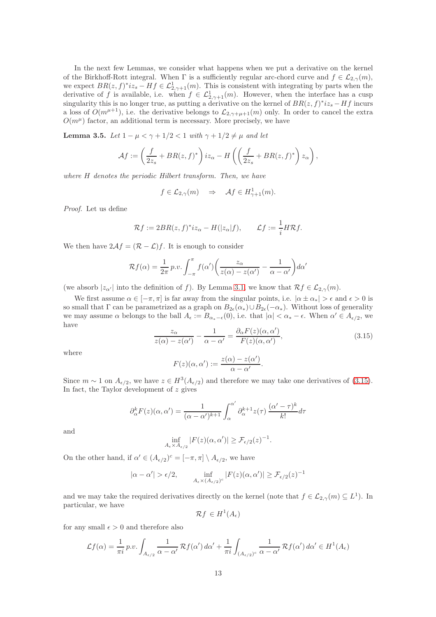In the next few Lemmas, we consider what happens when we put a derivative on the kernel of the Birkhoff-Rott integral. When  $\Gamma$  is a sufficiently regular arc-chord curve and  $f \in \mathcal{L}_{2,\gamma}(m)$ , we expect  $BR(z, f)^* iz_s - Hf \in \mathcal{L}^1_{2, \gamma+1}(m)$ . This is consistent with integrating by parts when the derivative of f is available, i.e. when  $f \in \mathcal{L}^1_{2,\gamma+1}(m)$ . However, when the interface has a cusp singularity this is no longer true, as putting a derivative on the kernel of  $BR(z, f)^* iz_s - Hf$  incurs a loss of  $O(m^{\mu+1})$ , i.e. the derivative belongs to  $\mathcal{L}_{2,\gamma+\mu+1}(m)$  only. In order to cancel the extra  $O(m^{\mu})$  factor, an additional term is necessary. More precisely, we have

<span id="page-12-0"></span>**Lemma 3.5.** Let  $1 - \mu < \gamma + 1/2 < 1$  with  $\gamma + 1/2 \neq \mu$  and let

$$
\mathcal{A}f := \left(\frac{f}{2z_s} + BR(z,f)^*\right)iz_{\alpha} - H\left(\left(\frac{f}{2z_s} + BR(z,f)^*\right)z_{\alpha}\right),\,
$$

where H denotes the periodic Hilbert transform. Then, we have

$$
f \in \mathcal{L}_{2,\gamma}(m) \Rightarrow \mathcal{A}f \in H^1_{\gamma+1}(m).
$$

Proof. Let us define

$$
\mathcal{R}f := 2BR(z, f)^* iz_{\alpha} - H(|z_{\alpha}|f), \qquad \mathcal{L}f := \frac{1}{i}H\mathcal{R}f.
$$

We then have  $2\mathcal{A}f = (\mathcal{R} - \mathcal{L})f$ . It is enough to consider

$$
\mathcal{R}f(\alpha) = \frac{1}{2\pi} p.v. \int_{-\pi}^{\pi} f(\alpha') \bigg( \frac{z_{\alpha}}{z(\alpha) - z(\alpha')} - \frac{1}{\alpha - \alpha'} \bigg) d\alpha'
$$

(we absorb  $|z_{\alpha'}|$  into the definition of f). By Lemma [3.1,](#page-8-2) we know that  $\mathcal{R}f \in \mathcal{L}_{2,\gamma}(m)$ .

We first assume  $\alpha \in [-\pi, \pi]$  is far away from the singular points, i.e.  $|\alpha \pm \alpha_*| > \epsilon$  and  $\epsilon > 0$  is so small that  $\Gamma$  can be parametrized as a graph on  $B_{2\epsilon}(\alpha_*)\cup B_{2\epsilon}(-\alpha_*)$ . Without loss of generality we may assume  $\alpha$  belongs to the ball  $A_{\epsilon} := B_{\alpha_{*}-\epsilon}(0)$ , i.e. that  $|\alpha| < \alpha_{*}-\epsilon$ . When  $\alpha' \in A_{\epsilon/2}$ , we have

<span id="page-12-1"></span>
$$
\frac{z_{\alpha}}{z(\alpha) - z(\alpha')} - \frac{1}{\alpha - \alpha'} = \frac{\partial_{\alpha} F(z)(\alpha, \alpha')}{F(z)(\alpha, \alpha')},\tag{3.15}
$$

where

$$
F(z)(\alpha, \alpha') := \frac{z(\alpha) - z(\alpha')}{\alpha - \alpha'}.
$$

Since  $m \sim 1$  on  $A_{\epsilon/2}$ , we have  $z \in H^3(A_{\epsilon/2})$  and therefore we may take one derivatives of [\(3.15\)](#page-12-1). In fact, the Taylor development of  $z$  gives

$$
\partial_{\alpha}^{k} F(z)(\alpha, \alpha') = \frac{1}{(\alpha - \alpha')^{k+1}} \int_{\alpha}^{\alpha'} \partial_{\alpha}^{k+1} z(\tau) \frac{(\alpha' - \tau)^{k}}{k!} d\tau
$$

and

$$
\inf_{A_{\epsilon} \times A_{\epsilon/2}} |F(z)(\alpha, \alpha')| \geq \mathcal{F}_{\epsilon/2}(z)^{-1}.
$$

On the other hand, if  $\alpha' \in (A_{\epsilon/2})^c = [-\pi, \pi] \setminus A_{\epsilon/2}$ , we have

$$
|\alpha - \alpha'| > \epsilon/2, \quad \inf_{A_{\epsilon} \times (A_{\epsilon/2})^c} |F(z)(\alpha, \alpha')| \geq \mathcal{F}_{\epsilon/2}(z)^{-1}
$$

and we may take the required derivatives directly on the kernel (note that  $f \in \mathcal{L}_{2,\gamma}(m) \subseteq L^1$ ). In particular, we have

$$
\mathcal{R}f \in H^1(A_\epsilon)
$$

for any small  $\epsilon > 0$  and therefore also

$$
\mathcal{L}f(\alpha) = \frac{1}{\pi i} p.v. \int_{A_{\epsilon/2}} \frac{1}{\alpha - \alpha'} \mathcal{R}f(\alpha') d\alpha' + \frac{1}{\pi i} \int_{(A_{\epsilon/2})^c} \frac{1}{\alpha - \alpha'} \mathcal{R}f(\alpha') d\alpha' \in H^1(A_{\epsilon})
$$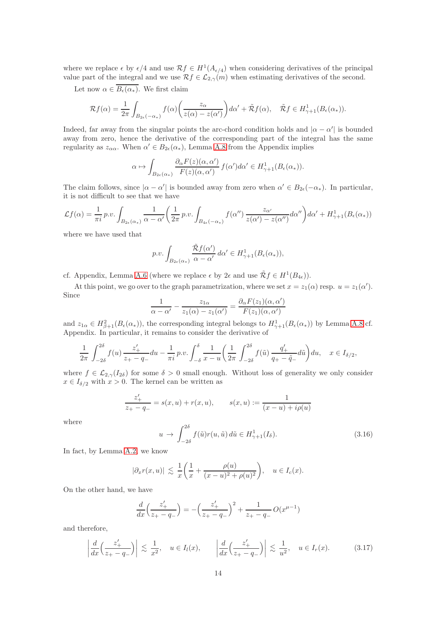where we replace  $\epsilon$  by  $\epsilon/4$  and use  $\mathcal{R}f \in H^1(A_{\epsilon/4})$  when considering derivatives of the principal value part of the integral and we use  $\mathcal{R}f \in \mathcal{L}_{2,\gamma}(m)$  when estimating derivatives of the second.

Let now  $\alpha \in \overline{B_{\epsilon}(\alpha_*)}$ . We first claim

$$
\mathcal{R}f(\alpha) = \frac{1}{2\pi} \int_{B_{2\epsilon}(-\alpha_*)} f(\alpha) \left( \frac{z_{\alpha}}{z(\alpha) - z(\alpha')} \right) d\alpha' + \tilde{\mathcal{R}}f(\alpha), \quad \tilde{\mathcal{R}}f \in H^1_{\gamma+1}(B_{\epsilon}(\alpha_*)).
$$

Indeed, far away from the singular points the arc-chord condition holds and  $|\alpha - \alpha'|$  is bounded away from zero, hence the derivative of the corresponding part of the integral has the same regularity as  $z_{\alpha\alpha}$ . When  $\alpha' \in B_{2\epsilon}(\alpha_*)$ , Lemma [A.8](#page-72-1) from the Appendix implies

$$
\alpha \mapsto \int_{B_{2\epsilon}(\alpha_*)} \frac{\partial_{\alpha} F(z)(\alpha, \alpha')}{F(z)(\alpha, \alpha')} f(\alpha') d\alpha' \in H^1_{\gamma+1}(B_{\epsilon}(\alpha_*)).
$$

The claim follows, since  $|\alpha - \alpha'|$  is bounded away from zero when  $\alpha' \in B_{2\epsilon}(-\alpha_*)$ . In particular, it is not difficult to see that we have

$$
\mathcal{L}f(\alpha) = \frac{1}{\pi i} p.v. \int_{B_{2\epsilon}(\alpha_*)} \frac{1}{\alpha - \alpha'} \left( \frac{1}{2\pi} p.v. \int_{B_{4\epsilon}(-\alpha_*)} f(\alpha'') \frac{z_{\alpha'}}{z(\alpha') - z(\alpha'')} d\alpha'' \right) d\alpha' + H^1_{\gamma+1}(B_{\epsilon}(\alpha_*))
$$

where we have used that

$$
p.v. \int_{B_{2\epsilon}(\alpha_*)} \frac{\tilde{\mathcal{R}}f(\alpha')}{\alpha - \alpha'} d\alpha' \in H^1_{\gamma+1}(B_{\epsilon}(\alpha_*)),
$$

cf. Appendix, Lemma [A.6](#page-70-1) (where we replace  $\epsilon$  by  $2\epsilon$  and use  $\tilde{\mathcal{R}}f \in H^1(B_{4\epsilon})$ ).

At this point, we go over to the graph parametrization, where we set  $x = z_1(\alpha)$  resp.  $u = z_1(\alpha')$ . Since

$$
\frac{1}{\alpha - \alpha'} - \frac{z_{1\alpha}}{z_1(\alpha) - z_1(\alpha')} = \frac{\partial_{\alpha} F(z_1)(\alpha, \alpha')}{F(z_1)(\alpha, \alpha')}
$$

and  $z_{1\alpha} \in H^2_{\beta+1}(B_{\epsilon}(\alpha_*))$ , the corresponding integral belongs to  $H^1_{\gamma+1}(B_{\epsilon}(\alpha_*))$  by Lemma [A.8](#page-72-1) cf. Appendix. In particular, it remains to consider the derivative of

$$
\frac{1}{2\pi} \int_{-2\delta}^{2\delta} f(u) \frac{z'_+}{z_+ - q_-} du - \frac{1}{\pi i} p.v. \int_{-\delta}^{\delta} \frac{1}{x - u} \left( \frac{1}{2\pi} \int_{-2\delta}^{2\delta} f(\tilde{u}) \frac{q'_+}{q_+ - \tilde{q}_-} d\tilde{u} \right) du, \quad x \in I_{\delta/2},
$$

where  $f \in \mathcal{L}_{2,\gamma}(I_{2\delta})$  for some  $\delta > 0$  small enough. Without loss of generality we only consider  $x \in I_{\delta/2}$  with  $x > 0$ . The kernel can be written as

$$
\frac{z'_+}{z_+ - q_-} = s(x, u) + r(x, u), \qquad s(x, u) := \frac{1}{(x - u) + i\rho(u)}
$$

where

<span id="page-13-0"></span>
$$
u \to \int_{-2\delta}^{2\delta} f(\tilde{u}) r(u, \tilde{u}) d\tilde{u} \in H^1_{\gamma+1}(I_{\delta}).
$$
\n(3.16)

In fact, by Lemma [A.2,](#page-66-0) we know

$$
|\partial_x r(x, u)| \lesssim \frac{1}{x} \left( \frac{1}{x} + \frac{\rho(u)}{(x - u)^2 + \rho(u)^2} \right), \quad u \in I_c(x).
$$

On the other hand, we have

$$
\frac{d}{dx}\left(\frac{z'_+}{z_+-q_-}\right) = -\left(\frac{z'_+}{z_+-q_-}\right)^2 + \frac{1}{z_+-q_-}O(x^{\mu-1})
$$

and therefore,

$$
\left|\frac{d}{dx}\left(\frac{z'_+}{z_+-q_-}\right)\right| \lesssim \frac{1}{x^2}, \quad u \in I_l(x), \qquad \left|\frac{d}{dx}\left(\frac{z'_+}{z_+-q_-}\right)\right| \lesssim \frac{1}{u^2}, \quad u \in I_r(x). \tag{3.17}
$$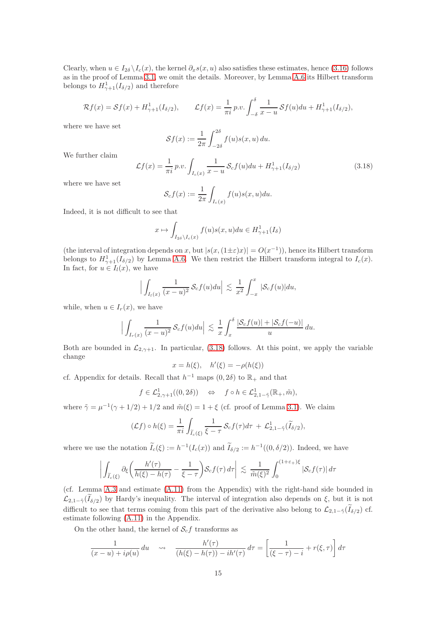Clearly, when  $u \in I_{2\delta} \backslash I_c(x)$ , the kernel  $\partial_x s(x, u)$  also satisfies these estimates, hence [\(3.16\)](#page-13-0) follows as in the proof of Lemma [3.1,](#page-8-2) we omit the details. Moreover, by Lemma [A.6](#page-70-1) its Hilbert transform belongs to  $H_{\gamma+1}^1(I_{\delta/2})$  and therefore

$$
\mathcal{R}f(x) = \mathcal{S}f(x) + H_{\gamma+1}^1(I_{\delta/2}), \qquad \mathcal{L}f(x) = \frac{1}{\pi i}p.v. \int_{-\delta}^{\delta} \frac{1}{x-u} \mathcal{S}f(u)du + H_{\gamma+1}^1(I_{\delta/2}),
$$

where we have set

$$
\mathcal{S}f(x) := \frac{1}{2\pi} \int_{-2\delta}^{2\delta} f(u)s(x, u) du.
$$

We further claim

<span id="page-14-0"></span>
$$
\mathcal{L}f(x) = \frac{1}{\pi i} p.v. \int_{I_c(x)} \frac{1}{x - u} \mathcal{S}_c f(u) du + H^1_{\gamma+1}(I_{\delta/2})
$$
\n(3.18)

where we have set

$$
\mathcal{S}_c f(x) := \frac{1}{2\pi} \int_{I_c(x)} f(u)s(x, u) du.
$$

Indeed, it is not difficult to see that

$$
x \mapsto \int_{I_{2\delta}\setminus I_c(x)} f(u)s(x,u)du \in H^1_{\gamma+1}(I_{\delta})
$$

(the interval of integration depends on x, but  $|s(x,(1\pm\varepsilon)x)| = O(x^{-1})$ ), hence its Hilbert transform belongs to  $H_{\gamma+1}^1(I_{\delta/2})$  by Lemma [A.6.](#page-70-1) We then restrict the Hilbert transform integral to  $I_c(x)$ . In fact, for  $u \in I_l(x)$ , we have

$$
\Big|\int_{I_l(x)}\frac{1}{(x-u)^2}\,\mathcal{S}_c f(u)du\Big|\,\lesssim\,\frac{1}{x^2}\int_{-x}^x|\mathcal{S}_c f(u)|du,
$$

while, when  $u \in I_r(x)$ , we have

$$
\Big|\int_{I_r(x)}\frac{1}{(x-u)^2}\,\mathcal{S}_c f(u)du\Big|\,\lesssim\,\frac{1}{x}\int_x^\delta\frac{|\mathcal{S}_c f(u)|+|\mathcal{S}_c f(-u)|}{u}\,du.
$$

Both are bounded in  $\mathcal{L}_{2,\gamma+1}$ . In particular, [\(3.18\)](#page-14-0) follows. At this point, we apply the variable change

$$
x = h(\xi), \quad h'(\xi) = -\rho(h(\xi))
$$

cf. Appendix for details. Recall that  $h^{-1}$  maps  $(0, 2\delta)$  to  $\mathbb{R}_+$  and that

$$
f \in \mathcal{L}^1_{2,\gamma+1}((0,2\delta)) \quad \Leftrightarrow \quad f \circ h \in \mathcal{L}^1_{2,1-\tilde{\gamma}}(\mathbb{R}_+, \tilde{m}),
$$

where  $\tilde{\gamma} = \mu^{-1}(\gamma + 1/2) + 1/2$  and  $\tilde{m}(\xi) = 1 + \xi$  (cf. proof of Lemma [3.1\)](#page-8-2). We claim

$$
(\mathcal{L}f) \circ h(\xi) = \frac{1}{\pi i} \int_{\widetilde{I}_c(\xi)} \frac{1}{\xi - \tau} \mathcal{S}_c f(\tau) d\tau + \mathcal{L}_{2, 1 - \widetilde{\gamma}}^1(\widetilde{I}_{\delta/2}),
$$

where we use the notation  $\tilde{I}_c(\xi) := h^{-1}(I_c(x))$  and  $\tilde{I}_{\delta/2} := h^{-1}((0, \delta/2))$ . Indeed, we have

$$
\left| \int_{\widetilde{I}_c(\xi)} \partial_{\xi} \left( \frac{h'(\tau)}{h(\xi) - h(\tau)} - \frac{1}{\xi - \tau} \right) S_c f(\tau) d\tau \right| \lesssim \frac{1}{\tilde{m}(\xi)^2} \int_0^{(1+\varepsilon + \varepsilon)} |\mathcal{S}_c f(\tau)| d\tau
$$

(cf. Lemma [A.3](#page-68-2) and estimate [\(A.11\)](#page-68-1) from the Appendix) with the right-hand side bounded in  $\mathcal{L}_{2,1-\tilde{\gamma}}(I_{\delta/2})$  by Hardy's inequality. The interval of integration also depends on  $\xi$ , but it is not difficult to see that terms coming from this part of the derivative also belong to  $\mathcal{L}_{2,1-\tilde{\gamma}}(I_{\delta/2})$  cf. estimate following [\(A.11\)](#page-68-1) in the Appendix.

On the other hand, the kernel of  $S_c f$  transforms as

$$
\frac{1}{(x-u)+i\rho(u)} du \quad \leadsto \quad \frac{h'(\tau)}{(h(\xi)-h(\tau))-ih'(\tau)} d\tau = \left[\frac{1}{(\xi-\tau)-i}+r(\xi,\tau)\right] d\tau
$$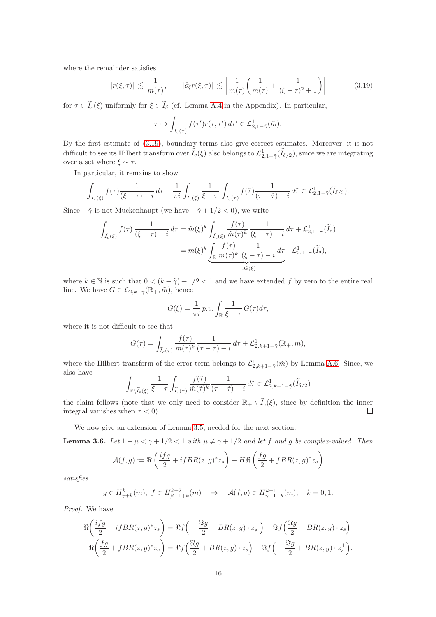where the remainder satisfies

<span id="page-15-0"></span>
$$
|r(\xi,\tau)| \lesssim \frac{1}{\tilde{m}(\tau)}, \qquad |\partial_{\xi}r(\xi,\tau)| \lesssim \left| \frac{1}{\tilde{m}(\tau)} \left( \frac{1}{\tilde{m}(\tau)} + \frac{1}{(\xi-\tau)^2+1} \right) \right| \tag{3.19}
$$

for  $\tau \in \tilde{I}_c(\xi)$  uniformly for  $\xi \in \tilde{I}_\delta$  (cf. Lemma [A.4](#page-68-0) in the Appendix). In particular,

$$
\tau \mapsto \int_{\widetilde I_c(\tau)} f(\tau') r(\tau,\tau')\,d\tau' \in {\mathcal L}_{2,1-\tilde\gamma}^1(\tilde m).
$$

By the first estimate of [\(3.19\)](#page-15-0), boundary terms also give correct estimates. Moreover, it is not difficult to see its Hilbert transform over  $\tilde{I}_c(\xi)$  also belongs to  $\mathcal{L}^1_{2,1-\tilde{\gamma}}(\tilde{I}_{\delta/2})$ , since we are integrating over a set where  $\xi \sim \tau$ .

In particular, it remains to show

$$
\int_{\widetilde{I}_c(\xi)} f(\tau) \frac{1}{(\xi - \tau) - i} d\tau - \frac{1}{\pi i} \int_{\widetilde{I}_c(\xi)} \frac{1}{\xi - \tau} \int_{\widetilde{I}_c(\tau)} f(\tilde{\tau}) \frac{1}{(\tau - \tilde{\tau}) - i} d\tilde{\tau} \in \mathcal{L}^1_{2, 1 - \tilde{\gamma}}(\widetilde{I}_{\delta/2}).
$$

Since  $-\tilde{\gamma}$  is not Muckenhaupt (we have  $-\tilde{\gamma} + 1/2 < 0$ ), we write

$$
\int_{\widetilde{I}_c(\xi)} f(\tau) \frac{1}{(\xi - \tau) - i} d\tau = \widetilde{m}(\xi)^k \int_{\widetilde{I}_c(\xi)} \frac{f(\tau)}{\widetilde{m}(\tau)^k} \frac{1}{(\xi - \tau) - i} d\tau + \mathcal{L}_{2, 1 - \widetilde{\gamma}}^1(\widetilde{I}_\delta)
$$
\n
$$
= \widetilde{m}(\xi)^k \underbrace{\int_{\mathbb{R}} \frac{f(\tau)}{\widetilde{m}(\tau)^k} \frac{1}{(\xi - \tau) - i} d\tau}_{=:G(\xi)} + \mathcal{L}_{2, 1 - \widetilde{\gamma}}^1(\widetilde{I}_\delta),
$$

where  $k \in \mathbb{N}$  is such that  $0 < (k - \tilde{\gamma}) + 1/2 < 1$  and we have extended f by zero to the entire real line. We have  $G \in \mathcal{L}_{2,k-\tilde{\gamma}}(\mathbb{R}_+, \tilde{m})$ , hence

$$
G(\xi) = \frac{1}{\pi i} p.v. \int_{\mathbb{R}} \frac{1}{\xi - \tau} G(\tau) d\tau,
$$

where it is not difficult to see that

$$
G(\tau) = \int_{\widetilde{I}_c(\tau)} \frac{f(\tilde{\tau})}{\tilde{m}(\tilde{\tau})^k} \frac{1}{(\tau - \tilde{\tau}) - i} d\tilde{\tau} + \mathcal{L}_{2,k+1-\tilde{\gamma}}^1(\mathbb{R}_+, \tilde{m}),
$$

where the Hilbert transform of the error term belongs to  $\mathcal{L}_{2,k+1-\tilde{\gamma}}^1(\tilde{m})$  by Lemma [A.6.](#page-70-1) Since, we also have

$$
\int_{\mathbb{R}\setminus\widetilde{I}_c(\xi)}\frac{1}{\xi-\tau}\int_{\widetilde{I}_c(\tau)}\frac{f(\tilde{\tau})}{\tilde{m}(\tilde{\tau})^k}\frac{1}{(\tau-\tilde{\tau})-i}\,d\tilde{\tau}\in\mathcal{L}^1_{2,k+1-\tilde{\gamma}}(\widetilde{I}_{\delta/2})
$$

the claim follows (note that we only need to consider  $\mathbb{R}_+ \setminus \tilde{I}_c(\xi)$ , since by definition the inner integral vanishes when  $\tau < 0$ ). integral vanishes when  $\tau < 0$ ).

We now give an extension of Lemma [3.5,](#page-12-0) needed for the next section:

<span id="page-15-1"></span>**Lemma 3.6.** Let  $1 - \mu < \gamma + 1/2 < 1$  with  $\mu \neq \gamma + 1/2$  and let f and g be complex-valued. Then

$$
\mathcal{A}(f,g) := \Re\left(\frac{ifg}{2} + ifBR(z,g)^*z_s\right) - H\Re\left(\frac{fg}{2} + fBR(z,g)^*z_s\right)
$$

satisfies

$$
g\in H^k_{\gamma+k}(m),\ f\in H^{k+2}_{\beta+1+k}(m)\quad\Rightarrow\quad \mathcal{A}(f,g)\in H^{k+1}_{\gamma+1+k}(m),\quad k=0,1.
$$

Proof. We have

$$
\Re\left(\frac{ifg}{2} + ifBR(z,g)^*z_s\right) = \Re f\left(-\frac{\Im g}{2} + BR(z,g) \cdot z_s^{\perp}\right) - \Im f\left(\frac{\Re g}{2} + BR(z,g) \cdot z_s\right)
$$

$$
\Re\left(\frac{fg}{2} + fBR(z,g)^*z_s\right) = \Re f\left(\frac{\Re g}{2} + BR(z,g) \cdot z_s\right) + \Im f\left(-\frac{\Im g}{2} + BR(z,g) \cdot z_s^{\perp}\right).
$$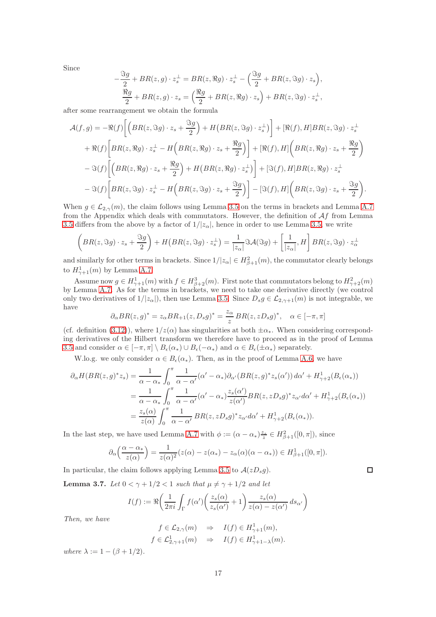Since

$$
-\frac{\Im g}{2} + BR(z, g) \cdot z_s^{\perp} = BR(z, \Re g) \cdot z_s^{\perp} - \left(\frac{\Im g}{2} + BR(z, \Im g) \cdot z_s\right),
$$
  

$$
\frac{\Re g}{2} + BR(z, g) \cdot z_s = \left(\frac{\Re g}{2} + BR(z, \Re g) \cdot z_s\right) + BR(z, \Im g) \cdot z_s^{\perp},
$$

after some rearrangement we obtain the formula

$$
\mathcal{A}(f,g) = -\Re(f) \left[ \left( BR(z, \Im g) \cdot z_s + \frac{\Im g}{2} \right) + H \left( BR(z, \Im g) \cdot z_s^{\perp} \right) \right] + \left[ \Re(f), H \right] BR(z, \Im g) \cdot z_s^{\perp} \n+ \Re(f) \left[ BR(z, \Re g) \cdot z_s^{\perp} - H \left( BR(z, \Re g) \cdot z_s + \frac{\Re g}{2} \right) \right] + \left[ \Re(f), H \right] \left( BR(z, \Re g) \cdot z_s + \frac{\Re g}{2} \right) \n- \Im(f) \left[ \left( BR(z, \Re g) \cdot z_s + \frac{\Re g}{2} \right) + H \left( BR(z, \Re g) \cdot z_s^{\perp} \right) \right] + \left[ \Im(f), H \right] BR(z, \Re g) \cdot z_s^{\perp} \n- \Im(f) \left[ BR(z, \Im g) \cdot z_s^{\perp} - H \left( BR(z, \Im g) \cdot z_s + \frac{\Im g}{2} \right) \right] - \left[ \Im(f), H \right] \left( BR(z, \Im g) \cdot z_s + \frac{\Im g}{2} \right).
$$

When  $g \in \mathcal{L}_{2,\gamma}(m)$ , the claim follows using Lemma [3.5](#page-12-0) on the terms in brackets and Lemma [A.7](#page-71-0) from the Appendix which deals with commutators. However, the definition of  $\mathcal{A}f$  from Lemma [3.5](#page-12-0) differs from the above by a factor of  $1/|z_{\alpha}|$ , hence in order to use Lemma [3.5,](#page-12-0) we write

$$
\left(BR(z,\Im g)\cdot z_s+\frac{\Im g}{2}\right)+H\left(BR(z,\Im g)\cdot z_s^{\perp}\right)=\frac{1}{|z_{\alpha}|}\Im \mathcal{A}(\Im g)+\left[\frac{1}{|z_{\alpha}|},H\right]BR(z,\Im g)\cdot z_{\alpha}^{\perp}
$$

and similarly for other terms in brackets. Since  $1/|z_{\alpha}| \in H^2_{\beta+1}(m)$ , the commutator clearly belongs to  $H_{\gamma+1}^1(m)$  by Lemma [A.7.](#page-71-0)

Assume now  $g \in H_{\gamma+1}^1(m)$  with  $f \in H_{\beta+2}^3(m)$ . First note that commutators belong to  $H_{\gamma+2}^2(m)$ by Lemma [A.7.](#page-71-0) As for the terms in brackets, we need to take one derivative directly (we control only two derivatives of  $1/|z_\alpha|$ , then use Lemma [3.5.](#page-12-0) Since  $D_s g \in \mathcal{L}_{2,\gamma+1}(m)$  is not integrable, we have

$$
\partial_{\alpha} BR(z, g)^* = z_{\alpha} BR_{+1}(z, D_s g)^* = \frac{z_{\alpha}}{z} BR(z, z D_s g)^*, \quad \alpha \in [-\pi, \pi]
$$

(cf. definition [\(3.12\)](#page-10-1)), where  $1/z(\alpha)$  has singularities at both  $\pm \alpha_*$ . When considering corresponding derivatives of the Hilbert transform we therefore have to proceed as in the proof of Lemma [3.5](#page-12-0) and consider  $\alpha \in [-\pi, \pi] \setminus B_{\epsilon}(\alpha_*) \cup B_{\epsilon}(-\alpha_*)$  and  $\alpha \in B_{\epsilon}(\pm \alpha_*)$  separately.

W.lo.g. we only consider  $\alpha \in B_{\epsilon}(\alpha_*)$ . Then, as in the proof of Lemma [A.6,](#page-70-1) we have

$$
\partial_{\alpha}H(BR(z,g)^{*}z_{s}) = \frac{1}{\alpha - \alpha_{*}} \int_{0}^{\pi} \frac{1}{\alpha - \alpha'} (\alpha' - \alpha_{*}) \partial_{\alpha'}(BR(z,g)^{*}z_{s}(\alpha')) d\alpha' + H_{\gamma+2}^{1}(B_{\epsilon}(\alpha_{*}))
$$
  

$$
= \frac{1}{\alpha - \alpha_{*}} \int_{0}^{\pi} \frac{1}{\alpha - \alpha'} (\alpha' - \alpha_{*}) \frac{z_{s}(\alpha')}{z(\alpha')} BR(z,zD_{s}g)^{*}z_{\alpha'} d\alpha' + H_{\gamma+2}^{1}(B_{\epsilon}(\alpha_{*}))
$$
  

$$
= \frac{z_{s}(\alpha)}{z(\alpha)} \int_{0}^{\pi} \frac{1}{\alpha - \alpha'} BR(z,zD_{s}g)^{*}z_{\alpha'} d\alpha' + H_{\gamma+2}^{1}(B_{\epsilon}(\alpha_{*})).
$$

In the last step, we have used Lemma [A.7](#page-71-0) with  $\phi := (\alpha - \alpha_*)^{\frac{z_s}{z}} \in H^2_{\beta+1}([0, \pi])$ , since

$$
\partial_{\alpha}\left(\frac{\alpha-\alpha_{*}}{z(\alpha)}\right)=\frac{1}{z(\alpha)^{2}}(z(\alpha)-z(\alpha_{*})-z_{\alpha}(\alpha)(\alpha-\alpha_{*}))\in H_{\beta+1}^{1}([0,\pi]).
$$

In particular, the claim follows applying Lemma [3.5](#page-12-0) to  $A(zD_s g)$ .

<span id="page-16-0"></span>**Lemma 3.7.** Let  $0 < \gamma + 1/2 < 1$  such that  $\mu \neq \gamma + 1/2$  and let

$$
I(f) := \Re\left(\frac{1}{2\pi i}\int_{\Gamma} f(\alpha')\left(\frac{z_s(\alpha)}{z_s(\alpha')} + 1\right) \frac{z_s(\alpha)}{z(\alpha) - z(\alpha')} ds_{\alpha'}\right)
$$

Then, we have

$$
f \in \mathcal{L}_{2,\gamma}(m) \Rightarrow I(f) \in H^1_{\gamma+1}(m),
$$
  
\n $f \in \mathcal{L}^1_{2,\gamma+1}(m) \Rightarrow I(f) \in H^1_{\gamma+1-\lambda}(m).$ 

where  $\lambda := 1 - (\beta + 1/2)$ .

 $\Box$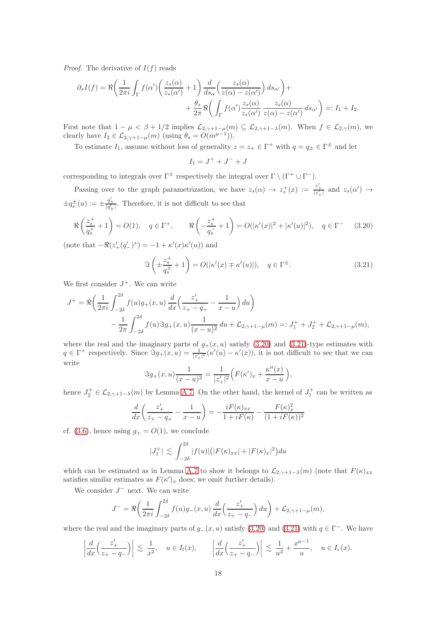*Proof.* The derivative of  $I(f)$  reads

$$
\partial_s I(f) = \Re \left( \frac{1}{2\pi i} \int_{\Gamma} f(\alpha') \left( \frac{z_s(\alpha)}{z_s(\alpha')} + 1 \right) \frac{d}{ds_{\alpha}} \left( \frac{z_s(\alpha)}{z(\alpha) - z(\alpha')} \right) ds_{\alpha'} \right) +
$$
  
+ 
$$
\frac{\theta_s}{2\pi} \Re \left( \int_{\Gamma} f(\alpha') \frac{z_s(\alpha)}{z_s(\alpha')} \frac{z_s(\alpha)}{z(\alpha) - z(\alpha')} ds_{\alpha'} \right) =: I_1 + I_2.
$$

First note that  $1 - \mu < \beta + 1/2$  implies  $\mathcal{L}_{2,\gamma+1-\mu}(m) \subseteq \mathcal{L}_{2,\gamma+1-\lambda}(m)$ . When  $f \in \mathcal{L}_{2,\gamma}(m)$ , we clearly have  $I_2 \in \mathcal{L}_{2,\gamma+1-\mu}(m)$  (using  $\theta_s = O(m^{\mu-1})$ ).

To estimate  $I_1$ , assume without loss of generality  $z = z_+ \in \Gamma^+$  with  $q = q_{\pm} \in \Gamma^{\pm}$  and let

$$
I_1 = J^+ + J^- + J
$$

corresponding to integrals over  $\Gamma^{\pm}$  respectively the integral over  $\Gamma \setminus (\Gamma^+ \cup \Gamma^-)$ .

Passing over to the graph parametrization, we have  $z_s(\alpha) \to z_s^+(x) := \frac{z'_+}{|z'_+|}$  and  $z_s(\alpha') \to z_s^+(x)$  $\pm q_s^{\pm}(u) := \pm \frac{q'_{\pm}}{|q'_{\pm}|}$ . Therefore, it is not difficult to see that

<span id="page-17-0"></span>
$$
\Re\left(\frac{z_s^+}{q_s^+} + 1\right) = O(1), \quad q \in \Gamma^+, \qquad \Re\left(-\frac{z_s^+}{q_s^-} + 1\right) = O(|\kappa'(x)|^2 + |\kappa'(u)|^2), \quad q \in \Gamma^- \tag{3.20}
$$

(note that  $-\Re(z'_{+}(q'_{-})^{*}) = -1 + \kappa'(x)\kappa'(u)$ ) and

<span id="page-17-1"></span>
$$
\Im\left(\pm \frac{z_s^+}{q_s^{\pm}} + 1\right) = O(|\kappa'(x) \mp \kappa'(u)|), \quad q \in \Gamma^{\pm}.
$$
\n(3.21)

We first consider  $J^+$ . We can write

$$
J^{+} = \Re\left(\frac{1}{2\pi i} \int_{-2\delta}^{2\delta} f(u)g_{+}(x,u) \frac{d}{dx}\left(\frac{z'_{+}}{z_{+} - q_{+}} - \frac{1}{x - u}\right) du\right) - \frac{1}{2\pi} \int_{-2\delta}^{2\delta} f(u)\Im g_{+}(x,u) \frac{1}{(x - u)^{2}} du + \mathcal{L}_{2,\gamma+1-\mu}(m) =: J_{1}^{+} + J_{2}^{+} + \mathcal{L}_{2,\gamma+1-\mu}(m),
$$

where the real and the imaginary parts of  $g_{+}(x, u)$  satisfy [\(3.20\)](#page-17-0) and [\(3.21\)](#page-17-1)-type estimates with  $q \in \Gamma^+$  respectively. Since  $\Im g_+(x,u) = \frac{1}{|z_+^{\prime}|^2} (\kappa'(u) - \kappa'(x))$ , it is not difficult to see that we can write

$$
\Im g_{+}(x,u)\frac{1}{(x-u)^{2}} = \frac{1}{|z'_{+}|^{2}}\Big(F(\kappa')_{x} + \frac{\kappa''(x)}{x-u}\Big),
$$

hence  $J_2^+ \in \mathcal{L}_{2,\gamma+1-\lambda}(m)$  by Lemma [A.7.](#page-71-0) On the other hand, the kernel of  $J_1^+$  can be written as

$$
\frac{d}{dx}\left(\frac{z'_+}{z_+-q_+} - \frac{1}{x-u}\right) = -\frac{iF(\kappa)_{xx}}{1+iF(\kappa)} - \frac{F(\kappa)_{x}^2}{(1+iF(\kappa))^2}
$$

cf. [\(3.6\)](#page-9-0), hence using  $g_{+} = O(1)$ , we conclude

$$
|J_1^+| \lesssim \int_{-2\delta}^{2\delta} |f(u)| \big( |F(\kappa)_{xx}| + |F(\kappa)_x|^2 \big) du
$$

which can be estimated as in Lemma [A.7](#page-71-0) to show it belongs to  $\mathcal{L}_{2,\gamma+1-\lambda}(m)$  (note that  $F(\kappa)_{xx}$ satisfies similar estimates as  $F(\kappa')_x$  does; we omit further details).

We consider  $J^-$  next. We can write

$$
J^{-} = \Re\left(\frac{1}{2\pi i}\int_{-2\delta}^{2\delta} f(u)g_{-}(x,u)\frac{d}{dx}\left(\frac{z'_{+}}{z_{+} - q_{-}}\right)du\right) + \mathcal{L}_{2,\gamma+1-\mu}(m),
$$

where the real and the imaginary parts of  $g_-(x, u)$  satisfy [\(3.20\)](#page-17-0) and [\(3.21\)](#page-17-1) with  $q \in \Gamma^-$ . We have

$$
\left| \frac{d}{dx} \left( \frac{z'_+}{z_+ - q_-} \right) \right| \lesssim \frac{1}{x^2}, \quad u \in I_l(x), \qquad \left| \frac{d}{dx} \left( \frac{z'_+}{z_+ - q_-} \right) \right| \lesssim \frac{1}{u^2} + \frac{x^{\mu - 1}}{u}, \quad u \in I_r(x).
$$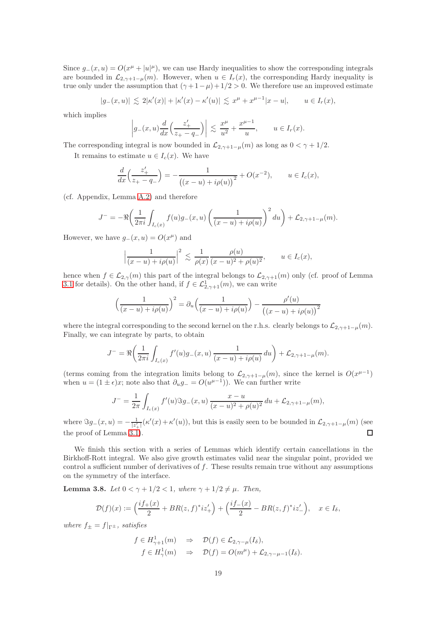Since  $g_-(x,u) = O(x^{\mu} + |u|^{\mu})$ , we can use Hardy inequalities to show the corresponding integrals are bounded in  $\mathcal{L}_{2,\gamma+1-\mu}(m)$ . However, when  $u \in I_r(x)$ , the corresponding Hardy inequality is true only under the assumption that  $(\gamma + 1 - \mu) + 1/2 > 0$ . We therefore use an improved estimate

$$
|g_{-}(x,u)| \lesssim 2|\kappa'(x)| + |\kappa'(x) - \kappa'(u)| \lesssim x^{\mu} + x^{\mu-1}|x-u|, \qquad u \in I_r(x),
$$

which implies

$$
\left| g_{-}(x,u) \frac{d}{dx} \left( \frac{z'_{+}}{z_{+} - q_{-}} \right) \right| \lesssim \frac{x^{\mu}}{u^{2}} + \frac{x^{\mu - 1}}{u}, \qquad u \in I_{r}(x).
$$

The corresponding integral is now bounded in  $\mathcal{L}_{2,\gamma+1-\mu}(m)$  as long as  $0 < \gamma + 1/2$ .

It remains to estimate  $u \in I_c(x)$ . We have

$$
\frac{d}{dx}\left(\frac{z'_+}{z_+-q_-}\right) = -\frac{1}{\left((x-u)+i\rho(u)\right)^2} + O(x^{-2}), \qquad u \in I_c(x),
$$

(cf. Appendix, Lemma [A.2\)](#page-66-0) and therefore

$$
J^{-} = -\Re\left(\frac{1}{2\pi i} \int_{I_c(x)} f(u)g_-(x,u) \left(\frac{1}{(x-u)+i\rho(u)}\right)^2 du\right) + \mathcal{L}_{2,\gamma+1-\mu}(m).
$$

However, we have  $g_-(x, u) = O(x^{\mu})$  and

$$
\left|\frac{1}{(x-u)+i\rho(u)}\right|^2 \lesssim \frac{1}{\rho(x)} \frac{\rho(u)}{(x-u)^2+\rho(u)^2}, \qquad u \in I_c(x),
$$

hence when  $f \in \mathcal{L}_{2,\gamma}(m)$  this part of the integral belongs to  $\mathcal{L}_{2,\gamma+1}(m)$  only (cf. proof of Lemma [3.1](#page-8-2) for details). On the other hand, if  $f \in \mathcal{L}^1_{2,\gamma+1}(m)$ , we can write

$$
\left(\frac{1}{(x-u)+i\rho(u)}\right)^2 = \partial_u\left(\frac{1}{(x-u)+i\rho(u)}\right) - \frac{\rho'(u)}{\left((x-u)+i\rho(u)\right)^2}
$$

where the integral corresponding to the second kernel on the r.h.s. clearly belongs to  $\mathcal{L}_{2,\gamma+1-\mu}(m)$ . Finally, we can integrate by parts, to obtain

$$
J^{-} = \Re\left(\frac{1}{2\pi i} \int_{I_c(x)} f'(u)g_-(x,u) \frac{1}{(x-u)+i\rho(u)} du\right) + \mathcal{L}_{2,\gamma+1-\mu}(m).
$$

(terms coming from the integration limits belong to  $\mathcal{L}_{2,\gamma+1-\mu}(m)$ , since the kernel is  $O(x^{\mu-1})$ when  $u = (1 \pm \epsilon)x$ ; note also that  $\partial_u g = O(u^{\mu-1})$ . We can further write

$$
J^{-} = \frac{1}{2\pi} \int_{I_c(x)} f'(u) \Im g_{-}(x, u) \frac{x - u}{(x - u)^2 + \rho(u)^2} du + \mathcal{L}_{2, \gamma + 1 - \mu}(m),
$$

where  $\Im g_{-}(x, u) = -\frac{1}{|z'_{+}|} (\kappa'(x) + \kappa'(u))$ , but this is easily seen to be bounded in  $\mathcal{L}_{2, \gamma+1-\mu}(m)$  (see the proof of Lemma [3.1\)](#page-8-2).  $\Box$ 

We finish this section with a series of Lemmas which identify certain cancellations in the Birkhoff-Rott integral. We also give growth estimates valid near the singular point, provided we control a sufficient number of derivatives of  $f$ . These results remain true without any assumptions on the symmetry of the interface.

<span id="page-18-0"></span>Lemma 3.8. Let  $0 < \gamma + 1/2 < 1$ , where  $\gamma + 1/2 \neq \mu$ . Then,

$$
\mathcal{D}(f)(x) := \left(\frac{if_+(x)}{2} + BR(z,f)^*iz'_+\right) + \left(\frac{if_-(x)}{2} - BR(z,f)^*iz'_-\right), \quad x \in I_\delta,
$$

where  $f_{+} = f|_{\Gamma_{+}}$ , satisfies

$$
f \in H_{\gamma+1}^1(m) \Rightarrow \mathcal{D}(f) \in \mathcal{L}_{2,\gamma-\mu}(I_{\delta}),
$$
  

$$
f \in H_{\gamma}^1(m) \Rightarrow \mathcal{D}(f) = O(m^{\mu}) + \mathcal{L}_{2,\gamma-\mu-1}(I_{\delta}).
$$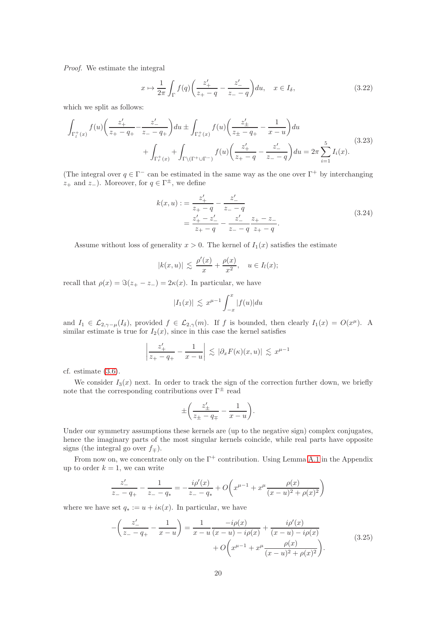Proof. We estimate the integral

<span id="page-19-1"></span>
$$
x \mapsto \frac{1}{2\pi} \int_{\Gamma} f(q) \left( \frac{z'_+}{z_+ - q} - \frac{z'_-}{z_- - q} \right) du, \quad x \in I_{\delta}, \tag{3.22}
$$

which we split as follows:

<span id="page-19-2"></span>
$$
\int_{\Gamma_l^+(x)} f(u) \left( \frac{z'_+}{z_+ - q_+} - \frac{z'_-}{z_- - q_+} \right) du \pm \int_{\Gamma_c^+(x)} f(u) \left( \frac{z'_\pm}{z_+ - q_+} - \frac{1}{x - u} \right) du \n+ \int_{\Gamma_r^+(x)} + \int_{\Gamma \setminus (\Gamma^+ \cup \Gamma^-)} f(u) \left( \frac{z'_+}{z_+ - q} - \frac{z'_-}{z_- - q} \right) du = 2\pi \sum_{i=1}^5 I_i(x).
$$
\n(3.23)

(The integral over  $q \in \Gamma^-$  can be estimated in the same way as the one over  $\Gamma^+$  by interchanging  $z_+$  and  $z_-$ ). Moreover, for  $q \in \Gamma^{\pm}$ , we define

<span id="page-19-3"></span>
$$
k(x, u) := \frac{z'_{+}}{z_{+} - q} - \frac{z'_{-}}{z_{-} - q}
$$
  
= 
$$
\frac{z'_{+} - z'_{-}}{z_{+} - q} - \frac{z'_{-}}{z_{-} - q} \frac{z_{+} - z_{-}}{z_{+} - q}.
$$
 (3.24)

Assume without loss of generality  $x > 0$ . The kernel of  $I_1(x)$  satisfies the estimate

$$
|k(x, u)| \lesssim \frac{\rho'(x)}{x} + \frac{\rho(x)}{x^2}, \quad u \in I_l(x);
$$

recall that  $\rho(x) = \Im(z_+ - z_-) = 2\kappa(x)$ . In particular, we have

$$
|I_1(x)| \lesssim x^{\mu-1} \int_{-x}^x |f(u)| du
$$

and  $I_1 \in \mathcal{L}_{2,\gamma-\mu}(I_\delta)$ , provided  $f \in \mathcal{L}_{2,\gamma}(m)$ . If f is bounded, then clearly  $I_1(x) = O(x^{\mu})$ . A similar estimate is true for  $I_2(x)$ , since in this case the kernel satisfies

$$
\left|\frac{z'_+}{z_+-q_+} - \frac{1}{x-u}\right| \lesssim |\partial_x F(\kappa)(x,u)| \lesssim x^{\mu-1}
$$

cf. estimate [\(3.6\)](#page-9-0).

We consider  $I_3(x)$  next. In order to track the sign of the correction further down, we briefly note that the corresponding contributions over  $\Gamma^{\pm}$  read

$$
\pm \left( \frac{z'_{\pm}}{z_{\pm} - q_{\mp}} - \frac{1}{x - u} \right).
$$

Under our symmetry assumptions these kernels are (up to the negative sign) complex conjugates, hence the imaginary parts of the most singular kernels coincide, while real parts have opposite signs (the integral go over  $f_{\mp}$ ).

From now on, we concentrate only on the  $\Gamma^+$  contribution. Using Lemma [A.1](#page-66-1) in the Appendix up to order  $k = 1$ , we can write

$$
\frac{z'_-}{z_--q_+} - \frac{1}{z_--q_*} = -\frac{i\rho'(x)}{z_--q_*} + O\left(x^{\mu-1} + x^{\mu}\frac{\rho(x)}{(x-u)^2 + \rho(x)^2}\right)
$$

where we have set  $q_* := u + i\kappa(x)$ . In particular, we have

<span id="page-19-0"></span>
$$
-\left(\frac{z'_-}{z_--q_+} - \frac{1}{x-u}\right) = \frac{1}{x-u} \frac{-i\rho(x)}{(x-u)-i\rho(x)} + \frac{i\rho'(x)}{(x-u)-i\rho(x)} + O\left(x^{\mu-1} + x^{\mu} \frac{\rho(x)}{(x-u)^2 + \rho(x)^2}\right).
$$
\n(3.25)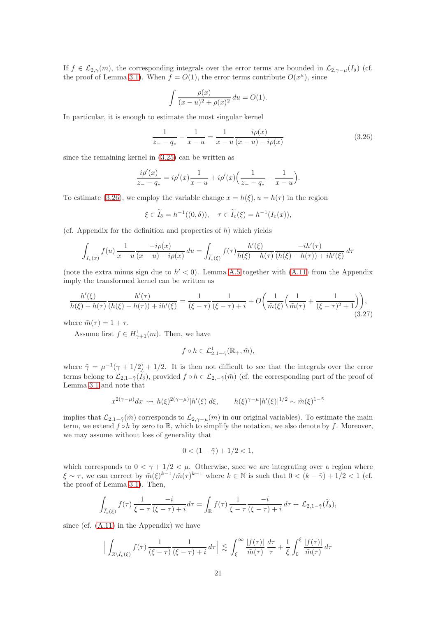If  $f \in \mathcal{L}_{2,\gamma}(m)$ , the corresponding integrals over the error terms are bounded in  $\mathcal{L}_{2,\gamma-\mu}(I_{\delta})$  (cf. the proof of Lemma [3.1\)](#page-8-2). When  $f = O(1)$ , the error terms contribute  $O(x^{\mu})$ , since

$$
\int \frac{\rho(x)}{(x-u)^2 + \rho(x)^2} du = O(1).
$$

In particular, it is enough to estimate the most singular kernel

<span id="page-20-0"></span>
$$
\frac{1}{z_{-} - q_{*}} - \frac{1}{x - u} = \frac{1}{x - u} \frac{i\rho(x)}{(x - u) - i\rho(x)}\tag{3.26}
$$

since the remaining kernel in [\(3.25\)](#page-19-0) can be written as

$$
\frac{i\rho'(x)}{z_{-} - q_{*}} = i\rho'(x)\frac{1}{x - u} + i\rho'(x)\Big(\frac{1}{z_{-} - q_{*}} - \frac{1}{x - u}\Big).
$$

To estimate [\(3.26\)](#page-20-0), we employ the variable change  $x = h(\xi)$ ,  $u = h(\tau)$  in the region

$$
\xi \in \widetilde{I}_{\delta} = h^{-1}((0,\delta)), \quad \tau \in \widetilde{I}_c(\xi) = h^{-1}(I_c(x)),
$$

(cf. Appendix for the definition and properties of  $h$ ) which yields

$$
\int_{I_c(x)} f(u) \frac{1}{x - u} \frac{-i\rho(x)}{(x - u) - i\rho(x)} du = \int_{\widetilde{I}_c(\xi)} f(\tau) \frac{h'(\xi)}{h(\xi) - h(\tau)} \frac{-ih'(\tau)}{(h(\xi) - h(\tau)) + ih'(\xi)} d\tau
$$

(note the extra minus sign due to  $h' < 0$ ). Lemma [A.5](#page-69-0) together with [\(A.11\)](#page-68-1) from the Appendix imply the transformed kernel can be written as

$$
\frac{h'(\xi)}{h(\xi) - h(\tau)} \frac{h'(\tau)}{(h(\xi) - h(\tau)) + ih'(\xi)} = \frac{1}{(\xi - \tau)} \frac{1}{(\xi - \tau) + i} + O\left(\frac{1}{\tilde{m}(\xi)} \left(\frac{1}{\tilde{m}(\tau)} + \frac{1}{(\xi - \tau)^2 + 1}\right)\right),\tag{3.27}
$$

where  $\tilde{m}(\tau) = 1 + \tau$ .

Assume first  $f \in H_{\gamma+1}^1(m)$ . Then, we have

$$
f \circ h \in \mathcal{L}_{2,1-\tilde{\gamma}}^1(\mathbb{R}_+,\tilde{m}),
$$

where  $\tilde{\gamma} = \mu^{-1}(\gamma + 1/2) + 1/2$ . It is then not difficult to see that the integrals over the error terms belong to  $\mathcal{L}_{2,1-\tilde{\gamma}}(\tilde{I}_{\delta})$ , provided  $f \circ h \in \mathcal{L}_{2,-\tilde{\gamma}}(\tilde{m})$  (cf. the corresponding part of the proof of Lemma [3.1](#page-8-2) and note that

$$
x^{2(\gamma-\mu)}dx \rightsquigarrow h(\xi)^{2(\gamma-\mu)}|h'(\xi)|d\xi, \qquad h(\xi)^{\gamma-\mu}|h'(\xi)|^{1/2} \sim \tilde{m}(\xi)^{1-\tilde{\gamma}}
$$

implies that  $\mathcal{L}_{2,1-\tilde{\gamma}}(\tilde{m})$  corresponds to  $\mathcal{L}_{2,\gamma-\mu}(m)$  in our original variables). To estimate the main term, we extend  $f \circ h$  by zero to R, which to simplify the notation, we also denote by f. Moreover, we may assume without loss of generality that

$$
0 < (1 - \tilde{\gamma}) + 1/2 < 1,
$$

which corresponds to  $0 < \gamma + 1/2 < \mu$ . Otherwise, snce we are integrating over a region where  $\xi \sim \tau$ , we can correct by  $\tilde{m}(\xi)^{k-1}/\tilde{m}(\tau)^{k-1}$  where  $k \in \mathbb{N}$  is such that  $0 < (k - \tilde{\gamma}) + 1/2 < 1$  (cf. the proof of Lemma [3.1\)](#page-8-2). Then,

$$
\int_{\widetilde{I}_c(\xi)} f(\tau) \frac{1}{\xi - \tau} \frac{-i}{(\xi - \tau) + i} d\tau = \int_{\mathbb{R}} f(\tau) \frac{1}{\xi - \tau} \frac{-i}{(\xi - \tau) + i} d\tau + \mathcal{L}_{2, 1 - \tilde{\gamma}}(\widetilde{I}_{\delta}),
$$

since (cf. [\(A.11\)](#page-68-1) in the Appendix) we have

$$
\Big|\int_{\mathbb{R}\setminus\widetilde{I}_{c}(\xi)}f(\tau)\,\frac{1}{(\xi-\tau)}\frac{1}{(\xi-\tau)+i}\,d\tau\Big|\,\lesssim\,\int_{\xi}^{\infty}\frac{|f(\tau)|}{\widetilde{m}(\tau)}\,\frac{d\tau}{\tau}+\frac{1}{\xi}\int_{0}^{\xi}\frac{|f(\tau)|}{\widetilde{m}(\tau)}\,d\tau
$$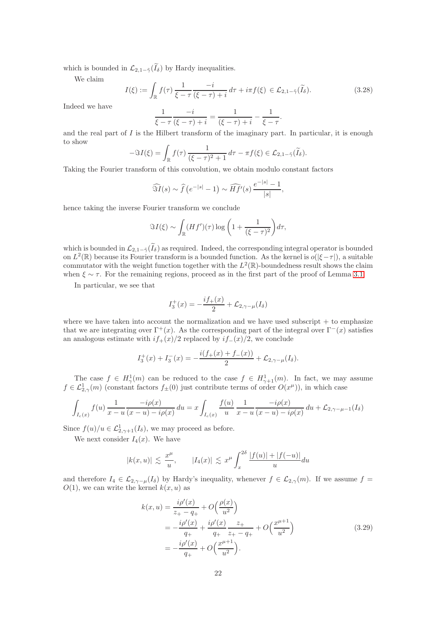which is bounded in  $\mathcal{L}_{2,1-\tilde{\gamma}}(\tilde{I}_{\delta})$  by Hardy inequalities.

We claim

$$
I(\xi) := \int_{\mathbb{R}} f(\tau) \frac{1}{\xi - \tau} \frac{-i}{(\xi - \tau) + i} d\tau + i\pi f(\xi) \in \mathcal{L}_{2, 1 - \tilde{\gamma}}(\tilde{I}_{\delta}).
$$
\n(3.28)

Indeed we have

$$
\frac{1}{\xi - \tau} \frac{-i}{(\xi - \tau) + i} = \frac{1}{(\xi - \tau) + i} - \frac{1}{\xi - \tau}.
$$

and the real part of  $I$  is the Hilbert transform of the imaginary part. In particular, it is enough to show

$$
-\Im I(\xi) = \int_{\mathbb{R}} f(\tau) \frac{1}{(\xi - \tau)^2 + 1} d\tau - \pi f(\xi) \in \mathcal{L}_{2, 1 - \tilde{\gamma}}(\tilde{I}_{\delta}).
$$

Taking the Fourier transform of this convolution, we obtain modulo constant factors

$$
\widehat{\Im I}(s) \sim \widehat{f}\left(e^{-|s|} - 1\right) \sim \widehat{Hf}'(s) \, \frac{e^{-|s|} - 1}{|s|},
$$

hence taking the inverse Fourier transform we conclude

$$
\Im I(\xi) \sim \int_{\mathbb{R}} (Hf')(\tau) \log \left(1 + \frac{1}{(\xi - \tau)^2}\right) d\tau,
$$

which is bounded in  $\mathcal{L}_{2,1-\tilde{\gamma}}(\tilde{I}_{\delta})$  as required. Indeed, the corresponding integral operator is bounded on  $L^2(\mathbb{R})$  because its Fourier transform is a bounded function. As the kernel is  $o(|\xi-\tau|)$ , a suitable commutator with the weight function together with the  $L^2(\mathbb{R})$ -boundedness result shows the claim when  $\xi \sim \tau$ . For the remaining regions, proceed as in the first part of the proof of Lemma [3.1.](#page-8-2)

In particular, we see that

$$
I_3^+(x) = -\frac{if_+(x)}{2} + \mathcal{L}_{2,\gamma-\mu}(I_\delta)
$$

where we have taken into account the normalization and we have used subscript  $+$  to emphasize that we are integrating over  $\Gamma^+(x)$ . As the corresponding part of the integral over  $\Gamma^-(x)$  satisfies an analogous estimate with  $if_{+}(x)/2$  replaced by  $if_{-}(x)/2$ , we conclude

$$
I_3^+(x) + I_3^-(x) = -\frac{i(f_+(x) + f_-(x))}{2} + \mathcal{L}_{2,\gamma-\mu}(I_\delta).
$$

The case  $f \in H^1_\gamma(m)$  can be reduced to the case  $f \in H^1_{\gamma+1}(m)$ . In fact, we may assume  $f \in \mathcal{L}^1_{2,\gamma}(m)$  (constant factors  $f_{\pm}(0)$  just contribute terms of order  $O(x^{\mu})$ ), in which case

$$
\int_{I_c(x)} f(u) \frac{1}{x - u} \frac{-i\rho(x)}{(x - u) - i\rho(x)} du = x \int_{I_c(x)} \frac{f(u)}{u} \frac{1}{x - u} \frac{-i\rho(x)}{(x - u) - i\rho(x)} du + \mathcal{L}_{2, \gamma - \mu - 1}(I_{\delta})
$$

Since  $f(u)/u \in \mathcal{L}^1_{2,\gamma+1}(I_\delta)$ , we may proceed as before.

We next consider  $I_4(x)$ . We have

$$
|k(x, u)| \lesssim \frac{x^{\mu}}{u}, \qquad |I_4(x)| \lesssim x^{\mu} \int_x^{2\delta} \frac{|f(u)| + |f(-u)|}{u} du
$$

and therefore  $I_4 \in \mathcal{L}_{2,\gamma-\mu}(I_\delta)$  by Hardy's inequality, whenever  $f \in \mathcal{L}_{2,\gamma}(m)$ . If we assume  $f =$  $O(1)$ , we can write the kernel  $k(x, u)$  as

$$
k(x, u) = \frac{i\rho'(x)}{z_+ - q_+} + O\left(\frac{\rho(x)}{u^2}\right)
$$
  
=  $-\frac{i\rho'(x)}{q_+} + \frac{i\rho'(x)}{q_+} \frac{z_+}{z_+ - q_+} + O\left(\frac{x^{\mu+1}}{u^2}\right)$   
=  $-\frac{i\rho'(x)}{q_+} + O\left(\frac{x^{\mu+1}}{u^2}\right).$  (3.29)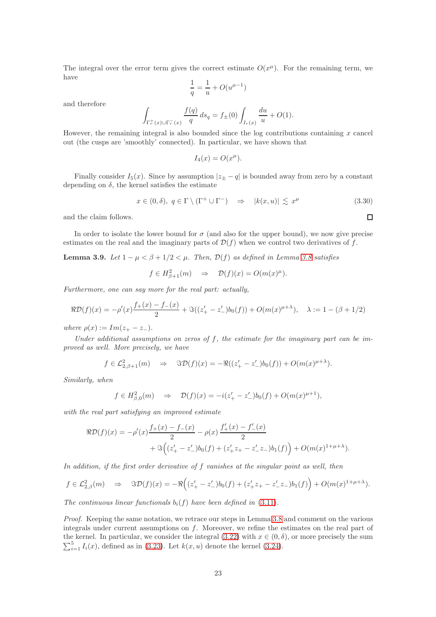The integral over the error term gives the correct estimate  $O(x^{\mu})$ . For the remaining term, we have

$$
\frac{1}{q} = \frac{1}{u} + O(u^{\mu - 1})
$$

and therefore

$$
\int_{\Gamma_r^+(x)\cup\Gamma_r^-(x)}\frac{f(q)}{q}\,ds_q=f_\pm(0)\int_{I_r(x)}\frac{du}{u}+O(1).
$$

However, the remaining integral is also bounded since the log contributions containing  $x$  cancel out (the cusps are 'smoothly' connected). In particular, we have shown that

$$
I_4(x) = O(x^{\mu}).
$$

Finally consider  $I_5(x)$ . Since by assumption  $|z_{\pm} - q|$  is bounded away from zero by a constant depending on  $\delta$ , the kernel satisfies the estimate

$$
x \in (0, \delta), \ q \in \Gamma \setminus (\Gamma^+ \cup \Gamma^-) \quad \Rightarrow \quad |k(x, u)| \lesssim x^{\mu} \tag{3.30}
$$

and the claim follows.

In order to isolate the lower bound for  $\sigma$  (and also for the upper bound), we now give precise estimates on the real and the imaginary parts of  $\mathcal{D}(f)$  when we control two derivatives of f.

<span id="page-22-0"></span>Lemma 3.9. Let  $1 - \mu < \beta + 1/2 < \mu$ . Then,  $\mathcal{D}(f)$  as defined in Lemma [3.8](#page-18-0) satisfies

$$
f \in H^2_{\beta+1}(m) \Rightarrow \mathcal{D}(f)(x) = O(m(x)^{\mu}).
$$

Furthermore, one can say more for the real part: actually,

$$
\Re \mathcal{D}(f)(x) = -\rho'(x)\frac{f_+(x) - f_-(x)}{2} + \Im((z'_+ - z'_-)b_0(f)) + O(m(x)^{\mu+\lambda}), \quad \lambda := 1 - (\beta + 1/2)
$$

where  $\rho(x) := Im(z_{+} - z_{-}).$ 

Under additional assumptions on zeros of  $f$ , the estimate for the imaginary part can be improved as well. More precisely, we have

$$
f \in \mathcal{L}_{2,\beta+1}^2(m) \quad \Rightarrow \quad \Im \mathcal{D}(f)(x) = -\Re((z_+' - z_-')b_0(f)) + O(m(x)^{\mu+\lambda}).
$$

Similarly, when

$$
f \in H^2_{\beta,0}(m) \Rightarrow \mathcal{D}(f)(x) = -i(z'_+ - z'_-)b_0(f) + O(m(x)^{\mu+1}),
$$

with the real part satisfying an improved estimate

$$
\Re \mathcal{D}(f)(x) = -\rho'(x)\frac{f_+(x) - f_-(x)}{2} - \rho(x)\frac{f'_+(x) - f'_-(x)}{2} + \Im\left((z'_+ - z'_-)b_0(f) + (z'_+ z_+ - z'_- z_-)b_1(f)\right) + O(m(x)^{1+\mu+\lambda}).
$$

In addition, if the first order derivative of f vanishes at the singular point as well, then

$$
f \in \mathcal{L}_{2,\beta}^2(m) \quad \Rightarrow \quad \Im \mathcal{D}(f)(x) = -\Re \Big( (z_+^{\prime} - z_-^{\prime})b_0(f) + (z_+^{\prime}z_+ - z_-^{\prime}z_-)b_1(f) \Big) + O(m(x)^{1 + \mu + \lambda}).
$$

The continuous linear functionals  $b_i(f)$  have been defined in [\(3.11\)](#page-10-2).

Proof. Keeping the same notation, we retrace our steps in Lemma [3.8](#page-18-0) and comment on the various integrals under current assumptions on f. Moreover, we refine the estimates on the real part of the kernel. In particular, we consider the integral [\(3.22\)](#page-19-1) with  $x \in (0, \delta)$ , or more precisely the sum  $\sum_{i=1}^{5} I_i(x)$ , defined as in [\(3.23\)](#page-19-2). Let  $k(x, u)$  denote the kernel [\(3.24\)](#page-19-3).

 $\Box$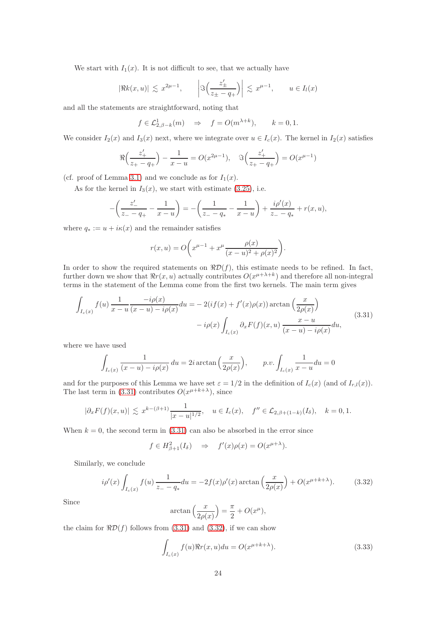We start with  $I_1(x)$ . It is not difficult to see, that we actually have

$$
|\Re k(x, u)| \lesssim x^{2\mu - 1}, \qquad \left| \Im \left( \frac{z'_{\pm}}{z_{\pm} - q_+} \right) \right| \lesssim x^{\mu - 1}, \qquad u \in I_l(x)
$$

and all the statements are straightforward, noting that

$$
f \in L^1_{2,\beta-k}(m) \Rightarrow f = O(m^{\lambda+k}), \quad k = 0, 1.
$$

We consider  $I_2(x)$  and  $I_3(x)$  next, where we integrate over  $u \in I_c(x)$ . The kernel in  $I_2(x)$  satisfies

$$
\Re\left(\frac{z_+'}{z_+-q_+}\right) - \frac{1}{x-u} = O(x^{2\mu-1}), \quad \Im\left(\frac{z_+'}{z_+-q_+}\right) = O(x^{\mu-1})
$$

(cf. proof of Lemma [3.1\)](#page-8-2) and we conclude as for  $I_1(x)$ .

As for the kernel in  $I_3(x)$ , we start with estimate [\(3.25\)](#page-19-0), i.e.

$$
-\left(\frac{z'_-}{z_--q_+} - \frac{1}{x-u}\right) = -\left(\frac{1}{z_--q_*} - \frac{1}{x-u}\right) + \frac{i\rho'(x)}{z_--q_*} + r(x,u),
$$

where  $q_* := u + i\kappa(x)$  and the remainder satisfies

$$
r(x, u) = O\bigg(x^{\mu - 1} + x^{\mu} \frac{\rho(x)}{(x - u)^2 + \rho(x)^2}\bigg).
$$

In order to show the required statements on  $\Re D(f)$ , this estimate needs to be refined. In fact, further down we show that  $\Re r(x, u)$  actually contributes  $O(x^{\mu+\lambda+k})$  and therefore all non-integral terms in the statement of the Lemma come from the first two kernels. The main term gives

<span id="page-23-0"></span>
$$
\int_{I_c(x)} f(u) \frac{1}{x - u} \frac{-i\rho(x)}{(x - u) - i\rho(x)} du = -2\left(i f(x) + f'(x)\rho(x)\right) \arctan\left(\frac{x}{2\rho(x)}\right)
$$
\n
$$
-i\rho(x) \int_{I_c(x)} \partial_x F(f)(x, u) \frac{x - u}{(x - u) - i\rho(x)} du,
$$
\n(3.31)

where we have used

$$
\int_{I_c(x)} \frac{1}{(x-u)-i\rho(x)} du = 2i \arctan\left(\frac{x}{2\rho(x)}\right), \qquad p.v. \int_{I_c(x)} \frac{1}{x-u} du = 0
$$

and for the purposes of this Lemma we have set  $\varepsilon = 1/2$  in the definition of  $I_c(x)$  (and of  $I_{r,l}(x)$ ). The last term in [\(3.31\)](#page-23-0) contributes  $O(x^{\mu+k+\lambda})$ , since

$$
|\partial_x F(f)(x, u)| \lesssim x^{k - (\beta + 1)} \frac{1}{|x - u|^{1/2}}, \quad u \in I_c(x), \quad f'' \in \mathcal{L}_{2, \beta + (1 - k)}(I_\delta), \quad k = 0, 1.
$$

When  $k = 0$ , the second term in [\(3.31\)](#page-23-0) can also be absorbed in the error since

$$
f \in H^2_{\beta+1}(I_\delta) \Rightarrow f'(x)\rho(x) = O(x^{\mu+\lambda}).
$$

Similarly, we conclude

<span id="page-23-1"></span>
$$
i\rho'(x)\int_{I_c(x)} f(u) \frac{1}{z_--q_*} du = -2f(x)\rho'(x) \arctan\left(\frac{x}{2\rho(x)}\right) + O(x^{\mu+k+\lambda}).
$$
 (3.32)

Since

$$
\arctan\left(\frac{x}{2\rho(x)}\right) = \frac{\pi}{2} + O(x^{\mu}),
$$

the claim for  $\Re \mathcal{D}(f)$  follows from [\(3.31\)](#page-23-0) and [\(3.32\)](#page-23-1), if we can show

<span id="page-23-2"></span>
$$
\int_{I_c(x)} f(u) \Re r(x, u) du = O(x^{\mu + k + \lambda}).
$$
\n(3.33)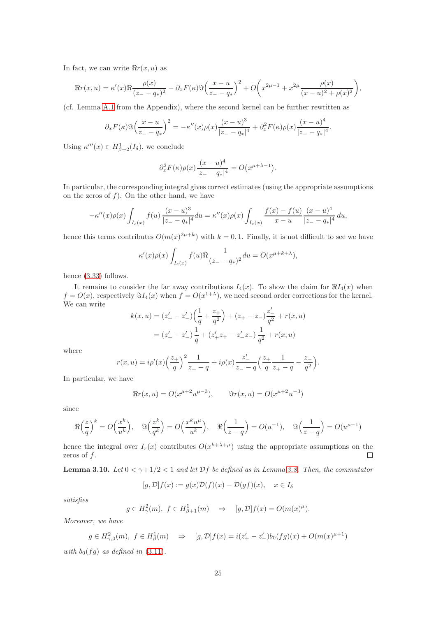In fact, we can write  $\Re r(x, u)$  as

$$
\Re r(x, u) = \kappa'(x)\Re \frac{\rho(x)}{(z - q_*)^2} - \partial_x F(\kappa)\Im \left(\frac{x - u}{z - q_*}\right)^2 + O\left(x^{2\mu - 1} + x^{2\mu} \frac{\rho(x)}{(x - u)^2 + \rho(x)^2}\right),
$$

(cf. Lemma [A.1](#page-66-1) from the Appendix), where the second kernel can be further rewritten as

$$
\partial_x F(\kappa) \Im \left( \frac{x - u}{z - q_*} \right)^2 = -\kappa''(x) \rho(x) \frac{(x - u)^3}{|z - q_*|^4} + \partial_x^2 F(\kappa) \rho(x) \frac{(x - u)^4}{|z - q_*|^4}.
$$

Using  $\kappa'''(x) \in H^1_{\beta+2}(I_\delta)$ , we conclude

$$
\partial_x^2 F(\kappa)\rho(x)\frac{(x-u)^4}{|z_--q_*|^4} = O(x^{\mu+\lambda-1}).
$$

In particular, the corresponding integral gives correct estimates (using the appropriate assumptions on the zeros of  $f$ ). On the other hand, we have

$$
-\kappa''(x)\rho(x)\int_{I_c(x)}f(u)\,\frac{(x-u)^3}{|z-z|^4}du=\kappa''(x)\rho(x)\int_{I_c(x)}\frac{f(x)-f(u)}{x-u}\,\frac{(x-u)^4}{|z-z|^4}du,
$$

hence this terms contributes  $O(m(x)^{2\mu+k})$  with  $k=0,1$ . Finally, it is not difficult to see we have

$$
\kappa'(x)\rho(x)\int_{I_c(x)} f(u)\Re\frac{1}{(z- q_*)^2} du = O(x^{\mu+k+\lambda}),
$$

hence [\(3.33\)](#page-23-2) follows.

It remains to consider the far away contributions  $I_4(x)$ . To show the claim for  $\Re I_4(x)$  when  $f = O(x)$ , respectively  $\Im I_4(x)$  when  $f = O(x^{1+\lambda})$ , we need second order corrections for the kernel. We can write

$$
k(x, u) = (z'_{+} - z'_{-})\left(\frac{1}{q} + \frac{z_{+}}{q^{2}}\right) + (z_{+} - z_{-})\frac{z'_{-}}{q^{2}} + r(x, u)
$$

$$
= (z'_{+} - z'_{-})\frac{1}{q} + (z'_{+}z_{+} - z'_{-}z_{-})\frac{1}{q^{2}} + r(x, u)
$$

where

$$
r(x, u) = i\rho'(x) \left(\frac{z_+}{q}\right)^2 \frac{1}{z_+ - q} + i\rho(x) \frac{z'_-}{z_- - q} \left(\frac{z_+}{q} \frac{1}{z_+ - q} - \frac{z_-}{q^2}\right).
$$

In particular, we have

$$
\Re r(x, u) = O(x^{\mu+2}u^{\mu-3}), \qquad \Im r(x, u) = O(x^{\mu+2}u^{-3})
$$

since

$$
\Re\left(\frac{z}{q}\right)^k = O\left(\frac{x^k}{u^k}\right), \quad \Im\left(\frac{z^k}{q^k}\right) = O\left(\frac{x^k u^{\mu}}{u^k}\right), \quad \Re\left(\frac{1}{z-q}\right) = O(u^{-1}), \quad \Im\left(\frac{1}{z-q}\right) = O(u^{\mu-1})
$$

hence the integral over  $I_r(x)$  contributes  $O(x^{k+\lambda+\mu})$  using the appropriate assumptions on the zeros of f.  $\Box$ 

<span id="page-24-0"></span>**Lemma 3.10.** Let  $0 < \gamma + 1/2 < 1$  and let  $Df$  be defined as in Lemma [3.8.](#page-18-0) Then, the commutator

$$
[g, \mathcal{D}]f(x) := g(x)\mathcal{D}(f)(x) - \mathcal{D}(gf)(x), \quad x \in I_{\delta}
$$

satisfies

$$
g \in H^2_\gamma(m), \ f \in H^1_{\beta+1}(m) \Rightarrow [g, \mathcal{D}] f(x) = O(m(x)^{\mu}).
$$

Moreover, we have

$$
g \in H^2_{\gamma,0}(m), \ f \in H^1_{\beta}(m) \Rightarrow [g,\mathcal{D}]f(x) = i(z'_+ - z'_-)b_0(fg)(x) + O(m(x)^{\mu+1})
$$

with  $b_0(fg)$  as defined in [\(3.11\)](#page-10-2).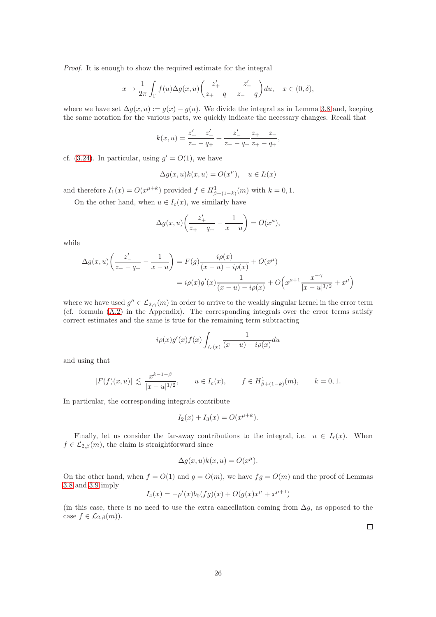Proof. It is enough to show the required estimate for the integral

$$
x \to \frac{1}{2\pi} \int_{\Gamma} f(u) \Delta g(x, u) \left( \frac{z'_+}{z_+ - q} - \frac{z'_-}{z_- - q} \right) du, \quad x \in (0, \delta),
$$

where we have set  $\Delta g(x, u) := g(x) - g(u)$ . We divide the integral as in Lemma [3.8](#page-18-0) and, keeping the same notation for the various parts, we quickly indicate the necessary changes. Recall that

$$
k(x, u) = \frac{z'_{+} - z'_{-}}{z_{+} - q_{+}} + \frac{z'_{-}}{z_{-} - q_{+}} \frac{z_{+} - z_{-}}{z_{+} - q_{+}},
$$

cf. [\(3.24\)](#page-19-3). In particular, using  $g' = O(1)$ , we have

$$
\Delta g(x, u)k(x, u) = O(x^{\mu}), \quad u \in I_l(x)
$$

and therefore  $I_1(x) = O(x^{\mu+k})$  provided  $f \in H^1_{\beta+(1-k)}(m)$  with  $k = 0, 1$ .

On the other hand, when  $u \in I_c(x)$ , we similarly have

$$
\Delta g(x, u) \left( \frac{z'_+}{z_+ - q_+} - \frac{1}{x - u} \right) = O(x^{\mu}),
$$

while

$$
\Delta g(x, u) \left( \frac{z'_{-}}{z_{-} - q_{+}} - \frac{1}{x - u} \right) = F(g) \frac{i \rho(x)}{(x - u) - i \rho(x)} + O(x^{\mu})
$$

$$
= i \rho(x) g'(x) \frac{1}{(x - u) - i \rho(x)} + O\left(x^{\mu+1} \frac{x^{-\gamma}}{|x - u|^{1/2}} + x^{\mu}\right)
$$

where we have used  $g'' \in \mathcal{L}_{2,\gamma}(m)$  in order to arrive to the weakly singular kernel in the error term (cf. formula [\(A.2\)](#page-65-2) in the Appendix). The corresponding integrals over the error terms satisfy correct estimates and the same is true for the remaining term subtracting

$$
i\rho(x)g'(x)f(x)\int_{I_c(x)}\frac{1}{(x-u)-i\rho(x)}du
$$

and using that

$$
|F(f)(x, u)| \lesssim \frac{x^{k-1-\beta}}{|x - u|^{1/2}}, \qquad u \in I_c(x), \qquad f \in H^1_{\beta + (1-k)}(m), \qquad k = 0, 1.
$$

In particular, the corresponding integrals contribute

$$
I_2(x) + I_3(x) = O(x^{\mu + k}).
$$

Finally, let us consider the far-away contributions to the integral, i.e.  $u \in I_r(x)$ . When  $f \in \mathcal{L}_{2,\beta}(m)$ , the claim is straightforward since

$$
\Delta g(x, u)k(x, u) = O(x^{\mu}).
$$

On the other hand, when  $f = O(1)$  and  $g = O(m)$ , we have  $fg = O(m)$  and the proof of Lemmas [3.8](#page-18-0) and [3.9](#page-22-0) imply

$$
I_4(x) = -\rho'(x)b_0(fg)(x) + O(g(x)x^{\mu} + x^{\mu+1})
$$

(in this case, there is no need to use the extra cancellation coming from  $\Delta g$ , as opposed to the case  $f \in \mathcal{L}_{2,\beta}(m)$ .

 $\Box$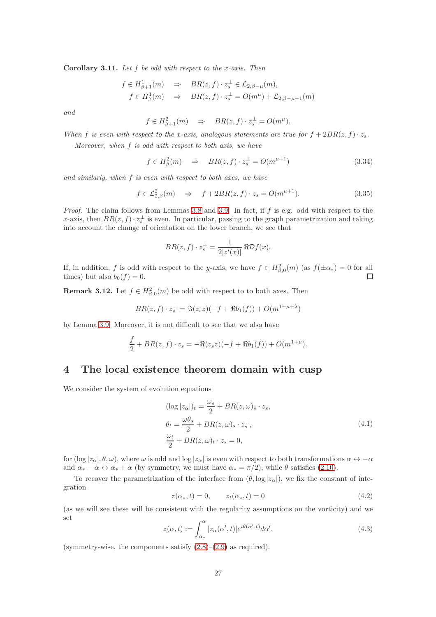<span id="page-26-3"></span>Corollary 3.11. Let  $f$  be odd with respect to the x-axis. Then

$$
f \in H^1_{\beta+1}(m) \Rightarrow BR(z, f) \cdot z_s^{\perp} \in \mathcal{L}_{2,\beta-\mu}(m),
$$
  

$$
f \in H^1_{\beta}(m) \Rightarrow BR(z, f) \cdot z_s^{\perp} = O(m^{\mu}) + \mathcal{L}_{2,\beta-\mu-1}(m)
$$

and

$$
f \in H^2_{\beta+1}(m) \Rightarrow BR(z, f) \cdot z_s^{\perp} = O(m^{\mu}).
$$

When f is even with respect to the x-axis, analogous statements are true for  $f + 2BR(z, f) \cdot z_s$ .

Moreover, when  $f$  is odd with respect to both axis, we have

$$
f \in H_{\beta}^{2}(m) \quad \Rightarrow \quad BR(z, f) \cdot z_{s}^{\perp} = O(m^{\mu+1}) \tag{3.34}
$$

and similarly, when f is even with respect to both axes, we have

$$
f \in \mathcal{L}_{2,\beta}^2(m) \quad \Rightarrow \quad f + 2BR(z, f) \cdot z_s = O(m^{\mu+1}). \tag{3.35}
$$

*Proof.* The claim follows from Lemmas [3.8](#page-18-0) and [3.9.](#page-22-0) In fact, if  $f$  is e.g. odd with respect to the x-axis, then  $BR(z, f) \cdot z_s^{\perp}$  is even. In particular, passing to the graph parametrization and taking into account the change of orientation on the lower branch, we see that

$$
BR(z, f) \cdot z_s^{\perp} = \frac{1}{2|z'(x)|} \Re \mathcal{D}f(x).
$$

If, in addition, f is odd with respect to the y-axis, we have  $f \in H^2_{\beta,0}(m)$  (as  $f(\pm \alpha_*) = 0$  for all times) but also  $b_0(f) = 0$ .

<span id="page-26-2"></span>**Remark 3.12.** Let  $f \in H^2_{\beta,0}(m)$  be odd with respect to to both axes. Then

$$
BR(z, f) \cdot z_s^{\perp} = \Im(z_s z)(-f + \Re b_1(f)) + O(m^{1 + \mu + \lambda})
$$

by Lemma [3.9.](#page-22-0) Moreover, it is not difficult to see that we also have

$$
\frac{f}{2} + BR(z, f) \cdot z_s = -\Re(z_s z)(-f + \Re b_1(f)) + O(m^{1+\mu}).
$$

## <span id="page-26-0"></span>4 The local existence theorem domain with cusp

We consider the system of evolution equations

<span id="page-26-1"></span>
$$
(\log |z_{\alpha}|)_{t} = \frac{\omega_{s}}{2} + BR(z, \omega)_{s} \cdot z_{s},
$$
  
\n
$$
\theta_{t} = \frac{\omega \theta_{s}}{2} + BR(z, \omega)_{s} \cdot z_{s}^{\perp},
$$
  
\n
$$
\frac{\omega_{t}}{2} + BR(z, \omega)_{t} \cdot z_{s} = 0,
$$
\n(4.1)

for (log  $|z_\alpha|, \theta, \omega$ ), where  $\omega$  is odd and log  $|z_\alpha|$  is even with respect to both transformations  $\alpha \leftrightarrow -\alpha$ and  $\alpha_* - \alpha \leftrightarrow \alpha_* + \alpha$  (by symmetry, we must have  $\alpha_* = \pi/2$ ), while  $\theta$  satisfies [\(2.10\)](#page-4-1).

To recover the parametrization of the interface from  $(\theta, \log |z_\alpha|)$ , we fix the constant of integration

$$
z(\alpha_*, t) = 0, \qquad z_t(\alpha_*, t) = 0 \tag{4.2}
$$

(as we will see these will be consistent with the regularity assumptions on the vorticity) and we set

$$
z(\alpha, t) := \int_{\alpha_*}^{\alpha} |z_{\alpha}(\alpha', t)| e^{i\theta(\alpha', t)} d\alpha'. \tag{4.3}
$$

(symmetry-wise, the components satisfy  $(2.8)$ – $(2.9)$  as required).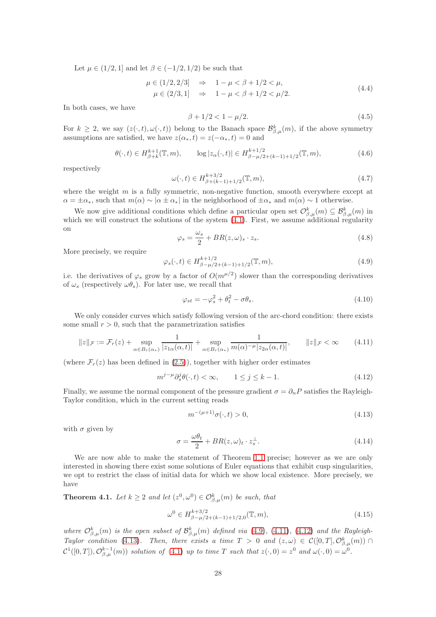Let  $\mu \in (1/2, 1]$  and let  $\beta \in (-1/2, 1/2)$  be such that

$$
\mu \in (1/2, 2/3] \Rightarrow 1 - \mu < \beta + 1/2 < \mu,
$$
\n
$$
\mu \in (2/3, 1] \Rightarrow 1 - \mu < \beta + 1/2 < \mu/2.
$$
\n
$$
(4.4)
$$

In both cases, we have

<span id="page-27-7"></span>
$$
\beta + 1/2 < 1 - \mu/2. \tag{4.5}
$$

For  $k \geq 2$ , we say  $(z(\cdot,t), \omega(\cdot,t))$  belong to the Banach space  $\mathcal{B}_{\beta,\mu}^k(m)$ , if the above symmetry assumptions are satisfied, we have  $z(\alpha_*, t) = z(-\alpha_*, t) = 0$  and

$$
\theta(\cdot, t) \in H_{\beta+k}^{k+1}(\mathbb{T}, m), \qquad \log |z_{\alpha}(\cdot, t)| \in H_{\beta-\mu/2+(k-1)+1/2}^{k+1/2}(\mathbb{T}, m), \tag{4.6}
$$

respectively

<span id="page-27-6"></span>
$$
\omega(\cdot, t) \in H^{k+3/2}_{\beta+(k-1)+1/2}(\mathbb{T}, m),\tag{4.7}
$$

where the weight  $m$  is a fully symmetric, non-negative function, smooth everywhere except at  $\alpha = \pm \alpha_*$ , such that  $m(\alpha) \sim |\alpha \pm \alpha_*|$  in the neighborhood of  $\pm \alpha_*$  and  $m(\alpha) \sim 1$  otherwise.

We now give additional conditions which define a particular open set  $\mathcal{O}_{\beta,\mu}^k(m) \subseteq \mathcal{B}_{\beta,\mu}^k(m)$  in which we will construct the solutions of the system  $(4.1)$ . First, we assume additional regularity on

$$
\varphi_s = \frac{\omega_s}{2} + BR(z, \omega)_s \cdot z_s. \tag{4.8}
$$

More precisely, we require

<span id="page-27-1"></span>
$$
\varphi_s(\cdot, t) \in H^{k+1/2}_{\beta - \mu/2 + (k-1) + 1/2}(\mathbb{T}, m),
$$
\n(4.9)

i.e. the derivatives of  $\varphi_s$  grow by a factor of  $O(m^{\mu/2})$  slower than the corresponding derivatives of  $\omega_s$  (respectively  $\omega \theta_s$ ). For later use, we recall that

$$
\varphi_{st} = -\varphi_s^2 + \theta_t^2 - \sigma \theta_s. \tag{4.10}
$$

We only consider curves which satisfy following version of the arc-chord condition: there exists some small  $r > 0$ , such that the parametrization satisfies

<span id="page-27-2"></span>
$$
||z||_{\mathcal{F}} := \mathcal{F}_r(z) + \sup_{\alpha \in B_r(\alpha_*)} \frac{1}{|z_{1\alpha}(\alpha, t)|} + \sup_{\alpha \in B_r(\alpha_*)} \frac{1}{m(\alpha)^{-\mu} |z_{2\alpha}(\alpha, t)|}, \qquad ||z||_{\mathcal{F}} < \infty \tag{4.11}
$$

(where  $\mathcal{F}_r(z)$  has been defined in [\(2.5\)](#page-4-0)), together with higher order estimates

<span id="page-27-3"></span>
$$
m^{j-\mu}\partial_s^j \theta(\cdot, t) < \infty, \qquad 1 \le j \le k - 1. \tag{4.12}
$$

Finally, we assume the normal component of the pressure gradient  $\sigma = \partial_n P$  satisfies the Rayleigh-Taylor condition, which in the current setting reads

<span id="page-27-4"></span>
$$
m^{-(\mu+1)}\sigma(\cdot,t) > 0,\t\t(4.13)
$$

with  $\sigma$  given by

$$
\sigma = \frac{\omega \theta_t}{2} + BR(z, \omega)_t \cdot z_s^{\perp}.
$$
\n(4.14)

We are now able to make the statement of Theorem [1.1](#page-3-4) precise; however as we are only interested in showing there exist some solutions of Euler equations that exhibit cusp singularities, we opt to restrict the class of initial data for which we show local existence. More precisely, we have

<span id="page-27-0"></span>**Theorem 4.1.** Let  $k \geq 2$  and let  $(z^0, \omega^0) \in \mathcal{O}_{\beta,\mu}^k(m)$  be such, that

<span id="page-27-5"></span>
$$
\omega^0 \in H^{k+3/2}_{\beta-\mu/2+(k-1)+1/2,0}(\mathbb{T},m),\tag{4.15}
$$

where  $\mathcal{O}_{\beta,\mu}^k(m)$  is the open subset of  $\mathcal{B}_{\beta,\mu}^k(m)$  defined via [\(4.9\)](#page-27-1), [\(4.11\)](#page-27-2), [\(4.12\)](#page-27-3) and the Rayleigh-Taylor condition [\(4.13\)](#page-27-4). Then, there exists a time  $T > 0$  and  $(z, \omega) \in C([0, T], \mathcal{O}_{\beta,\mu}^k(m)) \cap$  $\mathcal{C}^1([0,T]), \mathcal{O}_{\beta,\mu}^{k-1}(m)$  solution of [\(4.1\)](#page-26-1) up to time T such that  $z(\cdot,0) = z^0$  and  $\omega(\cdot,0) = \omega^0$ .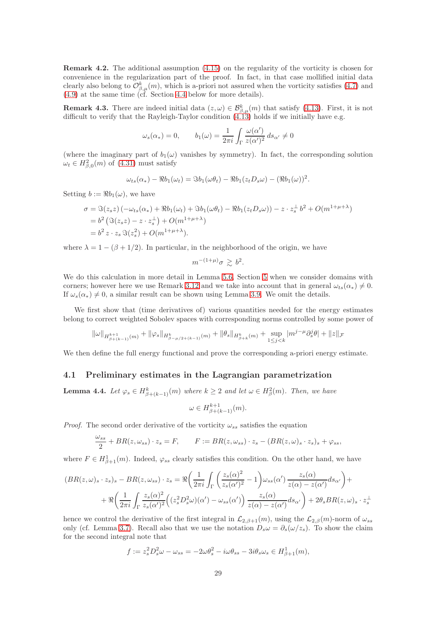Remark 4.2. The additional assumption [\(4.15\)](#page-27-5) on the regularity of the vorticity is chosen for convenience in the regularization part of the proof. In fact, in that case mollified initial data clearly also belong to  $\mathcal{O}_{\beta,\mu}^k(m)$ , which is a-priori not assured when the vorticity satisfies [\(4.7\)](#page-27-6) and [\(4.9\)](#page-27-1) at the same time (cf. Section [4.4](#page-44-0) below for more details).

**Remark 4.3.** There are indeed initial data  $(z, \omega) \in \mathcal{B}_{\beta,\mu}^k(m)$  that satisfy [\(4.13\)](#page-27-4). First, it is not difficult to verify that the Rayleigh-Taylor condition  $(4.13)$  holds if we initially have e.g.

$$
\omega_s(\alpha_*) = 0,
$$
\n $b_1(\omega) = \frac{1}{2\pi i} \int_{\Gamma} \frac{\omega(\alpha')}{z(\alpha')^2} ds_{\alpha'} \neq 0$ 

(where the imaginary part of  $b_1(\omega)$  vanishes by symmetry). In fact, the corresponding solution  $\omega_t \in H^2_{\beta,0}(m)$  of [\(4.31\)](#page-32-0) must satisfy

$$
\omega_{ts}(\alpha_*) - \Re b_1(\omega_t) = \Im b_1(\omega \theta_t) - \Re b_1(z_t D_s \omega) - (\Re b_1(\omega))^2.
$$

Setting  $b := \Re b_1(\omega)$ , we have

$$
\sigma = \Im(z_s z) \left( -\omega_{ts}(\alpha_*) + \Re b_1(\omega_t) + \Im b_1(\omega \theta_t) - \Re b_1(z_t D_s \omega) \right) - z \cdot z_s^{\perp} b^2 + O(m^{1 + \mu + \lambda})
$$
  
=  $b^2 \left( \Im(z_s z) - z \cdot z_s^{\perp} \right) + O(m^{1 + \mu + \lambda})$   
=  $b^2 z \cdot z_s \Im(z_s^2) + O(m^{1 + \mu + \lambda}).$ 

where  $\lambda = 1 - (\beta + 1/2)$ . In particular, in the neighborhood of the origin, we have

$$
m^{-(1+\mu)}\sigma \gtrsim b^2.
$$

We do this calculation in more detail in Lemma [5.6,](#page-48-1) Section [5](#page-46-0) when we consider domains with corners; however here we use Remark [3.12](#page-26-2) and we take into account that in general  $\omega_{te}(\alpha_{*}) \neq 0$ . If  $\omega_s(\alpha_*) \neq 0$ , a similar result can be shown using Lemma [3.9.](#page-22-0) We omit the details.

We first show that (time derivatives of) various quantities needed for the energy estimates belong to correct weighted Sobolev spaces with corresponding norms controlled by some power of

$$
\|\omega\|_{H^{k+1}_{\beta+(k-1)}(m)}+\|\varphi_s\|_{H^k_{\beta-\mu/2+(k-1)}(m)}+\|\theta_s\|_{H^k_{\beta+k}(m)}+\sup_{1\leq j
$$

<span id="page-28-0"></span>We then define the full energy functional and prove the corresponding a-priori energy estimate.

## 4.1 Preliminary estimates in the Lagrangian parametrization

**Lemma 4.4.** Let  $\varphi_s \in H^k_{\beta+(k-1)}(m)$  where  $k \geq 2$  and let  $\omega \in H^2_{\beta}(m)$ . Then, we have

$$
\omega \in H^{k+1}_{\beta + (k-1)}(m).
$$

*Proof.* The second order derivative of the vorticity  $\omega_{ss}$  satisfies the equation

$$
\frac{\omega_{ss}}{2} + BR(z, \omega_{ss}) \cdot z_s = F, \qquad F := BR(z, \omega_{ss}) \cdot z_s - (BR(z, \omega)_s \cdot z_s)_s + \varphi_{ss},
$$

where  $F \in H^1_{\beta+1}(m)$ . Indeed,  $\varphi_{ss}$  clearly satisfies this condition. On the other hand, we have

$$
(BR(z, \omega)_s \cdot z_s)_s - BR(z, \omega_{ss}) \cdot z_s = \Re \left( \frac{1}{2\pi i} \int_{\Gamma} \left( \frac{z_s(\alpha)^2}{z_s(\alpha')^2} - 1 \right) \omega_{ss}(\alpha') \frac{z_s(\alpha)}{z(\alpha) - z(\alpha')} ds_{\alpha'} \right) +
$$
  
+ 
$$
\Re \left( \frac{1}{2\pi i} \int_{\Gamma} \frac{z_s(\alpha)^2}{z_s(\alpha')^2} \left( (z_s^2 D_s^2 \omega)(\alpha') - \omega_{ss}(\alpha') \right) \frac{z_s(\alpha)}{z(\alpha) - z(\alpha')} ds_{\alpha'} \right) + 2\theta_s BR(z, \omega)_s \cdot z_s^{\perp}
$$

hence we control the derivative of the first integral in  $\mathcal{L}_{2,\beta+1}(m)$ , using the  $\mathcal{L}_{2,\beta}(m)$ -norm of  $\omega_{ss}$ only (cf. Lemma [3.7\)](#page-16-0). Recall also that we use the notation  $D_s \omega = \partial_s(\omega/z_s)$ . To show the claim for the second integral note that

$$
f := z_s^2 D_s^2 \omega - \omega_{ss} = -2\omega \theta_s^2 - i\omega \theta_{ss} - 3i\theta_s \omega_s \in H^1_{\beta+1}(m),
$$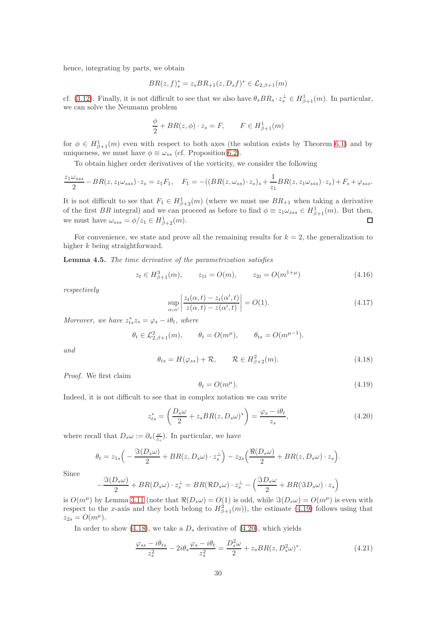hence, integrating by parts, we obtain

$$
BR(z, f)_{s}^{*} = z_{s}BR_{+1}(z, D_{s}f)^{*} \in \mathcal{L}_{2, \beta+1}(m)
$$

cf. [\(3.12\)](#page-10-1). Finally, it is not difficult to see that we also have  $\theta_s BR_s \cdot z_s^{\perp} \in H^1_{\beta+1}(m)$ . In particular, we can solve the Neumann problem

$$
\frac{\phi}{2} + BR(z, \phi) \cdot z_s = F, \qquad F \in H^1_{\beta+1}(m)
$$

for  $\phi \in H^1_{\beta+1}(m)$  even with respect to both axes (the solution exists by Theorem [6.1\)](#page-53-1) and by uniqueness, we must have  $\phi \equiv \omega_{ss}$  (cf. Proposition [6.2\)](#page-53-2).

To obtain higher order derivatives of the vorticity, we consider the following

$$
\frac{z_1\omega_{sss}}{2} - BR(z, z_1\omega_{sss}) \cdot z_s = z_1F_1, \quad F_1 = -((BR(z, \omega_{ss}) \cdot z_s)_s + \frac{1}{z_1}BR(z, z_1\omega_{sss}) \cdot z_s) + F_s + \varphi_{sss}.
$$

It is not difficult to see that  $F_1 \in H^1_{\beta+2}(m)$  (where we must use  $BR_{+1}$  when taking a derivative of the first BR integral) and we can proceed as before to find  $\phi \equiv z_1 \omega_{sss} \in H^1_{\beta+1}(m)$ . But then, we must have  $\omega_{sss} = \phi/z_1 \in H^1_{\beta+2}(m)$ .  $\Box$ 

For convenience, we state and prove all the remaining results for  $k = 2$ , the generalization to higher k being straightforward.

<span id="page-29-5"></span>Lemma 4.5. The time derivative of the parametrization satisfies

$$
z_t \in H^3_{\beta+1}(m), \qquad z_{1t} = O(m), \qquad z_{2t} = O(m^{1+\mu}) \tag{4.16}
$$

respectively

<span id="page-29-4"></span>
$$
\sup_{\alpha,\alpha'} \left| \frac{z_t(\alpha,t) - z_t(\alpha',t)}{z(\alpha,t) - z(\alpha',t)} \right| = O(1). \tag{4.17}
$$

Moreover, we have  $z_{ts}^* z_s = \varphi_s - i \theta_t$ , where

$$
\theta_t \in \mathcal{L}_{2,\beta+1}^2(m), \qquad \theta_t = O(m^{\mu}), \qquad \theta_{ts} = O(m^{\mu-1}).
$$

and

<span id="page-29-1"></span>
$$
\theta_{ts} = H(\varphi_{ss}) + \mathcal{R}, \qquad \mathcal{R} \in H^2_{\beta+2}(m). \tag{4.18}
$$

Proof. We first claim

<span id="page-29-0"></span>
$$
\theta_t = O(m^{\mu}).\tag{4.19}
$$

Indeed, it is not difficult to see that in complex notation we can write

<span id="page-29-2"></span>
$$
z_{ts}^* = \left(\frac{D_s \omega}{2} + z_s BR(z, D_s \omega)^*\right) = \frac{\varphi_s - i\theta_t}{z_s},\tag{4.20}
$$

where recall that  $D_s \omega := \partial_s(\frac{\omega}{z_s})$ . In particular, we have

$$
\theta_t = z_{1s} \Big( -\frac{\Im(D_s \omega)}{2} + BR(z, D_s \omega) \cdot z_s^{\perp} \Big) - z_{2s} \Big( \frac{\Re(D_s \omega)}{2} + BR(z, D_s \omega) \cdot z_s \Big).
$$

Since

$$
-\frac{\Im(D_s\omega)}{2} + BR(D_s\omega) \cdot z_s^{\perp} = BR(\Re D_s\omega) \cdot z_s^{\perp} - \left(\frac{\Im D_s\omega}{2} + BR(\Im D_s\omega) \cdot z_s\right)
$$

is  $O(m^{\mu})$  by Lemma [3.11](#page-26-3) (note that  $\Re(D_s\omega) = O(1)$  is odd, while  $\Im(D_s\omega) = O(m^{\mu})$  is even with respect to the x-axis and they both belong to  $H^2_{\beta+1}(m)$ , the estimate [\(4.19\)](#page-29-0) follows using that  $z_{2s} = O(m^{\mu}).$ 

In order to show [\(4.18\)](#page-29-1), we take a  $D_s$  derivative of [\(4.20\)](#page-29-2), which yields

<span id="page-29-3"></span>
$$
\frac{\varphi_{ss} - i\theta_{ts}}{z_s^2} - 2i\theta_s \frac{\varphi_s - i\theta_t}{z_s^2} = \frac{D_s^2 \omega}{2} + z_s BR(z, D_s^2 \omega)^*.
$$
 (4.21)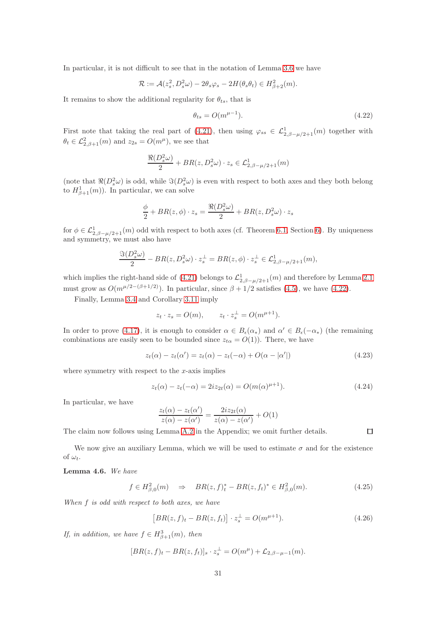In particular, it is not difficult to see that in the notation of Lemma [3.6](#page-15-1) we have

$$
\mathcal{R} := \mathcal{A}(z_s^2, D_s^2 \omega) - 2\theta_s \varphi_s - 2H(\theta_s \theta_t) \in H_{\beta+2}^2(m).
$$

It remains to show the additional regularity for  $\theta_{ts}$ , that is

<span id="page-30-0"></span>
$$
\theta_{ts} = O(m^{\mu - 1}).\tag{4.22}
$$

First note that taking the real part of [\(4.21\)](#page-29-3), then using  $\varphi_{ss} \in \mathcal{L}^1_{2,\beta-\mu/2+1}(m)$  together with  $\theta_t \in \mathcal{L}_{2,\beta+1}^2(m)$  and  $z_{2s} = O(m^{\mu})$ , we see that

$$
\frac{\Re(D_s^2\omega)}{2} + BR(z, D_s^2\omega) \cdot z_s \in \mathcal{L}_{2,\beta-\mu/2+1}^1(m)
$$

(note that  $\Re(D_s^2\omega)$  is odd, while  $\Im(D_s^2\omega)$  is even with respect to both axes and they both belong to  $H^1_{\beta+1}(m)$ ). In particular, we can solve

$$
\frac{\phi}{2} + BR(z, \phi) \cdot z_s = \frac{\Re(D_s^2 \omega)}{2} + BR(z, D_s^2 \omega) \cdot z_s
$$

for  $\phi \in \mathcal{L}^1_{2,\beta-\mu/2+1}(m)$  odd with respect to both axes (cf. Theorem [6.1,](#page-53-1) Section [6\)](#page-52-0). By uniqueness and symmetry, we must also have

$$
\frac{\Im(D_s^2\omega)}{2} - BR(z, D_s^2\omega) \cdot z_s^{\perp} = BR(z, \phi) \cdot z_s^{\perp} \in \mathcal{L}_{2, \beta - \mu/2 + 1}^1(m),
$$

which implies the right-hand side of [\(4.21\)](#page-29-3) belongs to  $\mathcal{L}^1_{2,\beta-\mu/2+1}(m)$  and therefore by Lemma [2.1](#page-6-1) must grow as  $O(m^{\mu/2-(\beta+1/2)})$ . In particular, since  $\beta + 1/2$  satisfies [\(4.5\)](#page-27-7), we have [\(4.22\)](#page-30-0).

Finally, Lemma [3.4](#page-11-1) and Corollary [3.11](#page-26-3) imply

$$
z_t \cdot z_s = O(m), \qquad z_t \cdot z_s^{\perp} = O(m^{\mu+1}).
$$

In order to prove [\(4.17\)](#page-29-4), it is enough to consider  $\alpha \in B_{\epsilon}(\alpha_*)$  and  $\alpha' \in B_{\epsilon}(-\alpha_*)$  (the remaining combinations are easily seen to be bounded since  $z_{t\alpha} = O(1)$ . There, we have

<span id="page-30-1"></span>
$$
z_t(\alpha) - z_t(\alpha') = z_t(\alpha) - z_t(-\alpha) + O(\alpha - |\alpha'|)
$$
\n(4.23)

where symmetry with respect to the  $x$ -axis implies

<span id="page-30-2"></span>
$$
z_t(\alpha) - z_t(-\alpha) = 2iz_{2t}(\alpha) = O(m(\alpha)^{\mu+1}).
$$
\n(4.24)

In particular, we have

$$
\frac{z_t(\alpha) - z_t(\alpha')}{z(\alpha) - z(\alpha')} = \frac{2iz_{2t}(\alpha)}{z(\alpha) - z(\alpha')} + O(1)
$$

The claim now follows using Lemma [A.2](#page-66-0) in the Appendix; we omit further details.

 $\Box$ 

We now give an auxiliary Lemma, which we will be used to estimate  $\sigma$  and for the existence of  $\omega_t$ .

### <span id="page-30-3"></span>Lemma 4.6. We have

$$
f \in H^2_{\beta,0}(m) \quad \Rightarrow \quad BR(z,f)^*_{t} - BR(z,f_{t})^* \in H^2_{\beta,0}(m). \tag{4.25}
$$

When f is odd with respect to both axes, we have

$$
[BR(z, f)_t - BR(z, f_t)] \cdot z_s^{\perp} = O(m^{\mu+1}). \tag{4.26}
$$

If, in addition, we have  $f \in H^3_{\beta+1}(m)$ , then

$$
[BR(z, f)_t - BR(z, f_t)]_s \cdot z_s^{\perp} = O(m^{\mu}) + \mathcal{L}_{2, \beta - \mu - 1}(m).
$$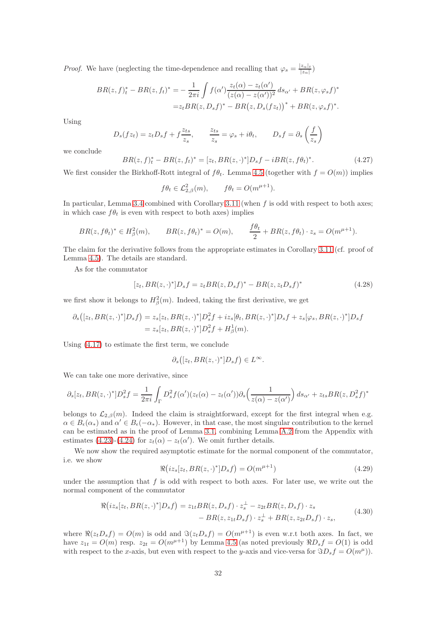*Proof.* We have (neglecting the time-dependence and recalling that  $\varphi_s = \frac{|z_{\alpha}|_t}{|z_{\alpha}|_t}$  $\frac{z_{\alpha\,|\,t}}{|z_{\alpha}|})$ 

$$
BR(z, f)_t^* - BR(z, f_t)^* = -\frac{1}{2\pi i} \int f(\alpha') \frac{z_t(\alpha) - z_t(\alpha')}{(z(\alpha) - z(\alpha'))^2} ds_{\alpha'} + BR(z, \varphi_s f)^*
$$
  
=  $z_t BR(z, D_s f)^* - BR(z, D_s(fz_t))^* + BR(z, \varphi_s f)^*.$ 

Using

$$
D_s(fz_t) = z_t D_s f + f \frac{z_{ts}}{z_s}, \qquad \frac{z_{ts}}{z_s} = \varphi_s + i\theta_t, \qquad D_s f = \partial_s \left(\frac{f}{z_s}\right)
$$

we conclude

$$
BR(z, f)_t^* - BR(z, f_t)^* = [z_t, BR(z, \cdot)^*]D_s f - iBR(z, f\theta_t)^*.
$$
\n(4.27)

We first consider the Birkhoff-Rott integral of  $f\theta_t$ . Lemma [4.5](#page-29-5) (together with  $f = O(m)$ ) implies

$$
f\theta_t \in \mathcal{L}_{2,\beta}^2(m), \qquad f\theta_t = O(m^{\mu+1}).
$$

In particular, Lemma [3.4](#page-11-1) combined with Corollary [3.11](#page-26-3) (when  $f$  is odd with respect to both axes; in which case  $f\theta_t$  is even with respect to both axes) implies

$$
BR(z, f\theta_t)^* \in H^2_{\beta}(m), \qquad BR(z, f\theta_t)^* = O(m), \qquad \frac{f\theta_t}{2} + BR(z, f\theta_t) \cdot z_s = O(m^{\mu+1}).
$$

The claim for the derivative follows from the appropriate estimates in Corollary [3.11](#page-26-3) (cf. proof of Lemma [4.5\)](#page-29-5). The details are standard.

As for the commutator

$$
[z_t, BR(z, \cdot)^*]D_s f = z_t BR(z, D_s f)^* - BR(z, z_t D_s f)^* \tag{4.28}
$$

we first show it belongs to  $H^2_\beta(m)$ . Indeed, taking the first derivative, we get

$$
\partial_s([z_t, BR(z, \cdot)^*]D_s f) = z_s[z_t, BR(z, \cdot)^*]D_s^2 f + iz_s[\theta_t, BR(z, \cdot)^*]D_s f + z_s[\varphi_s, BR(z, \cdot)^*]D_s f
$$
  
=  $z_s[z_t, BR(z, \cdot)^*]D_s^2 f + H_\beta^1(m).$ 

Using [\(4.17\)](#page-29-4) to estimate the first term, we conclude

$$
\partial_s([z_t, BR(z, \cdot)^*]D_sf\bigr)\in L^\infty.
$$

We can take one more derivative, since

$$
\partial_s[z_t, BR(z, \cdot)^*]D_s^2 f = \frac{1}{2\pi i} \int_{\Gamma} D_s^2 f(\alpha')(z_t(\alpha) - z_t(\alpha')) \partial_s \left(\frac{1}{z(\alpha) - z(\alpha')}\right) ds_{\alpha'} + z_{ts} BR(z, D_s^2 f)^*
$$

belongs to  $\mathcal{L}_{2,\beta}(m)$ . Indeed the claim is straightforward, except for the first integral when e.g.  $\alpha \in B_{\epsilon}(\alpha_*)$  and  $\alpha' \in B_{\epsilon}(-\alpha_*)$ . However, in that case, the most singular contribution to the kernel can be estimated as in the proof of Lemma [3.1,](#page-8-2) combining Lemma [A.2](#page-66-0) from the Appendix with estimates [\(4.23\)](#page-30-1)-[\(4.24\)](#page-30-2) for  $z_t(\alpha) - z_t(\alpha')$ . We omit further details.

We now show the required asymptotic estimate for the normal component of the commutator, i.e. we show

<span id="page-31-0"></span>
$$
\Re(iz_s[z_t, BR(z, \cdot)^*]D_s f) = O(m^{\mu+1})\tag{4.29}
$$

under the assumption that  $f$  is odd with respect to both axes. For later use, we write out the normal component of the commutator

<span id="page-31-1"></span>
$$
\Re(iz_s[z_t, BR(z, \cdot)^*]D_s f) = z_{1t} BR(z, D_s f) \cdot z_s^{\perp} - z_{2t} BR(z, D_s f) \cdot z_s - BR(z, z_{1t} D_s f) \cdot z_s^{\perp} + BR(z, z_{2t} D_s f) \cdot z_s,
$$
\n(4.30)

where  $\Re(z_tD_sf)=O(m)$  is odd and  $\Im(z_tD_sf)=O(m^{\mu+1})$  is even w.r.t both axes. In fact, we have  $z_{1t} = O(m)$  resp.  $z_{2t} = O(m^{\mu+1})$  by Lemma [4.5](#page-29-5) (as noted previously  $\Re D_s f = O(1)$  is odd with respect to the x-axis, but even with respect to the y-axis and vice-versa for  $\Im D_s f = O(m^{\mu})$ .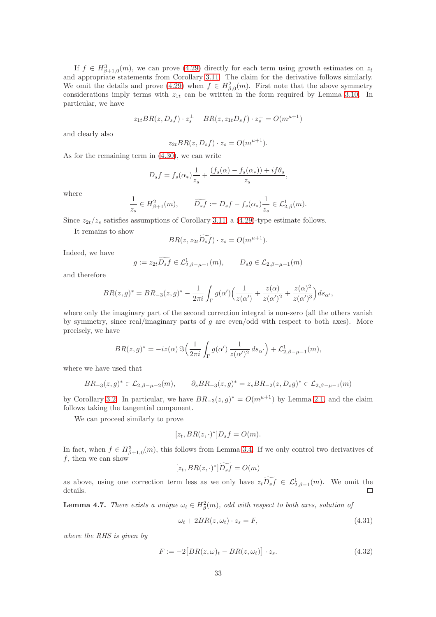If  $f \in H^3_{\beta+1,0}(m)$ , we can prove [\(4.29\)](#page-31-0) directly for each term using growth estimates on  $z_t$ and appropriate statements from Corollary [3.11.](#page-26-3) The claim for the derivative follows similarly. We omit the details and prove [\(4.29\)](#page-31-0) when  $f \in H^2_{\beta,0}(m)$ . First note that the above symmetry considerations imply terms with  $z_{1t}$  can be written in the form required by Lemma [3.10.](#page-24-0) In particular, we have

$$
z_{1t}BR(z, D_s f) \cdot z_s^{\perp} - BR(z, z_{1t} D_s f) \cdot z_s^{\perp} = O(m^{\mu+1})
$$

and clearly also

$$
z_{2t} BR(z, D_s f) \cdot z_s = O(m^{\mu+1}).
$$

As for the remaining term in [\(4.30\)](#page-31-1), we can write

$$
D_s f = f_s(\alpha_*) \frac{1}{z_s} + \frac{(f_s(\alpha) - f_s(\alpha_*)) + if\theta_s}{z_s},
$$

where

$$
\frac{1}{z_s} \in H_{\beta+1}^2(m), \qquad \widetilde{D_s f} := D_s f - f_s(\alpha_*) \frac{1}{z_s} \in \mathcal{L}_{2,\beta}^1(m).
$$

Since  $z_{2t}/z_s$  satisfies assumptions of Corollary [3.11,](#page-26-3) a [\(4.29\)](#page-31-0)-type estimate follows.

It remains to show

$$
BR(z, z_{2t}\widetilde{D_s f}) \cdot z_s = O(m^{\mu+1}).
$$

Indeed, we have

$$
g := z_{2t} \widetilde{D_s f} \in \mathcal{L}_{2,\beta-\mu-1}^1(m), \qquad D_s g \in \mathcal{L}_{2,\beta-\mu-1}(m)
$$

and therefore

$$
BR(z,g)^* = BR_{-3}(z,g)^* - \frac{1}{2\pi i} \int_{\Gamma} g(\alpha') \left( \frac{1}{z(\alpha')} + \frac{z(\alpha)}{z(\alpha')^2} + \frac{z(\alpha)^2}{z(\alpha')^3} \right) ds_{\alpha'},
$$

where only the imaginary part of the second correction integral is non-zero (all the others vanish by symmetry, since real/imaginary parts of  $g$  are even/odd with respect to both axes). More precisely, we have

$$
BR(z,g)^* = -iz(\alpha) \Im\left(\frac{1}{2\pi i} \int_{\Gamma} g(\alpha') \frac{1}{z(\alpha')^2} ds_{\alpha'}\right) + \mathcal{L}_{2,\beta-\mu-1}^1(m),
$$

where we have used that

$$
BR_{-3}(z,g)^* \in \mathcal{L}_{2,\beta-\mu-2}(m), \qquad \partial_s BR_{-3}(z,g)^* = z_sBR_{-2}(z,D_sg)^* \in \mathcal{L}_{2,\beta-\mu-1}(m)
$$

by Corollary [3.2.](#page-10-0) In particular, we have  $BR_{-3}(z, g)^* = O(m^{\mu+1})$  by Lemma [2.1,](#page-6-1) and the claim follows taking the tangential component.

We can proceed similarly to prove

$$
[z_t, BR(z, \cdot)^*]D_s f = O(m).
$$

In fact, when  $f \in H^3_{\beta+1,0}(m)$ , this follows from Lemma [3.4.](#page-11-1) If we only control two derivatives of  $f$ , then we can show

$$
[z_t, BR(z, \cdot)^*] \widetilde{D_s f} = O(m)
$$

as above, using one correction term less as we only have  $z_t D_s f \in \mathcal{L}_{2,\beta-1}^1(m)$ . We omit the details.  $\Box$ 

<span id="page-32-1"></span>**Lemma 4.7.** There exists a unique  $\omega_t \in H^2_{\beta}(m)$ , odd with respect to both axes, solution of

<span id="page-32-0"></span>
$$
\omega_t + 2BR(z, \omega_t) \cdot z_s = F,\tag{4.31}
$$

where the RHS is given by

$$
F := -2\big[BR(z,\omega)_t - BR(z,\omega_t)\big] \cdot z_s.
$$
\n(4.32)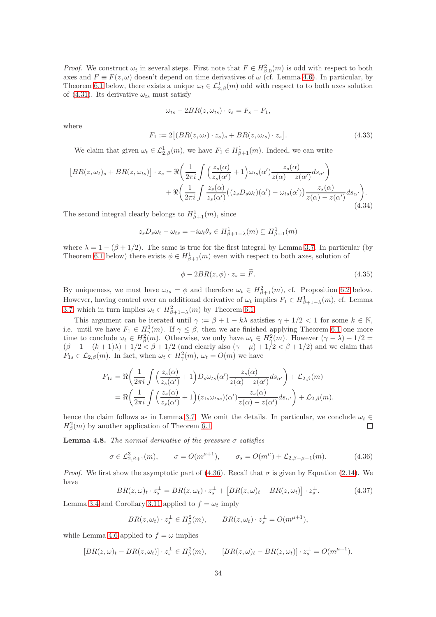*Proof.* We construct  $\omega_t$  in several steps. First note that  $F \in H^2_{\beta,0}(m)$  is odd with respect to both axes and  $F \equiv F(z, \omega)$  doesn't depend on time derivatives of  $\omega$  (cf. Lemma [4.6\)](#page-30-3). In particular, by Theorem [6.1](#page-53-1) below, there exists a unique  $\omega_t \in \mathcal{L}_{2,\beta}^1(m)$  odd with respect to to both axes solution of [\(4.31\)](#page-32-0). Its derivative  $\omega_{ts}$  must satisfy

$$
\omega_{ts} - 2BR(z, \omega_{ts}) \cdot z_s = F_s - F_1,
$$

where

$$
F_1 := 2\big[ (BR(z, \omega_t) \cdot z_s)_s + BR(z, \omega_{ts}) \cdot z_s \big]. \tag{4.33}
$$

We claim that given  $\omega_t \in \mathcal{L}_{2,\beta}^1(m)$ , we have  $F_1 \in H_{\beta+1}^1(m)$ . Indeed, we can write

$$
\begin{split} \left[ BR(z, \omega_t)_s + BR(z, \omega_{ts}) \right] \cdot z_s &= \Re \left( \frac{1}{2\pi i} \int \left( \frac{z_s(\alpha)}{z_s(\alpha')} + 1 \right) \omega_{ts}(\alpha') \frac{z_s(\alpha)}{z(\alpha) - z(\alpha')} ds_{\alpha'} \right) \\ &+ \Re \left( \frac{1}{2\pi i} \int \frac{z_s(\alpha)}{z_s(\alpha')} \left( (z_s D_s \omega_t)(\alpha') - \omega_{ts}(\alpha') \right) \frac{z_s(\alpha)}{z(\alpha) - z(\alpha')} ds_{\alpha'} \right). \end{split} \tag{4.34}
$$

The second integral clearly belongs to  $H^1_{\beta+1}(m)$ , since

$$
z_s D_s \omega_t - \omega_{ts} = -i\omega_t \theta_s \in H^1_{\beta+1-\lambda}(m) \subseteq H^1_{\beta+1}(m)
$$

where  $\lambda = 1 - (\beta + 1/2)$ . The same is true for the first integral by Lemma [3.7.](#page-16-0) In particular (by Theorem [6.1](#page-53-1) below) there exists  $\phi \in H^1_{\beta+1}(m)$  even with respect to both axes, solution of

$$
\phi - 2BR(z, \phi) \cdot z_s = \tilde{F}.\tag{4.35}
$$

By uniqueness, we must have  $\omega_{ts} = \phi$  and therefore  $\omega_t \in H^2_{\beta+1}(m)$ , cf. Proposition [6.2](#page-53-2) below. However, having control over an additional derivative of  $\omega_t$  implies  $F_1 \in H^1_{\beta+1-\lambda}(m)$ , cf. Lemma [3.7,](#page-16-0) which in turn implies  $\omega_t \in H^2_{\beta+1-\lambda}(m)$  by Theorem [6.1.](#page-53-1)

This argument can be iterated until  $\gamma := \beta + 1 - k\lambda$  satisfies  $\gamma + 1/2 < 1$  for some  $k \in \mathbb{N}$ , i.e. until we have  $F_1 \in H^1_\gamma(m)$ . If  $\gamma \leq \beta$ , then we are finished applying Theorem [6.1](#page-53-1) one more time to conclude  $\omega_t \in H_\beta^2(m)$ . Otherwise, we only have  $\omega_t \in H_\gamma^2(m)$ . However  $(\gamma - \lambda) + 1/2 =$  $(\beta+1-(k+1)\lambda)+1/2<\beta+1/2$  (and clearly also  $(\gamma-\mu)+1/2<\beta+1/2$ ) and we claim that  $F_{1s} \in \mathcal{L}_{2,\beta}(m)$ . In fact, when  $\omega_t \in H^2_{\gamma}(m)$ ,  $\omega_t = O(m)$  we have

$$
F_{1s} = \Re\left(\frac{1}{2\pi i}\int \left(\frac{z_s(\alpha)}{z_s(\alpha')} + 1\right)D_s\omega_{ts}(\alpha')\frac{z_s(\alpha)}{z(\alpha) - z(\alpha')}ds_{\alpha'}\right) + \mathcal{L}_{2,\beta}(m)
$$
  
= 
$$
\Re\left(\frac{1}{2\pi i}\int \left(\frac{z_s(\alpha)}{z_s(\alpha')} + 1\right)(z_{1s}\omega_{tss})(\alpha')\frac{z_s(\alpha)}{z(\alpha) - z(\alpha')}ds_{\alpha'}\right) + \mathcal{L}_{2,\beta}(m).
$$

hence the claim follows as in Lemma [3.7.](#page-16-0) We omit the details. In particular, we conclude  $\omega_t \in H^2_{\sigma}(m)$  by another application of Theorem 6.1.  $H^2_\beta(m)$  by another application of Theorem [6.1.](#page-53-1)

<span id="page-33-1"></span>**Lemma 4.8.** The normal derivative of the pressure  $\sigma$  satisfies

<span id="page-33-0"></span>
$$
\sigma \in \mathcal{L}_{2,\beta+1}^3(m), \qquad \sigma = O(m^{\mu+1}), \qquad \sigma_s = O(m^{\mu}) + \mathcal{L}_{2,\beta-\mu-1}(m). \tag{4.36}
$$

*Proof.* We first show the asymptotic part of [\(4.36\)](#page-33-0). Recall that  $\sigma$  is given by Equation [\(2.14\)](#page-5-3). We have

$$
BR(z,\omega)_t \cdot z_s^{\perp} = BR(z,\omega_t) \cdot z_s^{\perp} + [BR(z,\omega)_t - BR(z,\omega_t)] \cdot z_s^{\perp}.
$$
 (4.37)

Lemma [3.4](#page-11-1) and Corollary [3.11](#page-26-3) applied to  $f = \omega_t$  imply

$$
BR(z, \omega_t) \cdot z_s^{\perp} \in H_{\beta}^2(m), \qquad BR(z, \omega_t) \cdot z_s^{\perp} = O(m^{\mu+1}),
$$

while Lemma [4.6](#page-30-3) applied to  $f = \omega$  implies

$$
[BR(z,\omega)_t - BR(z,\omega_t)] \cdot z_s^{\perp} \in H_\beta^2(m), \qquad [BR(z,\omega)_t - BR(z,\omega_t)] \cdot z_s^{\perp} = O(m^{\mu+1}).
$$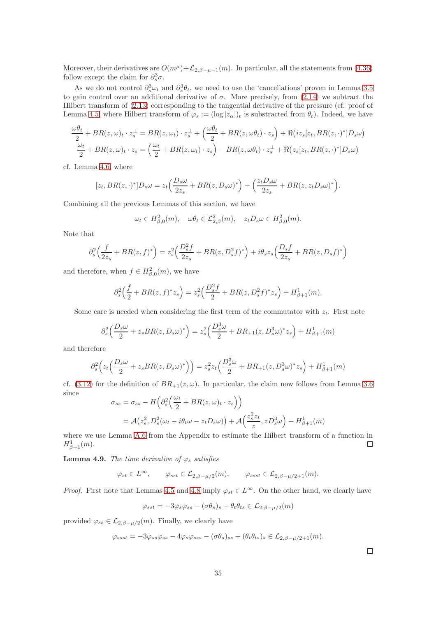Moreover, their derivatives are  $O(m^{\mu}) + \mathcal{L}_{2,\beta-\mu-1}(m)$ . In particular, all the statements from [\(4.36\)](#page-33-0) follow except the claim for  $\partial_s^3 \sigma$ .

As we do not control  $\partial_s^3 \omega_t$  and  $\partial_s^3 \theta_t$ , we need to use the 'cancellations' proven in Lemma [3.5](#page-12-0) to gain control over an additional derivative of  $\sigma$ . More precisely, from [\(2.14\)](#page-5-3) we subtract the Hilbert transform of [\(2.13\)](#page-5-4) corresponding to the tangential derivative of the pressure (cf. proof of Lemma [4.5,](#page-29-5) where Hilbert transform of  $\varphi_s := (\log |z_\alpha|)_t$  is substracted from  $\theta_t$ ). Indeed, we have

$$
\frac{\omega\theta_t}{2} + BR(z, \omega)_t \cdot z_s^{\perp} = BR(z, \omega_t) \cdot z_s^{\perp} + \left(\frac{\omega\theta_t}{2} + BR(z, \omega\theta_t) \cdot z_s\right) + \Re\left(iz_s[z_t, BR(z, \cdot)^*]D_s\omega\right)
$$
  

$$
\frac{\omega_t}{2} + BR(z, \omega)_t \cdot z_s = \left(\frac{\omega_t}{2} + BR(z, \omega_t) \cdot z_s\right) - BR(z, \omega\theta_t) \cdot z_s^{\perp} + \Re\left(z_s[z_t, BR(z, \cdot)^*]D_s\omega\right)
$$

cf. Lemma [4.6,](#page-30-3) where

$$
[z_t, BR(z, \cdot)^*]D_s \omega = z_t \Big(\frac{D_s \omega}{2z_s} + BR(z, D_s \omega)^*\Big) - \Big(\frac{z_t D_s \omega}{2z_s} + BR(z, z_t D_s \omega)^*\Big).
$$

Combining all the previous Lemmas of this section, we have

$$
\omega_t \in H^2_{\beta,0}(m), \quad \omega \theta_t \in \mathcal{L}^2_{2,\beta}(m), \quad z_t D_s \omega \in H^2_{\beta,0}(m).
$$

Note that

$$
\partial_s^2 \left( \frac{f}{2z_s} + BR(z, f)^* \right) = z_s^2 \left( \frac{D_s^2 f}{2z_s} + BR(z, D_s^2 f)^* \right) + i \theta_s z_s \left( \frac{D_s f}{2z_s} + BR(z, D_s f)^* \right)
$$

and therefore, when  $f \in H^2_{\beta,0}(m)$ , we have

$$
\partial_s^2 \left( \frac{f}{2} + BR(z, f)^* z_s \right) = z_s^2 \left( \frac{D_s^2 f}{2} + BR(z, D_s^2 f)^* z_s \right) + H_{\beta+1}^1(m).
$$

Some care is needed when considering the first term of the commutator with  $z_t$ . First note

$$
\partial_s^2 \left( \frac{D_s \omega}{2} + z_s BR(z, D_s \omega)^* \right) = z_s^2 \left( \frac{D_s^3 \omega}{2} + BR_{+1}(z, D_s^3 \omega)^* z_s \right) + H_{\beta+1}^1(m)
$$

and therefore

$$
\partial_s^2 \left( z_t \left( \frac{D_s \omega}{2} + z_s BR(z, D_s \omega)^* \right) \right) = z_s^2 z_t \left( \frac{D_s^3 \omega}{2} + BR_{+1}(z, D_s^3 \omega)^* z_s \right) + H_{\beta+1}^1(m)
$$

cf. [\(3.12\)](#page-10-1) for the definition of  $BR_{+1}(z,\omega)$ . In particular, the claim now follows from Lemma [3.6](#page-15-1) since  $\mathbb{R}^2$ 

$$
\sigma_{ss} = \sigma_{ss} - H\left(\partial_s^2 \left(\frac{\omega_t}{2} + BR(z,\omega)_t \cdot z_s\right)\right)
$$
  
=  $\mathcal{A}(z_s^2, D_s^2(\omega_t - i\theta_t\omega - z_tD_s\omega)) + \mathcal{A}\left(\frac{z_s^2 z_t}{z}, zD_s^3\omega\right) + H_{\beta+1}^1(m)$ 

where we use Lemma [A.6](#page-70-1) from the Appendix to estimate the Hilbert transform of a function in  $H^1_{\beta+1}(m)$ .  $\Box$ 

**Lemma 4.9.** The time derivative of  $\varphi_s$  satisfies

$$
\varphi_{st} \in L^{\infty}, \qquad \varphi_{sst} \in \mathcal{L}_{2,\beta-\mu/2}(m), \qquad \varphi_{ssst} \in \mathcal{L}_{2,\beta-\mu/2+1}(m).
$$

*Proof.* First note that Lemmas [4.5](#page-29-5) and [4.8](#page-33-1) imply  $\varphi_{st} \in L^{\infty}$ . On the other hand, we clearly have

$$
\varphi_{sst} = -3\varphi_s \varphi_{ss} - (\sigma \theta_s)_s + \theta_t \theta_{ts} \in \mathcal{L}_{2,\beta-\mu/2}(m)
$$

provided  $\varphi_{ss} \in \mathcal{L}_{2,\beta-\mu/2}(m)$ . Finally, we clearly have

$$
\varphi_{ssst} = -3\varphi_{ss}\varphi_{ss} - 4\varphi_s\varphi_{sss} - (\sigma\theta_s)_{ss} + (\theta_t\theta_{ts})_s \in \mathcal{L}_{2,\beta-\mu/2+1}(m).
$$

 $\Box$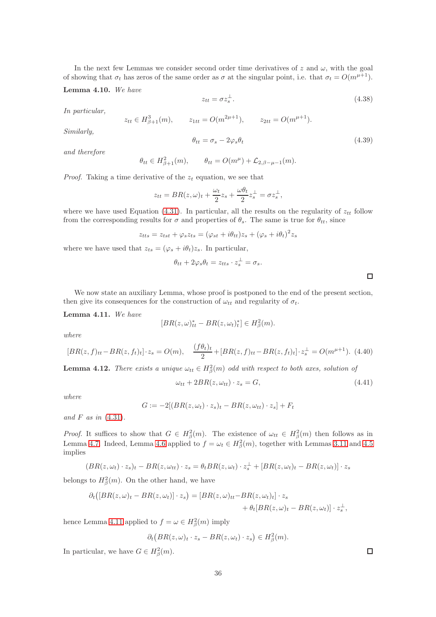In the next few Lemmas we consider second order time derivatives of z and  $\omega$ , with the goal of showing that  $\sigma_t$  has zeros of the same order as  $\sigma$  at the singular point, i.e. that  $\sigma_t = O(m^{\mu+1})$ .

#### Lemma 4.10. We have

$$
z_{tt} = \sigma z_s^{\perp}.
$$
\n<sup>(4.38)</sup>

In particular,

$$
z_{tt} \in H^3_{\beta+1}(m)
$$
,  $z_{1tt} = O(m^{2\mu+1})$ ,  $z_{2tt} = O(m^{\mu+1})$ .

Similarly,

$$
\theta_{tt} = \sigma_s - 2\varphi_s \theta_t \tag{4.39}
$$

and therefore

$$
\theta_{tt} \in H^2_{\beta+1}(m), \qquad \theta_{tt} = O(m^{\mu}) + \mathcal{L}_{2,\beta-\mu-1}(m).
$$

*Proof.* Taking a time derivative of the  $z_t$  equation, we see that

$$
z_{tt} = BR(z, \omega)_t + \frac{\omega_t}{2} z_s + \frac{\omega \theta_t}{2} z_s^{\perp} = \sigma z_s^{\perp},
$$

where we have used Equation [\(4.31\)](#page-32-0). In particular, all the results on the regularity of  $z_{tt}$  follow from the corresponding results for  $\sigma$  and properties of  $\theta_s$ . The same is true for  $\theta_{tt}$ , since

$$
z_{tts} = z_{tst} + \varphi_s z_{ts} = (\varphi_{st} + i\theta_{tt})z_s + (\varphi_s + i\theta_t)^2 z_s
$$

where we have used that  $z_{ts} = (\varphi_s + i\theta_t)z_s$ . In particular,

$$
\theta_{tt} + 2\varphi_s \theta_t = z_{tts} \cdot z_s^{\perp} = \sigma_s.
$$

 $\Box$ 

We now state an auxiliary Lemma, whose proof is postponed to the end of the present section, then give its consequences for the construction of  $\omega_{tt}$  and regularity of  $\sigma_t$ .

<span id="page-35-0"></span>Lemma 4.11. We have

$$
[BR(z, \omega)_{tt}^* - BR(z, \omega_t)_t^*] \in H_\beta^2(m).
$$

where

$$
[BR(z, f)_{tt} - BR(z, f_t)_t] \cdot z_s = O(m), \quad \frac{(f\theta_t)_t}{2} + [BR(z, f)_{tt} - BR(z, f_t)_t] \cdot z_s^{\perp} = O(m^{\mu+1}). \tag{4.40}
$$

**Lemma 4.12.** There exists a unique  $\omega_{tt} \in H^2_{\beta}(m)$  odd with respect to both axes, solution of

$$
\omega_{tt} + 2BR(z, \omega_{tt}) \cdot z_s = G,\tag{4.41}
$$

where

$$
G := -2[(BR(z, \omega_t) \cdot z_s)_t - BR(z, \omega_{tt}) \cdot z_s] + F_t
$$

and  $F$  as in  $(4.31)$ .

*Proof.* It suffices to show that  $G \in H^2_\beta(m)$ . The existence of  $\omega_{tt} \in H^2_\beta(m)$  then follows as in Lemma [4.7.](#page-32-1) Indeed, Lemma [4.6](#page-30-3) applied to  $f = \omega_t \in H^2_\beta(m)$ , together with Lemmas [3.11](#page-26-3) and [4.5](#page-29-5) implies

$$
(BR(z, \omega_t) \cdot z_s)_t - BR(z, \omega_{tt}) \cdot z_s = \theta_t BR(z, \omega_t) \cdot z_s^{\perp} + [BR(z, \omega_t)_t - BR(z, \omega_t)] \cdot z_s
$$

belongs to  $H^2_\beta(m)$ . On the other hand, we have

$$
\partial_t ([BR(z, \omega)_t - BR(z, \omega_t)] \cdot z_s) = [BR(z, \omega)_{tt} - BR(z, \omega_t)_t] \cdot z_s \n+ \theta_t [BR(z, \omega)_t - BR(z, \omega_t)] \cdot z_s^{\perp},
$$

hence Lemma [4.11](#page-35-0) applied to  $f = \omega \in H^2_{\beta}(m)$  imply

$$
\partial_t \big( BR(z, \omega)_t \cdot z_s - BR(z, \omega_t) \cdot z_s \big) \in H^2_{\beta}(m).
$$

In particular, we have  $G \in H^2_{\beta}(m)$ .

 $\Box$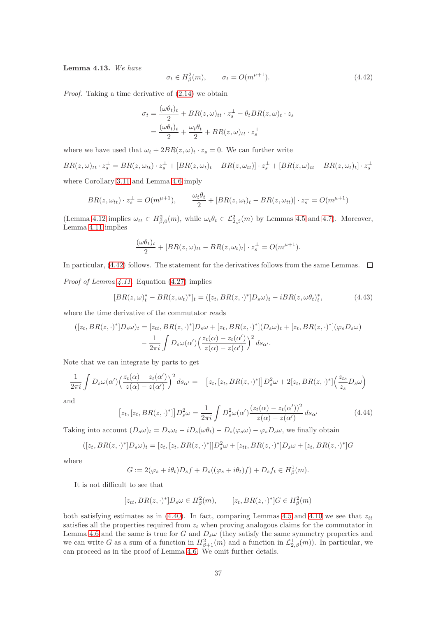<span id="page-36-3"></span>Lemma 4.13. We have

<span id="page-36-0"></span>
$$
\sigma_t \in H^2_{\beta}(m), \qquad \sigma_t = O(m^{\mu+1}). \tag{4.42}
$$

Proof. Taking a time derivative of [\(2.14\)](#page-5-0) we obtain

$$
\sigma_t = \frac{(\omega \theta_t)_t}{2} + BR(z, \omega)_{tt} \cdot z_s^{\perp} - \theta_t BR(z, \omega)_t \cdot z_s
$$

$$
= \frac{(\omega \theta_t)_t}{2} + \frac{\omega_t \theta_t}{2} + BR(z, \omega)_{tt} \cdot z_s^{\perp}
$$

where we have used that  $\omega_t + 2BR(z, \omega)_t \cdot z_s = 0$ . We can further write

$$
BR(z,\omega)_{tt} \cdot z_s^{\perp} = BR(z,\omega_{tt}) \cdot z_s^{\perp} + [BR(z,\omega_t)_t - BR(z,\omega_{tt})] \cdot z_s^{\perp} + [BR(z,\omega)_{tt} - BR(z,\omega_t)_t] \cdot z_s^{\perp}
$$

where Corollary [3.11](#page-26-0) and Lemma [4.6](#page-30-0) imply

$$
BR(z, \omega_{tt}) \cdot z_s^{\perp} = O(m^{\mu+1}), \qquad \frac{\omega_t \theta_t}{2} + [BR(z, \omega_t)_t - BR(z, \omega_{tt})] \cdot z_s^{\perp} = O(m^{\mu+1})
$$

(Lemma [4.12](#page-35-0) implies  $\omega_{tt} \in H^2_{\beta,0}(m)$ , while  $\omega_t \theta_t \in \mathcal{L}^2_{2,\beta}(m)$  by Lemmas [4.5](#page-29-0) and [4.7\)](#page-32-0). Moreover, Lemma [4.11](#page-35-1) implies

$$
\frac{(\omega \theta_t)_t}{2} + [BR(z, \omega)_{tt} - BR(z, \omega_t)_t] \cdot z_s^{\perp} = O(m^{\mu+1}).
$$

In particular, [\(4.42\)](#page-36-0) follows. The statement for the derivatives follows from the same Lemmas.  $\Box$ 

Proof of Lemma [4.11.](#page-35-1) Equation [\(4.27\)](#page-31-0) implies

<span id="page-36-2"></span>
$$
[BR(z,\omega)_t^* - BR(z,\omega_t)^*]_t = ([z_t, BR(z,\cdot)^*]D_s\omega)_t - iBR(z,\omega\theta_t)_t^*,\tag{4.43}
$$

where the time derivative of the commutator reads

$$
([z_t, BR(z, \cdot)^*]D_s \omega)_t = [z_{tt}, BR(z, \cdot)^*]D_s \omega + [z_t, BR(z, \cdot)^*](D_s \omega)_t + [z_t, BR(z, \cdot)^*](\varphi_s D_s \omega) - \frac{1}{2\pi i} \int D_s \omega(\alpha') \Big(\frac{z_t(\alpha) - z_t(\alpha')}{z(\alpha) - z(\alpha')}\Big)^2 ds_{\alpha'}.
$$

Note that we can integrate by parts to get

$$
\frac{1}{2\pi i} \int D_s \omega(\alpha') \left(\frac{z_t(\alpha) - z_t(\alpha')}{z(\alpha) - z(\alpha')}\right)^2 ds_{\alpha'} = -[z_t, [z_t, BR(z, \cdot)^*]] D_s^2 \omega + 2[z_t, BR(z, \cdot)^*] \left(\frac{z_{ts}}{z_s} D_s \omega\right)
$$

and

<span id="page-36-1"></span>
$$
[z_t, [z_t, BR(z, \cdot)^*]] D_s^2 \omega = \frac{1}{2\pi i} \int D_s^2 \omega(\alpha') \frac{(z_t(\alpha) - z_t(\alpha'))^2}{z(\alpha) - z(\alpha')} ds_{\alpha'}
$$
(4.44)

Taking into account  $(D_s\omega)_t = D_s\omega_t - iD_s(\omega\theta_t) - D_s(\varphi_s\omega) - \varphi_sD_s\omega$ , we finally obtain

$$
([z_t, BR(z, \cdot)^*]D_s \omega)_t = [z_t, [z_t, BR(z, \cdot)^*]]D_s^2 \omega + [z_{tt}, BR(z, \cdot)^*]D_s \omega + [z_t, BR(z, \cdot)^*]G
$$

where

$$
G := 2(\varphi_s + i\theta_t)D_s f + D_s((\varphi_s + i\theta_t)f) + D_s f_t \in H^1_{\beta}(m).
$$

It is not difficult to see that

$$
[z_{tt}, BR(z, \cdot)^*]D_s \omega \in H^2_\beta(m), \qquad [z_t, BR(z, \cdot)^*]G \in H^2_\beta(m)
$$

both satisfying estimates as in [\(4.40\)](#page-35-2). In fact, comparing Lemmas [4.5](#page-29-0) and [4.10](#page-35-3) we see that  $z_{tt}$ satisfies all the properties required from  $z_t$  when proving analogous claims for the commutator in Lemma [4.6](#page-30-0) and the same is true for G and  $D_s\omega$  (they satisfy the same symmetry properties and we can write G as a sum of a function in  $H^2_{\beta+1}(m)$  and a function in  $\mathcal{L}^1_{2,\beta}(m)$ ). In particular, we can proceed as in the proof of Lemma [4.6.](#page-30-0) We omit further details.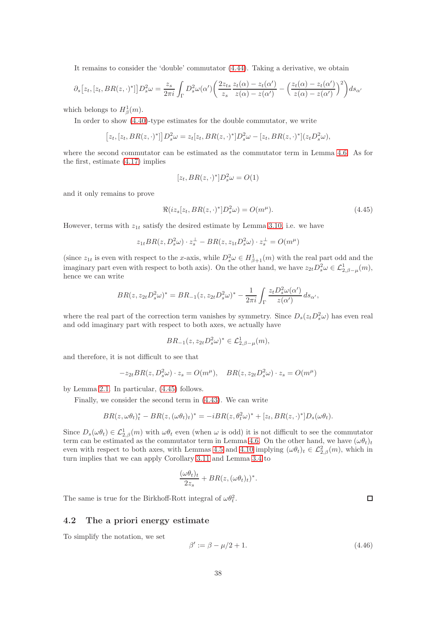It remains to consider the 'double' commutator [\(4.44\)](#page-36-1). Taking a derivative, we obtain

$$
\partial_s [z_t, [z_t, BR(z, \cdot)^*]] D_s^2 \omega = \frac{z_s}{2\pi i} \int_{\Gamma} D_s^2 \omega(\alpha') \left( \frac{2z_{ts}}{z_s} \frac{z_t(\alpha) - z_t(\alpha')}{z(\alpha) - z(\alpha')} - \left( \frac{z_t(\alpha) - z_t(\alpha')}{z(\alpha) - z(\alpha')} \right)^2 \right) ds_{\alpha'}
$$

which belongs to  $H^1_\beta(m)$ .

In order to show [\(4.40\)](#page-35-2)-type estimates for the double commutator, we write

$$
[z_t,[z_t, BR(z,\cdot)^*]]D_s^2\omega = z_t[z_t, BR(z,\cdot)^*]D_s^2\omega - [z_t, BR(z,\cdot)^*](z_tD_s^2\omega),
$$

where the second commutator can be estimated as the commutator term in Lemma [4.6.](#page-30-0) As for the first, estimate [\(4.17\)](#page-29-1) implies

$$
[z_t, BR(z, \cdot)^*]D_s^2 \omega = O(1)
$$

and it only remains to prove

<span id="page-37-0"></span>
$$
\Re(iz_s[z_t, BR(z, \cdot)^*]D_s^2\omega) = O(m^{\mu}).\tag{4.45}
$$

However, terms with  $z_{1t}$  satisfy the desired estimate by Lemma [3.10,](#page-24-0) i.e. we have

$$
z_{1t}BR(z, D_s^2\omega) \cdot z_s^{\perp} - BR(z, z_{1t}D_s^2\omega) \cdot z_s^{\perp} = O(m^{\mu})
$$

(since  $z_{1t}$  is even with respect to the x-axis, while  $D_s^2 \omega \in H^1_{\beta+1}(m)$  with the real part odd and the imaginary part even with respect to both axis). On the other hand, we have  $z_{2t}D_s^2\omega \in \mathcal{L}_{2,\beta-\mu}^1(m)$ , hence we can write

$$
BR(z, z_{2t}D_s^2\omega)^* = BR_{-1}(z, z_{2t}D_s^2\omega)^* - \frac{1}{2\pi i} \int_{\Gamma} \frac{z_t D_s^2 \omega(\alpha')}{z(\alpha')} ds_{\alpha'},
$$

where the real part of the correction term vanishes by symmetry. Since  $D_s(z_tD_s^2\omega)$  has even real and odd imaginary part with respect to both axes, we actually have

$$
BR_{-1}(z, z_{2t}D_s^2\omega)^* \in \mathcal{L}_{2,\beta-\mu}^1(m),
$$

and therefore, it is not difficult to see that

$$
-z_{2t}BR(z, D_s^2\omega) \cdot z_s = O(m^{\mu}), \quad BR(z, z_{2t}D_s^2\omega) \cdot z_s = O(m^{\mu})
$$

by Lemma [2.1.](#page-6-0) In particular, [\(4.45\)](#page-37-0) follows.

Finally, we consider the second term in [\(4.43\)](#page-36-2). We can write

$$
BR(z, \omega\theta_t)_t^* - BR(z, (\omega\theta_t)_t)^* = -iBR(z, \theta_t^2\omega)^* + [z_t, BR(z, \cdot)^*]D_s(\omega\theta_t).
$$

Since  $D_s(\omega \theta_t) \in \mathcal{L}_{2,\beta}^1(m)$  with  $\omega \theta_t$  even (when  $\omega$  is odd) it is not difficult to see the commutator term can be estimated as the commutator term in Lemma [4.6.](#page-30-0) On the other hand, we have  $(\omega \theta_t)_t$ even with respect to both axes, with Lemmas [4.5](#page-29-0) and [4.10](#page-35-3) implying  $(\omega \theta_t)_t \in \mathcal{L}_{2,\beta}^2(m)$ , which in turn implies that we can apply Corollary [3.11](#page-26-0) and Lemma [3.4](#page-11-0) to

$$
\frac{(\omega \theta_t)_t}{2z_s} + BR(z, (\omega \theta_t)_t)^*.
$$

The same is true for the Birkhoff-Rott integral of  $\omega \theta_t^2$ .

#### 4.2 The a priori energy estimate

To simplify the notation, we set

<span id="page-37-1"></span>
$$
\beta' := \beta - \mu/2 + 1. \tag{4.46}
$$

 $\Box$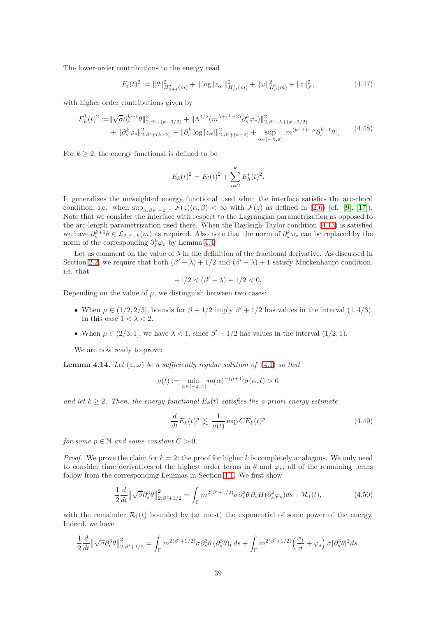The lower-order contributions to the energy read

$$
E_l(t)^2 := \|\theta\|_{H^2_{\beta+1}(m)}^2 + \|\log|z_\alpha|\|_{H^1_{\beta'}(m)}^2 + \|\omega\|_{H^2_{\beta}(m)}^2 + \|z\|_{\mathcal{F}}^2,\tag{4.47}
$$

with higher order contributions given by

<span id="page-38-1"></span>
$$
E_h^k(t)^2 := \|\sqrt{\sigma} \partial_s^{k+1} \theta\|_{2,\beta'+(k-3/2)}^2 + \|\Lambda^{1/2}(m^{\lambda+(k-2)} \partial_s^k \varphi_s)\|_{2,\beta'-\lambda+(k-3/2)}^2 + \|\partial_s^k \varphi_s\|_{2,\beta'+(k-2)}^2 + \|\partial_s^k \log |z_\alpha|\|_{2,\beta'+(k-2)}^2 + \sup_{\alpha \in [-\pi,\pi]} |m^{(k-1)-\mu} \partial_s^{k-1} \theta|,
$$
(4.48)

For  $k \geq 2$ , the energy functional is defined to be

$$
E_k(t)^2 = E_l(t)^2 + \sum_{i=2}^k E_h^i(t)^2.
$$

It generalizes the unweighted energy functional used when the interface satisfies the arc-chord condition, i.e. when  $\sup_{\alpha,\beta\in[-\pi,\pi]}\mathcal{F}(z)(\alpha,\beta)<\infty$  with  $\mathcal{F}(z)$  as defined in [\(2.6\)](#page-4-0) (cf. [\[9\]](#page-77-0), [\[17\]](#page-78-0)). Note that we consider the interface with respect to the Lagrangian parametrization as opposed to the arc-length parametrization used there. When the Rayleigh-Taylor condition [\(4.13\)](#page-27-0) is satisfied we have  $\partial_s^{k+1}\theta \in \mathcal{L}_{2,\beta+k}(m)$  as required. Also note that the norm of  $\partial_s^k\omega_s$  can be replaced by the norm of the corresponding  $\partial_s^k \varphi_s$  by Lemma [4.4.](#page-28-0)

Let us comment on the value of  $\lambda$  in the definition of the fractional derivative. As discussed in Section [2.2,](#page-5-1) we require that both  $(\beta' - \lambda) + 1/2$  and  $(\beta' - \lambda) + 1$  satisfy Muckenhaupt condition, i.e. that

$$
-1/2 < (\beta' - \lambda) + 1/2 < 0,
$$

Depending on the value of  $\mu$ , we distinguish between two cases:

- When  $\mu \in (1/2, 2/3]$ , bounds for  $\beta + 1/2$  imply  $\beta' + 1/2$  has values in the interval  $(1, 4/3)$ . In this case  $1 < \lambda < 2$ .
- When  $\mu \in (2/3, 1]$ , we have  $\lambda < 1$ , since  $\beta' + 1/2$  has values in the interval  $(1/2, 1)$ .

We are now ready to prove:

<span id="page-38-3"></span>**Lemma 4.14.** Let  $(z, \omega)$  be a sufficiently regular solution of  $(4.1)$  so that

$$
a(t) := \min_{\alpha \in [-\pi, \pi]} m(\alpha)^{-(\mu+1)} \sigma(\alpha, t) > 0
$$

and let  $k \geq 2$ . Then, the energy functional  $E_k(t)$  satisfies the a-priori energy estimate

<span id="page-38-2"></span>
$$
\frac{d}{dt}E_k(t)^p \lesssim \frac{1}{a(t)} \exp CE_k(t)^p \tag{4.49}
$$

for some  $p \in \mathbb{N}$  and some constant  $C > 0$ .

*Proof.* We prove the claim for  $k = 2$ ; the proof for higher k is completely analogous. We only need to consider time derivatives of the highest order terms in  $\theta$  and  $\varphi_s$ , all of the remaining terms follow from the corresponding Lemmas in Section [4.1.](#page-28-1) We first show

<span id="page-38-0"></span>
$$
\frac{1}{2}\frac{d}{dt}\left\|\sqrt{\sigma}\partial_s^3\theta\right\|_{2,\beta'+1/2}^2 = \int_{\Gamma} m^{2(\beta'+1/2)}\sigma \partial_s^3\theta \,\partial_s H(\partial_s^2\varphi_s)ds + \mathcal{R}_1(t),\tag{4.50}
$$

with the remainder  $\mathcal{R}_1(t)$  bounded by (at most) the exponential of some power of the energy. Indeed, we have

$$
\frac{1}{2}\frac{d}{dt}\left\|\sqrt{\sigma}\partial_s^3\theta\right\|_{2,\beta'+1/2}^2 = \int_{\Gamma} m^{2(\beta'+1/2)}\sigma \partial_s^3\theta \, (\partial_s^3\theta)_t \, ds + \int_{\Gamma} m^{2(\beta'+1/2)}\left(\frac{\sigma_t}{\sigma} + \varphi_s\right) \sigma |\partial_s^3\theta|^2 ds.
$$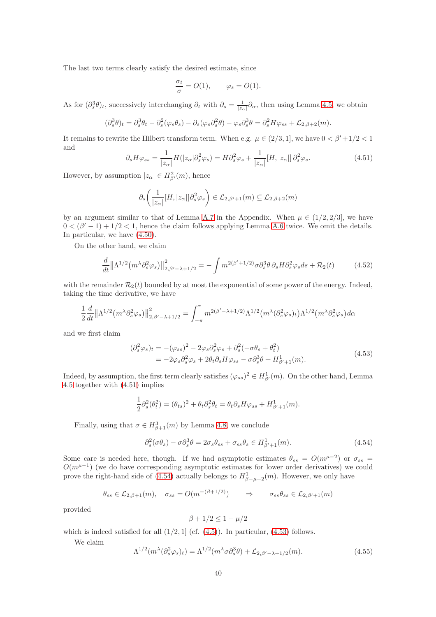The last two terms clearly satisfy the desired estimate, since

$$
\frac{\sigma_t}{\sigma} = O(1), \qquad \varphi_s = O(1).
$$

As for  $(\partial_s^3 \theta)_t$ , successively interchanging  $\partial_t$  with  $\partial_s = \frac{1}{|z_\alpha|} \partial_\alpha$ , then using Lemma [4.5,](#page-29-0) we obtain

$$
(\partial_s^3 \theta)_t = \partial_s^3 \theta_t - \partial_s^2 (\varphi_s \theta_s) - \partial_s (\varphi_s \partial_s^2 \theta) - \varphi_s \partial_s^3 \theta = \partial_s^2 H \varphi_{ss} + \mathcal{L}_{2,\beta+2}(m).
$$

It remains to rewrite the Hilbert transform term. When e.g.  $\mu \in (2/3, 1]$ , we have  $0 < \beta' + 1/2 < 1$ and

<span id="page-39-0"></span>
$$
\partial_s H \varphi_{ss} = \frac{1}{|z_{\alpha}|} H(|z_{\alpha}| \partial_s^2 \varphi_s) = H \partial_s^2 \varphi_s + \frac{1}{|z_{\alpha}|} [H, |z_{\alpha}|] \partial_s^2 \varphi_s.
$$
 (4.51)

However, by assumption  $|z_{\alpha}| \in H_{\beta'}^2(m)$ , hence

$$
\partial_s \left( \frac{1}{|z_{\alpha}|} [H, |z_{\alpha}|] \partial_s^2 \varphi_s \right) \in \mathcal{L}_{2,\beta'+1}(m) \subseteq \mathcal{L}_{2,\beta+2}(m)
$$

by an argument similar to that of Lemma [A.7](#page-71-0) in the Appendix. When  $\mu \in (1/2, 2/3]$ , we have  $0 < (\beta' - 1) + 1/2 < 1$ , hence the claim follows applying Lemma [A.6](#page-70-0) twice. We omit the details. In particular, we have [\(4.50\)](#page-38-0).

On the other hand, we claim

<span id="page-39-4"></span>
$$
\frac{d}{dt} \left\| \Lambda^{1/2} \left( m^{\lambda} \partial_s^2 \varphi_s \right) \right\|_{2, \beta' - \lambda + 1/2}^2 = - \int m^{2(\beta' + 1/2)} \sigma \partial_s^3 \theta \, \partial_s H \partial_s^2 \varphi_s ds + \mathcal{R}_2(t) \tag{4.52}
$$

with the remainder  $\mathcal{R}_2(t)$  bounded by at most the exponential of some power of the energy. Indeed, taking the time derivative, we have

$$
\frac{1}{2}\frac{d}{dt}\left\|\Lambda^{1/2}(m^{\lambda}\partial_{s}^{2}\varphi_{s})\right\|^{2}_{2,\beta'-\lambda+1/2}=\int_{-\pi}^{\pi}m^{2(\beta'-\lambda+1/2)}\Lambda^{1/2}(m^{\lambda}(\partial_{s}^{2}\varphi_{s})_{t})\Lambda^{1/2}(m^{\lambda}\partial_{s}^{2}\varphi_{s})d\alpha
$$

and we first claim

<span id="page-39-2"></span>
$$
\begin{split} (\partial_s^2 \varphi_s)_t &= -(\varphi_{ss})^2 - 2\varphi_s \partial_s^2 \varphi_s + \partial_s^2 (-\sigma \theta_s + \theta_t^2) \\ &= -2\varphi_s \partial_s^2 \varphi_s + 2\theta_t \partial_s H \varphi_{ss} - \sigma \partial_s^3 \theta + H_{\beta'+1}^1(m). \end{split} \tag{4.53}
$$

Indeed, by assumption, the first term clearly satisfies  $(\varphi_{ss})^2 \in H^1_{\beta'}(m)$ . On the other hand, Lemma [4.5](#page-29-0) together with [\(4.51\)](#page-39-0) implies

$$
\frac{1}{2}\partial_s^2(\theta_t^2) = (\theta_{ts})^2 + \theta_t \partial_s^2 \theta_t = \theta_t \partial_s H \varphi_{ss} + H^1_{\beta'+1}(m).
$$

Finally, using that  $\sigma \in H^3_{\beta+1}(m)$  by Lemma [4.8,](#page-33-0) we conclude

<span id="page-39-1"></span>
$$
\partial_s^2(\sigma \theta_s) - \sigma \partial_s^3 \theta = 2\sigma_s \theta_{ss} + \sigma_{ss} \theta_s \in H^1_{\beta'+1}(m). \tag{4.54}
$$

Some care is needed here, though. If we had asymptotic estimates  $\theta_{ss} = O(m^{\mu-2})$  or  $\sigma_{ss} =$  $O(m^{\mu-1})$  (we do have corresponding asymptotic estimates for lower order derivatives) we could prove the right-hand side of [\(4.54\)](#page-39-1) actually belongs to  $H^1_{\beta-\mu+2}(m)$ . However, we only have

$$
\theta_{ss} \in \mathcal{L}_{2,\beta+1}(m), \quad \sigma_{ss} = O(m^{-(\beta+1/2)}) \qquad \Rightarrow \qquad \sigma_{ss} \theta_{ss} \in \mathcal{L}_{2,\beta'+1}(m)
$$

provided

$$
\beta+1/2\leq 1-\mu/2
$$

which is indeed satisfied for all  $(1/2, 1]$  (cf.  $(4.5)$ ). In particular,  $(4.53)$  follows.

We claim

<span id="page-39-3"></span>
$$
\Lambda^{1/2}(m^{\lambda}(\partial_s^2 \varphi_s)_t) = \Lambda^{1/2}(m^{\lambda} \sigma \partial_s^3 \theta) + \mathcal{L}_{2,\beta'-\lambda+1/2}(m). \tag{4.55}
$$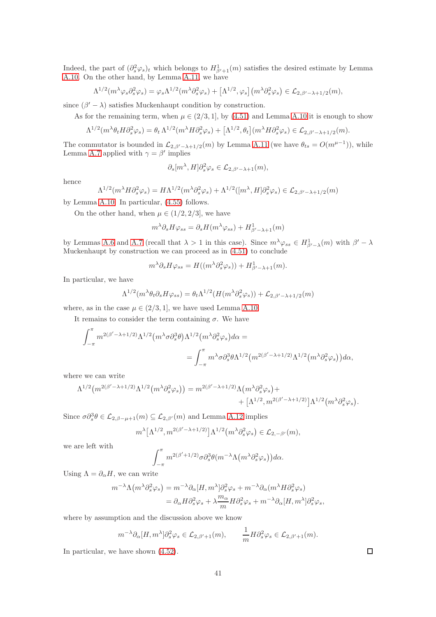Indeed, the part of  $(\partial_s^2 \varphi_s)_t$  which belongs to  $H^1_{\beta'+1}(m)$  satisfies the desired estimate by Lemma [A.10.](#page-72-0) On the other hand, by Lemma [A.11,](#page-73-0) we have

$$
\Lambda^{1/2}(m^{\lambda}\varphi_s\partial_s^2\varphi_s) = \varphi_s\Lambda^{1/2}(m^{\lambda}\partial_s^2\varphi_s) + \left[\Lambda^{1/2},\varphi_s\right](m^{\lambda}\partial_s^2\varphi_s) \in \mathcal{L}_{2,\beta'-\lambda+1/2}(m),
$$

since  $(\beta' - \lambda)$  satisfies Muckenhaupt condition by construction.

As for the remaining term, when  $\mu \in (2/3, 1]$ , by [\(4.51\)](#page-39-0) and Lemma [A.10](#page-72-0) it is enough to show

$$
\Lambda^{1/2}(m^{\lambda}\theta_t H \partial_s^2 \varphi_s) = \theta_t \Lambda^{1/2}(m^{\lambda} H \partial_s^2 \varphi_s) + \left[\Lambda^{1/2}, \theta_t\right](m^{\lambda} H \partial_s^2 \varphi_s) \in \mathcal{L}_{2, \beta'-\lambda+1/2}(m).
$$

The commutator is bounded in  $\mathcal{L}_{2,\beta'-\lambda+1/2}(m)$  by Lemma [A.11](#page-73-0) (we have  $\theta_{ts} = O(m^{\mu-1})$ ), while Lemma [A.7](#page-71-0) applied with  $\gamma = \beta'$  implies

$$
\partial_s[m^\lambda, H]\partial_s^2\varphi_s \in \mathcal{L}_{2,\beta'-\lambda+1}(m),
$$

hence

$$
\Lambda^{1/2}(m^{\lambda}H\partial_s^2\varphi_s) = H\Lambda^{1/2}(m^{\lambda}\partial_s^2\varphi_s) + \Lambda^{1/2}([m^{\lambda},H]\partial_s^2\varphi_s) \in \mathcal{L}_{2,\beta'-\lambda+1/2}(m)
$$

by Lemma [A.10.](#page-72-0) In particular, [\(4.55\)](#page-39-3) follows.

On the other hand, when  $\mu \in (1/2, 2/3]$ , we have

$$
m^{\lambda} \partial_s H \varphi_{ss} = \partial_s H(m^{\lambda} \varphi_{ss}) + H^1_{\beta' - \lambda + 1}(m)
$$

by Lemmas [A.6](#page-70-0) and [A.7](#page-71-0) (recall that  $\lambda > 1$  in this case). Since  $m^{\lambda} \varphi_{ss} \in H^1_{\beta'-\lambda}(m)$  with  $\beta'-\lambda$ Muckenhaupt by construction we can proceed as in [\(4.51\)](#page-39-0) to conclude

$$
m^{\lambda} \partial_s H \varphi_{ss} = H((m^{\lambda} \partial_s^2 \varphi_s)) + H^1_{\beta' - \lambda + 1}(m).
$$

In particular, we have

$$
\Lambda^{1/2}(m^{\lambda}\theta_t \partial_s H \varphi_{ss}) = \theta_t \Lambda^{1/2}(H(m^{\lambda}\partial_s^2 \varphi_s)) + \mathcal{L}_{2,\beta'-\lambda+1/2}(m)
$$

where, as in the case  $\mu \in (2/3, 1]$ , we have used Lemma [A.10.](#page-72-0)

It remains to consider the term containing  $\sigma$ . We have

$$
\begin{split} \int_{-\pi}^{\pi} m^{2(\beta'-\lambda+1/2)} \Lambda^{1/2} \big( m^{\lambda} \sigma \partial_s^3 \theta \big) \Lambda^{1/2} \big( m^{\lambda} \partial_s^2 \varphi_s \big) d\alpha = \\ = \int_{-\pi}^{\pi} m^{\lambda} \sigma \partial_s^3 \theta \Lambda^{1/2} \big( m^{2(\beta'-\lambda+1/2)} \Lambda^{1/2} \big( m^{\lambda} \partial_s^2 \varphi_s \big) \big) d\alpha, \end{split}
$$

where we can write

$$
\Lambda^{1/2}\left(m^{2(\beta'-\lambda+1/2)}\Lambda^{1/2}\left(m^{\lambda}\partial_s^2\varphi_s\right)\right) = m^{2(\beta'-\lambda+1/2)}\Lambda\left(m^{\lambda}\partial_s^2\varphi_s\right) + \left[\Lambda^{1/2},m^{2(\beta'-\lambda+1/2)}\right]\Lambda^{1/2}\left(m^{\lambda}\partial_s^2\varphi_s\right).
$$

Since  $\sigma \partial_s^3 \theta \in \mathcal{L}_{2,\beta-\mu+1}(m) \subseteq \mathcal{L}_{2,\beta'}(m)$  and Lemma [A.12](#page-73-1) implies

$$
m^{\lambda} \left[ \Lambda^{1/2}, m^{2(\beta' - \lambda + 1/2)} \right] \Lambda^{1/2} \left( m^{\lambda} \partial_s^2 \varphi_s \right) \in \mathcal{L}_{2, -\beta'}(m),
$$

we are left with

$$
\int_{-\pi}^{\pi} m^{2(\beta'+1/2)} \sigma \partial_s^3 \theta(m^{-\lambda} \Lambda(m^{\lambda} \partial_s^2 \varphi_s)) d\alpha.
$$

Using  $\Lambda = \partial_{\alpha} H$ , we can write

$$
\begin{split} m^{-\lambda}\Lambda\big(m^{\lambda}\partial_{s}^{2}\varphi_{s}\big) &= m^{-\lambda}\partial_{\alpha}[H,m^{\lambda}]\partial_{s}^{2}\varphi_{s} + m^{-\lambda}\partial_{\alpha}(m^{\lambda}H\partial_{s}^{2}\varphi_{s}) \\ &= \partial_{\alpha}H\partial_{s}^{2}\varphi_{s} + \lambda\frac{m_{\alpha}}{m}H\partial_{s}^{2}\varphi_{s} + m^{-\lambda}\partial_{\alpha}[H,m^{\lambda}]\partial_{s}^{2}\varphi_{s}, \end{split}
$$

where by assumption and the discussion above we know

$$
m^{-\lambda}\partial_{\alpha}[H,m^{\lambda}]\partial_s^2\varphi_s \in \mathcal{L}_{2,\beta'+1}(m), \qquad \frac{1}{m}H\partial_s^2\varphi_s \in \mathcal{L}_{2,\beta'+1}(m).
$$

In particular, we have shown [\(4.52\)](#page-39-4).

 $\Box$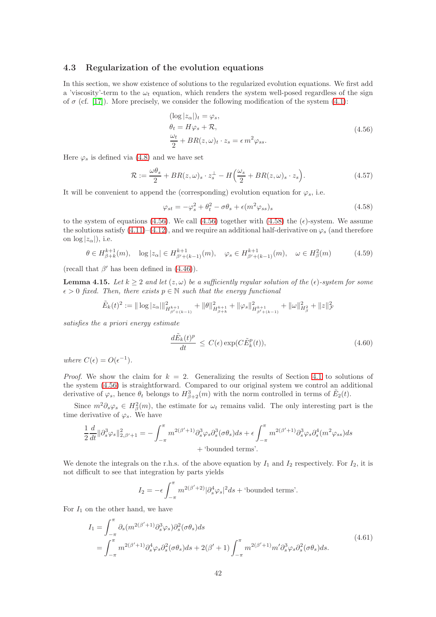### <span id="page-41-7"></span>4.3 Regularization of the evolution equations

In this section, we show existence of solutions to the regularized evolution equations. We first add a 'viscosity'-term to the  $\omega_t$  equation, which renders the system well-posed regardless of the sign of  $\sigma$  (cf. [\[17\]](#page-78-0)). More precisely, we consider the following modification of the system [\(4.1\)](#page-26-1):

<span id="page-41-0"></span>
$$
(\log |z_{\alpha}|)_{t} = \varphi_{s},
$$
  
\n
$$
\theta_{t} = H\varphi_{s} + \mathcal{R},
$$
  
\n
$$
\frac{\omega_{t}}{2} + BR(z, \omega)_{t} \cdot z_{s} = \epsilon m^{2} \varphi_{ss}.
$$
\n(4.56)

Here  $\varphi_s$  is defined via [\(4.8\)](#page-27-2) and we have set

<span id="page-41-2"></span>
$$
\mathcal{R} := \frac{\omega \theta_s}{2} + BR(z, \omega)_s \cdot z_s^{\perp} - H\left(\frac{\omega_s}{2} + BR(z, \omega)_s \cdot z_s\right). \tag{4.57}
$$

It will be convenient to append the (corresponding) evolution equation for  $\varphi_s$ , i.e.

<span id="page-41-1"></span>
$$
\varphi_{st} = -\varphi_s^2 + \theta_t^2 - \sigma \theta_s + \epsilon (m^2 \varphi_{ss})_s \tag{4.58}
$$

to the system of equations [\(4.56\)](#page-41-0). We call (4.56) together with [\(4.58\)](#page-41-1) the  $(\epsilon)$ -system. We assume the solutions satisfy  $(4.11)$ – $(4.12)$ , and we require an additional half-derivative on  $\varphi_s$  (and therefore on  $\log |z_\alpha|$ , i.e.

<span id="page-41-6"></span>
$$
\theta \in H_{\beta+k}^{k+1}(m), \quad \log|z_{\alpha}| \in H_{\beta'+(k-1)}^{k+1}(m), \quad \varphi_s \in H_{\beta'+(k-1)}^{k+1}(m), \quad \omega \in H_{\beta}^2(m) \tag{4.59}
$$

(recall that  $\beta'$  has been defined in [\(4.46\)](#page-37-1)).

<span id="page-41-4"></span>**Lemma 4.15.** Let  $k \geq 2$  and let  $(z, \omega)$  be a sufficiently regular solution of the  $(\epsilon)$ -system for some  $\epsilon > 0$  fixed. Then, there exists  $p \in \mathbb{N}$  such that the energy functional

$$
\tilde{E}_k(t)^2 := \|\log |z_\alpha|\|_{H^{k+1}_{\beta' + (k-1)}}^2 + \|\theta\|_{H^{k+1}_{\beta+k}}^2 + \|\varphi_s\|_{H^{k+1}_{\beta' + (k-1)}}^2 + \|\omega\|_{H^2_\beta}^2 + \|z\|_{\mathcal{F}}^2
$$

satisfies the a priori energy estimate

<span id="page-41-3"></span>
$$
\frac{d\tilde{E}_k(t)^p}{dt} \le C(\epsilon) \exp(C\tilde{E}_k^p(t)),\tag{4.60}
$$

where  $C(\epsilon) = O(\epsilon^{-1}).$ 

*Proof.* We show the claim for  $k = 2$ . Generalizing the results of Section [4.1](#page-28-1) to solutions of the system [\(4.56\)](#page-41-0) is straightforward. Compared to our original system we control an additional derivative of  $\varphi_s$ , hence  $\theta_t$  belongs to  $H^3_{\beta+2}(m)$  with the norm controlled in terms of  $\tilde{E}_2(t)$ .

Since  $m^2\partial_s\varphi_s \in H^2_{\beta}(m)$ , the estimate for  $\omega_t$  remains valid. The only interesting part is the time derivative of  $\varphi_s$ . We have

$$
\frac{1}{2}\frac{d}{dt}\|\partial_s^3\varphi_s\|_{2,\beta'+1}^2 = -\int_{-\pi}^{\pi} m^{2(\beta'+1)}\partial_s^3\varphi_s\partial_s^3(\sigma\theta_s)ds + \epsilon \int_{-\pi}^{\pi} m^{2(\beta'+1)}\partial_s^3\varphi_s\partial_s^4(m^2\varphi_{ss})ds
$$
  
+ 'bounded terms'.

We denote the integrals on the r.h.s. of the above equation by  $I_1$  and  $I_2$  respectively. For  $I_2$ , it is not difficult to see that integration by parts yields

$$
I_2 = -\epsilon \int_{-\pi}^{\pi} m^{2(\beta'+2)} |\partial_s^4 \varphi_s|^2 ds + \text{ 'bounded terms' }.
$$

For  $I_1$  on the other hand, we have

<span id="page-41-5"></span>
$$
I_1 = \int_{-\pi}^{\pi} \partial_s(m^{2(\beta'+1)} \partial_s^3 \varphi_s) \partial_s^2 (\sigma \theta_s) ds
$$
  
= 
$$
\int_{-\pi}^{\pi} m^{2(\beta'+1)} \partial_s^4 \varphi_s \partial_s^2 (\sigma \theta_s) ds + 2(\beta'+1) \int_{-\pi}^{\pi} m^{2(\beta'+1)} m' \partial_s^3 \varphi_s \partial_s^2 (\sigma \theta_s) ds.
$$
 (4.61)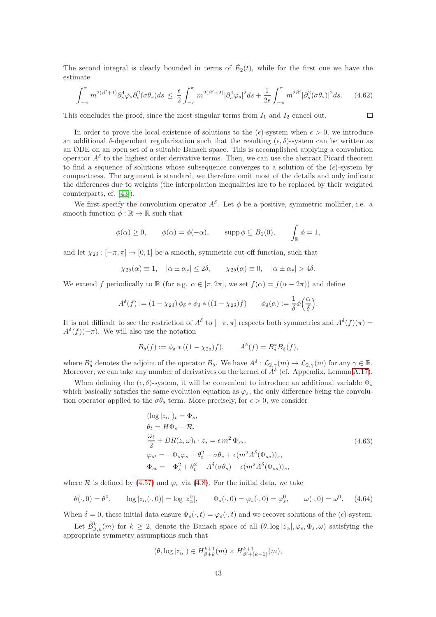The second integral is clearly bounded in terms of  $\tilde{E}_2(t)$ , while for the first one we have the estimate

<span id="page-42-2"></span>
$$
\int_{-\pi}^{\pi} m^{2(\beta'+1)} \partial_s^4 \varphi_s \partial_s^2 (\sigma \theta_s) ds \leq \frac{\epsilon}{2} \int_{-\pi}^{\pi} m^{2(\beta'+2)} |\partial_s^4 \varphi_s|^2 ds + \frac{1}{2\epsilon} \int_{-\pi}^{\pi} m^{2\beta'} |\partial_s^2 (\sigma \theta_s)|^2 ds. \tag{4.62}
$$

 $\Box$ 

This concludes the proof, since the most singular terms from  $I_1$  and  $I_2$  cancel out.

In order to prove the local existence of solutions to the  $(\epsilon)$ -system when  $\epsilon > 0$ , we introduce an additional δ-dependent regularization such that the resulting  $(\epsilon, \delta)$ -system can be written as an ODE on an open set of a suitable Banach space. This is accomplished applying a convolution operator  $A^{\delta}$  to the highest order derivative terms. Then, we can use the abstract Picard theorem to find a sequence of solutions whose subsequence converges to a solution of the  $(\epsilon)$ -system by compactness. The argument is standard, we therefore omit most of the details and only indicate the differences due to weights (the interpolation inequalities are to be replaced by their weighted counterparts, cf. [\[43\]](#page-79-0)).

We first specify the convolution operator  $A^{\delta}$ . Let  $\phi$  be a positive, symmetric mollifier, i.e. a smooth function  $\phi : \mathbb{R} \to \mathbb{R}$  such that

$$
\phi(\alpha) \ge 0
$$
,  $\phi(\alpha) = \phi(-\alpha)$ ,  $\text{supp }\phi \subseteq B_1(0)$ ,  $\int_{\mathbb{R}} \phi = 1$ ,

and let  $\chi_{2\delta} : [-\pi, \pi] \to [0, 1]$  be a smooth, symmetric cut-off function, such that

$$
\chi_{2\delta}(\alpha) \equiv 1, \quad |\alpha \pm \alpha_*| \le 2\delta, \qquad \chi_{2\delta}(\alpha) \equiv 0, \quad |\alpha \pm \alpha_*| > 4\delta.
$$

We extend f periodically to R (for e.g.  $\alpha \in [\pi, 2\pi]$ , we set  $f(\alpha) = f(\alpha - 2\pi)$ ) and define

$$
A^{\delta}(f) := (1 - \chi_{2\delta}) \phi_{\delta} * \phi_{\delta} * ((1 - \chi_{2\delta})f) \qquad \phi_{\delta}(\alpha) := \frac{1}{\delta} \phi\left(\frac{\alpha}{\delta}\right).
$$

It is not difficult to see the restriction of  $A^{\delta}$  to  $[-\pi, \pi]$  respects both symmetries and  $A^{\delta}(f)(\pi) =$  $A^{\delta}(f)(-\pi)$ . We will also use the notation

$$
B_{\delta}(f) := \phi_{\delta} * ((1 - \chi_{2\delta})f), \qquad A^{\delta}(f) = B_{\delta}^* B_{\delta}(f),
$$

where  $B_{\delta}^*$  denotes the adjoint of the operator  $B_{\delta}$ . We have  $A^{\delta}: \mathcal{L}_{2,\gamma}(m) \to \mathcal{L}_{2,\gamma}(m)$  for any  $\gamma \in \mathbb{R}$ . Moreover, we can take any number of derivatives on the kernel of  $A^{\delta}$  (cf. Appendix, Lemma [A.17\)](#page-75-0).

When defining the  $(\epsilon, \delta)$ -system, it will be convenient to introduce an additional variable  $\Phi_s$ which basically satisfies the same evolution equation as  $\varphi_s$ , the only difference being the convolution operator applied to the  $\sigma \theta_s$  term. More precisely, for  $\epsilon > 0$ , we consider

<span id="page-42-0"></span>
$$
(\log |z_{\alpha}|)_{t} = \Phi_{s},
$$
  
\n
$$
\theta_{t} = H\Phi_{s} + \mathcal{R},
$$
  
\n
$$
\frac{\omega_{t}}{2} + BR(z, \omega)_{t} \cdot z_{s} = \epsilon m^{2} \Phi_{ss},
$$
  
\n
$$
\varphi_{st} = -\Phi_{s}\varphi_{s} + \theta_{t}^{2} - \sigma\theta_{s} + \epsilon(m^{2}A^{\delta}(\Phi_{ss}))_{s},
$$
  
\n
$$
\Phi_{st} = -\Phi_{s}^{2} + \theta_{t}^{2} - A^{\delta}(\sigma\theta_{s}) + \epsilon(m^{2}A^{\delta}(\Phi_{ss}))_{s},
$$
\n(4.63)

where R is defined by [\(4.57\)](#page-41-2) and  $\varphi_s$  via [\(4.8\)](#page-27-2). For the initial data, we take

<span id="page-42-1"></span>
$$
\theta(\cdot,0) = \theta^0, \qquad \log|z_\alpha(\cdot,0)| = \log|z_\alpha^0|, \qquad \Phi_s(\cdot,0) = \varphi_s(\cdot,0) = \varphi_s^0, \qquad \omega(\cdot,0) = \omega^0. \tag{4.64}
$$

When  $\delta = 0$ , these initial data ensure  $\Phi_s(\cdot, t) = \varphi_s(\cdot, t)$  and we recover solutions of the  $(\epsilon)$ -system. Let  $\tilde{\mathcal{B}}_{\beta,\mu}^k(m)$  for  $k \geq 2$ , denote the Banach space of all  $(\theta, \log |z_\alpha|, \varphi_s, \Phi_s, \omega)$  satisfying the appropriate symmetry assumptions such that

$$
(\theta, \log |z_\alpha|) \in H^{k+1}_{\beta+k}(m) \times H^{k+1}_{\beta'+(k-1)}(m),
$$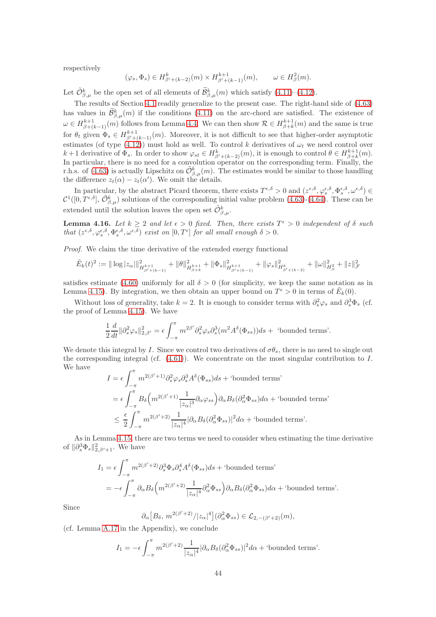respectively

$$
(\varphi_s, \Phi_s) \in H^k_{\beta'+(k-2)}(m) \times H^{k+1}_{\beta'+(k-1)}(m), \qquad \omega \in H^2_{\beta}(m).
$$

Let  $\tilde{\mathcal{O}}_{\beta,\mu}^{k}$  be the open set of all elements of  $\tilde{\mathcal{B}}_{\beta,\mu}^{k}(m)$  which satisfy  $(4.11)-(4.12)$  $(4.11)-(4.12)$ .

The results of Section [4.1](#page-28-1) readily generalize to the present case. The right-hand side of [\(4.63\)](#page-42-0) has values in  $\tilde{\mathcal{B}}_{\beta,\mu}^k(m)$  if the conditions [\(4.11\)](#page-27-3) on the arc-chord are satisfied. The existence of  $\omega \in H^{k+1}_{\beta+(k-1)}(m)$  follows from Lemma [4.4.](#page-28-0) We can then show  $\mathcal{R} \in H^{k+1}_{\beta+k}(m)$  and the same is true for  $\theta_t$  given  $\Phi_s \in H^{k+1}_{\beta'+(k-1)}(m)$ . Moreover, it is not difficult to see that higher-order asymptotic estimates (of type [\(4.12\)](#page-27-4)) must hold as well. To control k derivatives of  $\omega_t$  we need control over  $k+1$  derivative of  $\Phi_s$ . In order to show  $\varphi_{st} \in H^k_{\beta' + (k-2)}(m)$ , it is enough to control  $\theta \in H^{k+1}_{\beta+k}(m)$ . In particular, there is no need for a convolution operator on the corresponding term. Finally, the r.h.s. of [\(4.63\)](#page-42-0) is actually Lipschitz on  $\tilde{\mathcal{O}}_{\beta,\mu}^k(m)$ . The estimates would be similar to those handling the difference  $z_t(\alpha) - z_t(\alpha')$ . We omit the details.

In particular, by the abstract Picard theorem, there exists  $T^{\epsilon,\delta} > 0$  and  $(z^{\epsilon,\delta}, \varphi_s^{\epsilon,\delta}, \Phi_s^{\epsilon,\delta}, \omega^{\epsilon,\delta}) \in$  $\mathcal{C}^1([0,T^{\epsilon,\delta}], \tilde{\mathcal{O}}_{\beta,\mu}^k)$  solutions of the corresponding initial value problem  $(4.63)-(4.64)$  $(4.63)-(4.64)$ . These can be extended until the solution leaves the open set  $\tilde{\mathcal{O}}^k_{\beta,\mu}.$ 

**Lemma 4.16.** Let  $k \geq 2$  and let  $\epsilon > 0$  fixed. Then, there exists  $T^{\epsilon} > 0$  independent of  $\delta$  such that  $(z^{\epsilon,\delta}, \varphi_s^{\epsilon,\delta}, \Phi_s^{\epsilon,\delta}, \omega^{\epsilon,\delta})$  exist on  $[0, T^{\epsilon}]$  for all small enough  $\delta > 0$ .

Proof. We claim the time derivative of the extended energy functional

$$
\tilde{E}_k(t)^2 := \|\log |z_\alpha|\|_{H^{k+1}_{\beta' + (k-1)}}^2 + \|\theta\|_{H^{k+1}_{\beta+k}}^2 + \|\Phi_s\|_{H^{k+1}_{\beta' + (k-1)}}^2 + \|\varphi_s\|_{H^{k}_{\beta' + (k-2)}}^2 + \|\omega\|_{H^2_\beta}^2 + \|z\|_{\mathcal{F}}^2
$$

satisfies estimate [\(4.60\)](#page-41-3) uniformly for all  $\delta > 0$  (for simplicity, we keep the same notation as in Lemma [4.15\)](#page-41-4). By integration, we then obtain an upper bound on  $T^{\epsilon} > 0$  in terms of  $\tilde{E}_k(0)$ .

Without loss of generality, take  $k = 2$ . It is enough to consider terms with  $\partial_s^2 \varphi_s$  and  $\partial_s^3 \Phi_s$  (cf. the proof of Lemma [4.15\)](#page-41-4). We have

$$
\frac{1}{2}\frac{d}{dt}\|\partial_s^2\varphi_s\|_{2,\beta'}^2 = \epsilon \int_{-\pi}^{\pi} m^{2\beta'} \partial_s^2 \varphi_s \partial_s^3(m^2 A^\delta(\Phi_{ss}))ds + \text{ 'bounded terms' }.
$$

We denote this integral by I. Since we control two derivatives of  $\sigma \theta_s$ , there is no need to single out the corresponding integral (cf.  $(4.61)$ ). We concentrate on the most singular contribution to I. We have

$$
I = \epsilon \int_{-\pi}^{\pi} m^{2(\beta'+1)} \partial_s^2 \varphi_s \partial_s^3 A^\delta (\Phi_{ss}) ds + \text{'bounded terms'}
$$
  
\n
$$
= \epsilon \int_{-\pi}^{\pi} B_\delta \left( m^{2(\beta'+1)} \frac{1}{|z_\alpha|^3} \partial_\alpha \varphi_{ss} \right) \partial_\alpha B_\delta (\partial_\alpha^2 \Phi_{ss}) d\alpha + \text{'bounded terms'}
$$
  
\n
$$
\leq \frac{\epsilon}{2} \int_{-\pi}^{\pi} m^{2(\beta'+2)} \frac{1}{|z_\alpha|^4} |\partial_\alpha B_\delta (\partial_\alpha^2 \Phi_{ss})|^2 d\alpha + \text{'bounded terms'}
$$
.

As in Lemma [4.15,](#page-41-4) there are two terms we need to consider when estimating the time derivative of  $\|\partial_s^3 \Phi_s\|_{2,\beta'+1}^2$ . We have

$$
I_1 = \epsilon \int_{-\pi}^{\pi} m^{2(\beta'+2)} \partial_s^3 \Phi_s \partial_s^4 A^\delta (\Phi_{ss}) ds + \text{'bounded terms'}
$$
  
=  $-\epsilon \int_{-\pi}^{\pi} \partial_\alpha B_\delta \left( m^{2(\beta'+2)} \frac{1}{|z_\alpha|^4} \partial_\alpha^2 \Phi_{ss} \right) \partial_\alpha B_\delta (\partial_\alpha^2 \Phi_{ss}) d\alpha + \text{'bounded terms'}$ .

Since

$$
\partial_{\alpha} [B_{\delta}, m^{2(\beta'+2)}/|z_{\alpha}|^4] (\partial_{\alpha}^2 \Phi_{ss}) \in \mathcal{L}_{2, -(\beta'+2)}(m),
$$

(cf. Lemma [A.17](#page-75-0) in the Appendix), we conclude

$$
I_1 = -\epsilon \int_{-\pi}^{\pi} m^{2(\beta'+2)} \frac{1}{|z_{\alpha}|^4} |\partial_{\alpha} B_{\delta}(\partial_{\alpha}^2 \Phi_{ss})|^2 d\alpha + \text{ 'bounded terms' }.
$$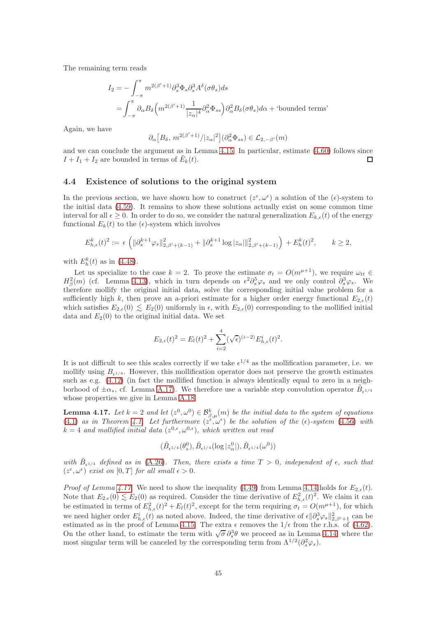The remaining term reads

$$
I_2 = -\int_{-\pi}^{\pi} m^{2(\beta'+1)} \partial_s^3 \Phi_s \partial_s^3 A^\delta (\sigma \theta_s) ds
$$
  
= 
$$
\int_{-\pi}^{\pi} \partial_\alpha B_\delta \left( m^{2(\beta'+1)} \frac{1}{|z_\alpha|^4} \partial_\alpha^2 \Phi_{ss} \right) \partial_\alpha^2 B_\delta (\sigma \theta_s) d\alpha + \text{ bounded terms'}
$$

Again, we have

$$
\partial_\alpha \big[ B_\delta, \, m^{2(\beta'+1)}/|z_\alpha|^2 \big] (\partial_\alpha^2 \Phi_{ss}) \in \mathcal{L}_{2,-\beta'}(m)
$$

and we can conclude the argument as in Lemma [4.15.](#page-41-4) In particular, estimate [\(4.60\)](#page-41-3) follows since  $I + I_1 + I_2$  are bounded in terms of  $\tilde{E}_k(t)$ . П

#### <span id="page-44-1"></span>4.4 Existence of solutions to the original system

In the previous section, we have shown how to construct  $(z^{\epsilon}, \omega^{\epsilon})$  a solution of the  $(\epsilon)$ -system to the initial data [\(4.59\)](#page-41-6). It remains to show these solutions actually exist on some common time interval for all  $\epsilon \geq 0$ . In order to do so, we consider the natural generalization  $E_{k,\epsilon}(t)$  of the energy functional  $E_k(t)$  to the  $(\epsilon)$ -system which involves

$$
E_{h,\epsilon}^k(t)^2 := \epsilon \left( \|\partial_s^{k+1} \varphi_s\|_{2,\beta'+(k-1)}^2 + \|\partial_s^{k+1} \log |z_\alpha| \|_{2,\beta'+(k-1)}^2 \right) + E_h^k(t)^2, \qquad k \ge 2,
$$

with  $E_h^k(t)$  as in [\(4.48\)](#page-38-1).

Let us specialize to the case  $k = 2$ . To prove the estimate  $\sigma_t = O(m^{\mu+1})$ , we require  $\omega_{tt} \in$  $H^2_\beta(m)$  (cf. Lemma [4.13\)](#page-36-3), which in turn depends on  $\epsilon^2 \partial_s^5 \varphi_s$  and we only control  $\partial_s^3 \varphi_s$ . We therefore mollify the original initial data, solve the corresponding initial value problem for a sufficiently high k, then prove an a-priori estimate for a higher order energy functional  $E_{2,\epsilon}(t)$ which satisfies  $E_{2,\epsilon}(0) \leq E_2(0)$  uniformly in  $\epsilon$ , with  $E_{2,\epsilon}(0)$  corresponding to the mollified initial data and  $E_2(0)$  to the original initial data. We set

$$
E_{2,\epsilon}(t)^{2} = E_{l}(t)^{2} + \sum_{i=2}^{4} (\sqrt{\epsilon})^{(i-2)} E_{h,\epsilon}^{i}(t)^{2}.
$$

It is not difficult to see this scales correctly if we take  $\epsilon^{1/4}$  as the mollification parameter, i.e. we mollify using  $B_{\epsilon^{1/4}}$ . However, this mollification operator does not preserve the growth estimates such as e.g. [\(4.12\)](#page-27-4) (in fact the mollified function is always identically equal to zero in a neighborhood of  $\pm \alpha_*$ , cf. Lemma [A.17\)](#page-75-0). We therefore use a variable step convolution operator  $\tilde{B}_{\epsilon^{1/4}}$ whose properties we give in Lemma [A.18.](#page-76-0)

<span id="page-44-0"></span>**Lemma 4.17.** Let  $k = 2$  and let  $(z^0, \omega^0) \in \mathcal{B}_{\beta,\mu}^k(m)$  be the initial data to the system of equations [\(4.1\)](#page-26-1) as in Theorem [4.1.](#page-27-5) Let furthermore  $(z^{\epsilon}, \omega^{\epsilon})$  be the solution of the ( $\epsilon$ )-system [\(4.56\)](#page-41-0) with  $k = 4$  and mollified initial data  $(z^{0,\epsilon}, \omega^{0,\epsilon})$ , which written out read

$$
(\tilde{B}_{\epsilon^{1/4}}(\theta_s^0), \tilde{B}_{\epsilon^{1/4}}(\log |z_\alpha^0|), \tilde{B}_{\epsilon^{1/4}}(\omega^0))
$$

with  $\tilde{B}_{\epsilon^{1/4}}$  defined as in [\(A.26\)](#page-76-1). Then, there exists a time  $T > 0$ , independent of  $\epsilon$ , such that  $(z^{\epsilon}, \omega^{\epsilon})$  exist on  $[0, T]$  for all small  $\epsilon > 0$ .

*Proof of Lemma [4.17.](#page-44-0)* We need to show the inequality [\(4.49\)](#page-38-2) from Lemma [4.14](#page-38-3) holds for  $E_{2,\epsilon}(t)$ . Note that  $E_{2,\epsilon}(0) \lesssim E_2(0)$  as required. Consider the time derivative of  $E_{h,\epsilon}^2(t)^2$ . We claim it can be estimated in terms of  $E_{h,\epsilon}^2(t)^2 + E_l(t)^2$ , except for the term requiring  $\sigma_t = O(m^{\mu+1})$ , for which we need higher order  $E_{h,\epsilon}^i(t)$  as noted above. Indeed, the time derivative of  $\epsilon ||\partial_s^3 \varphi_s||_{2,\beta'+1}^2$  can be estimated as in the proof of Lemma [4.15.](#page-41-4) The extra  $\epsilon$  removes the  $1/\epsilon$  from the r.h.s. of [\(4.62\)](#page-42-2). On the other hand, to estimate the term with  $\sqrt{\sigma} \partial_s^3 \theta$  we proceed as in Lemma [4.14,](#page-38-3) where the most singular term will be canceled by the corresponding term from  $\Lambda^{1/2}(\partial_s^2 \varphi_s)$ .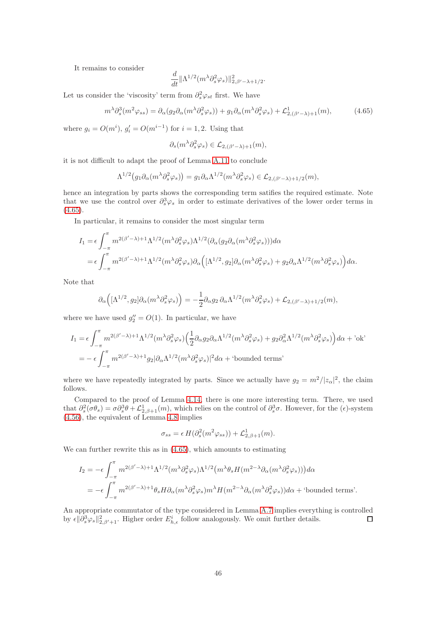It remains to consider

$$
\frac{d}{dt} \|\Lambda^{1/2} (m^{\lambda} \partial_s^2 \varphi_s)\|_{2,\beta'-\lambda+1/2}^2.
$$

Let us consider the 'viscosity' term from  $\partial_s^2 \varphi_{st}$  first. We have

<span id="page-45-0"></span>
$$
m^{\lambda} \partial_s^3(m^2 \varphi_{ss}) = \partial_\alpha(g_2 \partial_\alpha(m^{\lambda} \partial_s^2 \varphi_s)) + g_1 \partial_\alpha(m^{\lambda} \partial_s^2 \varphi_s) + \mathcal{L}_{2,(\beta'-\lambda)+1}^1(m),\tag{4.65}
$$

where  $g_i = O(m^i)$ ,  $g'_i = O(m^{i-1})$  for  $i = 1, 2$ . Using that

$$
\partial_s(m^{\lambda}\partial_s^2\varphi_s) \in \mathcal{L}_{2,(\beta'-\lambda)+1}(m),
$$

it is not difficult to adapt the proof of Lemma [A.11](#page-73-0) to conclude

$$
\Lambda^{1/2}(g_1 \partial_\alpha (m^\lambda \partial_s^2 \varphi_s)) = g_1 \partial_\alpha \Lambda^{1/2}(m^\lambda \partial_s^2 \varphi_s) \in \mathcal{L}_{2,(\beta'-\lambda)+1/2}(m),
$$

hence an integration by parts shows the corresponding term satifies the required estimate. Note that we use the control over  $\partial_s^3 \varphi_s$  in order to estimate derivatives of the lower order terms in  $(4.65).$  $(4.65).$ 

In particular, it remains to consider the most singular term

$$
I_1 = \epsilon \int_{-\pi}^{\pi} m^{2(\beta'-\lambda)+1} \Lambda^{1/2} (m^{\lambda} \partial_s^2 \varphi_s) \Lambda^{1/2} (\partial_\alpha (g_2 \partial_\alpha (m^{\lambda} \partial_s^2 \varphi_s))) d\alpha
$$
  
= 
$$
\epsilon \int_{-\pi}^{\pi} m^{2(\beta'-\lambda)+1} \Lambda^{1/2} (m^{\lambda} \partial_s^2 \varphi_s) \partial_\alpha \Big( [\Lambda^{1/2}, g_2] \partial_\alpha (m^{\lambda} \partial_s^2 \varphi_s) + g_2 \partial_\alpha \Lambda^{1/2} (m^{\lambda} \partial_s^2 \varphi_s) \Big) d\alpha.
$$

Note that

$$
\partial_\alpha\Big([\Lambda^{1/2},g_2]\partial_\alpha(m^\lambda\partial_s^2\varphi_s)\Big)=-\frac{1}{2}\partial_\alpha g_2\,\partial_\alpha\Lambda^{1/2}(m^\lambda\partial_s^2\varphi_s)+\mathcal{L}_{2,(\beta'-\lambda)+1/2}(m),
$$

where we have used  $g_2'' = O(1)$ . In particular, we have

$$
I_1 = \epsilon \int_{-\pi}^{\pi} m^{2(\beta'-\lambda)+1} \Lambda^{1/2} (m^{\lambda} \partial_s^2 \varphi_s) \left(\frac{1}{2} \partial_{\alpha} g_2 \partial_{\alpha} \Lambda^{1/2} (m^{\lambda} \partial_s^2 \varphi_s) + g_2 \partial_{\alpha}^2 \Lambda^{1/2} (m^{\lambda} \partial_s^2 \varphi_s)\right) d\alpha + \text{'ok'}= -\epsilon \int_{-\pi}^{\pi} m^{2(\beta'-\lambda)+1} g_2 |\partial_{\alpha} \Lambda^{1/2} (m^{\lambda} \partial_s^2 \varphi_s)|^2 d\alpha + \text{'bounded terms'}
$$

where we have repeatedly integrated by parts. Since we actually have  $g_2 = m^2/|z_\alpha|^2$ , the claim follows.

Compared to the proof of Lemma [4.14,](#page-38-3) there is one more interesting term. There, we used that  $\partial_s^2(\sigma \theta_s) = \sigma \partial_s^3 \theta + \mathcal{L}_{2,\beta+1}^1(m)$ , which relies on the control of  $\partial_s^3 \sigma$ . However, for the ( $\epsilon$ )-system [\(4.56\)](#page-41-0), the equivalent of Lemma [4.8](#page-33-0) implies

$$
\sigma_{ss} = \epsilon H(\partial_s^2(m^2 \varphi_{ss})) + \mathcal{L}_{2,\beta+1}^1(m).
$$

We can further rewrite this as in [\(4.65\)](#page-45-0), which amounts to estimating

$$
I_2 = -\epsilon \int_{-\pi}^{\pi} m^{2(\beta'-\lambda)+1} \Lambda^{1/2} (m^{\lambda} \partial_s^2 \varphi_s) \Lambda^{1/2} (m^{\lambda} \theta_s H(m^{2-\lambda} \partial_\alpha (m^{\lambda} \partial_s^2 \varphi_s))) d\alpha
$$
  
= 
$$
-\epsilon \int_{-\pi}^{\pi} m^{2(\beta'-\lambda)+1} \theta_s H \partial_\alpha (m^{\lambda} \partial_s^2 \varphi_s) m^{\lambda} H(m^{2-\lambda} \partial_\alpha (m^{\lambda} \partial_s^2 \varphi_s)) d\alpha + \text{'bounded terms'}. \math>
$$

An appropriate commutator of the type considered in Lemma [A.7](#page-71-0) implies everything is controlled by  $\epsilon \|\partial_s^3 \varphi_s\|_{2,\beta'+1}^2$ . Higher order  $E^i_{h,\epsilon}$  follow analogously. We omit further details.  $\Box$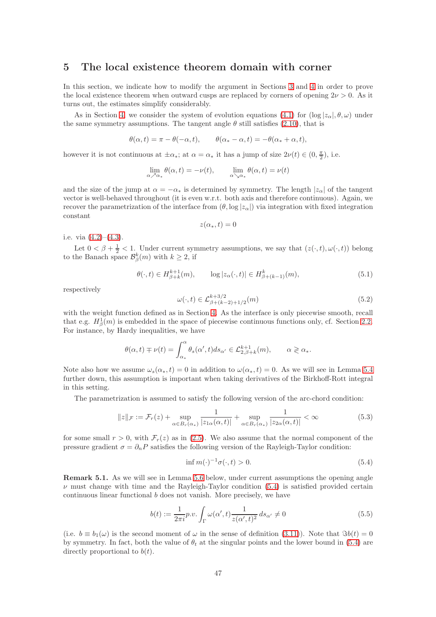## 5 The local existence theorem domain with corner

In this section, we indicate how to modify the argument in Sections [3](#page-7-0) and [4](#page-26-2) in order to prove the local existence theorem when outward cusps are replaced by corners of opening  $2\nu > 0$ . As it turns out, the estimates simplify considerably.

As in Section [4,](#page-26-2) we consider the system of evolution equations [\(4.1\)](#page-26-1) for  $(\log |z_\alpha|, \theta, \omega)$  under the same symmetry assumptions. The tangent angle  $\theta$  still satisfies [\(2.10\)](#page-4-1), that is

$$
\theta(\alpha, t) = \pi - \theta(-\alpha, t), \qquad \theta(\alpha_* - \alpha, t) = -\theta(\alpha_* + \alpha, t),
$$

however it is not continuous at  $\pm \alpha_*$ ; at  $\alpha = \alpha_*$  it has a jump of size  $2\nu(t) \in (0, \frac{\pi}{2})$ , i.e.

$$
\lim_{\alpha \nearrow \alpha_*} \theta(\alpha, t) = -\nu(t), \qquad \lim_{\alpha \searrow \alpha_*} \theta(\alpha, t) = \nu(t)
$$

and the size of the jump at  $\alpha = -\alpha_*$  is determined by symmetry. The length  $|z_\alpha|$  of the tangent vector is well-behaved throughout (it is even w.r.t. both axis and therefore continuous). Again, we recover the parametrization of the interface from  $(\theta, \log |z_{\alpha}|)$  via integration with fixed integration constant

$$
z(\alpha_*,t)=0
$$

i.e. via [\(4.2\)](#page-26-3)–[\(4.3\)](#page-26-4).

Let  $0 < \beta + \frac{1}{2} < 1$ . Under current symmetry assumptions, we say that  $(z(\cdot,t), \omega(\cdot,t))$  belong to the Banach space  $\mathcal{B}_{\beta}^{k}(m)$  with  $k \geq 2$ , if

$$
\theta(\cdot, t) \in H_{\beta+k}^{k+1}(m), \qquad \log|z_{\alpha}(\cdot, t)| \in H_{\beta+(k-1)}^{k}(m), \tag{5.1}
$$

respectively

$$
\omega(\cdot, t) \in \mathcal{L}_{\beta + (k-2) + 1/2}^{k+3/2}(m)
$$
\n(5.2)

with the weight function defined as in Section [4.](#page-26-2) As the interface is only piecewise smooth, recall that e.g.  $H^1_\beta(m)$  is embedded in the space of piecewise continuous functions only, cf. Section [2.2.](#page-5-1) For instance, by Hardy inequalities, we have

$$
\theta(\alpha, t) \mp \nu(t) = \int_{\alpha_*}^{\alpha} \theta_s(\alpha', t) ds_{\alpha'} \in \mathcal{L}_{2, \beta + k}^{k+1}(m), \qquad \alpha \gtrless \alpha_*.
$$

Note also how we assume  $\omega_s(\alpha_*, t) = 0$  in addition to  $\omega(\alpha_*, t) = 0$ . As we will see in Lemma [5.4](#page-48-0) further down, this assumption is important when taking derivatives of the Birkhoff-Rott integral in this setting.

The parametrization is assumed to satisfy the following version of the arc-chord condition:

<span id="page-46-2"></span>
$$
||z||_{\mathcal{F}} := \mathcal{F}_r(z) + \sup_{\alpha \in B_r(\alpha_*)} \frac{1}{|z_{1\alpha}(\alpha, t)|} + \sup_{\alpha \in B_r(\alpha_*)} \frac{1}{|z_{2\alpha}(\alpha, t)|} < \infty \tag{5.3}
$$

for some small  $r > 0$ , with  $\mathcal{F}_r(z)$  as in [\(2.5\)](#page-4-2). We also assume that the normal component of the pressure gradient  $\sigma = \partial_n P$  satisfies the following version of the Rayleigh-Taylor condition:

<span id="page-46-0"></span>
$$
\inf m(\cdot)^{-1}\sigma(\cdot,t) > 0. \tag{5.4}
$$

Remark 5.1. As we will see in Lemma [5.6](#page-48-1) below, under current assumptions the opening angle  $\nu$  must change with time and the Rayleigh-Taylor condition [\(5.4\)](#page-46-0) is satisfied provided certain continuous linear functional b does not vanish. More precisely, we have

<span id="page-46-1"></span>
$$
b(t) := \frac{1}{2\pi i} p.v. \int_{\Gamma} \omega(\alpha', t) \frac{1}{z(\alpha', t)^2} ds_{\alpha'} \neq 0
$$
\n(5.5)

(i.e.  $b \equiv b_1(\omega)$  is the second moment of  $\omega$  in the sense of definition [\(3.11\)](#page-10-0)). Note that  $\Im b(t) = 0$ by symmetry. In fact, both the value of  $\theta_t$  at the singular points and the lower bound in [\(5.4\)](#page-46-0) are directly proportional to  $b(t)$ .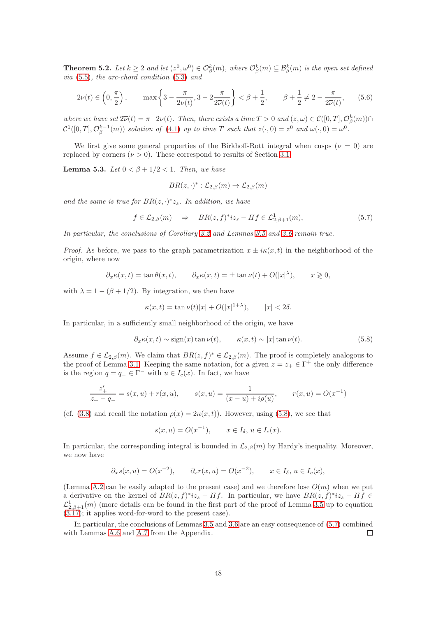**Theorem 5.2.** Let  $k \geq 2$  and let  $(z^0, \omega^0) \in \mathcal{O}_{\beta}^k(m)$ , where  $\mathcal{O}_{\beta}^k(m) \subseteq \mathcal{B}_{\beta}^k(m)$  is the open set defined via [\(5.5\)](#page-46-1), the arc-chord condition [\(5.3\)](#page-46-2) and

<span id="page-47-3"></span>
$$
2\nu(t) \in \left(0, \frac{\pi}{2}\right), \qquad \max\left\{3 - \frac{\pi}{2\nu(t)}, 3 - 2\frac{\pi}{2\overline{\nu}(t)}\right\} < \beta + \frac{1}{2}, \qquad \beta + \frac{1}{2} \neq 2 - \frac{\pi}{2\overline{\nu}(t)},\tag{5.6}
$$

where we have set  $2\overline{\nu}(t) = \pi - 2\nu(t)$ . Then, there exists a time  $T > 0$  and  $(z, \omega) \in \mathcal{C}([0, T], \mathcal{O}_{\beta}^k(m)) \cap$  $\mathcal{C}^1([0,T],\mathcal{O}_{\beta}^{k-1}(m))$  solution of [\(4.1\)](#page-26-1) up to time T such that  $z(\cdot,0) = z^0$  and  $\omega(\cdot,0) = \omega^0$ .

We first give some general properties of the Birkhoff-Rott integral when cusps ( $\nu = 0$ ) are replaced by corners  $(\nu > 0)$ . These correspond to results of Section [3.1.](#page-8-0)

<span id="page-47-2"></span>Lemma 5.3. Let  $0 < \beta + 1/2 < 1$ . Then, we have

$$
BR(z,\cdot)^{*}:\mathcal{L}_{2,\beta}(m)\to\mathcal{L}_{2,\beta}(m)
$$

and the same is true for  $BR(z, \cdot)^* z_s$ . In addition, we have

<span id="page-47-1"></span>
$$
f \in \mathcal{L}_{2,\beta}(m) \quad \Rightarrow \quad BR(z,f)^{*}iz_{s} - Hf \in \mathcal{L}_{2,\beta+1}^{1}(m), \tag{5.7}
$$

In particular, the conclusions of Corollary [3.2](#page-10-1) and Lemmas [3.5](#page-12-0) and [3.6](#page-15-0) remain true.

*Proof.* As before, we pass to the graph parametrization  $x \pm i\kappa(x, t)$  in the neighborhood of the origin, where now

$$
\partial_x \kappa(x,t) = \tan \theta(x,t), \qquad \partial_x \kappa(x,t) = \pm \tan \nu(t) + O(|x|^\lambda), \qquad x \geq 0,
$$

with  $\lambda = 1 - (\beta + 1/2)$ . By integration, we then have

$$
\kappa(x,t) = \tan \nu(t)|x| + O(|x|^{1+\lambda}), \qquad |x| < 2\delta.
$$

In particular, in a sufficiently small neighborhood of the origin, we have

<span id="page-47-0"></span>
$$
\partial_x \kappa(x, t) \sim \text{sign}(x) \tan \nu(t), \qquad \kappa(x, t) \sim |x| \tan \nu(t). \tag{5.8}
$$

Assume  $f \in \mathcal{L}_{2,\beta}(m)$ . We claim that  $BR(z, f)^* \in \mathcal{L}_{2,\beta}(m)$ . The proof is completely analogous to the proof of Lemma [3.1.](#page-8-1) Keeping the same notation, for a given  $z = z_+ \in \Gamma^+$  the only difference is the region  $q = q_-\in \Gamma^-$  with  $u \in I_c(x)$ . In fact, we have

$$
\frac{z'_+}{z_+ - q_-} = s(x, u) + r(x, u), \qquad s(x, u) = \frac{1}{(x - u) + i\rho(u)}, \qquad r(x, u) = O(x^{-1})
$$

(cf. [\(3.8\)](#page-9-0) and recall the notation  $\rho(x) = 2\kappa(x,t)$ ). However, using [\(5.8\)](#page-47-0), we see that

$$
s(x, u) = O(x^{-1}), \qquad x \in I_{\delta}, u \in I_c(x).
$$

In particular, the corresponding integral is bounded in  $\mathcal{L}_{2,\beta}(m)$  by Hardy's inequality. Moreover, we now have

$$
\partial_x s(x, u) = O(x^{-2}), \qquad \partial_x r(x, u) = O(x^{-2}), \qquad x \in I_\delta, u \in I_c(x),
$$

(Lemma [A.2](#page-66-0) can be easily adapted to the present case) and we therefore lose  $O(m)$  when we put a derivative on the kernel of  $BR(z, f)^* iz_s - Hf$ . In particular, we have  $BR(z, f)^* iz_s - Hf \in$  $\mathcal{L}^1_{2,\beta+1}(m)$  (more details can be found in the first part of the proof of Lemma [3.5](#page-12-0) up to equation  $(3.17)$ ; it applies word-for-word to the present case).

In particular, the conclusions of Lemmas [3.5](#page-12-0) and [3.6](#page-15-0) are an easy consequence of [\(5.7\)](#page-47-1) combined with Lemmas [A.6](#page-70-0) and [A.7](#page-71-0) from the Appendix.  $\Box$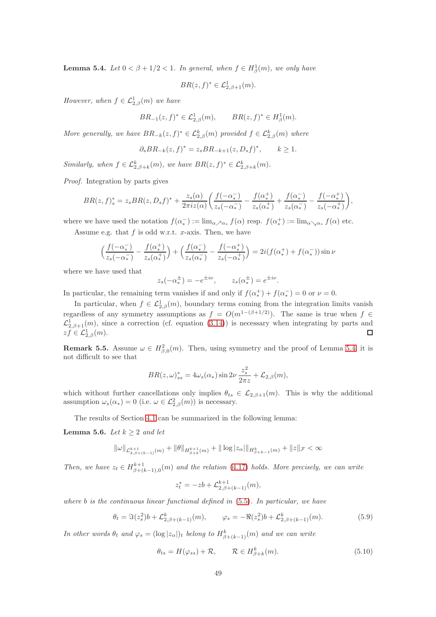<span id="page-48-0"></span>**Lemma 5.4.** Let  $0 < \beta + 1/2 < 1$ . In general, when  $f \in H^1_\beta(m)$ , we only have

 $BR(z, f)^* \in \mathcal{L}^1_{2,\beta+1}(m).$ 

However, when  $f \in \mathcal{L}^1_{2,\beta}(m)$  we have

$$
BR_{-1}(z, f)^* \in \mathcal{L}_{2,\beta}^1(m), \qquad BR(z, f)^* \in H_{\beta}^1(m).
$$

More generally, we have  $BR_{-k}(z, f)^* \in \mathcal{L}_{2,\beta}^k(m)$  provided  $f \in \mathcal{L}_{2,\beta}^k(m)$  where

$$
\partial_s BR_{-k}(z, f)^* = z_s BR_{-k+1}(z, D_s f)^*, \qquad k \ge 1.
$$

Similarly, when  $f \in \mathcal{L}_{2,\beta+k}^k(m)$ , we have  $BR(z, f)^* \in \mathcal{L}_{2,\beta+k}^k(m)$ .

Proof. Integration by parts gives

$$
BR(z,f)_{s}^{*} = z_{s} BR(z, D_{s} f)^{*} + \frac{z_{s}(\alpha)}{2\pi i z(\alpha)} \left( \frac{f(-\alpha_{*}^{-})}{z_{s}(-\alpha_{*}^{-})} - \frac{f(\alpha_{*}^{+})}{z_{s}(\alpha_{*}^{+})} + \frac{f(\alpha_{*}^{-})}{z_{s}(\alpha_{*}^{-})} - \frac{f(-\alpha_{*}^{+})}{z_{s}(-\alpha_{*}^{+})} \right),
$$

where we have used the notation  $f(\alpha^+_{*}) := \lim_{\alpha \nearrow \alpha_{*}} f(\alpha)$  resp.  $f(\alpha^+_{*}) := \lim_{\alpha \searrow \alpha_{*}} f(\alpha)$  etc.

Assume e.g. that  $f$  is odd w.r.t.  $x$ -axis. Then, we have

$$
\left(\frac{f(-\alpha_*^-)}{z_s(-\alpha_*^-)} - \frac{f(\alpha_*^+)}{z_s(\alpha_*^+)}\right) + \left(\frac{f(\alpha_*^-)}{z_s(\alpha_*^-)} - \frac{f(-\alpha_*^+)}{z_s(-\alpha_*^+)}\right) = 2i(f(\alpha_*^+) + f(\alpha_*^-))\sin\nu
$$

where we have used that

 $z_s(-\alpha_*^{\pm}) = -e^{\pm i\nu}, \qquad z_s(\alpha_*^{\pm}) = e^{\pm i\nu}.$ 

In particular, the remaining term vanishes if and only if  $f(\alpha^+_*) + f(\alpha^-_*) = 0$  or  $\nu = 0$ .

In particular, when  $f \in \mathcal{L}_{2,\beta}^1(m)$ , boundary terms coming from the integration limits vanish regardless of any symmetry assumptions as  $f = O(m^{1-(\beta+1/2)})$ . The same is true when  $f \in$  $\mathcal{L}_{2,\beta+1}^1(m)$ , since a correction (cf. equation [\(3.14\)](#page-11-1)) is necessary when integrating by parts and  $zf \in \mathcal{L}_{2,\beta}^{1}(m).$  $\Box$ 

**Remark 5.5.** Assume  $\omega \in H^2_{\beta,0}(m)$ . Then, using symmetry and the proof of Lemma [5.4,](#page-48-0) it is not difficult to see that

$$
BR(z,\omega)_{ss}^* = 4\omega_s(\alpha_*)\sin 2\nu\frac{z_s^2}{2\pi z} + \mathcal{L}_{2,\beta}(m),
$$

which without further cancellations only implies  $\theta_{ts} \in \mathcal{L}_{2,\beta+1}(m)$ . This is why the additional assumption  $\omega_s(\alpha_*) = 0$  (i.e.  $\omega \in \mathcal{L}_{2,\beta}^2(m)$ ) is necessary.

The results of Section [4.1](#page-28-1) can be summarized in the following lemma:

<span id="page-48-1"></span>**Lemma 5.6.** Let  $k \geq 2$  and let

$$
\|\omega\|_{\mathcal{L}_{2,\beta+\left(k-1\right)}^{k+1}(m)} + \|\theta\|_{H_{\beta+k}^{k+1}(m)} + \|\log|z_{\alpha}|\|_{H_{\beta+k-1}^{k}(m)} + \|z\|_{\mathcal{F}} < \infty
$$

Then, we have  $z_t \in H^{k+1}_{\beta+(k-1),0}(m)$  and the relation [\(4.17\)](#page-29-1) holds. More precisely, we can write

$$
z_t^* = -zb + \mathcal{L}_{2,\beta+(k-1)}^{k+1}(m),
$$

where  $b$  is the continuous linear functional defined in  $(5.5)$ . In particular, we have

$$
\theta_t = \Im(z_s^2)b + \mathcal{L}_{2,\beta+(k-1)}^k(m), \qquad \varphi_s = -\Re(z_s^2)b + \mathcal{L}_{2,\beta+(k-1)}^k(m). \tag{5.9}
$$

In other words  $\theta_t$  and  $\varphi_s = (\log |z_\alpha|)_t$  belong to  $H^k_{\beta+(k-1)}(m)$  and we can write

<span id="page-48-2"></span>
$$
\theta_{ts} = H(\varphi_{ss}) + \mathcal{R}, \qquad \mathcal{R} \in H^k_{\beta+k}(m). \tag{5.10}
$$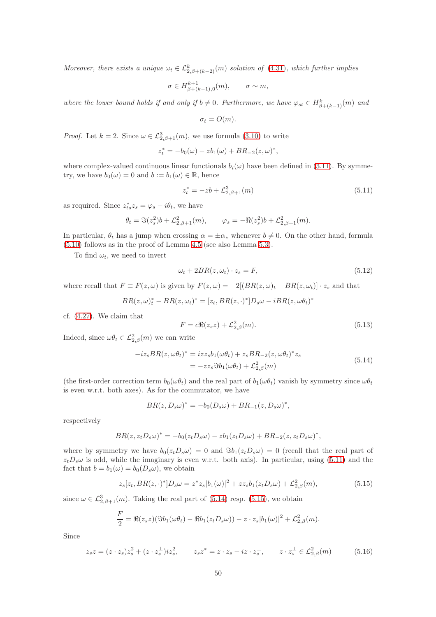Moreover, there exists a unique  $\omega_t \in \mathcal{L}_{2,\beta+(k-2)}^k(m)$  solution of [\(4.31\)](#page-32-1), which further implies

$$
\sigma \in H^{k+1}_{\beta+(k-1),0}(m), \qquad \sigma \sim m,
$$

where the lower bound holds if and only if  $b \neq 0$ . Furthermore, we have  $\varphi_{st} \in H^k_{\beta+(k-1)}(m)$  and

$$
\sigma_t = O(m).
$$

*Proof.* Let  $k = 2$ . Since  $\omega \in \mathcal{L}_{2,\beta+1}^3(m)$ , we use formula [\(3.10\)](#page-10-2) to write

$$
z_t^* = -b_0(\omega) - zb_1(\omega) + BR_{-2}(z, \omega)^*,
$$

where complex-valued continuous linear functionals  $b_i(\omega)$  have been defined in [\(3.11\)](#page-10-0). By symmetry, we have  $b_0(\omega) = 0$  and  $b := b_1(\omega) \in \mathbb{R}$ , hence

<span id="page-49-0"></span>
$$
z_t^* = -zb + \mathcal{L}_{2,\beta+1}^3(m) \tag{5.11}
$$

as required. Since  $z_{ts}^* z_s = \varphi_s - i\theta_t$ , we have

$$
\theta_t = \Im(z_s^2)b + \mathcal{L}_{2,\beta+1}^2(m), \qquad \varphi_s = -\Re(z_s^2)b + \mathcal{L}_{2,\beta+1}^2(m).
$$

In particular,  $\theta_t$  has a jump when crossing  $\alpha = \pm \alpha_*$  whenever  $b \neq 0$ . On the other hand, formula [\(5.10\)](#page-48-2) follows as in the proof of Lemma [4.5](#page-29-0) (see also Lemma [5.3\)](#page-47-2).

To find  $\omega_t$ , we need to invert

<span id="page-49-3"></span>
$$
\omega_t + 2BR(z, \omega_t) \cdot z_s = F,\tag{5.12}
$$

where recall that  $F \equiv F(z, \omega)$  is given by  $F(z, \omega) = -2[(BR(z, \omega)_t - BR(z, \omega_t)] \cdot z_s$  and that

$$
BR(z, \omega)_t^* - BR(z, \omega_t)^* = [z_t, BR(z, \cdot)^*]D_s \omega - iBR(z, \omega \theta_t)^*
$$

cf. [\(4.27\)](#page-31-0). We claim that

<span id="page-49-4"></span>
$$
F = c\Re(z_s z) + \mathcal{L}_{2,\beta}^2(m). \tag{5.13}
$$

Indeed, since  $\omega \theta_t \in \mathcal{L}_{2,\beta}^2(m)$  we can write

<span id="page-49-1"></span>
$$
-iz_s BR(z, \omega \theta_t)^* = izz_s b_1(\omega \theta_t) + z_s BR_{-2}(z, \omega \theta_t)^* z_s
$$
  
= 
$$
-zz_s \Im b_1(\omega \theta_t) + \mathcal{L}_{2,\beta}^2(m)
$$
 (5.14)

(the first-order correction term  $b_0(\omega\theta_t)$  and the real part of  $b_1(\omega\theta_t)$  vanish by symmetry since  $\omega\theta_t$ is even w.r.t. both axes). As for the commutator, we have

$$
BR(z, D_s\omega)^* = -b_0(D_s\omega) + BR_{-1}(z, D_s\omega)^*,
$$

respectively

$$
BR(z, ztDs\omega)^* = -b0(ztDs\omega) - zb1(ztDs\omega) + BR-2(z, ztDs\omega)^*,
$$

where by symmetry we have  $b_0(z_tD_s\omega) = 0$  and  $\Im b_1(z_tD_s\omega) = 0$  (recall that the real part of  $z<sub>t</sub>D<sub>s</sub>\omega$  is odd, while the imaginary is even w.r.t. both axis). In particular, using [\(5.11\)](#page-49-0) and the fact that  $b = b_1(\omega) = b_0(D_s\omega)$ , we obtain

<span id="page-49-2"></span>
$$
z_s[z_t, BR(z, \cdot)^*]D_s \omega = z^* z_s |b_1(\omega)|^2 + z z_s b_1(z_t D_s \omega) + \mathcal{L}_{2,\beta}^2(m), \tag{5.15}
$$

since  $\omega \in \mathcal{L}_{2,\beta+1}^3(m)$ . Taking the real part of [\(5.14\)](#page-49-1) resp. [\(5.15\)](#page-49-2), we obtain

$$
\frac{F}{2} = \Re(z_s z)(\Im b_1(\omega \theta_t) - \Re b_1(z_t D_s \omega)) - z \cdot z_s |b_1(\omega)|^2 + \mathcal{L}_{2,\beta}^2(m).
$$

Since

<span id="page-49-5"></span>
$$
z_{s}z = (z \cdot z_{s})z_{s}^{2} + (z \cdot z_{s}^{\perp})iz_{s}^{2}, \qquad z_{s}z^{*} = z \cdot z_{s} - iz \cdot z_{s}^{\perp}, \qquad z \cdot z_{s}^{\perp} \in \mathcal{L}_{2,\beta}^{2}(m) \tag{5.16}
$$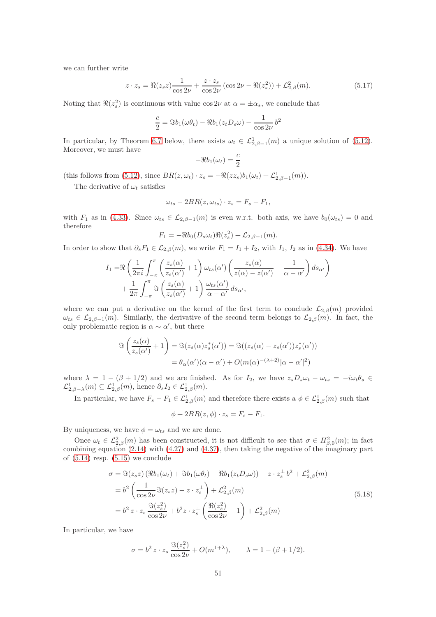we can further write

<span id="page-50-0"></span>
$$
z \cdot z_s = \Re(z_s z) \frac{1}{\cos 2\nu} + \frac{z \cdot z_s}{\cos 2\nu} (\cos 2\nu - \Re(z_s^2)) + \mathcal{L}_{2,\beta}^2(m). \tag{5.17}
$$

Noting that  $\Re(z_s^2)$  is continuous with value cos 2ν at  $\alpha = \pm \alpha_*,$  we conclude that

$$
\frac{c}{2} = \Im b_1(\omega \theta_t) - \Re b_1(z_t D_s \omega) - \frac{1}{\cos 2\nu} b^2
$$

In particular, by Theorem [6.7](#page-62-0) below, there exists  $\omega_t \in \mathcal{L}^1_{2,\beta-1}(m)$  a unique solution of [\(5.12\)](#page-49-3). Moreover, we must have

$$
-\Re b_1(\omega_t) = \frac{c}{2}
$$

(this follows from [\(5.12\)](#page-49-3), since  $BR(z, \omega_t) \cdot z_s = -\Re(zz_s)b_1(\omega_t) + \mathcal{L}_{2,\beta-1}^1(m)).$ 

The derivative of  $\omega_t$  satisfies

$$
\omega_{ts} - 2BR(z, \omega_{ts}) \cdot z_s = F_s - F_1,
$$

with  $F_1$  as in [\(4.33\)](#page-33-1). Since  $\omega_{ts} \in \mathcal{L}_{2,\beta-1}(m)$  is even w.r.t. both axis, we have  $b_0(\omega_{ts}) = 0$  and therefore

$$
F_1 = -\Re b_0(D_s \omega_t)\Re(z_s^2) + \mathcal{L}_{2,\beta-1}(m).
$$

In order to show that  $\partial_s F_1 \in \mathcal{L}_{2,\beta}(m)$ , we write  $F_1 = I_1 + I_2$ , with  $I_1$ ,  $I_2$  as in [\(4.34\)](#page-33-2). We have

$$
I_1 = \Re\left(\frac{1}{2\pi i}\int_{-\pi}^{\pi} \left(\frac{z_s(\alpha)}{z_s(\alpha')} + 1\right) \omega_{ts}(\alpha') \left(\frac{z_s(\alpha)}{z(\alpha) - z(\alpha')} - \frac{1}{\alpha - \alpha'}\right) ds_{\alpha'}\right) + \frac{1}{2\pi} \int_{-\pi}^{\pi} \Im\left(\frac{z_s(\alpha)}{z_s(\alpha')} + 1\right) \frac{\omega_{ts}(\alpha')}{\alpha - \alpha'} ds_{\alpha'},
$$

where we can put a derivative on the kernel of the first term to conclude  $\mathcal{L}_{2,\beta}(m)$  provided  $\omega_{ts} \in \mathcal{L}_{2,\beta-1}(m)$ . Similarly, the derivative of the second term belongs to  $\mathcal{L}_{2,\beta}(m)$ . In fact, the only problematic region is  $\alpha \sim \alpha'$ , but there

$$
\Im\left(\frac{z_s(\alpha)}{z_s(\alpha')}+1\right) = \Im(z_s(\alpha)z_s^*(\alpha')) = \Im((z_s(\alpha)-z_s(\alpha'))z_s^*(\alpha'))
$$

$$
= \theta_\alpha(\alpha')(\alpha-\alpha') + O(m(\alpha)^{-(\lambda+2)}|\alpha-\alpha'|^2)
$$

where  $\lambda = 1 - (\beta + 1/2)$  and we are finished. As for  $I_2$ , we have  $z_s D_s \omega_t - \omega_{ts} = -i \omega_t \theta_s$  $\mathcal{L}^1_{2,\beta-\lambda}(m) \subseteq \mathcal{L}^1_{2,\beta}(m)$ , hence  $\partial_s I_2 \in \mathcal{L}^1_{2,\beta}(m)$ .

In particular, we have  $F_s - F_1 \in \mathcal{L}_{2,\beta}^1(m)$  and therefore there exists a  $\phi \in \mathcal{L}_{2,\beta}^1(m)$  such that

$$
\phi + 2BR(z, \phi) \cdot z_s = F_s - F_1.
$$

By uniqueness, we have  $\phi = \omega_{ts}$  and we are done.

Once  $\omega_t \in \mathcal{L}_{2,\beta}^2(m)$  has been constructed, it is not difficult to see that  $\sigma \in H_{\beta,0}^2(m)$ ; in fact combining equation [\(2.14\)](#page-5-0) with [\(4.27\)](#page-31-0) and [\(4.37\)](#page-33-3), then taking the negative of the imaginary part of  $(5.14)$  resp.  $(5.15)$  we conclude

$$
\sigma = \Im(z_s z) \left( \Re b_1(\omega_t) + \Im b_1(\omega \theta_t) - \Re b_1(z_t D_s \omega) \right) - z \cdot z_s^{\perp} b^2 + \mathcal{L}_{2,\beta}^2(m)
$$
  
\n
$$
= b^2 \left( \frac{1}{\cos 2\nu} \Im(z_s z) - z \cdot z_s^{\perp} \right) + \mathcal{L}_{2,\beta}^2(m)
$$
  
\n
$$
= b^2 z \cdot z_s \frac{\Im(z_s^2)}{\cos 2\nu} + b^2 z \cdot z_s^{\perp} \left( \frac{\Re(z_s^2)}{\cos 2\nu} - 1 \right) + \mathcal{L}_{2,\beta}^2(m)
$$
\n(5.18)

In particular, we have

$$
\sigma = b^2 z \cdot z_s \frac{\Im(z_s^2)}{\cos 2\nu} + O(m^{1+\lambda}), \qquad \lambda = 1 - (\beta + 1/2).
$$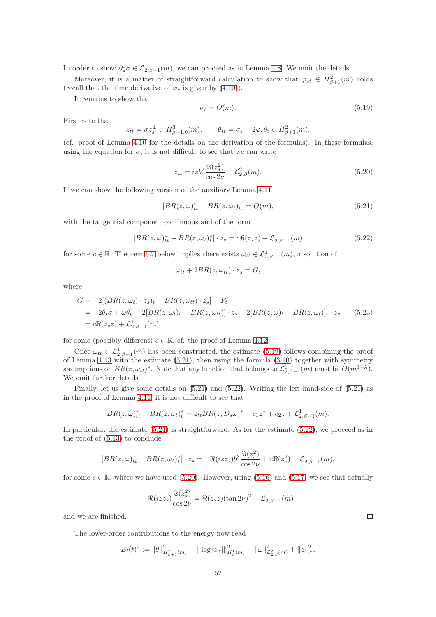In order to show  $\partial_s^3 \sigma \in \mathcal{L}_{2,\beta+1}(m)$ , we can proceed as in Lemma [4.8.](#page-33-0) We omit the details.

Moreover, it is a matter of straightforward calculation to show that  $\varphi_{st} \in H^2_{\beta+1}(m)$  holds (recall that the time derivative of  $\varphi_s$  is given by [\(4.10\)](#page-27-6)).

It remains to show that

<span id="page-51-0"></span>
$$
\sigma_t = O(m). \tag{5.19}
$$

First note that

$$
z_{tt} = \sigma z_s^{\perp} \in H^3_{\beta+1,0}(m), \qquad \theta_{tt} = \sigma_s - 2\varphi_s \theta_t \in H^2_{\beta+1}(m).
$$

(cf. proof of Lemma [4.10](#page-35-3) for the details on the derivation of the formulas). In these formulas, using the equation for  $\sigma$ , it is not difficult to see that we can write

<span id="page-51-3"></span>
$$
z_{tt} = izb^2 \frac{\Im(z_s^2)}{\cos 2\nu} + \mathcal{L}_{2,\beta}^2(m). \tag{5.20}
$$

If we can show the following version of the auxiliary Lemma [4.11](#page-35-1)

<span id="page-51-1"></span>
$$
[BR(z, \omega)_{tt}^* - BR(z, \omega_t)_{t}^*] = O(m), \qquad (5.21)
$$

with the tangential component continuous and of the form

<span id="page-51-2"></span>
$$
[BR(z,\omega)_{tt}^* - BR(z,\omega_t)_{t}^*] \cdot z_s = c\Re(z_s z) + \mathcal{L}_{2,\beta-1}^1(m)
$$
\n(5.22)

for some  $c \in \mathbb{R}$ , Theorem [6.7](#page-62-0) below implies there exists  $\omega_{tt} \in \mathcal{L}^1_{2,\beta-1}(m)$ , a solution of

$$
\omega_{tt} + 2BR(z, \omega_{tt}) \cdot z_s = G,
$$

where

$$
G = -2[(BR(z, \omega_t) \cdot z_s)_t - BR(z, \omega_{tt}) \cdot z_s] + F_t
$$
  
= -2\theta\_t \sigma + \omega \theta\_t^2 - 2[BR(z, \omega\_t)\_t - BR(z, \omega\_{tt})] \cdot z\_s - 2[BR(z, \omega)\_t - BR(z, \omega\_t)]\_t \cdot z\_s \t (5.23)  
= c\Re(z\_s z) + \mathcal{L}\_{2,\beta-1}^1(m)

for some (possibly different)  $c \in \mathbb{R}$ , cf. the proof of Lemma [4.12.](#page-35-0)

Once  $\omega_{tt} \in \mathcal{L}_{2,\beta-1}^1(m)$  has been constructed, the estimate [\(5.19\)](#page-51-0) follows combining the proof of Lemma [4.13](#page-36-3) with the estimate [\(5.21\)](#page-51-1), then using the formula [\(3.10\)](#page-10-2) together with symmetry assumptions on  $BR(z, \omega_{tt})^*$ . Note that any function that belongs to  $\mathcal{L}_{2,\beta-1}^1(m)$  must be  $O(m^{1+\lambda})$ . We omit further details.

Finally, let us give some details on [\(5.21\)](#page-51-1) and [\(5.22\)](#page-51-2). Writing the left hand-side of [\(5.21\)](#page-51-1) as in the proof of Lemma [4.11,](#page-35-1) it is not difficult to see that

$$
BR(z,\omega)_{tt}^* - BR(z,\omega_t)_t^* = z_{tt} BR(z,D_s\omega)^* + c_1 z^* + c_2 z + \mathcal{L}_{2,\beta-1}^1(m).
$$

In particular, the estimate  $(5.21)$  is straightforward. As for the estimate  $(5.22)$ , we proceed as in the proof of [\(5.13\)](#page-49-4) to conclude

$$
[BR(z,\omega)_{tt}^* - BR(z,\omega_t)_{t}^*] \cdot z_s = -\Re(izz_s)b^3 \frac{\Im(z_s^2)}{\cos 2\nu} + c\Re(z_s^2) + \mathcal{L}_{2,\beta-1}^1(m),
$$

for some  $c \in \mathbb{R}$ , where we have used [\(5.20\)](#page-51-3). However, using [\(5.16\)](#page-49-5) and [\(5.17\)](#page-50-0) we see that actually

$$
-\Re(izz_s)\frac{\Im(z_s^2)}{\cos 2\nu} = \Re(z_s z)(\tan 2\nu)^2 + \mathcal{L}_{2,\beta-1}^1(m)
$$

and we are finished.

The lower-order contributions to the energy now read

$$
E_l(t)^2 := \|\theta\|_{H^2_{\beta+1}(m)}^2 + \|\log|z_\alpha|\|_{H^1_{\beta}(m)}^2 + \|\omega\|_{\mathcal{L}^2_{2,\beta}(m)}^2 + \|z\|_{\mathcal{F}}^2,
$$

 $\Box$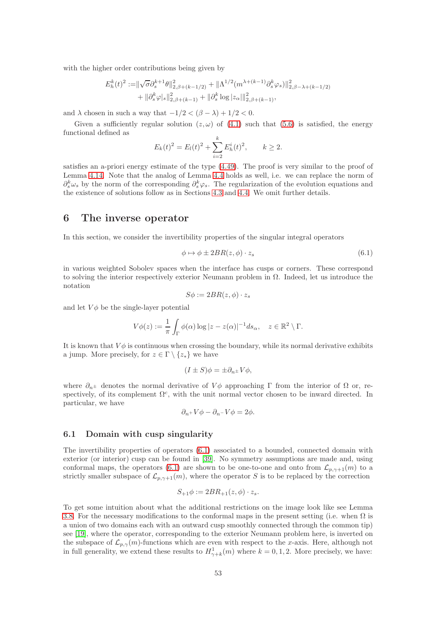with the higher order contributions being given by

$$
E_h^k(t)^2 := ||\sqrt{\sigma} \partial_s^{k+1} \theta||_{2,\beta+(k-1/2)}^2 + ||\Lambda^{1/2}(m^{\lambda+(k-1)} \partial_s^k \varphi_s)||_{2,\beta-\lambda+(k-1/2)}^2 + ||\partial_s^k \varphi_s||_{2,\beta+(k-1)}^2 + ||\partial_s^k \log |z_\alpha||_{2,\beta+(k-1)}^2,
$$

and  $\lambda$  chosen in such a way that  $-1/2 < (\beta - \lambda) + 1/2 < 0$ .

Given a sufficiently regular solution  $(z, \omega)$  of [\(4.1\)](#page-26-1) such that [\(5.6\)](#page-47-3) is satisfied, the energy functional defined as

$$
E_k(t)^2 = E_l(t)^2 + \sum_{i=2}^k E_h^i(t)^2, \qquad k \ge 2.
$$

satisfies an a-priori energy estimate of the type [\(4.49\)](#page-38-2). The proof is very similar to the proof of Lemma [4.14.](#page-38-3) Note that the analog of Lemma [4.4](#page-28-0) holds as well, i.e. we can replace the norm of  $\partial_s^k \omega_s$  by the norm of the corresponding  $\partial_s^k \varphi_s$ . The regularization of the evolution equations and the existence of solutions follow as in Sections [4.3](#page-41-7) and [4.4.](#page-44-1) We omit further details.

## 6 The inverse operator

In this section, we consider the invertibility properties of the singular integral operators

<span id="page-52-0"></span>
$$
\phi \mapsto \phi \pm 2BR(z, \phi) \cdot z_s \tag{6.1}
$$

in various weighted Sobolev spaces when the interface has cusps or corners. These correspond to solving the interior respectively exterior Neumann problem in  $\Omega$ . Indeed, let us introduce the notation

$$
S\phi := 2BR(z, \phi) \cdot z_s
$$

and let  $V\phi$  be the single-layer potential

$$
V\phi(z) := \frac{1}{\pi} \int_{\Gamma} \phi(\alpha) \log |z - z(\alpha)|^{-1} ds_{\alpha}, \quad z \in \mathbb{R}^2 \setminus \Gamma.
$$

It is known that  $V\phi$  is continuous when crossing the boundary, while its normal derivative exhibits a jump. More precisely, for  $z \in \Gamma \setminus \{z_*\}$  we have

$$
(I \pm S)\phi = \pm \partial_{n^{\pm}} V \phi,
$$

where  $\partial_{n^{\pm}}$  denotes the normal derivative of  $V\phi$  approaching Γ from the interior of  $\Omega$  or, respectively, of its complement  $\Omega^c$ , with the unit normal vector chosen to be inward directed. In particular, we have

$$
\partial_{n+}V\phi - \partial_{n-}V\phi = 2\phi.
$$

#### 6.1 Domain with cusp singularity

The invertibility properties of operators [\(6.1\)](#page-52-0) associated to a bounded, connected domain with exterior (or interior) cusp can be found in [\[39\]](#page-79-1). No symmetry assumptions are made and, using conformal maps, the operators [\(6.1\)](#page-52-0) are shown to be one-to-one and onto from  $\mathcal{L}_{p,\gamma+1}(m)$  to a strictly smaller subspace of  $\mathcal{L}_{p,\gamma+1}(m)$ , where the operator S is to be replaced by the correction

$$
S_{+1}\phi := 2BR_{+1}(z,\phi) \cdot z_s.
$$

To get some intuition about what the additional restrictions on the image look like see Lemma [3.8.](#page-18-0) For the necessary modifications to the conformal maps in the present setting (i.e. when  $\Omega$  is a union of two domains each with an outward cusp smoothly connected through the common tip) see [\[19\]](#page-78-1), where the operator, corresponding to the exterior Neumann problem here, is inverted on the subspace of  $\mathcal{L}_{p,\gamma}(m)$ -functions which are even with respect to the x-axis. Here, although not in full generality, we extend these results to  $H^1_{\gamma+k}(m)$  where  $k = 0, 1, 2$ . More precisely, we have: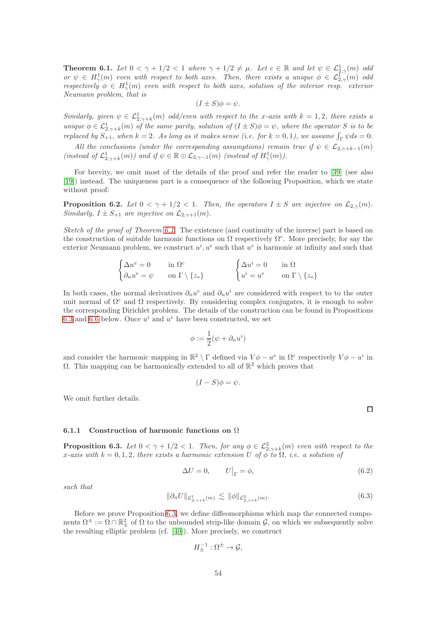<span id="page-53-0"></span>**Theorem 6.1.** Let  $0 < \gamma + 1/2 < 1$  where  $\gamma + 1/2 \neq \mu$ . Let  $c \in \mathbb{R}$  and let  $\psi \in \mathcal{L}^1_{2,\gamma}(m)$  odd or  $\psi \in H^1_\gamma(m)$  even with respect to both axes. Then, there exists a unique  $\phi \in \mathcal{L}^1_{2,\gamma}(m)$  odd respectively  $\phi \in H^1_\gamma(m)$  even with respect to both axes, solution of the interior resp. exterior Neumann problem, that is

$$
(I \pm S)\phi = \psi.
$$

Similarly, given  $\psi \in \mathcal{L}^1_{2,\gamma+k}(m)$  odd/even with respect to the x-axis with  $k=1,2$ , there exists a unique  $\phi \in \mathcal{L}^1_{2,\gamma+k}(m)$  of the same parity, solution of  $(I \pm S)\phi = \psi$ , where the operator S is to be replaced by  $S_{+1}$ , when  $k = 2$ . As long as it makes sense (i.e. for  $k = 0, 1$ ), we assume  $\int_{\Gamma} \psi ds = 0$ .

All the conclusions (under the corresponding assumptions) remain true if  $\psi \in \mathcal{L}_{2,\gamma+k-1}(m)$ (instead of  $\mathcal{L}_{2,\gamma+k}^1(m)$ ) and if  $\psi \in \mathbb{R} \oplus \mathcal{L}_{2,\gamma-1}(m)$  (instead of  $H^1_\gamma(m)$ ).

For brevity, we omit most of the details of the proof and refer the reader to [\[39\]](#page-79-1) (see also [\[19\]](#page-78-1)) instead. The uniqueness part is a consequence of the following Proposition, which we state without proof:

**Proposition 6.2.** Let  $0 < \gamma + 1/2 < 1$ . Then, the operators  $I \pm S$  are injective on  $\mathcal{L}_{2,\gamma}(m)$ . Similarly,  $I \pm S_{+1}$  are injective on  $\mathcal{L}_{2,\gamma+1}(m)$ .

Sketch of the proof of Theorem [6.1.](#page-53-0) The existence (and continuity of the inverse) part is based on the construction of suitable harmonic functions on  $\Omega$  respectively  $\Omega^c$ . More precisely, for say the exterior Neumann problem, we construct  $u^i, u^e$  such that  $u^e$  is harmonic at infinity and such that

$$
\begin{cases} \Delta u^e = 0 & \text{in } \Omega^c \\ \partial_n u^e = \psi & \text{on } \Gamma \setminus \{z_*\} \end{cases} \qquad \qquad \begin{cases} \Delta u^i = 0 & \text{in } \Omega \\ u^i = u^e & \text{on } \Gamma \setminus \{z_*\} \end{cases}
$$

In both cases, the normal derivatives  $\partial_n u^e$  and  $\partial_n u^i$  are considered with respect to to the outer unit normal of  $\Omega^c$  and  $\Omega$  respectively. By considering complex conjugates, it is enough to solve the corresponding Dirichlet problem. The details of the construction can be found in Propositions [6.3](#page-53-1) and [6.6](#page-60-0) below. Once  $u^i$  and  $u^e$  have been constructed, we set

$$
\phi := \frac{1}{2}(\psi + \partial_n u^i)
$$

and consider the harmonic mapping in  $\mathbb{R}^2 \setminus \Gamma$  defined via  $V\phi - u^e$  in  $\Omega^c$  respectively  $V\phi - u^i$  in Ω. This mapping can be harmonically extended to all of  $\mathbb{R}^2$  which proves that

$$
(I-S)\phi=\psi.
$$

We omit further details.

 $\Box$ 

#### 6.1.1 Construction of harmonic functions on Ω

<span id="page-53-1"></span>**Proposition 6.3.** Let  $0 < \gamma + 1/2 < 1$ . Then, for any  $\phi \in \mathcal{L}^2_{2,\gamma+k}(m)$  even with respect to the x-axis with  $k = 0, 1, 2$ , there exists a harmonic extension U of  $\phi$  to  $\Omega$ , i.e. a solution of

<span id="page-53-2"></span>
$$
\Delta U = 0, \qquad U\big|_{\Gamma} = \phi,\tag{6.2}
$$

such that

<span id="page-53-3"></span>
$$
\|\partial_n U\|_{\mathcal{L}^1_{2,\gamma+k}(m)} \lesssim \|\phi\|_{\mathcal{L}^2_{2,\gamma+k}(m)}.\tag{6.3}
$$

Before we prove Proposition [6.3,](#page-53-1) we define diffeomorphisms which map the connected components  $\Omega^{\pm} := \Omega \cap \mathbb{R}^2_{\pm}$  of  $\Omega$  to the unbounded strip-like domain  $\mathcal{G}$ , on which we subsequently solve the resulting elliptic problem (cf. [\[40\]](#page-79-2)). More precisely, we construct

$$
H_{\pm}^{-1}:\Omega^{\pm}\to\mathcal{G},
$$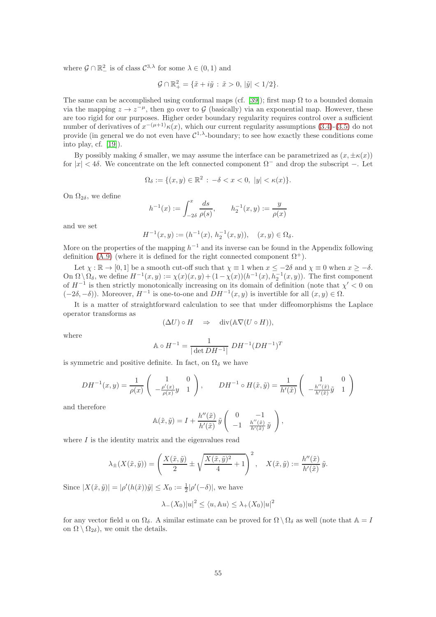where  $\mathcal{G} \cap \mathbb{R}^2$  is of class  $C^{3,\lambda}$  for some  $\lambda \in (0,1)$  and

$$
\mathcal{G} \cap \mathbb{R}^2_+ = \{ \tilde{x} + i\tilde{y} \, : \, \tilde{x} > 0, \, |\tilde{y}| < 1/2 \}.
$$

The same can be accomplished using conformal maps (cf. [\[39\]](#page-79-1)); first map  $\Omega$  to a bounded domain via the mapping  $z \to z^{-\mu}$ , then go over to G (basically) via an exponential map. However, these are too rigid for our purposes. Higher order boundary regularity requires control over a sufficient number of derivatives of  $x^{-(\mu+1)}\kappa(x)$ , which our current regularity assumptions [\(3.4\)](#page-8-2)-[\(3.5\)](#page-8-3) do not provide (in general we do not even have  $C^{1,\lambda}$ -boundary; to see how exactly these conditions come into play, cf. [\[19\]](#page-78-1)).

By possibly making  $\delta$  smaller, we may assume the interface can be parametrized as  $(x, \pm \kappa(x))$ for  $|x| < 4\delta$ . We concentrate on the left connected component  $\Omega^-$  and drop the subscript –. Let

$$
\Omega_{\delta} := \{ (x, y) \in \mathbb{R}^2 \, : \, -\delta < x < 0, \ |y| < \kappa(x) \}.
$$

On  $\Omega_{2\delta}$ , we define

$$
h^{-1}(x):=\int_{-2\delta}^x\frac{ds}{\rho(s)},\qquad h_2^{-1}(x,y):=\frac{y}{\rho(x)}
$$

and we set

$$
H^{-1}(x,y) := (h^{-1}(x), h_2^{-1}(x,y)), \quad (x,y) \in \Omega_{\delta}.
$$

More on the properties of the mapping  $h^{-1}$  and its inverse can be found in the Appendix following definition [\(A.9\)](#page-67-0) (where it is defined for the right connected component  $\Omega^+$ ).

Let  $\chi : \mathbb{R} \to [0, 1]$  be a smooth cut-off such that  $\chi \equiv 1$  when  $x \le -2\delta$  and  $\chi \equiv 0$  when  $x \ge -\delta$ . On  $\Omega \setminus \Omega_{\delta}$ , we define  $H^{-1}(x, y) := \chi(x)(x, y) + (1 - \chi(x))(h^{-1}(x), h^{-1}(x, y))$ . The first component of  $H^{-1}$  is then strictly monotonically increasing on its domain of definition (note that  $\chi' < 0$  on  $(-2\delta, -\delta)$ ). Moreover,  $H^{-1}$  is one-to-one and  $DH^{-1}(x, y)$  is invertible for all  $(x, y) \in \Omega$ .

It is a matter of straightforward calculation to see that under diffeomorphisms the Laplace operator transforms as

$$
(\Delta U)\circ H\quad\Rightarrow\quad \mathrm{div}(\mathbb{A}\nabla(U\circ H)),
$$

where

$$
\mathbb{A} \circ H^{-1} = \frac{1}{|\det DH^{-1}|} \; DH^{-1} (DH^{-1})^T
$$

is symmetric and positive definite. In fact, on  $\Omega_{\delta}$  we have

$$
DH^{-1}(x,y) = \frac{1}{\rho(x)} \begin{pmatrix} 1 & 0 \\ -\frac{\rho'(x)}{\rho(x)}y & 1 \end{pmatrix}, \qquad DH^{-1} \circ H(\tilde{x},\tilde{y}) = \frac{1}{h'(\tilde{x})} \begin{pmatrix} 1 & 0 \\ -\frac{h''(\tilde{x})}{h'(\tilde{x})}\tilde{y} & 1 \end{pmatrix}
$$

and therefore

$$
\mathbb{A}(\tilde{x}, \tilde{y}) = I + \frac{h''(\tilde{x})}{h'(\tilde{x})} \tilde{y} \begin{pmatrix} 0 & -1 \\ -1 & \frac{h''(\tilde{x})}{h'(\tilde{x})} \tilde{y} \end{pmatrix},
$$

where  $I$  is the identity matrix and the eigenvalues read

$$
\lambda_{\pm}(X(\tilde{x},\tilde{y})) = \left(\frac{X(\tilde{x},\tilde{y})}{2} \pm \sqrt{\frac{X(\tilde{x},\tilde{y})^2}{4} + 1}\right)^2, \quad X(\tilde{x},\tilde{y}) := \frac{h''(\tilde{x})}{h'(\tilde{x})}\tilde{y}.
$$

Since  $|X(\tilde{x}, \tilde{y})| = |\rho'(h(\tilde{x}))\tilde{y}| \le X_0 := \frac{1}{2}|\rho'(-\delta)|$ , we have

$$
\lambda_{-}(X_0)|u|^2 \le \langle u, \mathbb{A}u \rangle \le \lambda_{+}(X_0)|u|^2
$$

for any vector field u on  $\Omega_\delta$ . A similar estimate can be proved for  $\Omega \setminus \Omega_\delta$  as well (note that  $\mathbb{A} = I$ on  $\Omega \setminus \Omega_{2\delta}$ , we omit the details.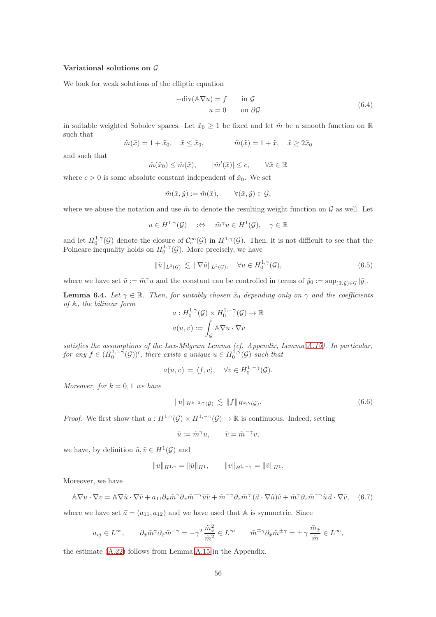#### Variational solutions on  $\mathcal G$

We look for weak solutions of the elliptic equation

<span id="page-55-3"></span>
$$
-div(\mathbb{A}\nabla u) = f \t\t in \mathcal{G}
$$
  
 
$$
u = 0 \t\t on \partial \mathcal{G}
$$
 (6.4)

in suitable weighted Sobolev spaces. Let  $\tilde{x}_0 \geq 1$  be fixed and let  $\tilde{m}$  be a smooth function on R such that

$$
\tilde{m}(\tilde{x}) = 1 + \tilde{x}_0, \quad \tilde{x} \le \tilde{x}_0, \qquad \tilde{m}(\tilde{x}) = 1 + \tilde{x}, \quad \tilde{x} \ge 2\tilde{x}_0
$$

and such that

$$
\tilde{m}(\tilde{x}_0) \le \tilde{m}(\tilde{x}), \qquad |\tilde{m}'(\tilde{x})| \le c, \qquad \forall \tilde{x} \in \mathbb{R}
$$

where  $c > 0$  is some absolute constant independent of  $\tilde{x}_0$ . We set

$$
\tilde{m}(\tilde{x}, \tilde{y}) := \tilde{m}(\tilde{x}), \qquad \forall (\tilde{x}, \tilde{y}) \in \mathcal{G},
$$

where we abuse the notation and use  $\tilde{m}$  to denote the resulting weight function on G as well. Let

$$
u \in H^{1,\gamma}(\mathcal{G}) \quad \Leftrightarrow \quad \tilde{m}^{\gamma} u \in H^1(\mathcal{G}), \quad \gamma \in \mathbb{R}
$$

and let  $H_0^{1,\gamma}(\mathcal{G})$  denote the closure of  $\mathcal{C}_c^{\infty}(\mathcal{G})$  in  $H^{1,\gamma}(\mathcal{G})$ . Then, it is not difficult to see that the Poincare inequality holds on  $H_0^{1,\gamma}(\mathcal{G})$ . More precisely, we have

$$
\|\tilde{u}\|_{L^2(\mathcal{G})} \lesssim \|\nabla \tilde{u}\|_{L^2(\mathcal{G})}, \quad \forall u \in H_0^{1,\gamma}(\mathcal{G}), \tag{6.5}
$$

where we have set  $\tilde{u} := \tilde{m}^{\gamma}u$  and the constant can be controlled in terms of  $\tilde{y}_0 := \sup_{(\tilde{x}, \tilde{y}) \in \mathcal{G}} |\tilde{y}|$ .

<span id="page-55-2"></span>**Lemma 6.4.** Let  $\gamma \in \mathbb{R}$ . Then, for suitably chosen  $\tilde{x}_0$  depending only on  $\gamma$  and the coefficients of A, the bilinear form

$$
a: H_0^{1,\gamma}(\mathcal{G}) \times H_0^{1,-\gamma}(\mathcal{G}) \to \mathbb{R}
$$

$$
a(u, v) := \int_{\mathcal{G}} A \nabla u \cdot \nabla v
$$

satisfies the assumptions of the Lax-Milgram Lemma (cf. Appendix, Lemma [A.15\)](#page-75-1). In particular, for any  $f \in (H_0^{1,-\tilde{\gamma}}(\mathcal{G}))'$ , there exists a unique  $u \in H_0^{1,\tilde{\gamma}}(\mathcal{G})$  such that

$$
a(u,v) = \langle f, v \rangle, \quad \forall v \in H_0^{1,-\gamma}(\mathcal{G}).
$$

Moreover, for  $k = 0, 1$  we have

<span id="page-55-1"></span>
$$
||u||_{H^{k+2,\gamma}(\mathcal{G})} \lesssim ||f||_{H^{k,\gamma}(\mathcal{G})}.
$$
\n(6.6)

*Proof.* We first show that  $a: H^{1,\gamma}(\mathcal{G}) \times H^{1,-\gamma}(\mathcal{G}) \to \mathbb{R}$  is continuous. Indeed, setting

$$
\tilde{u} := \tilde{m}^{\gamma} u, \qquad \tilde{v} = \tilde{m}^{-\gamma} v,
$$

we have, by definition  $\tilde{u}, \tilde{v} \in H^1(\mathcal{G})$  and

$$
||u||_{H^{1,\gamma}} = ||\tilde{u}||_{H^1}, \qquad ||v||_{H^{1,-\gamma}} = ||\tilde{v}||_{H^1}.
$$

Moreover, we have

<span id="page-55-0"></span>
$$
\mathbb{A}\nabla u \cdot \nabla v = \mathbb{A}\nabla \tilde{u} \cdot \nabla \tilde{v} + a_{11}\partial_{\tilde{x}}\tilde{m}^{\gamma}\partial_{\tilde{x}}\tilde{m}^{-\gamma}\tilde{u}\tilde{v} + \tilde{m}^{-\gamma}\partial_{\tilde{x}}\tilde{m}^{\gamma}\left(\vec{a}\cdot\nabla\tilde{u}\right)\tilde{v} + \tilde{m}^{\gamma}\partial_{\tilde{x}}\tilde{m}^{-\gamma}\tilde{u}\,\vec{a}\cdot\nabla\tilde{v},\tag{6.7}
$$

where we have set  $\vec{a} = (a_{11}, a_{12})$  and we have used that A is symmetric. Since

$$
a_{ij} \in L^{\infty}, \qquad \partial_{\tilde{x}} \tilde{m}^{\gamma} \partial_{\tilde{x}} \tilde{m}^{-\gamma} = -\gamma^2 \frac{\tilde{m}_{\tilde{x}}^2}{\tilde{m}^2} \in L^{\infty} \qquad \tilde{m}^{\mp \gamma} \partial_{\tilde{x}} \tilde{m}^{\pm \gamma} = \pm \gamma \frac{\tilde{m}_{\tilde{x}}}{\tilde{m}} \in L^{\infty},
$$

the estimate [\(A.22\)](#page-75-2) follows from Lemma [A.15](#page-75-1) in the Appendix.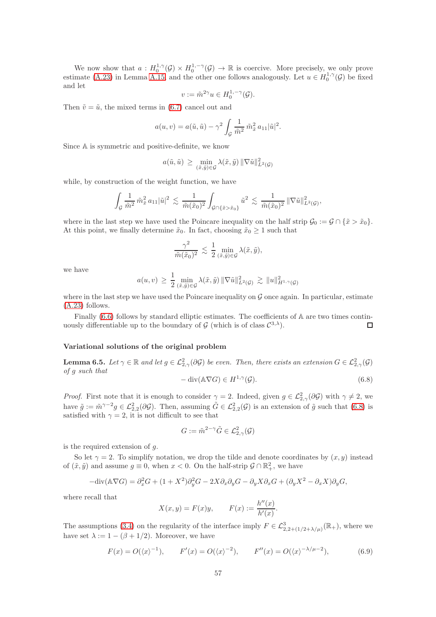We now show that  $a: H_0^{1,\gamma}(\mathcal{G}) \times H_0^{1,-\gamma}(\mathcal{G}) \to \mathbb{R}$  is coercive. More precisely, we only prove estimate [\(A.23\)](#page-75-3) in Lemma [A.15,](#page-75-1) and the other one follows analogously. Let  $u \in H_0^{1,\gamma}(\mathcal{G})$  be fixed and let

$$
v := \tilde{m}^{2\gamma} u \in H_0^{1,-\gamma}(\mathcal{G}).
$$

Then  $\tilde{v} = \tilde{u}$ , the mixed terms in [\(6.7\)](#page-55-0) cancel out and

$$
a(u, v) = a(\tilde{u}, \tilde{u}) - \gamma^2 \int_{\mathcal{G}} \frac{1}{\tilde{m}^2} \tilde{m}_{\tilde{x}}^2 a_{11} |\tilde{u}|^2.
$$

Since A is symmetric and positive-definite, we know

$$
a(\tilde{u}, \tilde{u}) \ge \min_{(\tilde{x}, \tilde{y}) \in \mathcal{G}} \lambda(\tilde{x}, \tilde{y}) \|\nabla \tilde{u}\|_{L^2(\mathcal{G})}^2
$$

while, by construction of the weight function, we have

$$
\int_{\mathcal{G}} \frac{1}{\tilde{m}^2} \, \tilde{m}_{\tilde{x}}^2 \, a_{11} |\tilde{u}|^2 \: \lesssim \: \frac{1}{\tilde{m}(\tilde{x}_0)^2} \int_{\mathcal{G} \cap \{\tilde{x} > \tilde{x}_0\}} \tilde{u}^2 \: \lesssim \: \frac{1}{\tilde{m}(\tilde{x}_0)^2} \, \| \nabla \tilde{u} \|^2_{L^2(\mathcal{G})},
$$

where in the last step we have used the Poincare inequality on the half strip  $\mathcal{G}_0 := \mathcal{G} \cap {\{\tilde{x} > \tilde{x}_0\}}$ . At this point, we finally determine  $\tilde{x}_0$ . In fact, choosing  $\tilde{x}_0 \geq 1$  such that

$$
\frac{\gamma^2}{\tilde{m}(\tilde{x}_0)^2} \lesssim \frac{1}{2} \min_{(\tilde{x}, \tilde{y}) \in \mathcal{G}} \lambda(\tilde{x}, \tilde{y}),
$$

we have

$$
a(u,v) \geq \frac{1}{2} \min_{(\tilde{x},\tilde{y}) \in \mathcal{G}} \lambda(\tilde{x},\tilde{y}) \|\nabla \tilde{u}\|_{L^2(\mathcal{G})}^2 \gtrsim \|u\|_{H^{1,\gamma}(\mathcal{G})}^2
$$

where in the last step we have used the Poincare inequality on  $G$  once again. In particular, estimate [\(A.23\)](#page-75-3) follows.

Finally  $(6.6)$  follows by standard elliptic estimates. The coefficients of A are two times continuously differentiable up to the boundary of  $\mathcal{G}$  (which is of class  $\mathcal{C}^{3,\lambda}$ ).  $\Box$ 

#### Variational solutions of the original problem

<span id="page-56-2"></span>**Lemma 6.5.** Let  $\gamma \in \mathbb{R}$  and let  $g \in \mathcal{L}_{2,\gamma}^2(\partial \mathcal{G})$  be even. Then, there exists an extension  $G \in \mathcal{L}_{2,\gamma}^2(\mathcal{G})$ of g such that

<span id="page-56-0"></span>
$$
-\operatorname{div}(\mathbb{A}\nabla G) \in H^{1,\gamma}(\mathcal{G}).\tag{6.8}
$$

*Proof.* First note that it is enough to consider  $\gamma = 2$ . Indeed, given  $g \in \mathcal{L}_{2,\gamma}^2(\partial \mathcal{G})$  with  $\gamma \neq 2$ , we have  $\tilde{g} := \tilde{m}^{\gamma-2} g \in \mathcal{L}_{2,2}^2(\partial \mathcal{G})$ . Then, assuming  $\tilde{G} \in \mathcal{L}_{2,2}^2(\mathcal{G})$  is an extension of  $\tilde{g}$  such that [\(6.8\)](#page-56-0) is satisfied with  $\gamma = 2$ , it is not difficult to see that

$$
G := \tilde{m}^{2-\gamma} \tilde{G} \in \mathcal{L}^2_{2,\gamma}(\mathcal{G})
$$

is the required extension of  $q$ .

So let  $\gamma = 2$ . To simplify notation, we drop the tilde and denote coordinates by  $(x, y)$  instead of  $(\tilde{x}, \tilde{y})$  and assume  $g \equiv 0$ , when  $x < 0$ . On the half-strip  $\mathcal{G} \cap \mathbb{R}^2_+$ , we have

$$
-\text{div}(\mathbb{A}\nabla G) = \partial_x^2 G + (1 + X^2)\partial_y^2 G - 2X\partial_x \partial_y G - \partial_y X \partial_x G + (\partial_y X^2 - \partial_x X)\partial_y G,
$$

where recall that

$$
X(x, y) = F(x)y
$$
,  $F(x) := \frac{h''(x)}{h'(x)}$ .

The assumptions [\(3.4\)](#page-8-2) on the regularity of the interface imply  $F \in \mathcal{L}^3_{2,2+(1/2+\lambda/\mu)}(\mathbb{R}_+)$ , where we have set  $\lambda := 1 - (\beta + 1/2)$ . Moreover, we have

<span id="page-56-1"></span>
$$
F(x) = O(\langle x \rangle^{-1}), \qquad F'(x) = O(\langle x \rangle^{-2}), \qquad F''(x) = O(\langle x \rangle^{-\lambda/\mu-2}),
$$
 (6.9)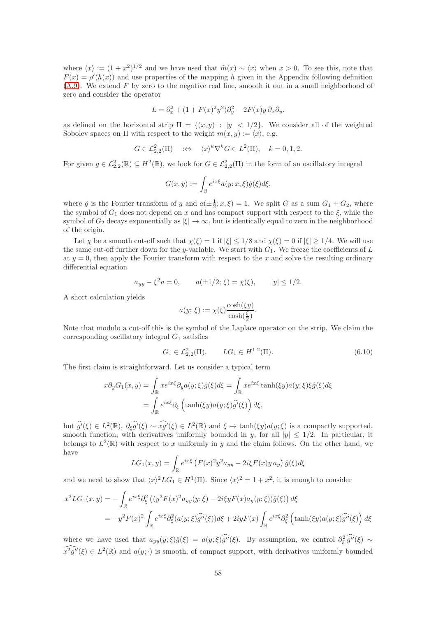where  $\langle x \rangle := (1 + x^2)^{1/2}$  and we have used that  $\tilde{m}(x) \sim \langle x \rangle$  when  $x > 0$ . To see this, note that  $F(x) = \rho'(h(x))$  and use properties of the mapping h given in the Appendix following definition  $(A.9)$ . We extend F by zero to the negative real line, smooth it out in a small neighborhood of zero and consider the operator

$$
L = \partial_x^2 + (1 + F(x)^2 y^2) \partial_y^2 - 2F(x) y \partial_x \partial_y.
$$

as defined on the horizontal strip  $\Pi = \{(x, y) : |y| < 1/2\}$ . We consider all of the weighted Sobolev spaces on  $\Pi$  with respect to the weight  $m(x, y) := \langle x \rangle$ , e.g.

$$
G \in \mathcal{L}_{2,2}^2(\Pi) \quad \Leftrightarrow \quad \langle x \rangle^k \nabla^k G \in L^2(\Pi), \quad k = 0, 1, 2.
$$

For given  $g \in \mathcal{L}_{2,2}^2(\mathbb{R}) \subseteq H^2(\mathbb{R})$ , we look for  $G \in \mathcal{L}_{2,2}^2(\Pi)$  in the form of an oscillatory integral

$$
G(x,y) := \int_{\mathbb{R}} e^{ix\xi} a(y;x,\xi) \hat{g}(\xi) d\xi,
$$

where  $\hat{g}$  is the Fourier transform of g and  $a(\pm \frac{1}{2}; x, \xi) = 1$ . We split G as a sum  $G_1 + G_2$ , where the symbol of  $G_1$  does not depend on x and has compact support with respect to the  $\xi$ , while the symbol of  $G_2$  decays exponentially as  $|\xi| \to \infty$ , but is identically equal to zero in the neighborhood of the origin.

Let  $\chi$  be a smooth cut-off such that  $\chi(\xi) = 1$  if  $|\xi| \leq 1/8$  and  $\chi(\xi) = 0$  if  $|\xi| \geq 1/4$ . We will use the same cut-off further down for the y-variable. We start with  $G_1$ . We freeze the coefficients of L at  $y = 0$ , then apply the Fourier transform with respect to the x and solve the resulting ordinary differential equation

$$
a_{yy} - \xi^2 a = 0
$$
,  $a(\pm 1/2; \xi) = \chi(\xi)$ ,  $|y| \le 1/2$ .

A short calculation yields

$$
a(y; \xi) := \chi(\xi) \frac{\cosh(\xi y)}{\cosh(\frac{\xi}{2})}.
$$

Note that modulo a cut-off this is the symbol of the Laplace operator on the strip. We claim the corresponding oscillatory integral  $G_1$  satisfies

$$
G_1 \in \mathcal{L}_{2,2}^2(\Pi), \qquad LG_1 \in H^{1,2}(\Pi). \tag{6.10}
$$

The first claim is straightforward. Let us consider a typical term

$$
x\partial_y G_1(x,y) = \int_{\mathbb{R}} x e^{ix\xi} \partial_y a(y;\xi) \hat{g}(\xi) d\xi = \int_{\mathbb{R}} x e^{ix\xi} \tanh(\xi y) a(y;\xi) \xi \hat{g}(\xi) d\xi
$$

$$
= \int_{\mathbb{R}} e^{ix\xi} \partial_\xi \left( \tanh(\xi y) a(y;\xi) \hat{g}'(\xi) \right) d\xi,
$$

but  $\hat{g}(\xi) \in L^2(\mathbb{R}), \partial_{\xi} \hat{g}(\xi) \sim \hat{x}g(\xi) \in L^2(\mathbb{R})$  and  $\xi \mapsto \tanh(\xi y)a(y;\xi)$  is a compactly supported, smooth function, with derivatives uniformly bounded in y, for all  $|y| \leq 1/2$ . In particular, it belongs to  $L^2(\mathbb{R})$  with respect to x uniformly in y and the claim follows. On the other hand, we have

$$
LG_1(x,y) = \int_{\mathbb{R}} e^{ix\xi} \left( F(x)^2 y^2 a_{yy} - 2i\xi F(x) y a_y \right) \hat{g}(\xi) d\xi
$$

and we need to show that  $\langle x \rangle^2 LG_1 \in H^1(\Pi)$ . Since  $\langle x \rangle^2 = 1 + x^2$ , it is enough to consider

$$
x^2 LG_1(x,y) = -\int_{\mathbb{R}} e^{ix\xi} \partial_{\xi}^2 \left( (y^2 F(x)^2 a_{yy}(y;\xi) - 2i\xi y F(x) a_{y}(y;\xi)) \hat{g}(\xi) \right) d\xi
$$
  
= 
$$
-y^2 F(x)^2 \int_{\mathbb{R}} e^{ix\xi} \partial_{\xi}^2 (a(y;\xi) \hat{g''}(\xi)) d\xi + 2iy F(x) \int_{\mathbb{R}} e^{ix\xi} \partial_{\xi}^2 \left( \tanh(\xi y) a(y;\xi) \hat{g''}(\xi) \right) d\xi
$$

where we have used that  $a_{yy}(y;\xi)\hat{g}(\xi) = a(y;\xi)\hat{g}(\xi)$ . By assumption, we control  $\partial_{\xi}^{2}\hat{g}(\xi) \sim$  $\widehat{x^2g''}(\xi) \in L^2(\mathbb{R})$  and  $a(y; \cdot)$  is smooth, of compact support, with derivatives uniformly bounded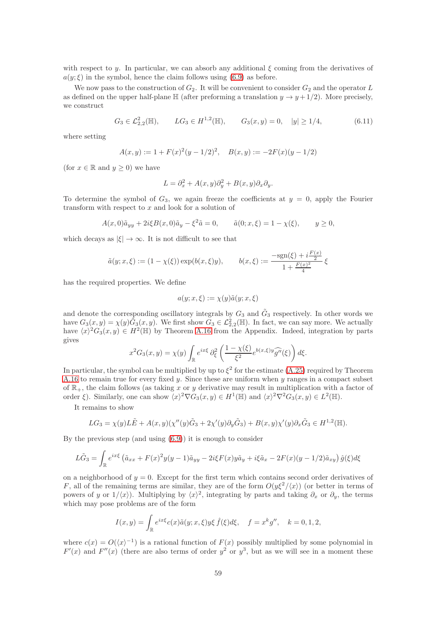with respect to y. In particular, we can absorb any additional  $\xi$  coming from the derivatives of  $a(y;\xi)$  in the symbol, hence the claim follows using [\(6.9\)](#page-56-1) as before.

We now pass to the construction of  $G_2$ . It will be convenient to consider  $G_2$  and the operator L as defined on the upper half-plane  $\mathbb{H}$  (after preforming a translation  $y \to y + 1/2$ ). More precisely, we construct

$$
G_3 \in \mathcal{L}_{2,2}^2(\mathbb{H}), \qquad LG_3 \in H^{1,2}(\mathbb{H}), \qquad G_3(x,y) = 0, \quad |y| \ge 1/4,
$$
 (6.11)

where setting

$$
A(x, y) := 1 + F(x)^{2}(y - 1/2)^{2}, \quad B(x, y) := -2F(x)(y - 1/2)
$$

(for  $x \in \mathbb{R}$  and  $y \ge 0$ ) we have

$$
L = \partial_x^2 + A(x, y)\partial_y^2 + B(x, y)\partial_x\partial_y.
$$

To determine the symbol of  $G_3$ , we again freeze the coefficients at  $y = 0$ , apply the Fourier transform with respect to x and look for a solution of

$$
A(x,0)\tilde{a}_{yy} + 2i\xi B(x,0)\tilde{a}_y - \xi^2 \tilde{a} = 0, \qquad \tilde{a}(0;x,\xi) = 1 - \chi(\xi), \qquad y \ge 0,
$$

which decays as  $|\xi| \to \infty$ . It is not difficult to see that

$$
\tilde{a}(y; x, \xi) := (1 - \chi(\xi)) \exp(b(x, \xi)y), \qquad b(x, \xi) := \frac{-\text{sgn}(\xi) + i\frac{F(x)}{2}}{1 + \frac{F(x)^2}{4}} \xi
$$

has the required properties. We define

$$
a(y; x, \xi) := \chi(y)\tilde{a}(y; x, \xi)
$$

and denote the corresponding oscillatory integrals by  $G_3$  and  $\tilde{G}_3$  respectively. In other words we have  $G_3(x, y) = \chi(y)\tilde{G}_3(x, y)$ . We first show  $G_3 \in \mathcal{L}_{2,2}^2(\mathbb{H})$ . In fact, we can say more. We actually have  $\langle x \rangle^2 G_3(x, y) \in H^2(\mathbb{H})$  by Theorem [A.16](#page-75-4) from the Appendix. Indeed, integration by parts gives

$$
x^2 G_3(x,y) = \chi(y) \int_{\mathbb{R}} e^{ix\xi} \, \partial_{\xi}^2 \left( \frac{1 - \chi(\xi)}{\xi^2} e^{b(x,\xi)y} \widehat{g''}(\xi) \right) d\xi.
$$

In particular, the symbol can be multiplied by up to  $\xi^2$  for the estimate [\(A.25\)](#page-75-5) required by Theorem [A.16](#page-75-4) to remain true for every fixed  $y$ . Since these are uniform when  $y$  ranges in a compact subset of  $\mathbb{R}_+$ , the claim follows (as taking x or y derivative may result in multiplication with a factor of order  $\xi$ ). Similarly, one can show  $\langle x \rangle^2 \nabla G_3(x, y) \in H^1(\mathbb{H})$  and  $\langle x \rangle^2 \nabla^2 G_3(x, y) \in L^2(\mathbb{H})$ .

It remains to show

$$
LG_3 = \chi(y)L\tilde{E} + A(x,y)(\chi''(y)\tilde{G}_3 + 2\chi'(y)\partial_y\tilde{G}_3) + B(x,y)\chi'(y)\partial_x\tilde{G}_3 \in H^{1,2}(\mathbb{H}).
$$

By the previous step (and using [\(6.9\)](#page-56-1)) it is enough to consider

$$
L\tilde{G}_3 = \int_{\mathbb{R}} e^{ix\xi} \left( \tilde{a}_{xx} + F(x)^2 y (y-1) \tilde{a}_{yy} - 2i\xi F(x) y \tilde{a}_y + i\xi \tilde{a}_x - 2F(x) (y-1/2) \tilde{a}_{xy} \right) \hat{g}(\xi) d\xi
$$

on a neighborhood of  $y = 0$ . Except for the first term which contains second order derivatives of F, all of the remaining terms are similar, they are of the form  $O(y\xi^2/\langle x\rangle)$  (or better in terms of powers of y or  $1/\langle x \rangle$ ). Multiplying by  $\langle x \rangle^2$ , integrating by parts and taking  $\partial_x$  or  $\partial_y$ , the terms which may pose problems are of the form

$$
I(x,y) = \int_{\mathbb{R}} e^{ix\xi} c(x)\tilde{a}(y;x,\xi)y\xi \hat{f}(\xi)d\xi, \quad f = x^k g'', \quad k = 0, 1, 2,
$$

where  $c(x) = O(\langle x \rangle^{-1})$  is a rational function of  $F(x)$  possibly multiplied by some polynomial in  $F'(x)$  and  $F''(x)$  (there are also terms of order  $y^2$  or  $y^3$ , but as we will see in a moment these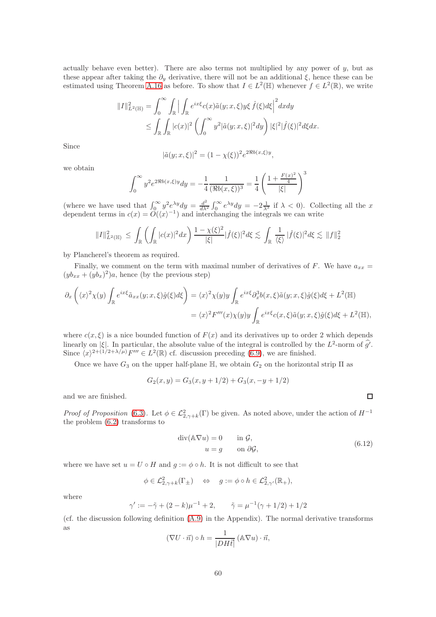actually behave even better). There are also terms not multiplied by any power of  $y$ , but as these appear after taking the  $\partial_y$  derivative, there will not be an additional  $\xi$ , hence these can be estimated using Theorem [A.16](#page-75-4) as before. To show that  $I \in L^2(\mathbb{H})$  whenever  $f \in L^2(\mathbb{R})$ , we write

$$
\begin{aligned} ||I||_{L^2(\mathbb{H})}^2 &= \int_0^\infty \int_{\mathbb{R}} \Big| \int_{\mathbb{R}} e^{ix\xi} c(x) \tilde{a}(y; x, \xi) y \xi \, \hat{f}(\xi) d\xi \Big|^2 dx dy \\ &\leq \int_{\mathbb{R}} \int_{\mathbb{R}} |c(x)|^2 \left( \int_0^\infty y^2 |\tilde{a}(y; x, \xi)|^2 dy \right) |\xi|^2 |\hat{f}(\xi)|^2 d\xi dx. \end{aligned}
$$

Since

$$
|\tilde{a}(y; x, \xi)|^2 = (1 - \chi(\xi))^2 e^{2\Re b(x, \xi)y},
$$

we obtain

$$
\int_0^\infty y^2 e^{2\Re b(x,\xi)y} dy = -\frac{1}{4} \frac{1}{(\Re b(x,\xi))^3} = \frac{1}{4} \left( \frac{1 + \frac{F(x)^2}{4}}{|\xi|} \right)^3
$$

(where we have used that  $\int_0^\infty y^2 e^{\lambda y} dy = \frac{d^2}{dx^2}$  $\frac{d^2}{d\lambda^2} \int_0^\infty e^{\lambda y} dy = -2\frac{1}{\lambda^3}$  if  $\lambda < 0$ ). Collecting all the x dependent terms in  $c(x) = \tilde{O}(\langle x \rangle^{-1})$  and interchanging the integrals we can write

$$
||I||_{L^{2}(\mathbb{H})}^{2} \leq \int_{\mathbb{R}} \left( \int_{\mathbb{R}} |c(x)|^{2} dx \right) \frac{1 - \chi(\xi)^{2}}{|\xi|} |\widehat{f}(\xi)|^{2} d\xi \lesssim \int_{\mathbb{R}} \frac{1}{\langle \xi \rangle} |\widehat{f}(\xi)|^{2} d\xi \lesssim ||f||_{2}^{2}
$$

by Plancherel's theorem as required.

Finally, we comment on the term with maximal number of derivatives of F. We have  $a_{xx}$  =  $(yb_{xx} + (yb_x)^2)a$ , hence (by the previous step)

$$
\partial_x \left( \langle x \rangle^2 \chi(y) \int_{\mathbb{R}} e^{ix\xi} \tilde{a}_{xx}(y; x, \xi) \hat{g}(\xi) d\xi \right) = \langle x \rangle^2 \chi(y) y \int_{\mathbb{R}} e^{ix\xi} \partial_x^3 b(x, \xi) \tilde{a}(y; x, \xi) \hat{g}(\xi) d\xi + L^2(\mathbb{H})
$$
  

$$
= \langle x \rangle^2 F'''(x) \chi(y) y \int_{\mathbb{R}} e^{ix\xi} c(x, \xi) \tilde{a}(y; x, \xi) \hat{g}(\xi) d\xi + L^2(\mathbb{H}),
$$

where  $c(x, \xi)$  is a nice bounded function of  $F(x)$  and its derivatives up to order 2 which depends linearly on  $|\xi|$ . In particular, the absolute value of the integral is controlled by the  $L^2$ -norm of  $\hat{g'}$ . Since  $\langle x \rangle^{2+(1/2+\lambda/\mu)} F''' \in L^2(\mathbb{R})$  cf. discussion preceding [\(6.9\)](#page-56-1), we are finished.

Once we have  $G_3$  on the upper half-plane  $\mathbb{H}$ , we obtain  $G_2$  on the horizontal strip  $\Pi$  as

$$
G_2(x, y) = G_3(x, y + 1/2) + G_3(x, -y + 1/2)
$$

and we are finished.

*Proof of Proposition* [\(6.3\)](#page-53-1). Let  $\phi \in \mathcal{L}_{2,\gamma+k}^2(\Gamma)$  be given. As noted above, under the action of  $H^{-1}$ the problem [\(6.2\)](#page-53-2) transforms to

<span id="page-59-0"></span>
$$
\operatorname{div}(\mathbb{A}\nabla u) = 0 \qquad \text{in } \mathcal{G},
$$
  
 
$$
u = g \qquad \text{on } \partial \mathcal{G}, \tag{6.12}
$$

where we have set  $u = U \circ H$  and  $g := \phi \circ h$ . It is not difficult to see that

$$
\phi \in \mathcal{L}^2_{2,\gamma+k}(\Gamma_{\pm}) \quad \Leftrightarrow \quad g := \phi \circ h \in \mathcal{L}^2_{2,\gamma'}(\mathbb{R}_+),
$$

where

$$
\gamma' := -\tilde{\gamma} + (2 - k)\mu^{-1} + 2,
$$
\n $\tilde{\gamma} = \mu^{-1}(\gamma + 1/2) + 1/2$ 

(cf. the discussion following definition [\(A.9\)](#page-67-0) in the Appendix). The normal derivative transforms as

$$
(\nabla U \cdot \vec{n}) \circ h = \frac{1}{|DH\vec{t}|} (\mathbb{A} \nabla u) \cdot \vec{n},
$$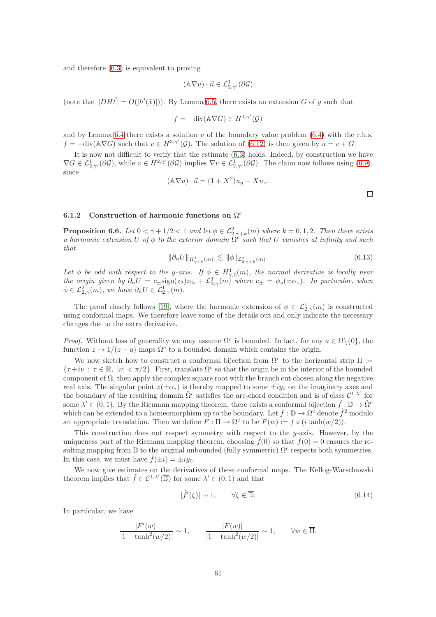and therefore [\(6.3\)](#page-53-3) is equivalent to proving

$$
(\mathbb{A}\nabla u)\cdot\vec{n}\in\mathcal{L}^1_{2,\gamma'}(\partial\mathcal{G})
$$

(note that  $|DH\vec{t}| = O(|h'(\tilde{x})|)$ ). By Lemma [6.5,](#page-56-2) there exists an extension G of g such that

$$
f = -\text{div}(\mathbb{A}\nabla G) \in H^{1,\gamma'}(\mathcal{G})
$$

and by Lemma [6.4](#page-55-2) there exists a solution  $v$  of the boundary value problem [\(6.4\)](#page-55-3) with the r.h.s.  $f = -\text{div}(\mathbb{A}\nabla G)$  such that  $v \in H^{3,\gamma'}(\mathcal{G})$ . The solution of  $(6.12)$  is then given by  $u = v + G$ .

It is now not difficult to verify that the estimate [\(6.3\)](#page-53-3) holds. Indeed, by construction we have  $\nabla G \in \mathcal{L}^1_{2,\gamma'}(\partial \mathcal{G})$ , while  $v \in H^{2,\gamma'}(\partial \mathcal{G})$  implies  $\nabla v \in \mathcal{L}^1_{2,\gamma'}(\partial \mathcal{G})$ . The claim now follows using  $(6.9)$ , since

$$
(\mathbb{A}\nabla u)\cdot\vec{n}=(1+X^2)u_y-Xu_x.
$$

 $\Box$ 

### 6.1.2 Construction of harmonic functions on  $\Omega^c$

<span id="page-60-0"></span>**Proposition 6.6.** Let  $0 < \gamma + 1/2 < 1$  and let  $\phi \in \mathcal{L}^2_{2,\gamma+k}(m)$  where  $k = 0,1,2$ . Then there exists a harmonic extension U of  $\phi$  to the exterior domain  $\Omega^c$  such that U vanishes at infinity and such that

<span id="page-60-1"></span>
$$
\|\partial_n U\|_{H^1_{\gamma+k}(m)} \lesssim \|\phi\|_{\mathcal{L}^2_{2,\gamma+k}(m)}.\tag{6.13}
$$

Let  $\phi$  be odd with respect to the y-axis. If  $\phi \in H^1_{\gamma,0}(m)$ , the normal derivative is locally near the origin given by  $\partial_n U = c_{\pm} \text{sign}(z_2) z_{2s} + \mathcal{L}_{2,\gamma}^1(m)$  where  $c_{\pm} = \phi_s(\pm \alpha_*)$ . In particular, when  $\phi \in \mathcal{L}^2_{2,\gamma}(m)$ , we have  $\partial_n U \in \mathcal{L}^1_{2,\gamma}(m)$ .

The proof closely follows [\[19\]](#page-78-1), where the harmonic extension of  $\phi \in \mathcal{L}^1_{2,\gamma}(m)$  is constructed using conformal maps. We therefore leave some of the details out and only indicate the necessary changes due to the extra derivative.

*Proof.* Without loss of generality we may assume  $\Omega^c$  is bounded. In fact, for any  $a \in \Omega \setminus \{0\}$ , the function  $z \mapsto 1/(z - a)$  maps  $\Omega^c$  to a bounded domain which contains the origin.

We now sketch how to construct a conformal bijection from  $\Omega^c$  to the horizontal strip  $\Pi$  :=  ${\tau+i\nu}$ :  ${\tau \in \mathbb{R}}$ ,  $|\nu| < \pi/2$ . First, translate  $\Omega^c$  so that the origin be in the interior of the bounded component of  $\Omega$ , then apply the complex square root with the branch cut chosen along the negative real axis. The singular point  $z(\pm \alpha_*)$  is thereby mapped to some  $\pm iy_0$  on the imaginary axes and the boundary of the resulting domain  $\tilde{\Omega}^c$  satisfies the arc-chord condition and is of class  $C^{1,\lambda'}$  for some  $\lambda' \in (0,1)$ . By the Riemann mapping theorem, there exists a conformal bijection  $\tilde{f} : \mathbb{D} \to \tilde{\Omega}^c$ which can be extended to a homeomorphism up to the boundary. Let  $f : \mathbb{D} \to \Omega^c$  denote  $\tilde{f}^2$  modulo an appropriate translation. Then we define  $F : \Pi \to \Omega^c$  to be  $F(w) := f \circ (i \tanh(w/2))$ .

This construction does not respect symmetry with respect to the  $y$ -axis. However, by the uniqueness part of the Riemann mapping theorem, choosing  $f(0)$  so that  $f(0) = 0$  ensures the resulting mapping from  $\mathbb D$  to the original unbounded (fully symmetric)  $\Omega^c$  respects both symmetries. In this case, we must have  $\tilde{f}(\pm i) = \pm i y_0$ .

We now give estimates on the derivatives of these conformal maps. The Kellog-Warschawski theorem implies that  $\tilde{f} \in C^{1,\lambda'}(\overline{\mathbb{D}})$  for some  $\lambda' \in (0,1)$  and that

<span id="page-60-2"></span>
$$
|\tilde{f}'(\zeta)| \sim 1, \qquad \forall \zeta \in \overline{\mathbb{D}}.\tag{6.14}
$$

In particular, we have

$$
\frac{|F'(w)|}{|1 - \tanh^2(w/2)|} \sim 1, \qquad \frac{|F(w)|}{|1 - \tanh^2(w/2)|} \sim 1, \qquad \forall w \in \overline{\Pi}.
$$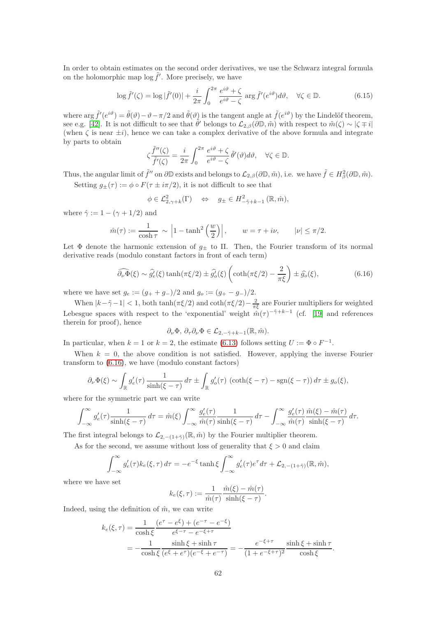In order to obtain estimates on the second order derivatives, we use the Schwarz integral formula on the holomorphic map  $\log \tilde{f}'$ . More precisely, we have

<span id="page-61-1"></span>
$$
\log \tilde{f}'(\zeta) = \log |\tilde{f}'(0)| + \frac{i}{2\pi} \int_0^{2\pi} \frac{e^{i\vartheta} + \zeta}{e^{i\vartheta} - \zeta} \arg \tilde{f}'(e^{i\vartheta}) d\vartheta, \quad \forall \zeta \in \mathbb{D}.
$$
 (6.15)

where  $\arg \tilde{f}'(e^{i\vartheta}) = \tilde{\theta}(\vartheta) - \vartheta - \pi/2$  and  $\tilde{\theta}(\vartheta)$  is the tangent angle at  $\tilde{f}(e^{i\vartheta})$  by the Lindelöf theorem, see e.g. [\[42\]](#page-79-3). It is not difficult to see that  $\tilde{\theta}'$  belongs to  $\mathcal{L}_{2,\beta}(\partial \mathbb{D}, \tilde{m})$  with respect to  $\tilde{m}(\zeta) \sim |\zeta \mp i|$ (when  $\zeta$  is near  $\pm i$ ), hence we can take a complex derivative of the above formula and integrate by parts to obtain

$$
\zeta \frac{\tilde{f}''(\zeta)}{\tilde{f}'(\zeta)} = \frac{i}{2\pi} \int_0^{2\pi} \frac{e^{i\vartheta} + \zeta}{e^{i\vartheta} - \zeta} \tilde{\theta}'(\vartheta) d\vartheta, \quad \forall \zeta \in \mathbb{D}.
$$

Thus, the angular limit of  $\tilde{f}''$  on  $\partial \mathbb{D}$  exists and belongs to  $\mathcal{L}_{2,\beta}(\partial \mathbb{D}, \tilde{m})$ , i.e. we have  $\tilde{f} \in H_\beta^2(\partial \mathbb{D}, \tilde{m})$ .

Setting  $g_{\pm}(\tau) := \phi \circ F(\tau \pm i\pi/2)$ , it is not difficult to see that

$$
\phi \in \mathcal{L}^2_{2,\gamma+k}(\Gamma) \quad \Leftrightarrow \quad g_{\pm} \in H^2_{-\tilde{\gamma}+k-1}(\mathbb{R},\hat{m}),
$$

where  $\hat{\gamma} := 1 - (\gamma + 1/2)$  and

$$
\hat{m}(\tau) := \frac{1}{\cosh \tau} \sim \left| 1 - \tanh^2\left(\frac{w}{2}\right) \right|, \qquad w = \tau + i\nu, \qquad |\nu| \le \pi/2.
$$

Let  $\Phi$  denote the harmonic extension of  $g_{\pm}$  to  $\Pi$ . Then, the Fourier transform of its normal derivative reads (modulo constant factors in front of each term)

<span id="page-61-0"></span>
$$
\widehat{\partial_{\nu}\Phi}(\xi) \sim \widehat{g_{\epsilon}'}(\xi) \tanh(\pi\xi/2) \pm \widehat{g_{o}'}(\xi) \left( \coth(\pi\xi/2) - \frac{2}{\pi\xi} \right) \pm \widehat{g_{o}}(\xi),\tag{6.16}
$$

where we have set  $g_e := (g_+ + g_-)/2$  and  $g_o := (g_+ - g_-)/2$ .

When  $|k-\tilde{\gamma}-1| < 1$ , both  $\tanh(\pi \xi/2)$  and  $\coth(\pi \xi/2) - \frac{2}{\pi \xi}$  are Fourier multipliers for weighted Lebesgue spaces with respect to the 'exponential' weight  $\hat{m}(\tau)^{-\tilde{\gamma}+k-1}$  (cf. [\[19\]](#page-78-1) and references therein for proof), hence

$$
\partial_{\nu}\Phi, \, \partial_{\tau}\partial_{\nu}\Phi \in \mathcal{L}_{2,-\tilde{\gamma}+k-1}(\mathbb{R},\tilde{m}).
$$

In particular, when  $k = 1$  or  $k = 2$ , the estimate [\(6.13\)](#page-60-1) follows setting  $U := \Phi \circ F^{-1}$ .

When  $k = 0$ , the above condition is not satisfied. However, applying the inverse Fourier transform to [\(6.16\)](#page-61-0), we have (modulo constant factors)

$$
\partial_{\nu} \Phi(\xi) \sim \int_{\mathbb{R}} g'_e(\tau) \frac{1}{\sinh(\xi - \tau)} d\tau \pm \int_{\mathbb{R}} g'_o(\tau) \left( \coth(\xi - \tau) - \text{sgn}(\xi - \tau) \right) d\tau \pm g_o(\xi),
$$

where for the symmetric part we can write

$$
\int_{-\infty}^{\infty} g'_e(\tau) \frac{1}{\sinh(\xi - \tau)} d\tau = \hat{m}(\xi) \int_{-\infty}^{\infty} \frac{g'_e(\tau)}{\hat{m}(\tau)} \frac{1}{\sinh(\xi - \tau)} d\tau - \int_{-\infty}^{\infty} \frac{g'_e(\tau)}{\hat{m}(\tau)} \frac{\hat{m}(\xi) - \hat{m}(\tau)}{\sinh(\xi - \tau)} d\tau.
$$

The first integral belongs to  $\mathcal{L}_{2,-(1+\tilde{\gamma})}(\mathbb{R},\hat{m})$  by the Fourier multiplier theorem.

As for the second, we assume without loss of generality that  $\xi > 0$  and claim

$$
\int_{-\infty}^{\infty} g'_e(\tau) k_e(\xi, \tau) d\tau = -e^{-\xi} \tanh \xi \int_{-\infty}^{\infty} g'_e(\tau) e^{\tau} d\tau + \mathcal{L}_{2, -(1+\tilde{\gamma})}(\mathbb{R}, \hat{m}),
$$

where we have set

$$
k_e(\xi,\tau) := \frac{1}{\hat{m}(\tau)} \frac{\hat{m}(\xi) - \hat{m}(\tau)}{\sinh(\xi - \tau)}.
$$

Indeed, using the definition of  $\hat{m}$ , we can write

$$
k_e(\xi, \tau) = \frac{1}{\cosh \xi} \frac{(e^{\tau} - e^{\xi}) + (e^{-\tau} - e^{-\xi})}{e^{\xi - \tau} - e^{-\xi + \tau}} \\
= -\frac{1}{\cosh \xi} \frac{\sinh \xi + \sinh \tau}{(e^{\xi} + e^{\tau})(e^{-\xi} + e^{-\tau})} = -\frac{e^{-\xi + \tau}}{(1 + e^{-\xi + \tau})^2} \frac{\sinh \xi + \sinh \tau}{\cosh \xi}.
$$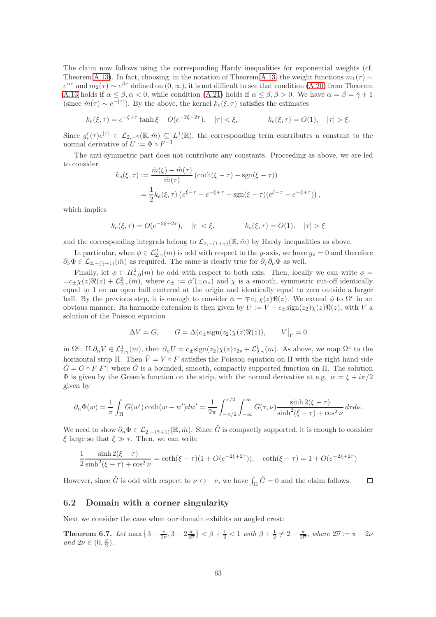The claim now follows using the corresponding Hardy inequalities for exponential weights (cf. Theorem [A.13\)](#page-74-0). In fact, choosing, in the notation of Theorem [A.13,](#page-74-0) the weight functions  $m_1(\tau) \sim$  $e^{\alpha \tau}$  and  $m_2(\tau) \sim e^{\beta \tau}$  defined on  $(0, \infty)$ , it is not difficult to see that condition [\(A.20\)](#page-74-1) from Theorem [A.13](#page-74-0) holds if  $\alpha \leq \beta, \alpha < 0$ , while condition [\(A.21\)](#page-74-2) holds if  $\alpha \leq \beta, \beta > 0$ . We have  $\alpha = \beta = \tilde{\gamma} + 1$ (since  $\hat{m}(\tau) \sim e^{-|\tau|}$ ). By the above, the kernel  $k_e(\xi, \tau)$  satisfies the estimates

$$
k_e(\xi, \tau) = e^{-\xi + \tau} \tanh \xi + O(e^{-2\xi + 2\tau}), \quad |\tau| < \xi, \qquad k_e(\xi, \tau) = O(1), \quad |\tau| > \xi.
$$

Since  $g'_e(\tau)e^{|\tau|} \in \mathcal{L}_{2,-\tilde{\gamma}}(\mathbb{R},\tilde{m}) \subseteq L^1(\mathbb{R})$ , the corresponding term contributes a constant to the normal derivative of  $U := \Phi \circ F^{-1}$ .

The anti-symmetric part does not contribute any constants. Proceeding as above, we are led to consider

$$
k_o(\xi, \tau) := \frac{\hat{m}(\xi) - \hat{m}(\tau)}{\hat{m}(\tau)} (\coth(\xi - \tau) - \text{sgn}(\xi - \tau))
$$
  
=  $\frac{1}{2} k_e(\xi, \tau) (e^{\xi - \tau} + e^{-\xi + \tau} - \text{sgn}(\xi - \tau) (e^{\xi - \tau} - e^{-\xi + \tau}))$ ,

which implies

$$
k_o(\xi, \tau) = O(e^{-2\xi + 2\tau}), \quad |\tau| < \xi, \qquad k_o(\xi, \tau) = O(1), \quad |\tau| > \xi
$$

and the corresponding integrals belong to  $\mathcal{L}_{2,-(1+\tilde{\gamma})}(\mathbb{R},\hat{m})$  by Hardy inequalities as above.

In particular, when  $\phi \in \mathcal{L}_{2,\gamma}^2(m)$  is odd with respect to the y-axis, we have  $g_e = 0$  and therefore  $\partial_{\nu}\Phi \in \mathcal{L}_{2,-(\tilde{\gamma}+1)}(\hat{m})$  as required. The same is clearly true for  $\partial_{\tau}\partial_{\nu}\Phi$  as well.

Finally, let  $\phi \in H^2_{\gamma,0}(m)$  be odd with respect to both axis. Then, locally we can write  $\phi =$  $\mp c_{\pm}\chi(z)\Re(z)+\mathcal{L}_{2,\gamma}^2(m)$ , where  $c_{\pm}:=\phi'(\pm\alpha_*)$  and  $\chi$  is a smooth, symmetric cut-off identically equal to 1 on an open ball centered at the origin and identically equal to zero outside a larger ball. By the previous step, it is enough to consider  $\phi = \pm c_{\pm} \chi(z) \Re(z)$ . We extend  $\phi$  to  $\Omega^c$  in an obvious manner. Its harmonic extension is then given by  $U := V - c_{\pm} sign(z_2)\chi(z)\Re(z)$ , with V a solution of the Poisson equation

$$
\Delta V = G, \qquad G = \Delta(c_{\pm} \text{sign}(z_2) \chi(z) \Re(z)), \qquad V\big|_{\Gamma} = 0
$$

in  $\Omega^c$ . If  $\partial_n V \in \mathcal{L}_{2,\gamma}^1(m)$ , then  $\partial_n U = c_{\pm} sign(z_2) \chi(z) z_{2s} + \mathcal{L}_{2,\gamma}^1(m)$ . As above, we map  $\Omega^c$  to the horizontal strip Π. Then  $\tilde{V} = V \circ F$  satisfies the Poisson equation on Π with the right hand side  $\tilde{G} = G \circ F[F']$  where  $\tilde{G}$  is a bounded, smooth, compactly supported function on  $\Pi$ . The solution  $\Phi$  is given by the Green's function on the strip, with the normal derivative at e.g.  $w = \xi + i\pi/2$ given by

$$
\partial_n \Phi(w) = \frac{1}{\pi} \int_{\Pi} \tilde{G}(w') \coth(w - w') dw' = \frac{1}{2\pi} \int_{-\pi/2}^{\pi/2} \int_{-\infty}^{\infty} \tilde{G}(\tau, \nu) \frac{\sinh 2(\xi - \tau)}{\sinh^2(\xi - \tau) + \cos^2 \nu} d\tau d\nu.
$$

We need to show  $\partial_n \Phi \in \mathcal{L}_{2,-(\tilde{\gamma}+1)}(\mathbb{R},\hat{m})$ . Since  $\tilde{G}$  is compactly supported, it is enough to consider ξ large so that  $ξ \gg τ$ . Then, we can write

$$
\frac{1}{2} \frac{\sinh 2(\xi - \tau)}{\sinh^2(\xi - \tau) + \cos^2 \nu} = \coth(\xi - \tau)(1 + O(e^{-2\xi + 2\tau})), \quad \coth(\xi - \tau) = 1 + O(e^{-2\xi + 2\tau})
$$

However, since  $\tilde{G}$  is odd with respect to  $\nu \leftrightarrow -\nu$ , we have  $\int_{\Pi} \tilde{G} = 0$  and the claim follows.  $\Box$ 

#### 6.2 Domain with a corner singularity

Next we consider the case when our domain exhibits an angled crest:

<span id="page-62-0"></span>**Theorem 6.7.** Let  $\max\left\{3-\frac{\pi}{2\nu},3-2\frac{\pi}{2\nu}\right\} < \beta+\frac{1}{2} < 1$  with  $\beta+\frac{1}{2} \neq 2-\frac{\pi}{2\nu}$ , where  $2\overline{\nu} := \pi-2\nu$ and  $2\nu \in (0, \frac{\pi}{2})$ .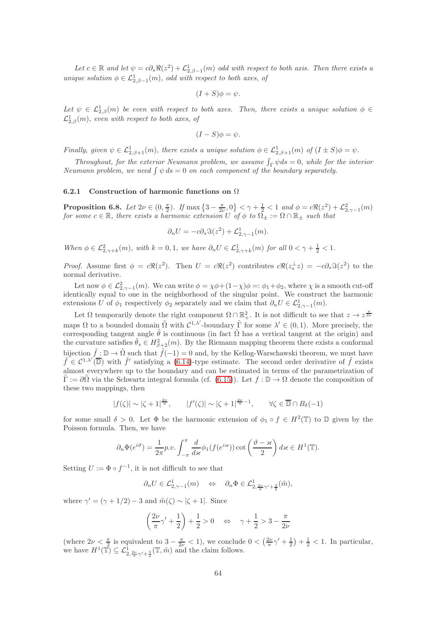Let  $c \in \mathbb{R}$  and let  $\psi = c\partial_s \Re(z^2) + \mathcal{L}_{2,\beta-1}^1(m)$  odd with respect to both axis. Then there exists a unique solution  $\phi \in \mathcal{L}_{2,\beta-1}^1(m)$ , odd with respect to both axes, of

$$
(I + S)\phi = \psi.
$$

Let  $\psi \in L^1_{2,\beta}(m)$  be even with respect to both axes. Then, there exists a unique solution  $\phi \in$  $\mathcal{L}_{2,\beta}^1(m)$ , even with respect to both axes, of

$$
(I-S)\phi = \psi.
$$

Finally, given  $\psi \in \mathcal{L}^1_{2,\beta+1}(m)$ , there exists a unique solution  $\phi \in \mathcal{L}^1_{2,\beta+1}(m)$  of  $(I \pm S)\phi = \psi$ .

Throughout, for the exterior Neumann problem, we assume  $\int_{\Gamma} \psi ds = 0$ , while for the interior Neumann problem, we need  $\int \psi ds = 0$  on each component of the boundary separately.

#### 6.2.1 Construction of harmonic functions on  $\Omega$

**Proposition 6.8.** Let  $2\nu \in (0, \frac{\pi}{2})$ . If  $\max\left\{3-\frac{\pi}{2\nu}, 0\right\} < \gamma+\frac{1}{2} < 1$  and  $\phi = c\Re(z^2) + \mathcal{L}_{2,\gamma-1}^2(m)$ for some  $c \in \mathbb{R}$ , there exists a harmonic extension U of  $\phi$  to  $\tilde{\Omega_{\pm}} := \Omega \cap \mathbb{R}_{\pm}$  such that

$$
\partial_n U = -c \partial_s \Im(z^2) + \mathcal{L}_{2, \gamma - 1}^1(m).
$$

When  $\phi \in \mathcal{L}_{2,\gamma+k}^2(m)$ , with  $k = 0,1$ , we have  $\partial_n U \in \mathcal{L}_{2,\gamma+k}^1(m)$  for all  $0 < \gamma + \frac{1}{2} < 1$ .

*Proof.* Assume first  $\phi = c \Re(z^2)$ . Then  $U = c \Re(z^2)$  contributes  $c \Re(z_s^{\perp} z) = -c \partial_s \Im(z^2)$  to the normal derivative.

Let now  $\phi \in \mathcal{L}_{2,\gamma-1}^2(m)$ . We can write  $\phi = \chi \phi + (1-\chi)\phi = \phi_1 + \phi_2$ , where  $\chi$  is a smooth cut-off identically equal to one in the neighborhood of the singular point. We construct the harmonic extensions U of  $\phi_1$  respectively  $\phi_2$  separately and we claim that  $\partial_n U \in \mathcal{L}^1_{2,\gamma-1}(m)$ .

Let  $\Omega$  temporarily denote the right component  $\Omega \cap \mathbb{R}^2_+$ . It is not difficult to see that  $z \to z^{\frac{\pi}{2\nu}}$ maps  $\Omega$  to a bounded domain  $\tilde{\Omega}$  with  $C^{1,\lambda'}$ -boundary  $\tilde{\Gamma}$  for some  $\lambda' \in (0,1)$ . More precisely, the corresponding tangent angle  $\tilde{\theta}$  is continuous (in fact  $\tilde{\Omega}$  has a vertical tangent at the origin) and the curvature satisfies  $\tilde{\theta}_s \in H^2_{\beta+2}(m)$ . By the Riemann mapping theorem there exists a conformal bijection  $\tilde{f} : \mathbb{D} \to \tilde{\Omega}$  such that  $\tilde{f}(-1) = 0$  and, by the Kellog-Warschawski theorem, we must have  $\tilde{f} \in C^{1,\lambda'}(\overline{\mathbb{D}})$  with  $\tilde{f}'$  satisfying a [\(6.14\)](#page-60-2)-type estimate. The second order derivative of  $\tilde{f}$  exists almost everywhere up to the boundary and can be estimated in terms of the parametrization of  $\Gamma := \partial \Omega$  via the Schwartz integral formula (cf. [\(6.15\)](#page-61-1)). Let  $f : \mathbb{D} \to \Omega$  denote the composition of these two mappings, then

$$
|f(\zeta)| \sim |\zeta + 1|^{\frac{2\nu}{\pi}}, \qquad |f'(\zeta)| \sim |\zeta + 1|^{\frac{2\nu}{\pi} - 1}, \qquad \forall \zeta \in \overline{\mathbb{D}} \cap B_{\delta}(-1)
$$

for some small  $\delta > 0$ . Let  $\Phi$  be the harmonic extension of  $\phi_1 \circ f \in H^2(\mathbb{T})$  to  $\mathbb D$  given by the Poisson formula. Then, we have

$$
\partial_n \Phi(e^{i\vartheta}) = \frac{1}{2\pi} p.v. \int_{-\pi}^{\pi} \frac{d}{d\kappa} \phi_1(f(e^{i\kappa})) \cot\left(\frac{\vartheta - \kappa}{2}\right) d\kappa \in H^1(\mathbb{T}).
$$

Setting  $U := \Phi \circ f^{-1}$ , it is not difficult to see that

$$
\partial_n U \in \mathcal{L}^1_{2,\gamma-1}(m) \quad \Leftrightarrow \quad \partial_n \Phi \in \mathcal{L}^1_{2,\frac{2\nu}{\pi}\gamma'+\frac{3}{2}}(\tilde{m}),
$$

where  $\gamma' = (\gamma + 1/2) - 3$  and  $\tilde{m}(\zeta) \sim |\zeta + 1|$ . Since

$$
\left(\frac{2\nu}{\pi}\gamma'+\frac{1}{2}\right)+\frac{1}{2}>0 \quad \Leftrightarrow \quad \gamma+\frac{1}{2}>3-\frac{\pi}{2\nu}
$$

(where  $2\nu < \frac{\pi}{2}$  is equivalent to  $3 - \frac{\pi}{2\nu} < 1$ ), we conclude  $0 < (\frac{2\nu}{\pi}\gamma' + \frac{1}{2}) + \frac{1}{2} < 1$ . In particular, we have  $H^1(\mathbb{T}) \subseteq \mathcal{L}^1_{2, \frac{2\nu}{\pi}\gamma' + \frac{3}{2}}(\mathbb{T}, \tilde{m})$  and the claim follows.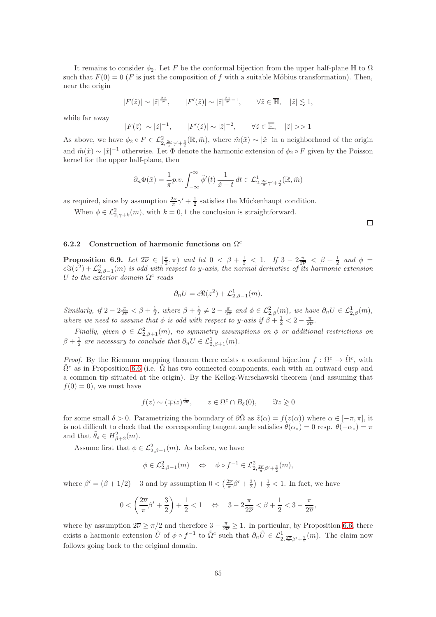It remains to consider  $\phi_2$ . Let F be the conformal bijection from the upper half-plane H to  $\Omega$ such that  $F(0) = 0$  (F is just the composition of f with a suitable Möbius transformation). Then, near the origin

$$
|F(\tilde{z})| \sim |\tilde{z}|^{\frac{2\nu}{\pi}}, \qquad |F'(\tilde{z})| \sim |\tilde{z}|^{\frac{2\nu}{\pi}-1}, \qquad \forall \tilde{z} \in \overline{\mathbb{H}}, \quad |\tilde{z}| \lesssim 1,
$$

while far away

$$
|F(\tilde{z})| \sim |\tilde{z}|^{-1}, \qquad |F'(\tilde{z})| \sim |\tilde{z}|^{-2}, \qquad \forall \tilde{z} \in \overline{\mathbb{H}}, \quad |\tilde{z}| >> 1
$$

As above, we have  $\phi_2 \circ F \in \mathcal{L}_{2, \frac{2\nu}{\pi}\gamma' + \frac{3}{2}}^2(\mathbb{R}, m)$ , where  $\tilde{m}(\tilde{x}) \sim |\tilde{x}|$  in a neighborhood of the origin and  $\tilde{m}(\tilde{x}) \sim |\tilde{x}|^{-1}$  otherwise. Let  $\Phi$  denote the harmonic extension of  $\phi_2 \circ F$  given by the Poisson kernel for the upper half-plane, then

$$
\partial_n \Phi(\tilde{x}) = \frac{1}{\pi} p.v. \int_{-\infty}^{\infty} \tilde{\phi}'(t) \, \frac{1}{\tilde{x} - t} \, dt \in \mathcal{L}^1_{2, \frac{2\nu}{\pi} \gamma' + \frac{3}{2}}(\mathbb{R}, \tilde{m})
$$

as required, since by assumption  $\frac{2\nu}{\pi}\gamma' + \frac{1}{2}$  satisfies the Mückenhaupt condition.

When  $\phi \in \mathcal{L}_{2,\gamma+k}^2(m)$ , with  $k=0,1$  the conclusion is straightforward.

### 6.2.2 Construction of harmonic functions on  $\Omega^c$

**Proposition 6.9.** Let  $2\overline{\nu} \in \left[\frac{\pi}{2}, \pi\right)$  and let  $0 < \beta + \frac{1}{2} < 1$ . If  $3 - 2\frac{\pi}{2\nu} < \beta + \frac{1}{2}$  and  $\phi =$  $cS(z^2) + \mathcal{L}_{2,\beta-1}^2(m)$  is odd with respect to y-axis, the normal derivative of its harmonic extension U to the exterior domain  $\Omega^c$  reads

$$
\partial_n U = c \Re(z^2) + \mathcal{L}_{2,\beta-1}^1(m).
$$

Similarly, if  $2 - 2\frac{\pi}{2v} < \beta + \frac{1}{2}$ , where  $\beta + \frac{1}{2} \neq 2 - \frac{\pi}{2v}$  and  $\phi \in \mathcal{L}_{2,\beta}^2(m)$ , we have  $\partial_n U \in \mathcal{L}_{2,\beta}^1(m)$ , where we need to assume that  $\phi$  is odd with respect to y-axis if  $\beta + \frac{1}{2} < 2 - \frac{\pi}{2\overline{\nu}}$ .

Finally, given  $\phi \in \mathcal{L}_{2,\beta+1}^2(m)$ , no symmetry assumptions on  $\phi$  or additional restrictions on  $\beta + \frac{1}{2}$  are necessary to conclude that  $\partial_n U \in \mathcal{L}^1_{2,\beta+1}(m)$ .

*Proof.* By the Riemann mapping theorem there exists a conformal bijection  $f : \Omega^c \to \tilde{\Omega}^c$ , with  $\tilde{\Omega}^c$  as in Proposition [6.6](#page-60-0) (i.e.  $\tilde{\Omega}$  has two connected components, each with an outward cusp and a common tip situated at the origin). By the Kellog-Warschawski theorem (and assuming that  $f(0) = 0$ , we must have

$$
f(z) \sim (\mp iz)^{\frac{\pi}{2\nu}}, \qquad z \in \Omega^c \cap B_\delta(0), \qquad \Im z \geqslant 0
$$

for some small  $\delta > 0$ . Parametrizing the boundary of  $\partial \tilde{\Omega}$  as  $\tilde{z}(\alpha) = f(z(\alpha))$  where  $\alpha \in [-\pi, \pi]$ , it is not difficult to check that the corresponding tangent angle satisfies  $\tilde{\theta}(\alpha_*) = 0$  resp.  $\theta(-\alpha_*) = \pi$ and that  $\tilde{\theta}_s \in H^2_{\beta+2}(m)$ .

Assume first that  $\phi \in \mathcal{L}^2_{2,\beta-1}(m)$ . As before, we have

$$
\phi \in \mathcal{L}^2_{2,\beta-1}(m) \quad \Leftrightarrow \quad \phi \circ f^{-1} \in \mathcal{L}^2_{2,\frac{2\overline{\nu}}{\pi}\beta'+\frac{3}{2}}(m),
$$

where  $\beta' = (\beta + 1/2) - 3$  and by assumption  $0 < (\frac{2\overline{\nu}}{\pi} \beta' + \frac{3}{2}) + \frac{1}{2} < 1$ . In fact, we have

$$
0<\left(\frac{2\overline{\nu}}{\pi}\beta'+\frac{3}{2}\right)+\frac{1}{2}<1\quad\Leftrightarrow\quad 3-2\frac{\pi}{2\overline{\nu}}<\beta+\frac{1}{2}<3-\frac{\pi}{2\overline{\nu}},
$$

where by assumption  $2\overline{\nu} \ge \pi/2$  and therefore  $3 - \frac{\pi}{2\overline{\nu}} \ge 1$ . In particular, by Proposition [6.6,](#page-60-0) there exists a harmonic extension  $\tilde{U}$  of  $\phi \circ f^{-1}$  to  $\tilde{\Omega}^c$  such that  $\partial_n \tilde{U} \in \mathcal{L}^1_{2, \frac{2\pi}{\pi} \beta' + \frac{3}{2}}(m)$ . The claim now follows going back to the original domain.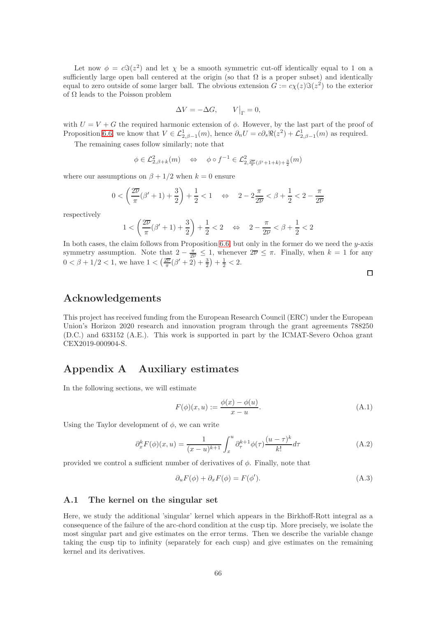Let now  $\phi = c\Im(z^2)$  and let  $\chi$  be a smooth symmetric cut-off identically equal to 1 on a sufficiently large open ball centered at the origin (so that  $\Omega$  is a proper subset) and identically equal to zero outside of some larger ball. The obvious extension  $G := c\chi(z)\Im(z^2)$  to the exterior of  $\Omega$  leads to the Poisson problem

$$
\Delta V = -\Delta G, \qquad V\big|_{\Gamma} = 0,
$$

with  $U = V + G$  the required harmonic extension of  $\phi$ . However, by the last part of the proof of Proposition [6.6,](#page-60-0) we know that  $V \in \mathcal{L}^1_{2,\beta-1}(m)$ , hence  $\partial_n U = c \partial_s \Re(z^2) + \mathcal{L}^1_{2,\beta-1}(m)$  as required.

The remaining cases follow similarly; note that

$$
\phi \in \mathcal{L}^2_{2,\beta+k}(m) \quad \Leftrightarrow \quad \phi \circ f^{-1} \in \mathcal{L}^2_{2,\frac{2\overline{\nu}}{\pi}(\beta'+1+k)+\frac{3}{2}}(m)
$$

where our assumptions on  $\beta + 1/2$  when  $k = 0$  ensure

$$
0<\left(\frac{2\overline{\nu}}{\pi}(\beta'+1)+\frac{3}{2}\right)+\frac{1}{2}<1 \quad \Leftrightarrow \quad 2-2\frac{\pi}{2\overline{\nu}}<\beta+\frac{1}{2}<2-\frac{\pi}{2\overline{\nu}}
$$

respectively

$$
1 < \left(\frac{2\overline{\nu}}{\pi}(\beta'+1) + \frac{3}{2}\right) + \frac{1}{2} < 2 \quad \Leftrightarrow \quad 2 - \frac{\pi}{2\overline{\nu}} < \beta + \frac{1}{2} < 2
$$

In both cases, the claim follows from Proposition [6.6,](#page-60-0) but only in the former do we need the  $y$ -axis symmetry assumption. Note that  $2 - \frac{\pi}{2\nu} \leq 1$ , whenever  $2\nu \leq \pi$ . Finally, when  $k = 1$  for any  $0 < \beta + 1/2 < 1$ , we have  $1 < (\frac{2\overline{\nu}}{\pi}(\beta' + 2) + \frac{3}{2}) + \frac{1}{2} < 2$ .

## Acknowledgements

This project has received funding from the European Research Council (ERC) under the European Union's Horizon 2020 research and innovation program through the grant agreements 788250 (D.C.) and 633152 (A.E.). This work is supported in part by the ICMAT-Severo Ochoa grant CEX2019-000904-S.

# Appendix A Auxiliary estimates

In the following sections, we will estimate

<span id="page-65-0"></span>
$$
F(\phi)(x, u) := \frac{\phi(x) - \phi(u)}{x - u}.
$$
\n(A.1)

Using the Taylor development of  $\phi$ , we can write

<span id="page-65-2"></span>
$$
\partial_x^k F(\phi)(x, u) = \frac{1}{(x - u)^{k+1}} \int_x^u \partial_\tau^{k+1} \phi(\tau) \frac{(u - \tau)^k}{k!} d\tau
$$
\n(A.2)

provided we control a sufficient number of derivatives of  $\phi$ . Finally, note that

<span id="page-65-1"></span>
$$
\partial_u F(\phi) + \partial_x F(\phi) = F(\phi'). \tag{A.3}
$$

#### A.1 The kernel on the singular set

Here, we study the additional 'singular' kernel which appears in the Birkhoff-Rott integral as a consequence of the failure of the arc-chord condition at the cusp tip. More precisely, we isolate the most singular part and give estimates on the error terms. Then we describe the variable change taking the cusp tip to infinity (separately for each cusp) and give estimates on the remaining kernel and its derivatives.

 $\Box$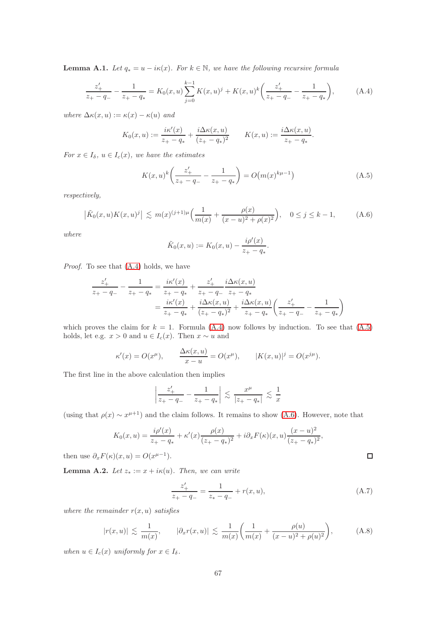**Lemma A.1.** Let  $q_* = u - i\kappa(x)$ . For  $k \in \mathbb{N}$ , we have the following recursive formula

<span id="page-66-1"></span>
$$
\frac{z'_{+}}{z_{+}-q_{-}} - \frac{1}{z_{+}-q_{*}} = K_{0}(x,u) \sum_{j=0}^{k-1} K(x,u)^{j} + K(x,u)^{k} \left(\frac{z'_{+}}{z_{+}-q_{-}} - \frac{1}{z_{+}-q_{*}}\right), \tag{A.4}
$$

where  $\Delta \kappa(x, u) := \kappa(x) - \kappa(u)$  and

$$
K_0(x, u) := \frac{i\kappa'(x)}{z_+ - q_*} + \frac{i\Delta\kappa(x, u)}{(z_+ - q_*)^2} \qquad K(x, u) := \frac{i\Delta\kappa(x, u)}{z_+ - q_*}.
$$

For  $x \in I_{\delta}$ ,  $u \in I_c(x)$ , we have the estimates

<span id="page-66-2"></span>
$$
K(x,u)^{k} \left( \frac{z'_{+}}{z_{+} - q_{-}} - \frac{1}{z_{+} - q_{*}} \right) = O\big(m(x)^{k\mu - 1}\big)
$$
 (A.5)

respectively,

<span id="page-66-3"></span>
$$
\left|\tilde{K}_0(x,u)K(x,u)^j\right| \lesssim m(x)^{(j+1)\mu}\Big(\frac{1}{m(x)} + \frac{\rho(x)}{(x-u)^2 + \rho(x)^2}\Big), \quad 0 \le j \le k-1,
$$
 (A.6)

where

$$
\tilde{K}_0(x, u) := K_0(x, u) - \frac{i\rho'(x)}{z_+ - q_*}.
$$

Proof. To see that [\(A.4\)](#page-66-1) holds, we have

$$
\frac{z'_+}{z_+-q_-} - \frac{1}{z_+-q_*} = \frac{i\kappa'(x)}{z_+-q_*} + \frac{z'_+}{z_+-q_-} \frac{i\Delta\kappa(x,u)}{z_+-q_*} \n= \frac{i\kappa'(x)}{z_+-q_*} + \frac{i\Delta\kappa(x,u)}{(z_+-q_*)^2} + \frac{i\Delta\kappa(x,u)}{z_+-q_*} \left(\frac{z'_+}{z_+-q_-} - \frac{1}{z_+-q_*}\right)
$$

which proves the claim for  $k = 1$ . Formula [\(A.4\)](#page-66-1) now follows by induction. To see that [\(A.5\)](#page-66-2) holds, let e.g.  $x > 0$  and  $u \in I_c(x)$ . Then  $x \sim u$  and

$$
\kappa'(x) = O(x^{\mu}), \qquad \frac{\Delta \kappa(x, u)}{x - u} = O(x^{\mu}), \qquad |K(x, u)|^j = O(x^{j\mu}).
$$

The first line in the above calculation then implies

$$
\left| \frac{z'_+}{z_+ - q_-} - \frac{1}{z_+ - q_*} \right| \: \lesssim \: \frac{x^{\mu}}{|z_+ - q_*|} \: \lesssim \: \frac{1}{x}
$$

(using that  $\rho(x) \sim x^{\mu+1}$ ) and the claim follows. It remains to show [\(A.6\)](#page-66-3). However, note that

$$
K_0(x, u) = \frac{i\rho'(x)}{z_+ - q_*} + \kappa'(x)\frac{\rho(x)}{(z_+ - q_*)^2} + i\partial_x F(\kappa)(x, u)\frac{(x - u)^2}{(z_+ - q_*)^2},
$$

then use  $\partial_x F(\kappa)(x, u) = O(x^{\mu-1}).$ 

<span id="page-66-0"></span>**Lemma A.2.** Let  $z_* := x + i\kappa(u)$ . Then, we can write

$$
\frac{z'_{+}}{z_{+} - q_{-}} = \frac{1}{z_{*} - q_{-}} + r(x, u),
$$
\n(A.7)

where the remainder  $r(x, u)$  satisfies

$$
|r(x, u)| \lesssim \frac{1}{m(x)}, \qquad |\partial_x r(x, u)| \lesssim \frac{1}{m(x)} \left( \frac{1}{m(x)} + \frac{\rho(u)}{(x - u)^2 + \rho(u)^2} \right),
$$
 (A.8)

when  $u \in I_c(x)$  uniformly for  $x \in I_\delta$ .

 $\Box$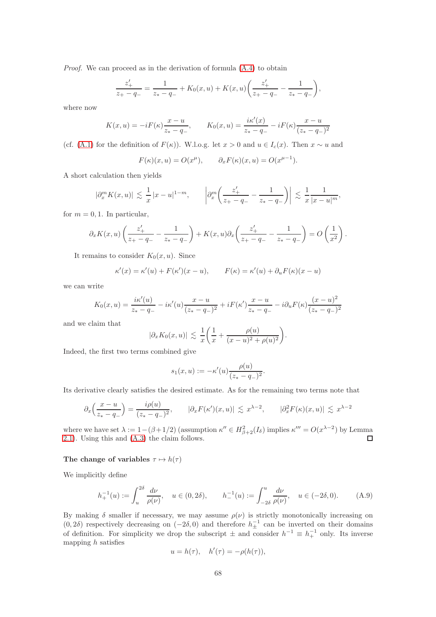Proof. We can proceed as in the derivation of formula  $(A.4)$  to obtain

$$
\frac{z'_+}{z_+-q_-} = \frac{1}{z_*-q_-} + K_0(x,u) + K(x,u) \left( \frac{z'_+}{z_+-q_-} - \frac{1}{z_*-q_-} \right),
$$

where now

$$
K(x, u) = -iF(\kappa)\frac{x - u}{z_* - q_-}, \qquad K_0(x, u) = \frac{i\kappa'(x)}{z_* - q_-} - iF(\kappa)\frac{x - u}{(z_* - q_-)^2}
$$

(cf. [\(A.1\)](#page-65-0) for the definition of  $F(\kappa)$ ). W.l.o.g. let  $x > 0$  and  $u \in I_c(x)$ . Then  $x \sim u$  and

$$
F(\kappa)(x, u) = O(x^{\mu}), \qquad \partial_x F(\kappa)(x, u) = O(x^{\mu - 1}).
$$

A short calculation then yields

$$
|\partial_x^m K(x, u)| \lesssim \frac{1}{x} |x - u|^{1 - m}, \qquad \left| \partial_x^m \left( \frac{z_+'}{z_+ - q_-} - \frac{1}{z_* - q_-} \right) \right| \lesssim \frac{1}{x} \frac{1}{|x - u|^m},
$$

for  $m = 0, 1$ . In particular,

$$
\partial_x K(x, u) \left( \frac{z'_+}{z_+ - q_-} - \frac{1}{z_* - q_-} \right) + K(x, u) \partial_x \left( \frac{z'_+}{z_+ - q_-} - \frac{1}{z_* - q_-} \right) = O\left(\frac{1}{x^2}\right).
$$

It remains to consider  $K_0(x, u)$ . Since

$$
\kappa'(x) = \kappa'(u) + F(\kappa')(x - u), \qquad F(\kappa) = \kappa'(u) + \partial_u F(\kappa)(x - u)
$$

we can write

$$
K_0(x, u) = \frac{i\kappa'(u)}{z_* - q_-} - i\kappa'(u)\frac{x - u}{(z_* - q_-)^2} + iF(\kappa')\frac{x - u}{z_* - q_-} - i\partial_u F(\kappa)\frac{(x - u)^2}{(z_* - q_-)^2}
$$

and we claim that

$$
|\partial_x K_0(x,u)| \lesssim \frac{1}{x} \bigg( \frac{1}{x} + \frac{\rho(u)}{(x-u)^2 + \rho(u)^2} \bigg).
$$

Indeed, the first two terms combined give

$$
s_1(x, u) := -\kappa'(u) \frac{\rho(u)}{(z_* - q_-)^2}.
$$

Its derivative clearly satisfies the desired estimate. As for the remaining two terms note that

$$
\partial_x \left( \frac{x - u}{z_* - q_-} \right) = \frac{i \rho(u)}{(z_* - q_-)^2}, \qquad |\partial_x F(\kappa')(x, u)| \lesssim x^{\lambda - 2}, \qquad |\partial_x^2 F(\kappa)(x, u)| \lesssim x^{\lambda - 2}
$$

where we have set  $\lambda := 1 - (\beta + 1/2)$  (assumption  $\kappa'' \in H^2_{\beta+2}(I_\delta)$  implies  $\kappa''' = O(x^{\lambda-2})$  by Lemma [2.1\)](#page-6-0). Using this and [\(A.3\)](#page-65-1) the claim follows.  $\Gamma$ 

### The change of variables  $\tau \mapsto h(\tau)$

We implicitly define

<span id="page-67-0"></span>
$$
h_+^{-1}(u) := \int_u^{2\delta} \frac{d\nu}{\rho(\nu)}, \quad u \in (0, 2\delta), \qquad h_-^{-1}(u) := \int_{-2\delta}^u \frac{d\nu}{\rho(\nu)}, \quad u \in (-2\delta, 0). \tag{A.9}
$$

By making  $\delta$  smaller if necessary, we may assume  $\rho(\nu)$  is strictly monotonically increasing on  $(0, 2\delta)$  respectively decreasing on  $(-2\delta, 0)$  and therefore  $h_{\pm}^{-1}$  can be inverted on their domains of definition. For simplicity we drop the subscript  $\pm$  and consider  $h^{-1} \equiv h^{-1}$  only. Its inverse mapping  $h$  satisfies

$$
u = h(\tau), \quad h'(\tau) = -\rho(h(\tau)),
$$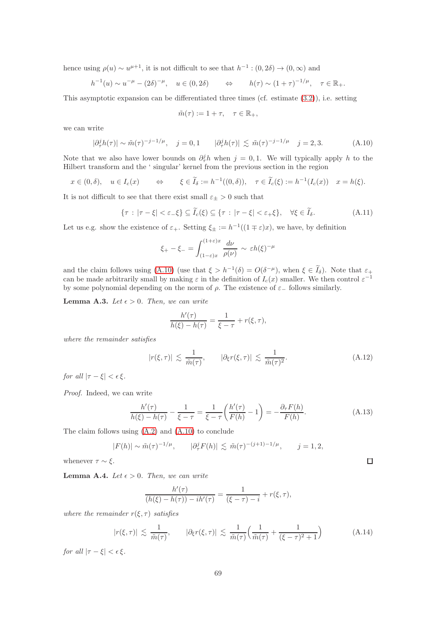hence using  $\rho(u) \sim u^{\mu+1}$ , it is not difficult to see that  $h^{-1} : (0, 2\delta) \to (0, \infty)$  and

$$
h^{-1}(u) \sim u^{-\mu} - (2\delta)^{-\mu}, \quad u \in (0, 2\delta) \qquad \Leftrightarrow \qquad h(\tau) \sim (1+\tau)^{-1/\mu}, \quad \tau \in \mathbb{R}_+.
$$

This asymptotic expansion can be differentiated three times (cf. estimate [\(3.2\)](#page-7-1)), i.e. setting

$$
\tilde{m}(\tau):=1+\tau,\quad \tau\in\mathbb{R}_+,
$$

we can write

<span id="page-68-0"></span>
$$
|\partial^j_\tau h(\tau)| \sim \tilde{m}(\tau)^{-j-1/\mu}, \quad j = 0, 1 \qquad |\partial^j_\tau h(\tau)| \lesssim \tilde{m}(\tau)^{-j-1/\mu} \quad j = 2, 3. \tag{A.10}
$$

Note that we also have lower bounds on  $\partial_{\tau}^j h$  when  $j = 0, 1$ . We will typically apply h to the Hilbert transform and the ' singular' kernel from the previous section in the region

$$
x \in (0, \delta), \quad u \in I_c(x) \quad \Leftrightarrow \quad \xi \in \widetilde{I}_{\delta} := h^{-1}((0, \delta)), \quad \tau \in \widetilde{I}_c(\xi) := h^{-1}(I_c(x)) \quad x = h(\xi).
$$

It is not difficult to see that there exist small  $\varepsilon_{\pm} > 0$  such that

$$
\{\tau : |\tau - \xi| < \varepsilon_{-} \xi\} \subseteq \widetilde{I}_{c}(\xi) \subseteq \{\tau : |\tau - \xi| < \varepsilon_{+} \xi\}, \quad \forall \xi \in \widetilde{I}_{\delta}.\tag{A.11}
$$

Let us e.g. show the existence of  $\varepsilon_+$ . Setting  $\xi_{\pm} := h^{-1}((1 \mp \varepsilon)x)$ , we have, by definition

$$
\xi_{+} - \xi_{-} = \int_{(1-\varepsilon)x}^{(1+\varepsilon)x} \frac{d\nu}{\rho(\nu)} \sim \varepsilon h(\xi)^{-\mu}
$$

and the claim follows using [\(A.10\)](#page-68-0) (use that  $\xi > h^{-1}(\delta) = O(\delta^{-\mu})$ , when  $\xi \in I_{\delta}$ ). Note that  $\varepsilon_{+}$ can be made arbitrarily small by making  $\varepsilon$  in the definition of  $I_c(x)$  smaller. We then control  $\varepsilon^{-1}$ by some polynomial depending on the norm of  $\rho$ . The existence of  $\varepsilon_-\$  follows similarly.

**Lemma A.3.** Let  $\epsilon > 0$ . Then, we can write

$$
\frac{h'(\tau)}{h(\xi) - h(\tau)} = \frac{1}{\xi - \tau} + r(\xi, \tau),
$$

where the remainder satisfies

$$
|r(\xi,\tau)| \lesssim \frac{1}{\tilde{m}(\tau)}, \qquad |\partial_{\xi}r(\xi,\tau)| \lesssim \frac{1}{\tilde{m}(\tau)^2}.
$$
 (A.12)

for all  $|\tau - \xi| < \epsilon \xi$ .

Proof. Indeed, we can write

<span id="page-68-1"></span>
$$
\frac{h'(\tau)}{h(\xi) - h(\tau)} - \frac{1}{\xi - \tau} = \frac{1}{\xi - \tau} \left( \frac{h'(\tau)}{F(h)} - 1 \right) = -\frac{\partial_{\tau} F(h)}{F(h)}.
$$
\n(A.13)

 $\Box$ 

The claim follows using [\(A.2\)](#page-65-2) and [\(A.10\)](#page-68-0) to conclude

$$
|F(h)| \sim \tilde{m}(\tau)^{-1/\mu}, \qquad |\partial_{\tau}^{j} F(h)| \lesssim \tilde{m}(\tau)^{-(j+1)-1/\mu}, \qquad j = 1, 2,
$$

whenever  $\tau \sim \xi$ .

<span id="page-68-3"></span>**Lemma A.4.** Let  $\epsilon > 0$ . Then, we can write

$$
\frac{h'(\tau)}{(h(\xi) - h(\tau)) - ih'(\tau)} = \frac{1}{(\xi - \tau) - i} + r(\xi, \tau),
$$

where the remainder  $r(\xi, \tau)$  satisfies

<span id="page-68-2"></span>
$$
|r(\xi,\tau)| \lesssim \frac{1}{\tilde{m}(\tau)}, \qquad |\partial_{\xi}r(\xi,\tau)| \lesssim \frac{1}{\tilde{m}(\tau)} \Big(\frac{1}{\tilde{m}(\tau)} + \frac{1}{(\xi-\tau)^2+1}\Big) \tag{A.14}
$$

for all  $|\tau - \xi| < \epsilon \xi$ .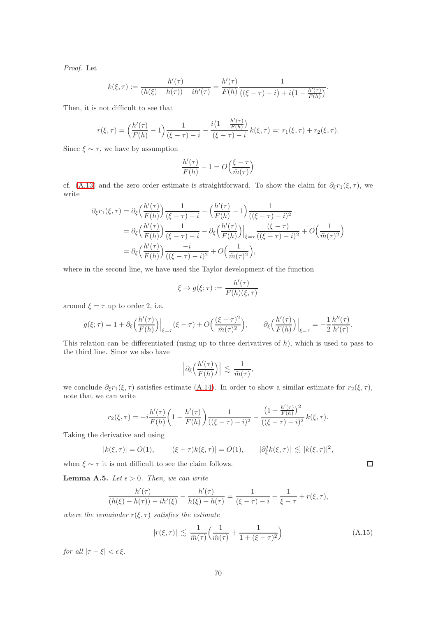Proof. Let

$$
k(\xi,\tau) := \frac{h'(\tau)}{(h(\xi)-h(\tau)) - ih'(\tau)} = \frac{h'(\tau)}{F(h)} \frac{1}{((\xi-\tau)-i) + i\left(1 - \frac{h'(\tau)}{F(h)}\right)}.
$$

Then, it is not difficult to see that

$$
r(\xi,\tau) = \left(\frac{h'(\tau)}{F(h)} - 1\right) \frac{1}{(\xi - \tau) - i} - \frac{i\left(1 - \frac{h'(\tau)}{F(h)}\right)}{(\xi - \tau) - i} k(\xi,\tau) =: r_1(\xi,\tau) + r_2(\xi,\tau).
$$

Since  $\xi \sim \tau$ , we have by assumption

$$
\frac{h'(\tau)}{F(h)} - 1 = O\left(\frac{\xi - \tau}{\tilde{m}(\tau)}\right)
$$

cf. [\(A.13\)](#page-68-1) and the zero order estimate is straightforward. To show the claim for  $\partial_{\xi}r_1(\xi, \tau)$ , we write

$$
\partial_{\xi}r_{1}(\xi,\tau) = \partial_{\xi}\left(\frac{h'(\tau)}{F(h)}\right)\frac{1}{(\xi-\tau)-i} - \left(\frac{h'(\tau)}{F(h)}-1\right)\frac{1}{((\xi-\tau)-i)^{2}}
$$
  
\n
$$
= \partial_{\xi}\left(\frac{h'(\tau)}{F(h)}\right)\frac{1}{(\xi-\tau)-i} - \partial_{\xi}\left(\frac{h'(\tau)}{F(h)}\right)\Big|_{\xi=\tau}\frac{(\xi-\tau)}{((\xi-\tau)-i)^{2}} + O\left(\frac{1}{\tilde{m}(\tau)^{2}}\right)
$$
  
\n
$$
= \partial_{\xi}\left(\frac{h'(\tau)}{F(h)}\right)\frac{-i}{((\xi-\tau)-i)^{2}} + O\left(\frac{1}{\tilde{m}(\tau)^{2}}\right),
$$

where in the second line, we have used the Taylor development of the function

$$
\xi \to g(\xi;\tau) := \frac{h'(\tau)}{F(h)(\xi,\tau)}
$$

around  $\xi = \tau$  up to order 2, i.e.

$$
g(\xi;\tau) = 1 + \partial_{\xi} \left(\frac{h'(\tau)}{F(h)}\right)\Big|_{\xi=\tau} (\xi-\tau) + O\left(\frac{(\xi-\tau)^2}{\tilde{m}(\tau)^2}\right), \qquad \partial_{\xi} \left(\frac{h'(\tau)}{F(h)}\right)\Big|_{\xi=\tau} = -\frac{1}{2} \frac{h''(\tau)}{h'(\tau)}.
$$

This relation can be differentiated (using up to three derivatives of  $h$ ), which is used to pass to the third line. Since we also have

$$
\Big|\partial_\xi\Big(\frac{h'(\tau)}{F(h)}\Big)\Big| \,\lesssim\, \frac{1}{\tilde{m}(\tau)},
$$

we conclude  $\partial_{\xi}r_1(\xi,\tau)$  satisfies estimate [\(A.14\)](#page-68-2). In order to show a similar estimate for  $r_2(\xi,\tau)$ , note that we can write

$$
r_2(\xi,\tau) = -i\frac{h'(\tau)}{F(h)} \left(1 - \frac{h'(\tau)}{F(h)}\right) \frac{1}{((\xi-\tau)-i)^2} - \frac{\left(1 - \frac{h'(\tau)}{F(h)}\right)^2}{((\xi-\tau)-i)^2} k(\xi,\tau).
$$

Taking the derivative and using

$$
|k(\xi,\tau)| = O(1), \qquad |(\xi-\tau)k(\xi,\tau)| = O(1), \qquad |\partial_{\xi}^{j}k(\xi,\tau)| \lesssim |k(\xi,\tau)|^{2},
$$

when  $\xi \sim \tau$  it is not difficult to see the claim follows.

**Lemma A.5.** Let  $\epsilon > 0$ . Then, we can write

$$
\frac{h'(\tau)}{(h(\xi)-h(\tau))-ih'(\xi)} - \frac{h'(\tau)}{h(\xi)-h(\tau)} = \frac{1}{(\xi-\tau)-i} - \frac{1}{\xi-\tau} + r(\xi,\tau),
$$

where the remainder  $r(\xi, \tau)$  satisfies the estimate

<span id="page-69-0"></span>
$$
|r(\xi,\tau)| \lesssim \frac{1}{\tilde{m}(\tau)} \Big( \frac{1}{\tilde{m}(\tau)} + \frac{1}{1 + (\xi - \tau)^2} \Big) \tag{A.15}
$$

for all  $|\tau - \xi| < \epsilon \xi$ .

 $\Box$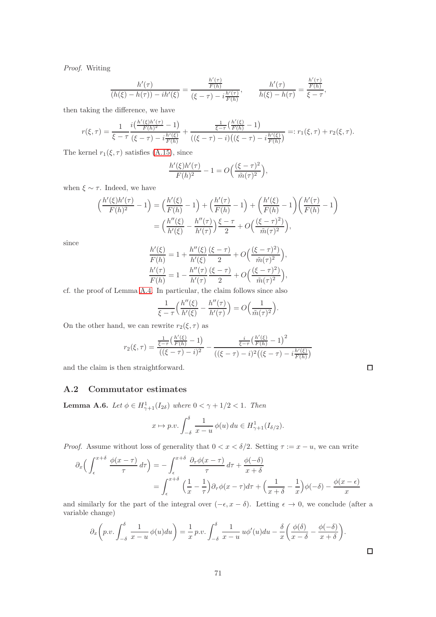Proof. Writing

$$
\frac{h'(\tau)}{(h(\xi)-h(\tau))-ih'(\xi)} = \frac{\frac{h'(\tau)}{F(h)}}{(\xi-\tau)-i\frac{h'(\tau)}{F(h)}}, \qquad \frac{h'(\tau)}{h(\xi)-h(\tau)} = \frac{\frac{h'(\tau)}{F(h)}}{\xi-\tau},
$$

then taking the difference, we have

$$
r(\xi,\tau) = \frac{1}{\xi-\tau} \frac{i(\frac{h'(\xi)h'(\tau)}{F(h)^2} - 1)}{(\xi-\tau) - i\frac{h'(\xi)}{F(h)}} + \frac{\frac{1}{\xi-\tau}(\frac{h'(\xi)}{F(h)} - 1)}{((\xi-\tau) - i)((\xi-\tau) - i\frac{h'(\xi)}{F(h)})} =: r_1(\xi,\tau) + r_2(\xi,\tau).
$$

The kernel  $r_1(\xi, \tau)$  satisfies [\(A.15\)](#page-69-0), since

$$
\frac{h'(\xi)h'(\tau)}{F(h)^2} - 1 = O\Big(\frac{(\xi-\tau)^2}{\tilde{m}(\tau)^2}\Big),
$$

when  $\xi \sim \tau$ . Indeed, we have

$$
\begin{aligned} \left(\frac{h'(\xi)h'(\tau)}{F(h)^2} - 1\right) &= \left(\frac{h'(\xi)}{F(h)} - 1\right) + \left(\frac{h'(\tau)}{F(h)} - 1\right) + \left(\frac{h'(\xi)}{F(h)} - 1\right) \left(\frac{h'(\tau)}{F(h)} - 1\right) \\ &= \left(\frac{h''(\xi)}{h'(\xi)} - \frac{h''(\tau)}{h'(\tau)}\right) \frac{\xi - \tau}{2} + O\left(\frac{(\xi - \tau)^2}{\tilde{m}(\tau)^2}\right), \end{aligned}
$$

since

$$
\frac{h'(\xi)}{F(h)} = 1 + \frac{h''(\xi)}{h'(\xi)} \frac{(\xi - \tau)}{2} + O\left(\frac{(\xi - \tau)^2}{\tilde{m}(\tau)^2}\right),\n\frac{h'(\tau)}{F(h)} = 1 - \frac{h''(\tau)}{h'(\tau)} \frac{(\xi - \tau)}{2} + O\left(\frac{(\xi - \tau)^2}{\tilde{m}(\tau)^2}\right),
$$

cf. the proof of Lemma [A.4.](#page-68-3) In particular, the claim follows since also

$$
\frac{1}{\xi - \tau} \Big( \frac{h''(\xi)}{h'(\xi)} - \frac{h''(\tau)}{h'(\tau)} \Big) = O\Big( \frac{1}{\tilde{m}(\tau)^2} \Big).
$$

On the other hand, we can rewrite  $r_2(\xi, \tau)$  as

$$
r_2(\xi,\tau) = \frac{\frac{1}{\xi-\tau} \left(\frac{h'(\xi)}{F(h)}-1\right)}{((\xi-\tau)-i)^2} - \frac{\frac{i}{\xi-\tau} \left(\frac{h'(\xi)}{F(h)}-1\right)^2}{((\xi-\tau)-i)^2 \left((\xi-\tau)-i\frac{h'(\xi)}{F(h)}\right)}
$$

and the claim is then straightforward.

### A.2 Commutator estimates

<span id="page-70-0"></span>**Lemma A.6.** Let  $\phi \in H_{\gamma+1}^1(I_{2\delta})$  where  $0 < \gamma + 1/2 < 1$ . Then

$$
x \mapsto p.v. \int_{-\delta}^{\delta} \frac{1}{x - u} \phi(u) du \in H^1_{\gamma+1}(I_{\delta/2}).
$$

*Proof.* Assume without loss of generality that  $0 < x < \delta/2$ . Setting  $\tau := x - u$ , we can write

$$
\partial_x \left( \int_{\epsilon}^{x+\delta} \frac{\phi(x-\tau)}{\tau} d\tau \right) = -\int_{\epsilon}^{x+\delta} \frac{\partial_{\tau} \phi(x-\tau)}{\tau} d\tau + \frac{\phi(-\delta)}{x+\delta}
$$

$$
= \int_{\epsilon}^{x+\delta} \left( \frac{1}{x} - \frac{1}{\tau} \right) \partial_{\tau} \phi(x-\tau) d\tau + \left( \frac{1}{x+\delta} - \frac{1}{x} \right) \phi(-\delta) - \frac{\phi(x-\epsilon)}{x}
$$

and similarly for the part of the integral over  $(-\epsilon, x - \delta)$ . Letting  $\epsilon \to 0$ , we conclude (after a variable change)

$$
\partial_x \left( p.v. \int_{-\delta}^{\delta} \frac{1}{x-u} \phi(u) du \right) = \frac{1}{x} p.v. \int_{-\delta}^{\delta} \frac{1}{x-u} u \phi'(u) du - \frac{\delta}{x} \left( \frac{\phi(\delta)}{x-\delta} - \frac{\phi(-\delta)}{x+\delta} \right).
$$

71

 $\Box$ 

 $\Box$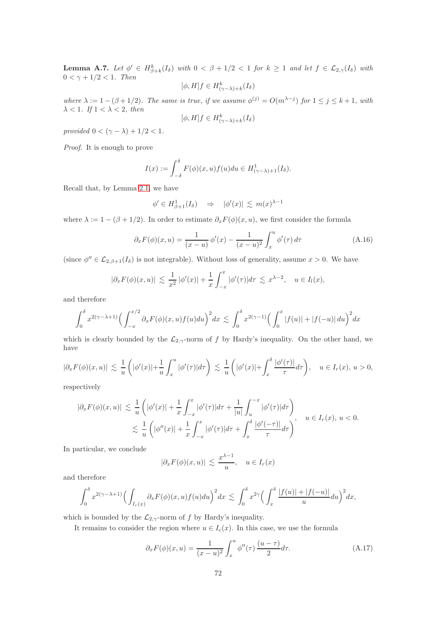<span id="page-71-0"></span>**Lemma A.7.** Let  $\phi' \in H^k_{\beta+k}(I_\delta)$  with  $0 < \beta + 1/2 < 1$  for  $k \ge 1$  and let  $f \in \mathcal{L}_{2,\gamma}(I_\delta)$  with  $0 < \gamma + 1/2 < 1$ . Then

$$
[\phi, H]f \in H^k_{(\gamma - \lambda) + k}(I_\delta)
$$

where  $\lambda := 1 - (\beta + 1/2)$ . The same is true, if we assume  $\phi^{(j)} = O(m^{\lambda - j})$  for  $1 \le j \le k + 1$ , with  $\lambda < 1$ . If  $1 < \lambda < 2$ , then

$$
[\phi, H]f \in H^k_{(\gamma - \lambda) + k}(I_\delta)
$$

provided  $0 < (\gamma - \lambda) + 1/2 < 1$ .

Proof. It is enough to prove

$$
I(x) := \int_{-\delta}^{\delta} F(\phi)(x, u) f(u) du \in H^1_{(\gamma - \lambda) + 1}(I_{\delta}).
$$

Recall that, by Lemma [2.1,](#page-6-0) we have

$$
\phi' \in H^1_{\beta+1}(I_\delta) \quad \Rightarrow \quad |\phi'(x)| \lesssim m(x)^{\lambda-1}
$$

where  $\lambda := 1 - (\beta + 1/2)$ . In order to estimate  $\partial_x F(\phi)(x, u)$ , we first consider the formula

$$
\partial_x F(\phi)(x, u) = \frac{1}{(x - u)} \phi'(x) - \frac{1}{(x - u)^2} \int_x^u \phi'(\tau) d\tau
$$
\n(A.16)

(since  $\phi'' \in \mathcal{L}_{2,\beta+1}(I_{\delta})$  is not integrable). Without loss of generality, assume  $x > 0$ . We have

$$
|\partial_x F(\phi)(x, u)| \lesssim \frac{1}{x^2} |\phi'(x)| + \frac{1}{x} \int_{-x}^x |\phi'(\tau)| d\tau \lesssim x^{\lambda - 2}, \quad u \in I_l(x),
$$

and therefore

$$
\int_0^{\delta} x^{2(\gamma-\lambda+1)} \Big(\int_{-x}^{x/2} \partial_x F(\phi)(x,u)f(u)du\Big)^2 dx \lesssim \int_0^{\delta} x^{2(\gamma-1)} \Big(\int_0^x |f(u)| + |f(-u)| du\Big)^2 dx
$$

which is clearly bounded by the  $\mathcal{L}_{2,\gamma}$ -norm of f by Hardy's inequality. On the other hand, we have

$$
|\partial_x F(\phi)(x,u)| \lesssim \frac{1}{u} \left( |\phi'(x)| + \frac{1}{u} \int_x^u |\phi'(\tau)| d\tau \right) \lesssim \frac{1}{u} \left( |\phi'(x)| + \int_x^{\delta} \frac{|\phi'(\tau)|}{\tau} d\tau \right), \quad u \in I_r(x), u > 0,
$$

respectively

$$
\begin{aligned} |\partial_x F(\phi)(x,u)| &\lesssim \frac{1}{u} \left( |\phi'(x)| + \frac{1}{x} \int_{-x}^x |\phi'(\tau)| d\tau + \frac{1}{|u|} \int_u^{-x} |\phi'(\tau)| d\tau \right) \\ &\lesssim \frac{1}{u} \left( |\phi''(x)| + \frac{1}{x} \int_{-x}^x |\phi'(\tau)| d\tau + \int_x^\delta \frac{|\phi'(-\tau)|}{\tau} d\tau \right) \end{aligned}, \quad u \in I_r(x), \ u < 0.
$$

In particular, we conclude

$$
|\partial_x F(\phi)(x, u)| \lesssim \frac{x^{\lambda - 1}}{u}, \quad u \in I_r(x)
$$

and therefore

$$
\int_0^\delta x^{2(\gamma-\lambda+1)} \Big(\int_{I_r(x)} \partial_x F(\phi)(x,u)f(u)du\Big)^2 dx \lesssim \int_0^\delta x^{2\gamma} \Big(\int_x^\delta \frac{|f(u)|+|f(-u)|}{u}du\Big)^2 dx,
$$

which is bounded by the  $\mathcal{L}_{2,\gamma}$ -norm of f by Hardy's inequality.

It remains to consider the region where  $u \in I_c(x)$ . In this case, we use the formula

$$
\partial_x F(\phi)(x, u) = \frac{1}{(x - u)^2} \int_x^u \phi''(\tau) \frac{(u - \tau)}{2} d\tau.
$$
 (A.17)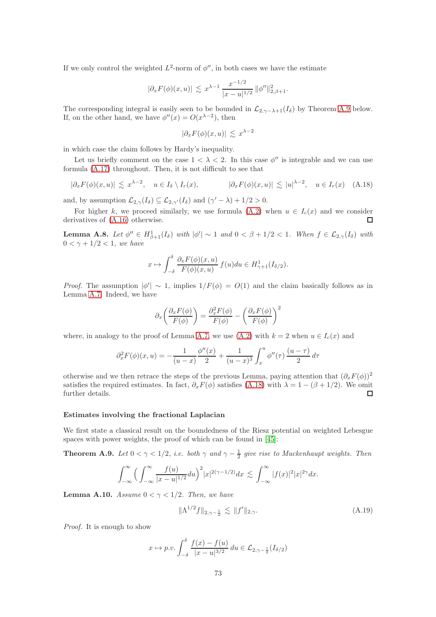If we only control the weighted  $L^2$ -norm of  $\phi''$ , in both cases we have the estimate

$$
|\partial_x F(\phi)(x, u)| \lesssim x^{\lambda - 1} \frac{x^{-1/2}}{|x - u|^{1/2}} \|\phi''\|_{2, \beta + 1}^2.
$$

The corresponding integral is easily seen to be bounded in  $\mathcal{L}_{2,\gamma-\lambda+1}(I_{\delta})$  by Theorem [A.9](#page-72-0) below. If, on the other hand, we have  $\phi''(x) = O(x^{\lambda-2})$ , then

$$
|\partial_x F(\phi)(x, u)| \lesssim x^{\lambda - 2}
$$

in which case the claim follows by Hardy's inequality.

Let us briefly comment on the case  $1 < \lambda < 2$ . In this case  $\phi''$  is integrable and we can use formula [\(A.17\)](#page-71-0) throughout. Then, it is not difficult to see that

<span id="page-72-1"></span>
$$
|\partial_x F(\phi)(x, u)| \lesssim x^{\lambda - 2}, \quad u \in I_\delta \setminus I_r(x), \qquad |\partial_x F(\phi)(x, u)| \lesssim |u|^{\lambda - 2}, \quad u \in I_r(x) \quad \text{(A.18)}
$$

and, by assumption  $\mathcal{L}_{2,\gamma}(I_{\delta}) \subseteq \mathcal{L}_{2,\gamma'}(I_{\delta})$  and  $(\gamma' - \lambda) + 1/2 > 0$ .

For higher k, we proceed similarly, we use formula [\(A.2\)](#page-65-0) when  $u \in I_c(x)$  and we consider ivatives of (A.16) otherwise. derivatives of [\(A.16\)](#page-71-1) otherwise.

**Lemma A.8.** Let  $\phi'' \in H^1_{\beta+1}(I_{\delta})$  with  $|\phi'| \sim 1$  and  $0 < \beta + 1/2 < 1$ . When  $f \in \mathcal{L}_{2,\gamma}(I_{\delta})$  with  $0 < \gamma + 1/2 < 1$ , we have

$$
x \mapsto \int_{-\delta}^{\delta} \frac{\partial_x F(\phi)(x, u)}{F(\phi)(x, u)} f(u) du \in H^1_{\gamma+1}(I_{\delta/2}).
$$

*Proof.* The assumption  $|\phi'|\sim 1$ , implies  $1/F(\phi) = O(1)$  and the claim basically follows as in Lemma [A.7.](#page-71-2) Indeed, we have

$$
\partial_x \left( \frac{\partial_x F(\phi)}{F(\phi)} \right) = \frac{\partial_x^2 F(\phi)}{F(\phi)} - \left( \frac{\partial_x F(\phi)}{F(\phi)} \right)^2
$$

where, in analogy to the proof of Lemma [A.7,](#page-71-2) we use [\(A.2\)](#page-65-0) with  $k = 2$  when  $u \in I_c(x)$  and

$$
\partial_x^2 F(\phi)(x, u) = -\frac{1}{(u - x)} \frac{\phi''(x)}{2} + \frac{1}{(u - x)^3} \int_x^u \phi''(\tau) \frac{(u - \tau)}{2} d\tau
$$

otherwise and we then retrace the steps of the previous Lemma, paying attention that  $(\partial_r F(\phi))^2$ satisfies the required estimates. In fact,  $\partial_x F(\phi)$  satisfies [\(A.18\)](#page-72-1) with  $\lambda = 1 - (\beta + 1/2)$ . We omit further details. further details.

## Estimates involving the fractional Laplacian

We first state a classical result on the boundedness of the Riesz potential on weighted Lebesgue spaces with power weights, the proof of which can be found in [\[45\]](#page-79-0):

<span id="page-72-0"></span>**Theorem A.9.** Let  $0 < \gamma < 1/2$ , i.e. both  $\gamma$  and  $\gamma - \frac{1}{2}$  give rise to Muckenhaupt weights. Then

$$
\int_{-\infty}^{\infty} \Big(\int_{-\infty}^{\infty} \frac{f(u)}{|x-u|^{1/2}} du \Big)^2 |x|^{2(\gamma-1/2)} dx \lesssim \int_{-\infty}^{\infty} |f(x)|^2 |x|^{2\gamma} dx.
$$

**Lemma A.10.** Assume  $0 < \gamma < 1/2$ . Then, we have

$$
\|\Lambda^{1/2}f\|_{2,\gamma-\frac{1}{2}} \lesssim \|f'\|_{2,\gamma}.\tag{A.19}
$$

Proof. It is enough to show

$$
x \mapsto p.v. \int_{-\delta}^{\delta} \frac{f(x) - f(u)}{|x - u|^{3/2}} du \in \mathcal{L}_{2, \gamma - \frac{1}{2}}(I_{\delta/2})
$$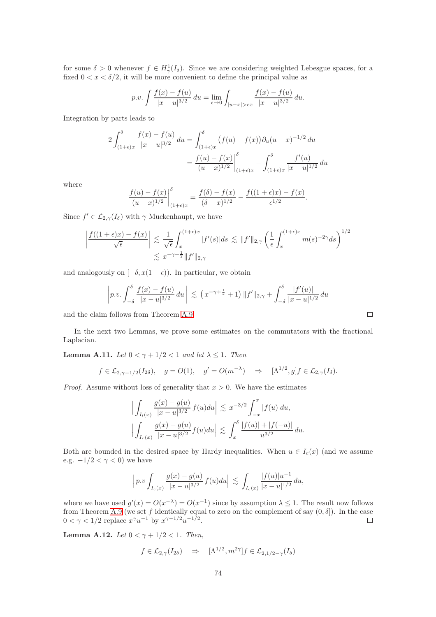for some  $\delta > 0$  whenever  $f \in H^1_\gamma(I_\delta)$ . Since we are considering weighted Lebesgue spaces, for a fixed  $0 < x < \delta/2$ , it will be more convenient to define the principal value as

$$
p.v. \int \frac{f(x) - f(u)}{|x - u|^{3/2}} du = \lim_{\epsilon \to 0} \int_{|u - x| > \epsilon x} \frac{f(x) - f(u)}{|x - u|^{3/2}} du.
$$

Integration by parts leads to

$$
2\int_{(1+\epsilon)x}^{\delta} \frac{f(x) - f(u)}{|x - u|^{3/2}} du = \int_{(1+\epsilon)x}^{\delta} (f(u) - f(x)) \partial_u (u - x)^{-1/2} du
$$
  
= 
$$
\frac{f(u) - f(x)}{(u - x)^{1/2}} \Big|_{(1+\epsilon)x}^{\delta} - \int_{(1+\epsilon)x}^{\delta} \frac{f'(u)}{|x - u|^{1/2}} du
$$

where

$$
\frac{f(u) - f(x)}{(u - x)^{1/2}} \bigg|_{(1+\epsilon)x}^{\delta} = \frac{f(\delta) - f(x)}{(\delta - x)^{1/2}} - \frac{f((1+\epsilon)x) - f(x)}{\epsilon^{1/2}}
$$

Since  $f' \in \mathcal{L}_{2,\gamma}(I_{\delta})$  with  $\gamma$  Muckenhaupt, we have

$$
\left| \frac{f((1+\epsilon)x) - f(x)}{\sqrt{\epsilon}} \right| \lesssim \frac{1}{\sqrt{\epsilon}} \int_x^{(1+\epsilon)x} |f'(s)| ds \lesssim ||f'||_{2,\gamma} \left( \frac{1}{\epsilon} \int_x^{(1+\epsilon)x} m(s)^{-2\gamma} ds \right)^{1/2}
$$
  

$$
\lesssim x^{-\gamma + \frac{1}{2}} ||f'||_{2,\gamma}
$$

and analogously on  $[-\delta, x(1-\epsilon))$ . In particular, we obtain

$$
\left| p.v. \int_{-\delta}^{\delta} \frac{f(x) - f(u)}{|x - u|^{3/2}} du \right| \lesssim \left( x^{-\gamma + \frac{1}{2}} + 1 \right) \|f'\|_{2, \gamma} + \int_{-\delta}^{\delta} \frac{|f'(u)|}{|x - u|^{1/2}} du
$$

and the claim follows from Theorem [A.9.](#page-72-0)

In the next two Lemmas, we prove some estimates on the commutators with the fractional Laplacian.

**Lemma A.11.** Let  $0 < \gamma + 1/2 < 1$  and let  $\lambda \leq 1$ . Then

$$
f \in \mathcal{L}_{2,\gamma-1/2}(I_{2\delta}), \quad g = O(1), \quad g' = O(m^{-\lambda}) \quad \Rightarrow \quad [\Lambda^{1/2}, g]f \in \mathcal{L}_{2,\gamma}(I_{\delta}).
$$

*Proof.* Assume without loss of generality that  $x > 0$ . We have the estimates

$$
\left| \int_{I_l(x)} \frac{g(x) - g(u)}{|x - u|^{3/2}} f(u) du \right| \lesssim x^{-3/2} \int_{-x}^x |f(u)| du,
$$
  

$$
\left| \int_{I_r(x)} \frac{g(x) - g(u)}{|x - u|^{3/2}} f(u) du \right| \lesssim \int_x^{\delta} \frac{|f(u)| + |f(-u)|}{u^{3/2}} du.
$$

Both are bounded in the desired space by Hardy inequalities. When  $u \in I_c(x)$  (and we assume e.g.  $-1/2 < \gamma < 0$ ) we have

$$
\left| p.v \int_{I_c(x)} \frac{g(x) - g(u)}{|x - u|^{3/2}} f(u) du \right| \lesssim \int_{I_c(x)} \frac{|f(u)| u^{-1}}{|x - u|^{1/2}} du,
$$

where we have used  $g'(x) = O(x^{-\lambda}) = O(x^{-1})$  since by assumption  $\lambda \leq 1$ . The result now follows from Theorem [A.9](#page-72-0) (we set f identically equal to zero on the complement of say  $(0, \delta]$ ). In the case  $0 < \gamma < 1/2$  replace  $x^{\gamma}u^{-1}$  by  $x^{\gamma-1/2}u^{-1/2}$ .

Lemma A.12. Let  $0 < \gamma + 1/2 < 1$ . Then,

$$
f \in \mathcal{L}_{2,\gamma}(I_{2\delta}) \Rightarrow [\Lambda^{1/2}, m^{2\gamma}]f \in \mathcal{L}_{2,1/2-\gamma}(I_{\delta})
$$

 $\Box$ 

.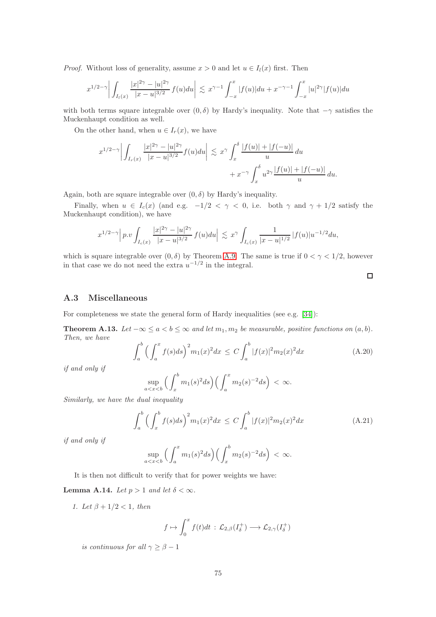*Proof.* Without loss of generality, assume  $x > 0$  and let  $u \in I_l(x)$  first. Then

$$
x^{1/2-\gamma} \left| \int_{I_l(x)} \frac{|x|^{2\gamma} - |u|^{2\gamma}}{|x - u|^{3/2}} f(u) du \right| \lesssim x^{\gamma-1} \int_{-x}^x |f(u)| du + x^{-\gamma-1} \int_{-x}^x |u|^{2\gamma} |f(u)| du
$$

with both terms square integrable over  $(0, \delta)$  by Hardy's inequality. Note that  $-\gamma$  satisfies the Muckenhaupt condition as well.

On the other hand, when  $u \in I_r(x)$ , we have

$$
x^{1/2-\gamma} \left| \int_{I_r(x)} \frac{|x|^{2\gamma} - |u|^{2\gamma}}{|x - u|^{3/2}} f(u) du \right| \lesssim x^{\gamma} \int_x^{\delta} \frac{|f(u)| + |f(-u)|}{u} du + x^{-\gamma} \int_x^{\delta} u^{2\gamma} \frac{|f(u)| + |f(-u)|}{u} du.
$$

Again, both are square integrable over  $(0, \delta)$  by Hardy's inequality.

Finally, when  $u \in I_c(x)$  (and e.g.  $-1/2 < \gamma < 0$ , i.e. both  $\gamma$  and  $\gamma + 1/2$  satisfy the Muckenhaupt condition), we have

$$
x^{1/2-\gamma} \Big| \, p.v \int_{I_c(x)} \frac{|x|^{2\gamma} - |u|^{2\gamma}}{|x - u|^{3/2}} \, f(u) du \Big| \, \lesssim \, x^{\gamma} \int_{I_c(x)} \frac{1}{|x - u|^{1/2}} \, |f(u)| u^{-1/2} du,
$$

which is square integrable over  $(0, \delta)$  by Theorem [A.9.](#page-72-0) The same is true if  $0 < \gamma < 1/2$ , however in that case we do not need the extra  $u^{-1/2}$  in the integral.

## A.3 Miscellaneous

For completeness we state the general form of Hardy inequalities (see e.g. [\[34\]](#page-79-1)):

Theorem A.13. Let  $-\infty \le a < b \le \infty$  and let  $m_1, m_2$  be measurable, positive functions on  $(a, b)$ . Then, we have

$$
\int_{a}^{b} \left( \int_{a}^{x} f(s)ds \right)^{2} m_{1}(x)^{2} dx \le C \int_{a}^{b} |f(x)|^{2} m_{2}(x)^{2} dx \tag{A.20}
$$

if and only if

$$
\sup_{a
$$

Similarly, we have the dual inequality

$$
\int_{a}^{b} \left( \int_{x}^{b} f(s)ds \right)^{2} m_{1}(x)^{2} dx \le C \int_{a}^{b} |f(x)|^{2} m_{2}(x)^{2} dx \tag{A.21}
$$

if and only if

$$
\sup_{a
$$

It is then not difficult to verify that for power weights we have:

**Lemma A.14.** Let  $p > 1$  and let  $\delta < \infty$ .

1. Let  $\beta + 1/2 < 1$ , then

$$
f \mapsto \int_0^x f(t)dt
$$
 :  $\mathcal{L}_{2,\beta}(I_{\delta}^+) \longrightarrow \mathcal{L}_{2,\gamma}(I_{\delta}^+)$ 

is continuous for all  $\gamma \geq \beta - 1$ 

 $\Box$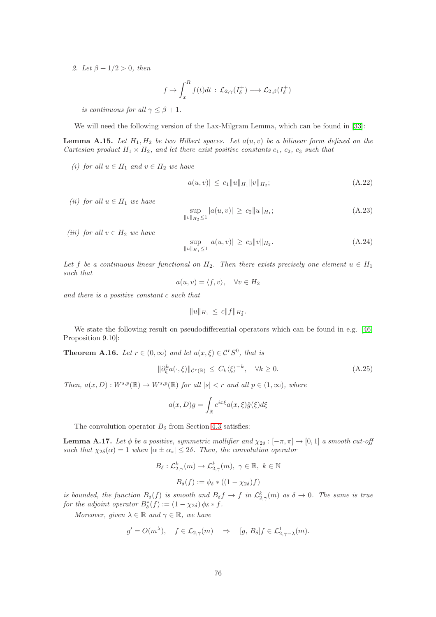2. Let  $\beta + 1/2 > 0$ , then

$$
f \mapsto \int_x^R f(t)dt
$$
 :  $\mathcal{L}_{2,\gamma}(I_{\delta}^+) \longrightarrow \mathcal{L}_{2,\beta}(I_{\delta}^+)$ 

is continuous for all  $\gamma \leq \beta + 1$ .

We will need the following version of the Lax-Milgram Lemma, which can be found in [\[33\]](#page-79-2):

**Lemma A.15.** Let  $H_1, H_2$  be two Hilbert spaces. Let  $a(u, v)$  be a bilinear form defined on the Cartesian product  $H_1 \times H_2$ , and let there exist positive constants  $c_1, c_2, c_3$  such that

(i) for all  $u \in H_1$  and  $v \in H_2$  we have

$$
|a(u,v)| \le c_1 \|u\|_{H_1} \|v\|_{H_2}; \tag{A.22}
$$

(ii) for all  $u \in H_1$  we have

$$
\sup_{\|v\|_{H_2}\le 1} |a(u,v)| \ge c_2 \|u\|_{H_1};\tag{A.23}
$$

(iii) for all  $v \in H_2$  we have

$$
\sup_{\|u\|_{H_1}\leq 1} |a(u,v)| \geq c_3 \|v\|_{H_2}.
$$
\n(A.24)

Let f be a continuous linear functional on  $H_2$ . Then there exists precisely one element  $u \in H_1$ such that

$$
a(u, v) = \langle f, v \rangle, \quad \forall v \in H_2
$$

and there is a positive constant c such that

$$
||u||_{H_1} \leq c||f||_{H_2^*}.
$$

We state the following result on pseudodifferential operators which can be found in e.g. [\[46,](#page-79-3) Proposition 9.10]:

**Theorem A.16.** Let  $r \in (0, \infty)$  and let  $a(x, \xi) \in \mathcal{C}^r S^0$ , that is

$$
\|\partial_{\xi}^{k}a(\cdot,\xi)\|_{\mathcal{C}^{r}(\mathbb{R})}\leq C_{k}\langle\xi\rangle^{-k},\quad\forall k\geq 0.
$$
\n(A.25)

Then,  $a(x, D) : W^{s,p}(\mathbb{R}) \to W^{s,p}(\mathbb{R})$  for all  $|s| < r$  and all  $p \in (1, \infty)$ , where

$$
a(x, D)g = \int_{\mathbb{R}} e^{ix\xi} a(x, \xi) \hat{g}(\xi) d\xi
$$

The convolution operator  $B_\delta$  from Section [4.3](#page-41-0) satisfies:

**Lemma A.17.** Let  $\phi$  be a positive, symmetric mollifier and  $\chi_{2\delta} : [-\pi, \pi] \to [0, 1]$  a smooth cut-off such that  $\chi_{2\delta}(\alpha) = 1$  when  $|\alpha \pm \alpha_*| \leq 2\delta$ . Then, the convolution operator

$$
B_{\delta}: \mathcal{L}_{2,\gamma}^{k}(m) \to \mathcal{L}_{2,\gamma}^{k}(m), \ \gamma \in \mathbb{R}, \ k \in \mathbb{N}
$$

$$
B_{\delta}(f) := \phi_{\delta} * ((1 - \chi_{2\delta})f)
$$

is bounded, the function  $B_\delta(f)$  is smooth and  $B_\delta f \to f$  in  $\mathcal{L}_{2,\gamma}^k(m)$  as  $\delta \to 0$ . The same is true for the adjoint operator  $B_{\delta}^*(f) := (1 - \chi_{2\delta}) \phi_{\delta} * f$ .

Moreover, given  $\lambda \in \mathbb{R}$  and  $\gamma \in \mathbb{R}$ , we have

$$
g' = O(m^{\lambda}), \quad f \in \mathcal{L}_{2,\gamma}(m) \Rightarrow [g, B_{\delta}]f \in \mathcal{L}_{2,\gamma-\lambda}^1(m).
$$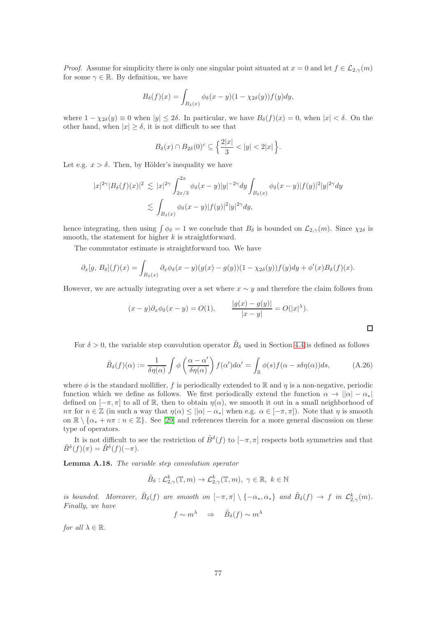*Proof.* Assume for simplicity there is only one singular point situated at  $x = 0$  and let  $f \in \mathcal{L}_{2,\gamma}(m)$ for some  $\gamma \in \mathbb{R}$ . By definition, we have

$$
B_{\delta}(f)(x) = \int_{B_{\delta}(x)} \phi_{\delta}(x - y)(1 - \chi_{2\delta}(y))f(y)dy,
$$

where  $1 - \chi_{2\delta}(y) \equiv 0$  when  $|y| \le 2\delta$ . In particular, we have  $B_{\delta}(f)(x) = 0$ , when  $|x| < \delta$ . On the other hand, when  $|x| \geq \delta$ , it is not difficult to see that

$$
B_{\delta}(x) \cap B_{2\delta}(0)^c \subseteq \left\{ \frac{2|x|}{3} < |y| < 2|x| \right\}.
$$

Let e.g.  $x > \delta$ . Then, by Hölder's inequality we have

$$
|x|^{2\gamma}|B_{\delta}(f)(x)|^2 \lesssim |x|^{2\gamma} \int_{2x/3}^{2x} \phi_{\delta}(x-y)|y|^{-2\gamma} dy \int_{B_{\delta}(x)} \phi_{\delta}(x-y)|f(y)|^2|y|^{2\gamma} dy
$$
  

$$
\lesssim \int_{B_{\delta}(x)} \phi_{\delta}(x-y)|f(y)|^2|y|^{2\gamma} dy,
$$

hence integrating, then using  $\int \phi_{\delta} = 1$  we conclude that  $B_{\delta}$  is bounded on  $\mathcal{L}_{2,\gamma}(m)$ . Since  $\chi_{2\delta}$  is smooth, the statement for higher  $k$  is straightforward.

The commutator estimate is straightforward too. We have

$$
\partial_x[g, B_\delta](f)(x) = \int_{B_\delta(x)} \partial_x \phi_\delta(x-y)(g(x)-g(y))(1-\chi_{2\delta}(y))f(y)dy + \phi'(x)B_\delta(f)(x).
$$

However, we are actually integrating over a set where  $x \sim y$  and therefore the claim follows from

$$
(x-y)\partial_x\phi_\delta(x-y) = O(1), \qquad \frac{|g(x)-g(y)|}{|x-y|} = O(|x|^\lambda).
$$

For  $\delta > 0$ , the variable step convolution operator  $\tilde{B}_{\delta}$  used in Section [4.4](#page-44-0) is defined as follows

$$
\tilde{B}_{\delta}(f)(\alpha) := \frac{1}{\delta \eta(\alpha)} \int \phi \left( \frac{\alpha - \alpha'}{\delta \eta(\alpha)} \right) f(\alpha') d\alpha' = \int_{\mathbb{R}} \phi(s) f(\alpha - s \delta \eta(\alpha)) ds, \tag{A.26}
$$

where  $\phi$  is the standard mollifier, f is periodically extended to R and  $\eta$  is a non-negative, periodic function which we define as follows. We first periodically extend the function  $\alpha \to ||\alpha| - \alpha_*|$ defined on  $[-\pi, \pi]$  to all of R, then to obtain  $\eta(\alpha)$ , we smooth it out in a small neighborhood of  $n\pi$  for  $n \in \mathbb{Z}$  (in such a way that  $\eta(\alpha) \leq ||\alpha| - \alpha_*|$  when e.g.  $\alpha \in [-\pi, \pi]$ ). Note that  $\eta$  is smooth on  $\mathbb{R} \setminus \{\alpha_* + n\pi : n \in \mathbb{Z}\}.$  See [\[29\]](#page-78-0) and references therein for a more general discussion on these type of operators.

It is not difficult to see the restriction of  $\tilde{B}^{\delta}(f)$  to  $[-\pi,\pi]$  respects both symmetries and that  $\tilde{B}^{\delta}(f)(\pi) = \tilde{B}^{\delta}(f)(-\pi).$ 

Lemma A.18. The variable step convolution operator

$$
\tilde{B}_{\delta}: \mathcal{L}_{2,\gamma}^k(\mathbb{T},m) \to \mathcal{L}_{2,\gamma}^k(\mathbb{T},m), \ \gamma \in \mathbb{R}, \ k \in \mathbb{N}
$$

is bounded. Moreover,  $\tilde{B}_{\delta}(f)$  are smooth on  $[-\pi,\pi] \setminus \{-\alpha_*,\alpha_*\}$  and  $\tilde{B}_{\delta}(f) \to f$  in  $\mathcal{L}_{2,\gamma}^k(m)$ . Finally, we have

$$
f \sim m^{\lambda} \Rightarrow \tilde{B}_{\delta}(f) \sim m^{\lambda}
$$

for all  $\lambda \in \mathbb{R}$ .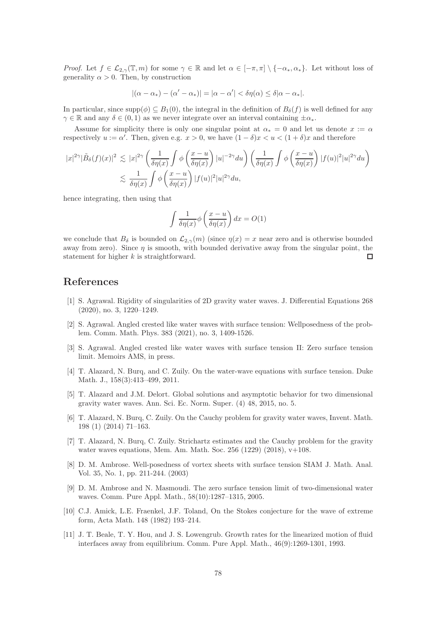*Proof.* Let  $f \in \mathcal{L}_{2,\gamma}(\mathbb{T},m)$  for some  $\gamma \in \mathbb{R}$  and let  $\alpha \in [-\pi,\pi] \setminus \{-\alpha_*,\alpha_*\}$ . Let without loss of generality  $\alpha > 0$ . Then, by construction

$$
|(\alpha - \alpha_*) - (\alpha' - \alpha_*)| = |\alpha - \alpha'| < \delta \eta(\alpha) \le \delta |\alpha - \alpha_*|.
$$

In particular, since  $\text{supp}(\phi) \subseteq B_1(0)$ , the integral in the definition of  $B_\delta(f)$  is well defined for any  $\gamma \in \mathbb{R}$  and any  $\delta \in (0,1)$  as we never integrate over an interval containing  $\pm \alpha_*$ .

Assume for simplicity there is only one singular point at  $\alpha_* = 0$  and let us denote  $x := \alpha$ respectively  $u := \alpha'$ . Then, given e.g.  $x > 0$ , we have  $(1 - \delta)x < u < (1 + \delta)x$  and therefore

$$
|x|^{2\gamma}|\tilde{B}_{\delta}(f)(x)|^{2} \lesssim |x|^{2\gamma} \left(\frac{1}{\delta\eta(x)}\int \phi\left(\frac{x-u}{\delta\eta(x)}\right)|u|^{-2\gamma}du\right) \left(\frac{1}{\delta\eta(x)}\int \phi\left(\frac{x-u}{\delta\eta(x)}\right)|f(u)|^{2}|u|^{2\gamma}du\right)
$$
  

$$
\lesssim \frac{1}{\delta\eta(x)}\int \phi\left(\frac{x-u}{\delta\eta(x)}\right)|f(u)|^{2}|u|^{2\gamma}du,
$$

hence integrating, then using that

$$
\int \frac{1}{\delta \eta(x)} \phi\left(\frac{x-u}{\delta \eta(x)}\right) dx = O(1)
$$

we conclude that  $B_\delta$  is bounded on  $\mathcal{L}_{2,\gamma}(m)$  (since  $\eta(x) = x$  near zero and is otherwise bounded away from zero). Since  $\eta$  is smooth, with bounded derivative away from the singular point, the statement for higher k is straightforward. П

## References

- [1] S. Agrawal. Rigidity of singularities of 2D gravity water waves. J. Differential Equations 268 (2020), no. 3, 1220–1249.
- [2] S. Agrawal. Angled crested like water waves with surface tension: Wellposedness of the problem. Comm. Math. Phys. 383 (2021), no. 3, 1409-1526.
- [3] S. Agrawal. Angled crested like water waves with surface tension II: Zero surface tension limit. Memoirs AMS, in press.
- [4] T. Alazard, N. Burq, and C. Zuily. On the water-wave equations with surface tension. Duke Math. J., 158(3):413–499, 2011.
- [5] T. Alazard and J.M. Delort. Global solutions and asymptotic behavior for two dimensional gravity water waves. Ann. Sci. Ec. Norm. Super. (4) 48, 2015, no. 5.
- [6] T. Alazard, N. Burq, C. Zuily. On the Cauchy problem for gravity water waves, Invent. Math. 198 (1) (2014) 71–163.
- [7] T. Alazard, N. Burq, C. Zuily. Strichartz estimates and the Cauchy problem for the gravity water waves equations, Mem. Am. Math. Soc.  $256$  (1229) (2018),  $v+108$ .
- [8] D. M. Ambrose. Well-posedness of vortex sheets with surface tension SIAM J. Math. Anal. Vol. 35, No. 1, pp. 211-244. (2003)
- [9] D. M. Ambrose and N. Masmoudi. The zero surface tension limit of two-dimensional water waves. Comm. Pure Appl. Math., 58(10):1287–1315, 2005.
- [10] C.J. Amick, L.E. Fraenkel, J.F. Toland, On the Stokes conjecture for the wave of extreme form, Acta Math. 148 (1982) 193–214.
- [11] J. T. Beale, T. Y. Hou, and J. S. Lowengrub. Growth rates for the linearized motion of fluid interfaces away from equilibrium. Comm. Pure Appl. Math., 46(9):1269-1301, 1993.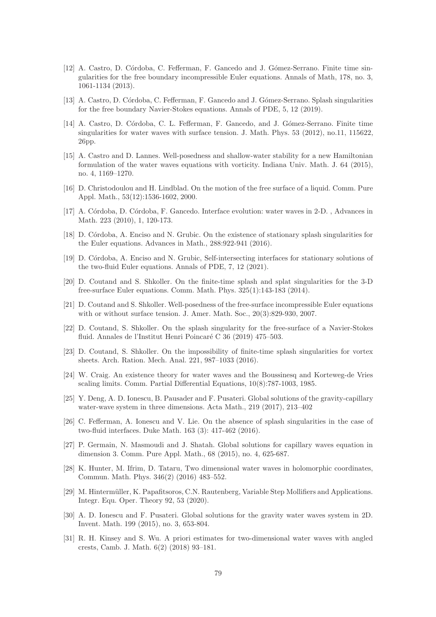- [12] A. Castro, D. Córdoba, C. Fefferman, F. Gancedo and J. Gómez-Serrano. Finite time singularities for the free boundary incompressible Euler equations. Annals of Math, 178, no. 3, 1061-1134 (2013).
- [13] A. Castro, D. Córdoba, C. Fefferman, F. Gancedo and J. Gómez-Serrano. Splash singularities for the free boundary Navier-Stokes equations. Annals of PDE, 5, 12 (2019).
- [14] A. Castro, D. Córdoba, C. L. Fefferman, F. Gancedo, and J. Gómez-Serrano. Finite time singularities for water waves with surface tension. J. Math. Phys. 53 (2012), no.11, 115622. 26pp.
- [15] A. Castro and D. Lannes. Well-posedness and shallow-water stability for a new Hamiltonian formulation of the water waves equations with vorticity. Indiana Univ. Math. J. 64 (2015), no. 4, 1169–1270.
- [16] D. Christodoulou and H. Lindblad. On the motion of the free surface of a liquid. Comm. Pure Appl. Math., 53(12):1536-1602, 2000.
- [17] A. Córdoba, D. Córdoba, F. Gancedo. Interface evolution: water waves in 2-D., Advances in Math. 223 (2010), 1, 120-173.
- [18] D. Córdoba, A. Enciso and N. Grubic. On the existence of stationary splash singularities for the Euler equations. Advances in Math., 288:922-941 (2016).
- [19] D. C´ordoba, A. Enciso and N. Grubic, Self-intersecting interfaces for stationary solutions of the two-fluid Euler equations. Annals of PDE, 7, 12 (2021).
- [20] D. Coutand and S. Shkoller. On the finite-time splash and splat singularities for the 3-D free-surface Euler equations. Comm. Math. Phys. 325(1):143-183 (2014).
- [21] D. Coutand and S. Shkoller. Well-posedness of the free-surface incompressible Euler equations with or without surface tension. J. Amer. Math. Soc., 20(3):829-930, 2007.
- [22] D. Coutand, S. Shkoller. On the splash singularity for the free-surface of a Navier-Stokes fluid. Annales de l'Institut Henri Poincaré C 36 (2019) 475–503.
- [23] D. Coutand, S. Shkoller. On the impossibility of finite-time splash singularities for vortex sheets. Arch. Ration. Mech. Anal. 221, 987–1033 (2016).
- [24] W. Craig. An existence theory for water waves and the Boussinesq and Korteweg-de Vries scaling limits. Comm. Partial Differential Equations, 10(8):787-1003, 1985.
- [25] Y. Deng, A. D. Ionescu, B. Pausader and F. Pusateri. Global solutions of the gravity-capillary water-wave system in three dimensions. Acta Math., 219 (2017), 213–402
- [26] C. Fefferman, A. Ionescu and V. Lie. On the absence of splash singularities in the case of two-fluid interfaces. Duke Math. 163 (3): 417-462 (2016).
- [27] P. Germain, N. Masmoudi and J. Shatah. Global solutions for capillary waves equation in dimension 3. Comm. Pure Appl. Math., 68 (2015), no. 4, 625-687.
- [28] K. Hunter, M. Ifrim, D. Tataru, Two dimensional water waves in holomorphic coordinates, Commun. Math. Phys. 346(2) (2016) 483–552.
- <span id="page-78-0"></span>[29] M. Hintermüller, K. Papafitsoros, C.N. Rautenberg, Variable Step Mollifiers and Applications. Integr. Equ. Oper. Theory 92, 53 (2020).
- [30] A. D. Ionescu and F. Pusateri. Global solutions for the gravity water waves system in 2D. Invent. Math. 199 (2015), no. 3, 653-804.
- [31] R. H. Kinsey and S. Wu. A priori estimates for two-dimensional water waves with angled crests, Camb. J. Math. 6(2) (2018) 93–181.